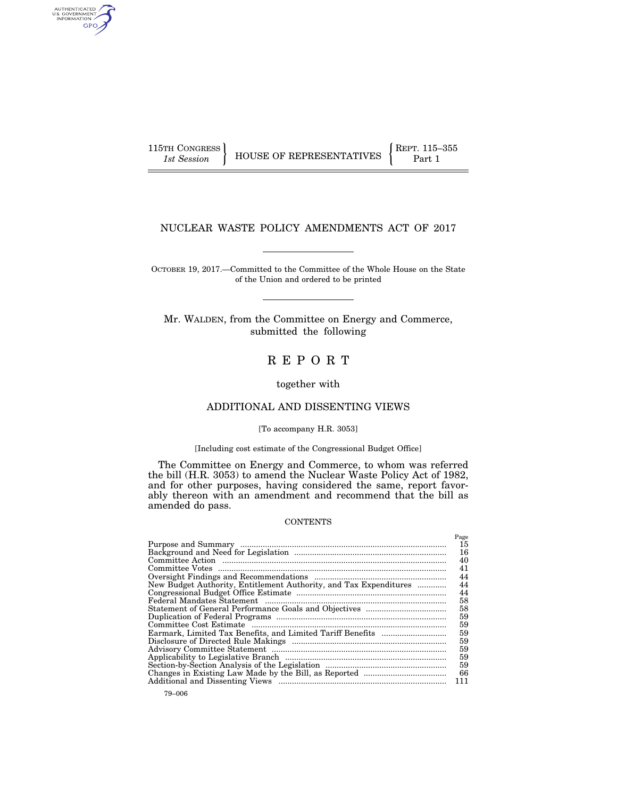AUTHENTICATED<br>U.S. GOVERNMENT<br>INFORMATION GPO

115TH CONGRESS **REPRESENTATIVES** REPRESENTATIVES **Part 1** 

# NUCLEAR WASTE POLICY AMENDMENTS ACT OF 2017

OCTOBER 19, 2017.—Committed to the Committee of the Whole House on the State of the Union and ordered to be printed

Mr. WALDEN, from the Committee on Energy and Commerce, submitted the following

# R E P O R T

together with

# ADDITIONAL AND DISSENTING VIEWS

# [To accompany H.R. 3053]

# [Including cost estimate of the Congressional Budget Office]

The Committee on Energy and Commerce, to whom was referred the bill (H.R. 3053) to amend the Nuclear Waste Policy Act of 1982, and for other purposes, having considered the same, report favorably thereon with an amendment and recommend that the bill as amended do pass.

# **CONTENTS**

| New Budget Authority, Entitlement Authority, and Tax Expenditures | Page<br>15<br>16<br>40<br>41<br>44<br>44<br>44<br>58<br>58<br>59<br>59<br>59 |
|-------------------------------------------------------------------|------------------------------------------------------------------------------|
|                                                                   |                                                                              |
|                                                                   | 59<br>59                                                                     |
|                                                                   | 59<br>59<br>66<br>111                                                        |
|                                                                   |                                                                              |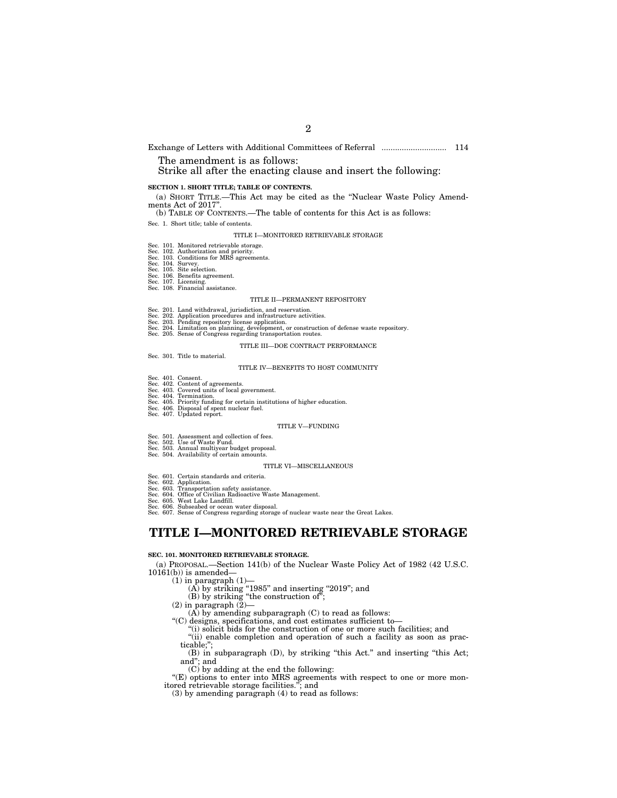2

# The amendment is as follows:

# Strike all after the enacting clause and insert the following:

#### **SECTION 1. SHORT TITLE; TABLE OF CONTENTS.**

(a) SHORT TITLE.—This Act may be cited as the ''Nuclear Waste Policy Amendments Act of 2017"

(b) TABLE OF CONTENTS.—The table of contents for this Act is as follows:

Sec. 1. Short title; table of contents.

### TITLE I—MONITORED RETRIEVABLE STORAGE

- Sec. 101. Monitored retrievable storage.
- Sec. 102. Authorization and priority.<br>Sec. 103. Conditions for MRS agreements.<br>Sec. 106. Site selection.<br>Sec. 106. Benefits agreement.<br>Sec. 107. Licensing.<br>Sec. 108. Financial assistance.
- 
- 
- 
- 

### TITLE II—PERMANENT REPOSITORY

- 
- 
- 
- Sec. 201. Land withdrawal, jurisdiction, and reservation.<br>Sec. 202. Application procedures and infrastructure activities.<br>Sec. 202. Pending repository license application.<br>Sec. 204. Limitation on planning, development, or

#### TITLE III—DOE CONTRACT PERFORMANCE

#### Sec. 301. Title to material.

#### TITLE IV—BENEFITS TO HOST COMMUNITY

- 
- 
- 
- Sec. 401. Consent.<br>Sec. 401. Consent.<br>Sec. 403. Covered units of local government.<br>Sec. 403. Covered units of local government.<br>Sec. 406. Disposal of spent nuclear fuel.<br>Sec. 406. Disposal of spent nuclear fuel.<br>Sec. 407.
- 
- 

#### TITLE V—FUNDING

- 
- 
- Sec. 501. Assessment and collection of fees. Sec. 502. Use of Waste Fund. Sec. 503. Annual multiyear budget proposal. Sec. 504. Availability of certain amounts.
- 

#### TITLE VI—MISCELLANEOUS

- Sec. 601. Certain standards and criteria.
- 
- Sec. 602. Application. Sec. 603. Transportation safety assistance. Sec. 604. Office of Civilian Radioactive Waste Management. Sec. 605. West Lake Landfill.
- 
- 
- Sec. 606. Subseabed or ocean water disposal. Sec. 607. Sense of Congress regarding storage of nuclear waste near the Great Lakes.

# **TITLE I—MONITORED RETRIEVABLE STORAGE**

### **SEC. 101. MONITORED RETRIEVABLE STORAGE.**

(a) PROPOSAL.—Section 141(b) of the Nuclear Waste Policy Act of 1982 (42 U.S.C.  $10161(b)$ ) is amended-

- $(1)$  in paragraph  $(1)$ 
	- $(A)$  by striking "1985" and inserting "2019"; and
	- (B) by striking ''the construction of'';
- $(2)$  in paragraph  $(2)$ —
- (A) by amending subparagraph (C) to read as follows:
- ''(C) designs, specifications, and cost estimates sufficient to—

''(i) solicit bids for the construction of one or more such facilities; and

''(ii) enable completion and operation of such a facility as soon as practicable;'';

- (B) in subparagraph (D), by striking ''this Act.'' and inserting ''this Act;
- and''; and (C) by adding at the end the following:
- 
- ''(E) options to enter into MRS agreements with respect to one or more mon-
- itored retrievable storage facilities.''; and
	- (3) by amending paragraph (4) to read as follows: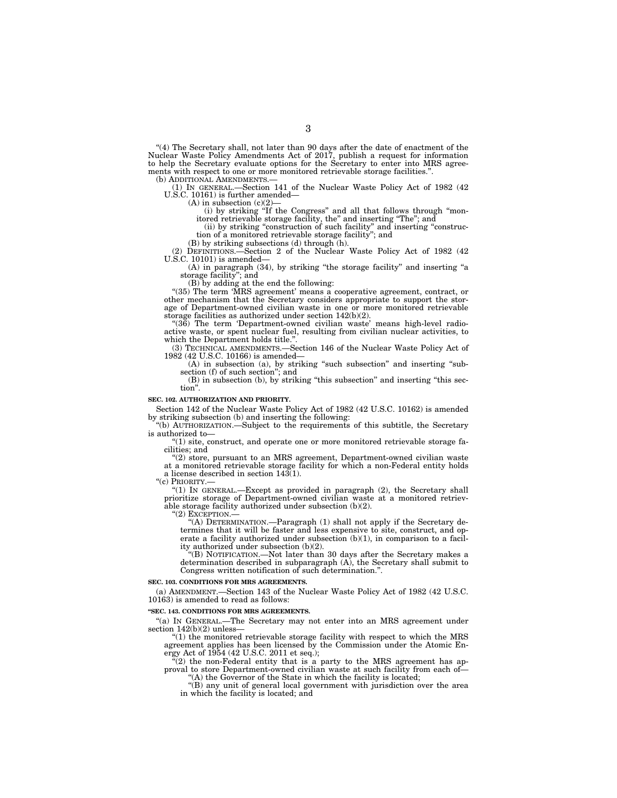"(4) The Secretary shall, not later than 90 days after the date of enactment of the Nuclear Waste Policy Amendments Act of 2017, publish a request for information to help the Secretary evaluate options for the Secretary to enter into MRS agreements with respect to one or more monitored retrievable storage facilities."

(b) ADDITIONAL AMENDMENTS.—<br>
(1) IN GENERAL.—Section 141 of the Nuclear Waste Policy Act of 1982 (42 U.S.C. 10161) is further amended—

(A) in subsection (c)(2)—<br>(i) by striking "If the Congress" and all that follows through "mon-

itored retrievable storage facility, the'' and inserting ''The''; and (ii) by striking ''construction of such facility'' and inserting ''construction of a monitored retrievable storage facility''; and

(B) by striking subsections (d) through (h).

(2) DEFINITIONS.—Section 2 of the Nuclear Waste Policy Act of 1982 (42 U.S.C. 10101) is amended—

(A) in paragraph (34), by striking "the storage facility" and inserting "a storage facility''; and

(B) by adding at the end the following:

"(35) The term 'MRS agreement' means a cooperative agreement, contract, or other mechanism that the Secretary considers appropriate to support the storage of Department-owned civilian waste in one or more monitored retrievable storage facilities as authorized under section 142(b)(2).

''(36) The term 'Department-owned civilian waste' means high-level radioactive waste, or spent nuclear fuel, resulting from civilian nuclear activities, to which the Department holds title.''.

(3) TECHNICAL AMENDMENTS.—Section 146 of the Nuclear Waste Policy Act of 1982 (42 U.S.C. 10166) is amended—

(A) in subsection (a), by striking ''such subsection'' and inserting ''subsection (f) of such section''; and

(B) in subsection (b), by striking ''this subsection'' and inserting ''this section''.

### **SEC. 102. AUTHORIZATION AND PRIORITY.**

Section 142 of the Nuclear Waste Policy Act of 1982 (42 U.S.C. 10162) is amended by striking subsection (b) and inserting the following:

''(b) AUTHORIZATION.—Subject to the requirements of this subtitle, the Secretary is authorized to—

 $(1)$  site, construct, and operate one or more monitored retrievable storage facilities; and

''(2) store, pursuant to an MRS agreement, Department-owned civilian waste at a monitored retrievable storage facility for which a non-Federal entity holds a license described in section 143(1).

"(c) PRIORITY.

"(1) IN GENERAL.—Except as provided in paragraph  $(2)$ , the Secretary shall prioritize storage of Department-owned civilian waste at a monitored retrievable storage facility authorized under subsection (b)(2).

''(2) EXCEPTION.—

''(A) DETERMINATION.—Paragraph (1) shall not apply if the Secretary determines that it will be faster and less expensive to site, construct, and operate a facility authorized under subsection (b)(1), in comparison to a facility authorized under subsection (b)(2).

''(B) NOTIFICATION.—Not later than 30 days after the Secretary makes a determination described in subparagraph (A), the Secretary shall submit to Congress written notification of such determination.''.

#### **SEC. 103. CONDITIONS FOR MRS AGREEMENTS.**

(a) AMENDMENT.—Section 143 of the Nuclear Waste Policy Act of 1982 (42 U.S.C. 10163) is amended to read as follows:

**''SEC. 143. CONDITIONS FOR MRS AGREEMENTS.** 

''(a) IN GENERAL.—The Secretary may not enter into an MRS agreement under section  $142(b)(2)$  unless-

''(1) the monitored retrievable storage facility with respect to which the MRS agreement applies has been licensed by the Commission under the Atomic Energy Act of 1954 (42 U.S.C. 2011 et seq.);

 $(2)$  the non-Federal entity that is a party to the MRS agreement has approval to store Department-owned civilian waste at such facility from each of— "(A) the Governor of the State in which the facility is located;

''(B) any unit of general local government with jurisdiction over the area in which the facility is located; and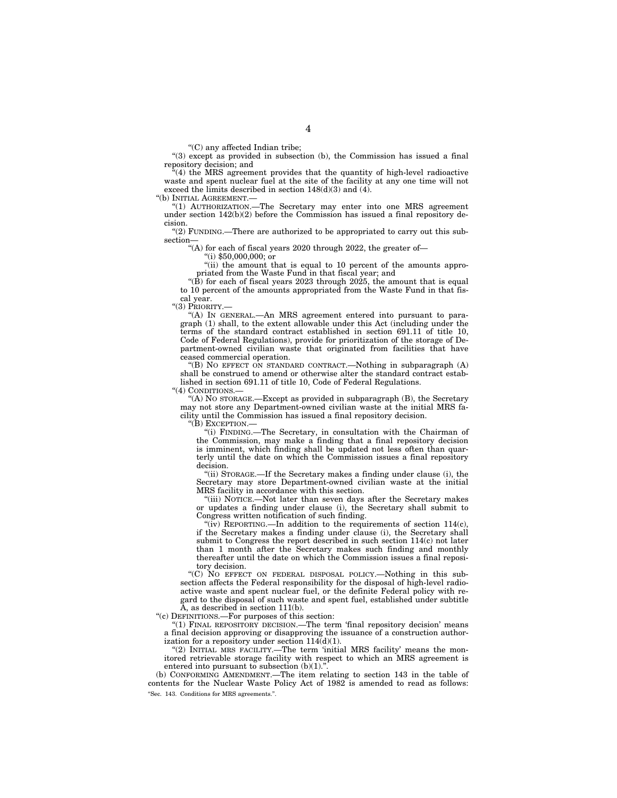''(C) any affected Indian tribe;

''(3) except as provided in subsection (b), the Commission has issued a final repository decision; and

 $\mathbf{H}^{\mu}(4)$  the MRS agreement provides that the quantity of high-level radioactive waste and spent nuclear fuel at the site of the facility at any one time will not exceed the limits described in section 148(d)(3) and (4).

''(b) INITIAL AGREEMENT.—

''(1) AUTHORIZATION.—The Secretary may enter into one MRS agreement under section  $142(b)(2)$  before the Commission has issued a final repository decision.

 $''(2)$  FUNDING.—There are authorized to be appropriated to carry out this subsection—

"(A) for each of fiscal years 2020 through 2022, the greater of-

''(i) \$50,000,000; or

"(ii) the amount that is equal to 10 percent of the amounts appropriated from the Waste Fund in that fiscal year; and

 $(16)$  for each of fiscal years 2023 through 2025, the amount that is equal to 10 percent of the amounts appropriated from the Waste Fund in that fiscal year.

"(3) PRIORITY.-

''(A) IN GENERAL.—An MRS agreement entered into pursuant to paragraph (1) shall, to the extent allowable under this Act (including under the terms of the standard contract established in section 691.11 of title 10, Code of Federal Regulations), provide for prioritization of the storage of Department-owned civilian waste that originated from facilities that have ceased commercial operation.

''(B) NO EFFECT ON STANDARD CONTRACT.—Nothing in subparagraph (A) shall be construed to amend or otherwise alter the standard contract established in section 691.11 of title 10, Code of Federal Regulations.

"(4) CONDITIONS.

''(A) NO STORAGE.—Except as provided in subparagraph (B), the Secretary may not store any Department-owned civilian waste at the initial MRS facility until the Commission has issued a final repository decision.

''(B) EXCEPTION.—

''(i) FINDING.—The Secretary, in consultation with the Chairman of the Commission, may make a finding that a final repository decision is imminent, which finding shall be updated not less often than quarterly until the date on which the Commission issues a final repository decision.

''(ii) STORAGE.—If the Secretary makes a finding under clause (i), the Secretary may store Department-owned civilian waste at the initial MRS facility in accordance with this section.

"(iii) NOTICE.—Not later than seven days after the Secretary makes or updates a finding under clause (i), the Secretary shall submit to Congress written notification of such finding.

"(iv) REPORTING.—In addition to the requirements of section  $114(c)$ , if the Secretary makes a finding under clause (i), the Secretary shall submit to Congress the report described in such section 114(c) not later than 1 month after the Secretary makes such finding and monthly thereafter until the date on which the Commission issues a final repository decision.

''(C) NO EFFECT ON FEDERAL DISPOSAL POLICY.—Nothing in this subsection affects the Federal responsibility for the disposal of high-level radioactive waste and spent nuclear fuel, or the definite Federal policy with regard to the disposal of such waste and spent fuel, established under subtitle A, as described in section 111(b).

''(c) DEFINITIONS.—For purposes of this section:

"(1) FINAL REPOSITORY DECISION.—The term 'final repository decision' means a final decision approving or disapproving the issuance of a construction authorization for a repository under section  $114(d)(1)$ .

 $f'(2)$  INITIAL MRS FACILITY.—The term 'initial MRS facility' means the monitored retrievable storage facility with respect to which an MRS agreement is entered into pursuant to subsection  $(b)(1)$ ."

(b) CONFORMING AMENDMENT.—The item relating to section 143 in the table of contents for the Nuclear Waste Policy Act of 1982 is amended to read as follows: ''Sec. 143. Conditions for MRS agreements.''.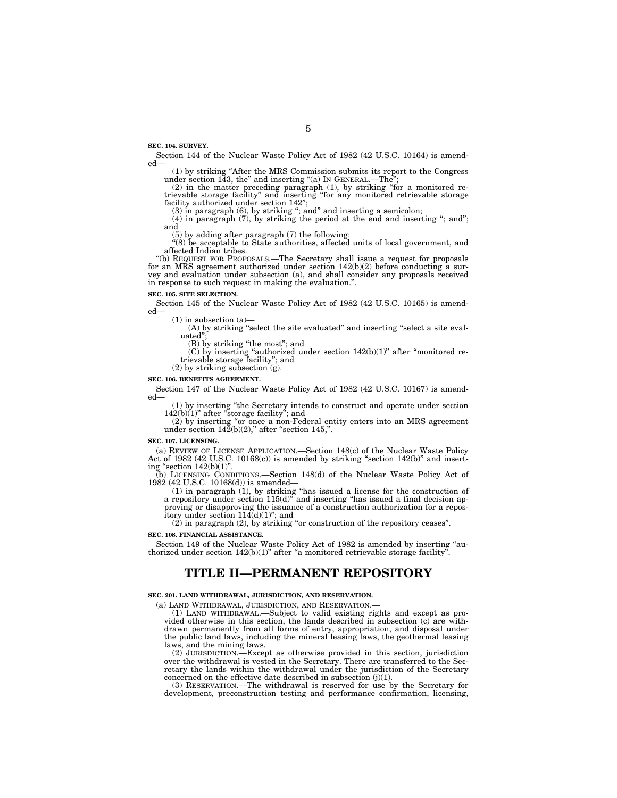**SEC. 104. SURVEY.** 

Section 144 of the Nuclear Waste Policy Act of 1982 (42 U.S.C. 10164) is amended—

(1) by striking "After the MRS Commission submits its report to the Congress<br>under section 143, the" and inserting "(a) IN GENERAL.—The";<br>(2) in the matter preceding paragraph (1), by striking "for a monitored re-<br>trievab

facility authorized under section 142";

(3) in paragraph (6), by striking ''; and'' and inserting a semicolon; (4) in paragraph (7), by striking the period at the end and inserting ''; and''; and

(5) by adding after paragraph (7) the following: ''(8) be acceptable to State authorities, affected units of local government, and affected Indian tribes.

''(b) REQUEST FOR PROPOSALS.—The Secretary shall issue a request for proposals for an MRS agreement authorized under section 142(b)(2) before conducting a survey and evaluation under subsection (a), and shall consider any proposals received in response to such request in making the evaluation.''.

### **SEC. 105. SITE SELECTION.**

Section 145 of the Nuclear Waste Policy Act of 1982 (42 U.S.C. 10165) is amended—

 $(1)$  in subsection  $(a)$ 

(A) by striking ''select the site evaluated'' and inserting ''select a site evaluated'';

(B) by striking ''the most''; and

 $(C)$  by inserting "authorized under section  $142(b)(1)$ " after "monitored retrievable storage facility''; and

(2) by striking subsection (g).

#### **SEC. 106. BENEFITS AGREEMENT.**

Section 147 of the Nuclear Waste Policy Act of 1982 (42 U.S.C. 10167) is amended—

(1) by inserting ''the Secretary intends to construct and operate under section  $142(b)(1)$ " after "storage facility"; and

(2) by inserting ''or once a non-Federal entity enters into an MRS agreement under section  $142(b)(2)$ ," after "section  $145$ ,".

#### **SEC. 107. LICENSING.**

(a) REVIEW OF LICENSE APPLICATION.—Section 148(c) of the Nuclear Waste Policy Act of 1982 (42 U.S.C. 10168(c)) is amended by striking "section 142(b)" and inserting "section  $142(b)(1)$ ".

(b) LICENSING CONDITIONS.—Section 148(d) of the Nuclear Waste Policy Act of 1982 (42 U.S.C. 10168(d)) is amended—

(1) in paragraph (1), by striking ''has issued a license for the construction of a repository under section 115(d)'' and inserting ''has issued a final decision approving or disapproving the issuance of a construction authorization for a repository under section  $114(d)(1)$ "; and

(2) in paragraph (2), by striking ''or construction of the repository ceases''.

#### **SEC. 108. FINANCIAL ASSISTANCE.**

Section 149 of the Nuclear Waste Policy Act of 1982 is amended by inserting ''authorized under section  $142(b)(1)$ " after "a monitored retrievable storage facility".

# **TITLE II—PERMANENT REPOSITORY**

#### **SEC. 201. LAND WITHDRAWAL, JURISDICTION, AND RESERVATION.**

(a) LAND WITHDRAWAL, JURISDICTION, AND RESERVATION.—

(1) LAND WITHDRAWAL.—Subject to valid existing rights and except as provided otherwise in this section, the lands described in subsection (c) are withdrawn permanently from all forms of entry, appropriation, and disposal under the public land laws, including the mineral leasing laws, the geothermal leasing laws, and the mining laws.

(2) JURISDICTION.—Except as otherwise provided in this section, jurisdiction over the withdrawal is vested in the Secretary. There are transferred to the Secretary the lands within the withdrawal under the jurisdiction of the Secretary concerned on the effective date described in subsection  $(j)(1)$ .

(3) RESERVATION.—The withdrawal is reserved for use by the Secretary for development, preconstruction testing and performance confirmation, licensing,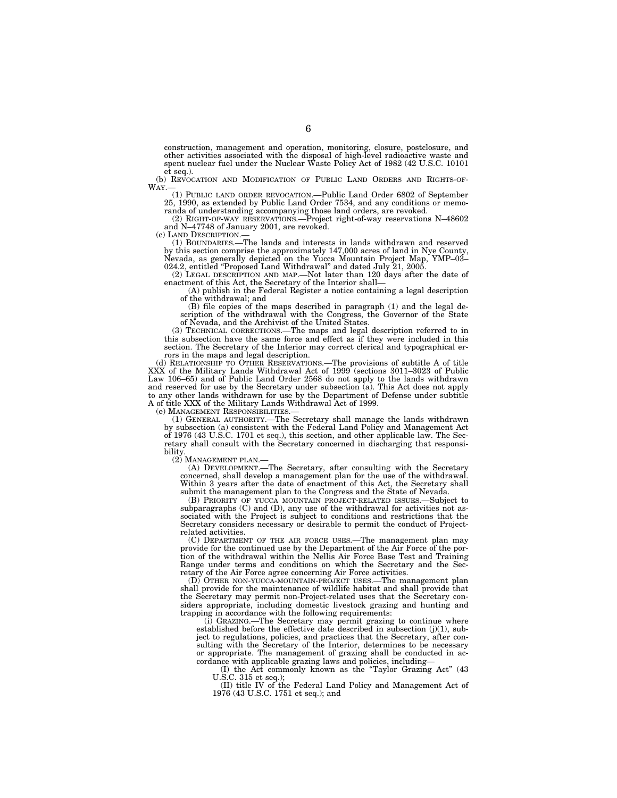construction, management and operation, monitoring, closure, postclosure, and other activities associated with the disposal of high-level radioactive waste and spent nuclear fuel under the Nuclear Waste Policy Act of 1982 (42 U.S.C. 10101 et seq.).

(b) REVOCATION AND MODIFICATION OF PUBLIC LAND ORDERS AND RIGHTS-OF-WAY.—

(1) PUBLIC LAND ORDER REVOCATION.—Public Land Order 6802 of September 25, 1990, as extended by Public Land Order 7534, and any conditions or memo-

randa of understanding accompanying those land orders, are revoked. (2) RIGHT-OF-WAY RESERVATIONS.—Project right-of-way reservations N–48602 and N–47748 of January 2001, are revoked.

(c) LAND DESCRIPTION.— (1) BOUNDARIES.—The lands and interests in lands withdrawn and reserved by this section comprise the approximately 147,000 acres of land in Nye County, Nevada, as generally depicted on the Yucca Mountain Project Map, YMP–03–

024.2, entitled ''Proposed Land Withdrawal'' and dated July 21, 2005. (2) LEGAL DESCRIPTION AND MAP.—Not later than 120 days after the date of

enactment of this Act, the Secretary of the Interior shall— (A) publish in the Federal Register a notice containing a legal description of the withdrawal; and

(B) file copies of the maps described in paragraph (1) and the legal description of the withdrawal with the Congress, the Governor of the State of Nevada, and the Archivist of the United States.

(3) TECHNICAL CORRECTIONS.—The maps and legal description referred to in this subsection have the same force and effect as if they were included in this section. The Secretary of the Interior may correct clerical and typographical errors in the maps and legal description.

(d) RELATIONSHIP TO OTHER RESERVATIONS.—The provisions of subtitle A of title XXX of the Military Lands Withdrawal Act of 1999 (sections 3011–3023 of Public Law 106–65) and of Public Land Order 2568 do not apply to the lands withdrawn and reserved for use by the Secretary under subsection (a). This Act does not apply to any other lands withdrawn for use by the Department of Defense under subtitle A of title XXX of the Military Lands Withdrawal Act of 1999.

(e) MANAGEMENT RESPONSIBILITIES.—

(1) GENERAL AUTHORITY.—The Secretary shall manage the lands withdrawn by subsection (a) consistent with the Federal Land Policy and Management Act of 1976 (43 U.S.C. 1701 et seq.), this section, and other applicable law. The Secretary shall consult with the Secretary concerned in discharging that responsibility.

(2) MANAGEMENT PLAN.—

(A) DEVELOPMENT.—The Secretary, after consulting with the Secretary concerned, shall develop a management plan for the use of the withdrawal. Within 3 years after the date of enactment of this Act, the Secretary shall submit the management plan to the Congress and the State of Nevada.

(B) PRIORITY OF YUCCA MOUNTAIN PROJECT-RELATED ISSUES.—Subject to subparagraphs  $(C)$  and  $(D)$ , any use of the withdrawal for activities not associated with the Project is subject to conditions and restrictions that the Secretary considers necessary or desirable to permit the conduct of Projectrelated activities.

(C) DEPARTMENT OF THE AIR FORCE USES.—The management plan may provide for the continued use by the Department of the Air Force of the portion of the withdrawal within the Nellis Air Force Base Test and Training Range under terms and conditions on which the Secretary and the Secretary of the Air Force agree concerning Air Force activities.

(D) OTHER NON-YUCCA-MOUNTAIN-PROJECT USES.—The management plan shall provide for the maintenance of wildlife habitat and shall provide that the Secretary may permit non-Project-related uses that the Secretary considers appropriate, including domestic livestock grazing and hunting and trapping in accordance with the following requirements:

(i) GRAZING.—The Secretary may permit grazing to continue where established before the effective date described in subsection (j)(1), subject to regulations, policies, and practices that the Secretary, after consulting with the Secretary of the Interior, determines to be necessary or appropriate. The management of grazing shall be conducted in ac-

cordance with applicable grazing laws and policies, including— (I) the Act commonly known as the ''Taylor Grazing Act'' (43 U.S.C. 315 et seq.);

(II) title IV of the Federal Land Policy and Management Act of 1976 (43 U.S.C. 1751 et seq.); and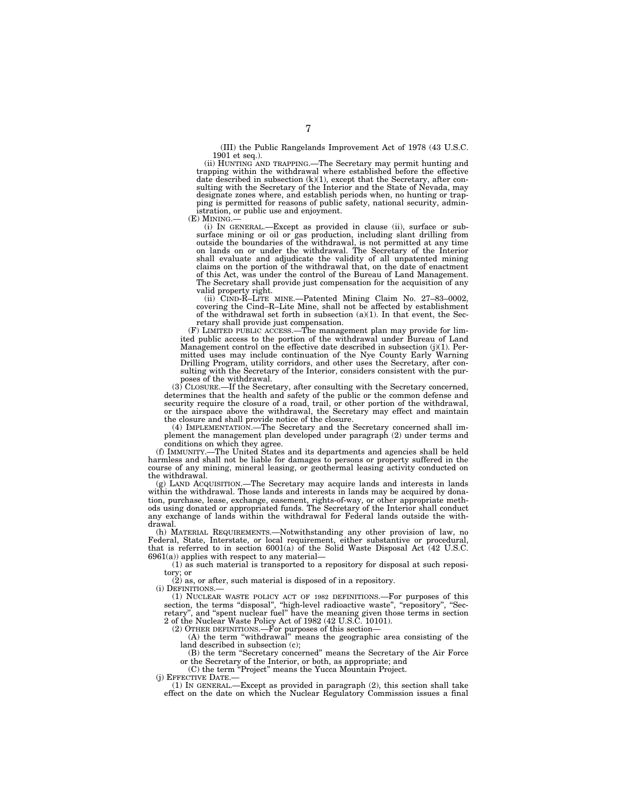(III) the Public Rangelands Improvement Act of 1978 (43 U.S.C. 1901 et seq.).

(ii) HUNTING AND TRAPPING.—The Secretary may permit hunting and trapping within the withdrawal where established before the effective date described in subsection  $(k)(1)$ , except that the Secretary, after consulting with the Secretary of the Interior and the State of Nevada, may designate zones where, and establish periods when, no hunting or trapping is permitted for reasons of public safety, national security, admin-

istration, or public use and enjoyment.<br>(E)  $MINING$ —

(i) IN GENERAL.—Except as provided in clause (ii), surface or subsurface mining or oil or gas production, including slant drilling from outside the boundaries of the withdrawal, is not permitted at any time on lands on or under the withdrawal. The Secretary of the Interior shall evaluate and adjudicate the validity of all unpatented mining claims on the portion of the withdrawal that, on the date of enactment of this Act, was under the control of the Bureau of Land Management. The Secretary shall provide just compensation for the acquisition of any valid property right.

(ii) CIND-R–LITE MINE.—Patented Mining Claim No. 27–83–0002, covering the Cind–R–Lite Mine, shall not be affected by establishment of the withdrawal set forth in subsection  $(a)(1)$ . In that event, the Secretary shall provide just compensation.

(F) LIMITED PUBLIC ACCESS.—The management plan may provide for limited public access to the portion of the withdrawal under Bureau of Land Management control on the effective date described in subsection (j)(1). Permitted uses may include continuation of the Nye County Early Warning Drilling Program, utility corridors, and other uses the Secretary, after consulting with the Secretary of the Interior, considers consistent with the purposes of the withdrawal.

(3) CLOSURE.—If the Secretary, after consulting with the Secretary concerned, determines that the health and safety of the public or the common defense and security require the closure of a road, trail, or other portion of the withdrawal, or the airspace above the withdrawal, the Secretary may effect and maintain

the closure and shall provide notice of the closure. (4) IMPLEMENTATION.—The Secretary and the Secretary concerned shall implement the management plan developed under paragraph (2) under terms and conditions on which they agree.

(f) IMMUNITY.—The United States and its departments and agencies shall be held harmless and shall not be liable for damages to persons or property suffered in the course of any mining, mineral leasing, or geothermal leasing activity conducted on the withdrawal.

(g) LAND ACQUISITION.—The Secretary may acquire lands and interests in lands within the withdrawal. Those lands and interests in lands may be acquired by donation, purchase, lease, exchange, easement, rights-of-way, or other appropriate methods using donated or appropriated funds. The Secretary of the Interior shall conduct any exchange of lands within the withdrawal for Federal lands outside the withdrawal.

(h) MATERIAL REQUIREMENTS.—Notwithstanding any other provision of law, no Federal, State, Interstate, or local requirement, either substantive or procedural, that is referred to in section  $6001(a)$  of the Solid Waste Disposal Act  $(42 \text{ U.S.C.})$  $6961(a)$  applies with respect to any material—

(1) as such material is transported to a repository for disposal at such repository; or

(2) as, or after, such material is disposed of in a repository.

(i) DEFINITIONS.—

(1) NUCLEAR WASTE POLICY ACT OF 1982 DEFINITIONS.—For purposes of this section, the terms "disposal", "high-level radioactive waste", "repository", "Secretary'', and ''spent nuclear fuel'' have the meaning given those terms in section 2 of the Nuclear Waste Policy Act of 1982 (42 U.S.C. 10101).

(2) OTHER DEFINITIONS.—For purposes of this section—

(A) the term ''withdrawal'' means the geographic area consisting of the land described in subsection (c);

(B) the term ''Secretary concerned'' means the Secretary of the Air Force or the Secretary of the Interior, or both, as appropriate; and (C) the term ''Project'' means the Yucca Mountain Project.

(j) EFFECTIVE DATE.—

(1) IN GENERAL.—Except as provided in paragraph (2), this section shall take effect on the date on which the Nuclear Regulatory Commission issues a final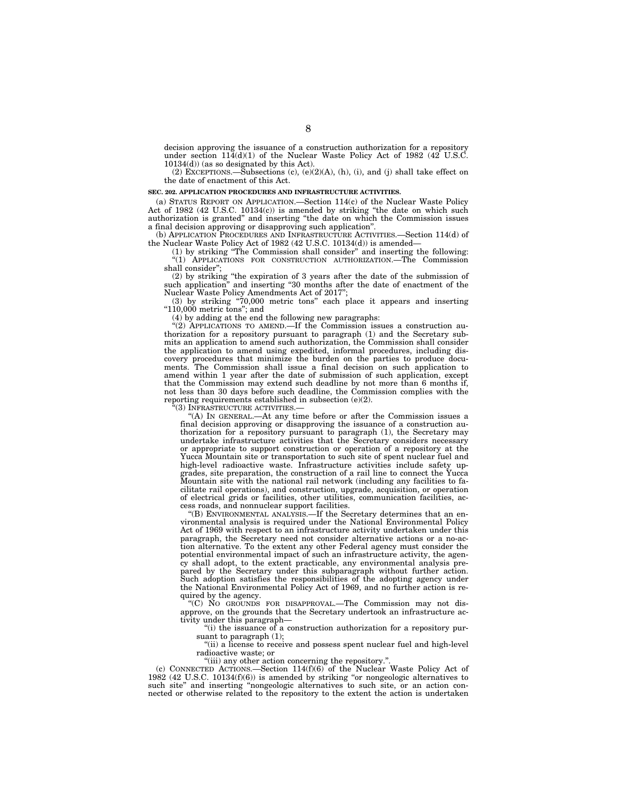decision approving the issuance of a construction authorization for a repository under section  $114(d)(1)$  of the Nuclear Waste Policy Act of 1982 (42 U.S.C. 10134(d)) (as so designated by this Act).

(2) EXCEPTIONS.—Subsections (c),  $(e)(2)(A)$ , (h), (i), and (j) shall take effect on the date of enactment of this Act.

#### **SEC. 202. APPLICATION PROCEDURES AND INFRASTRUCTURE ACTIVITIES.**

(a) STATUS REPORT ON APPLICATION.—Section 114(c) of the Nuclear Waste Policy Act of 1982 (42 U.S.C. 10134(c)) is amended by striking "the date on which such authorization is granted'' and inserting ''the date on which the Commission issues a final decision approving or disapproving such application''.

(b) APPLICATION PROCEDURES AND INFRASTRUCTURE ACTIVITIES.—Section 114(d) of the Nuclear Waste Policy Act of 1982 (42 U.S.C. 10134(d)) is amended-

(1) by striking ''The Commission shall consider'' and inserting the following: ''(1) APPLICATIONS FOR CONSTRUCTION AUTHORIZATION.—The Commission shall consider'';

(2) by striking ''the expiration of 3 years after the date of the submission of such application" and inserting "30 months after the date of enactment of the Nuclear Waste Policy Amendments Act of 2017'

(3) by striking "70,000 metric tons" each place it appears and inserting  $"110,000$  metric tons"; and

(4) by adding at the end the following new paragraphs:

''(2) APPLICATIONS TO AMEND.—If the Commission issues a construction authorization for a repository pursuant to paragraph (1) and the Secretary submits an application to amend such authorization, the Commission shall consider the application to amend using expedited, informal procedures, including discovery procedures that minimize the burden on the parties to produce documents. The Commission shall issue a final decision on such application to amend within 1 year after the date of submission of such application, except that the Commission may extend such deadline by not more than 6 months if, not less than 30 days before such deadline, the Commission complies with the reporting requirements established in subsection (e)(2).

''(3) INFRASTRUCTURE ACTIVITIES.—

''(A) IN GENERAL.—At any time before or after the Commission issues a final decision approving or disapproving the issuance of a construction authorization for a repository pursuant to paragraph (1), the Secretary may undertake infrastructure activities that the Secretary considers necessary or appropriate to support construction or operation of a repository at the Yucca Mountain site or transportation to such site of spent nuclear fuel and high-level radioactive waste. Infrastructure activities include safety upgrades, site preparation, the construction of a rail line to connect the Yucca Mountain site with the national rail network (including any facilities to facilitate rail operations), and construction, upgrade, acquisition, or operation of electrical grids or facilities, other utilities, communication facilities, access roads, and nonnuclear support facilities.

''(B) ENVIRONMENTAL ANALYSIS.—If the Secretary determines that an environmental analysis is required under the National Environmental Policy Act of 1969 with respect to an infrastructure activity undertaken under this paragraph, the Secretary need not consider alternative actions or a no-action alternative. To the extent any other Federal agency must consider the potential environmental impact of such an infrastructure activity, the agency shall adopt, to the extent practicable, any environmental analysis prepared by the Secretary under this subparagraph without further action. Such adoption satisfies the responsibilities of the adopting agency under the National Environmental Policy Act of 1969, and no further action is required by the agency.

''(C) NO GROUNDS FOR DISAPPROVAL.—The Commission may not disapprove, on the grounds that the Secretary undertook an infrastructure activity under this paragraph—

''(i) the issuance of a construction authorization for a repository pursuant to paragraph (1);

''(ii) a license to receive and possess spent nuclear fuel and high-level radioactive waste; or

"(iii) any other action concerning the repository."

(c) CONNECTED ACTIONS.—Section 114(f)(6) of the Nuclear Waste Policy Act of 1982 (42 U.S.C. 10134(f)(6)) is amended by striking ''or nongeologic alternatives to such site'' and inserting ''nongeologic alternatives to such site, or an action connected or otherwise related to the repository to the extent the action is undertaken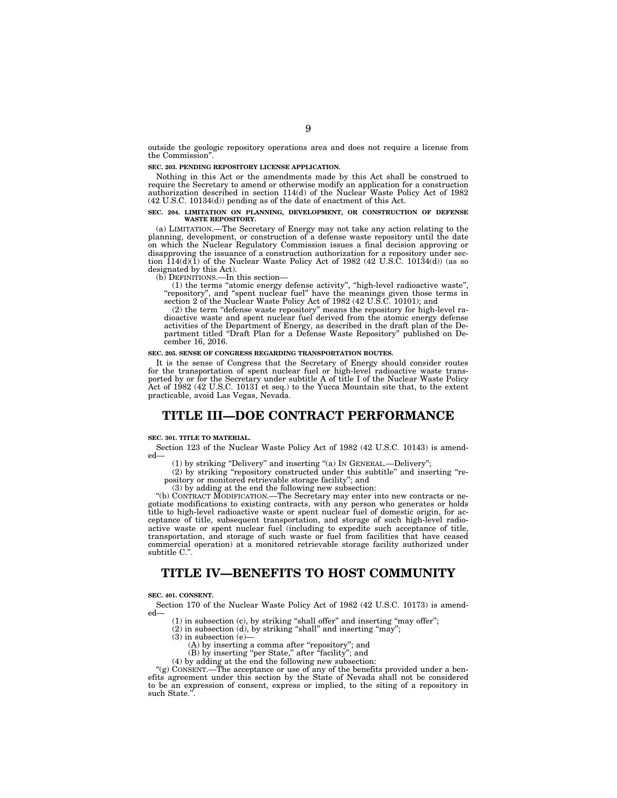outside the geologic repository operations area and does not require a license from the Commission''.

#### **SEC. 203. PENDING REPOSITORY LICENSE APPLICATION.**

Nothing in this Act or the amendments made by this Act shall be construed to require the Secretary to amend or otherwise modify an application for a construction authorization described in section 114(d) of the Nuclear Waste Policy Act of 1982 (42 U.S.C. 10134(d)) pending as of the date of enactment of this Act.

# **SEC. 204. LIMITATION ON PLANNING, DEVELOPMENT, OR CONSTRUCTION OF DEFENSE WASTE REPOSITORY.**

(a) LIMITATION.—The Secretary of Energy may not take any action relating to the planning, development, or construction of a defense waste repository until the date on which the Nuclear Regulatory Commission issues a final decision approving or disapproving the issuance of a construction authorization for a repository under section  $114(d)(1)$  of the Nuclear Waste Policy Act of 1982 (42 U.S.C. 10134(d)) (as so designated by this Act).

(b) DEFINITIONS.—In this section—

(1) the terms ''atomic energy defense activity'', ''high-level radioactive waste'', ''repository'', and ''spent nuclear fuel'' have the meanings given those terms in section 2 of the Nuclear Waste Policy Act of 1982 (42 U.S.C. 10101); and

(2) the term ''defense waste repository'' means the repository for high-level radioactive waste and spent nuclear fuel derived from the atomic energy defense activities of the Department of Energy, as described in the draft plan of the Department titled ''Draft Plan for a Defense Waste Repository'' published on December 16, 2016.

### **SEC. 205. SENSE OF CONGRESS REGARDING TRANSPORTATION ROUTES.**

It is the sense of Congress that the Secretary of Energy should consider routes for the transportation of spent nuclear fuel or high-level radioactive waste transported by or for the Secretary under subtitle A of title I of the Nuclear Waste Policy Act of 1982 (42 U.S.C. 10131 et seq.) to the Yucca Mountain site that, to the extent practicable, avoid Las Vegas, Nevada.

# **TITLE III—DOE CONTRACT PERFORMANCE**

#### **SEC. 301. TITLE TO MATERIAL.**

Section 123 of the Nuclear Waste Policy Act of 1982 (42 U.S.C. 10143) is amended—

(1) by striking ''Delivery'' and inserting ''(a) IN GENERAL.—Delivery'';

(2) by striking ''repository constructed under this subtitle'' and inserting ''repository or monitored retrievable storage facility''; and

(3) by adding at the end the following new subsection:

''(b) CONTRACT MODIFICATION.—The Secretary may enter into new contracts or negotiate modifications to existing contracts, with any person who generates or holds title to high-level radioactive waste or spent nuclear fuel of domestic origin, for acceptance of title, subsequent transportation, and storage of such high-level radioactive waste or spent nuclear fuel (including to expedite such acceptance of title, transportation, and storage of such waste or fuel from facilities that have ceased commercial operation) at a monitored retrievable storage facility authorized under subtitle C.

# **TITLE IV—BENEFITS TO HOST COMMUNITY**

#### **SEC. 401. CONSENT.**

Section 170 of the Nuclear Waste Policy Act of 1982 (42 U.S.C. 10173) is amended—

(1) in subsection (c), by striking ''shall offer'' and inserting ''may offer'';

- $(2)$  in subsection  $(d)$ , by striking "shall" and inserting "may";
- (3) in subsection (e)—
	- (A) by inserting a comma after ''repository''; and
		- (B) by inserting "per State," after "facility"; and
- (4) by adding at the end the following new subsection:

''(g) CONSENT.—The acceptance or use of any of the benefits provided under a benefits agreement under this section by the State of Nevada shall not be considered to be an expression of consent, express or implied, to the siting of a repository in such State.'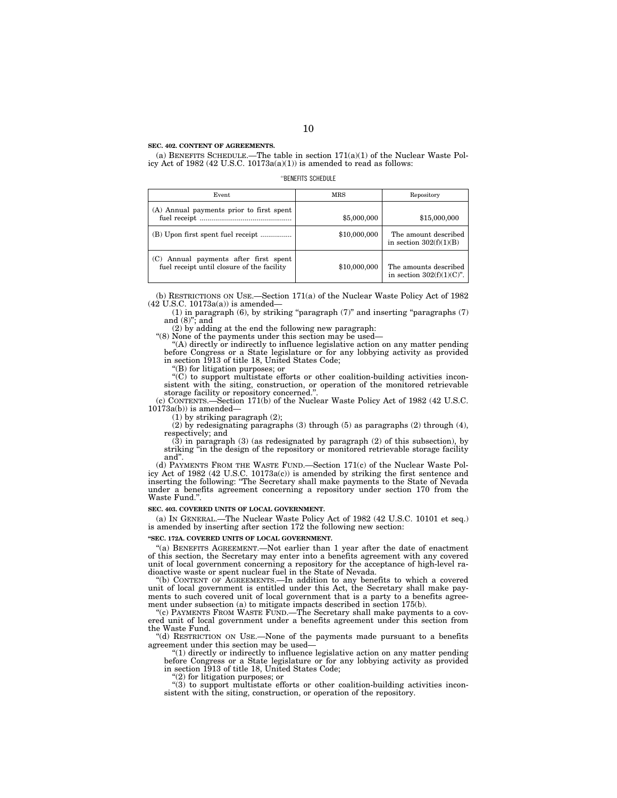#### **SEC. 402. CONTENT OF AGREEMENTS.**

(a) BENEFITS SCHEDULE.—The table in section  $171(a)(1)$  of the Nuclear Waste Policy Act of 1982 (42 U.S.C.  $10173a(a)(1)$ ) is amended to read as follows:

#### ''BENEFITS SCHEDULE

| Event                                                                               | <b>MRS</b>   | Repository                                            |
|-------------------------------------------------------------------------------------|--------------|-------------------------------------------------------|
| (A) Annual payments prior to first spent                                            | \$5,000,000  | \$15,000,000                                          |
| (B) Upon first spent fuel receipt                                                   | \$10,000,000 | The amount described<br>in section $302(f)(1)(B)$     |
| (C) Annual payments after first spent<br>fuel receipt until closure of the facility | \$10,000,000 | The amounts described<br>in section $302(f)(1)(C)$ ". |

(b) RESTRICTIONS ON USE.—Section 171(a) of the Nuclear Waste Policy Act of 1982  $(42 \text{ U.S.C. } 10173a(a))$  is amended-

(1) in paragraph (6), by striking ''paragraph (7)'' and inserting ''paragraphs (7) and (8)''; and

(2) by adding at the end the following new paragraph:

''(8) None of the payments under this section may be used—

''(A) directly or indirectly to influence legislative action on any matter pending before Congress or a State legislature or for any lobbying activity as provided in section 1913 of title 18, United States Code;

''(B) for litigation purposes; or

''(C) to support multistate efforts or other coalition-building activities inconsistent with the siting, construction, or operation of the monitored retrievable storage facility or repository concerned.'

(c) CONTENTS.—Section 171(b) of the Nuclear Waste Policy Act of 1982 (42 U.S.C.  $10173a(b)$ ) is amended-

(1) by striking paragraph (2);

(2) by redesignating paragraphs (3) through (5) as paragraphs (2) through (4), respectively; and

 $(3)$  in paragraph  $(3)$  (as redesignated by paragraph  $(2)$  of this subsection), by striking "in the design of the repository or monitored retrievable storage facility and''.

(d) PAYMENTS FROM THE WASTE FUND.—Section 171(c) of the Nuclear Waste Policy Act of 1982 (42 U.S.C. 10173a(c)) is amended by striking the first sentence and inserting the following: ''The Secretary shall make payments to the State of Nevada under a benefits agreement concerning a repository under section 170 from the Waste Fund.''.

### **SEC. 403. COVERED UNITS OF LOCAL GOVERNMENT.**

(a) IN GENERAL.—The Nuclear Waste Policy Act of 1982 (42 U.S.C. 10101 et seq.) is amended by inserting after section 172 the following new section:

#### **''SEC. 172A. COVERED UNITS OF LOCAL GOVERNMENT.**

''(a) BENEFITS AGREEMENT.—Not earlier than 1 year after the date of enactment of this section, the Secretary may enter into a benefits agreement with any covered unit of local government concerning a repository for the acceptance of high-level radioactive waste or spent nuclear fuel in the State of Nevada.

''(b) CONTENT OF AGREEMENTS.—In addition to any benefits to which a covered unit of local government is entitled under this Act, the Secretary shall make payments to such covered unit of local government that is a party to a benefits agreement under subsection (a) to mitigate impacts described in section 175(b).

"(c) PAYMENTS FROM WASTE FUND.—The Secretary shall make payments to a covered unit of local government under a benefits agreement under this section from the Waste Fund.

''(d) RESTRICTION ON USE.—None of the payments made pursuant to a benefits agreement under this section may be used—

''(1) directly or indirectly to influence legislative action on any matter pending before Congress or a State legislature or for any lobbying activity as provided in section 1913 of title 18, United States Code;

''(2) for litigation purposes; or

''(3) to support multistate efforts or other coalition-building activities inconsistent with the siting, construction, or operation of the repository.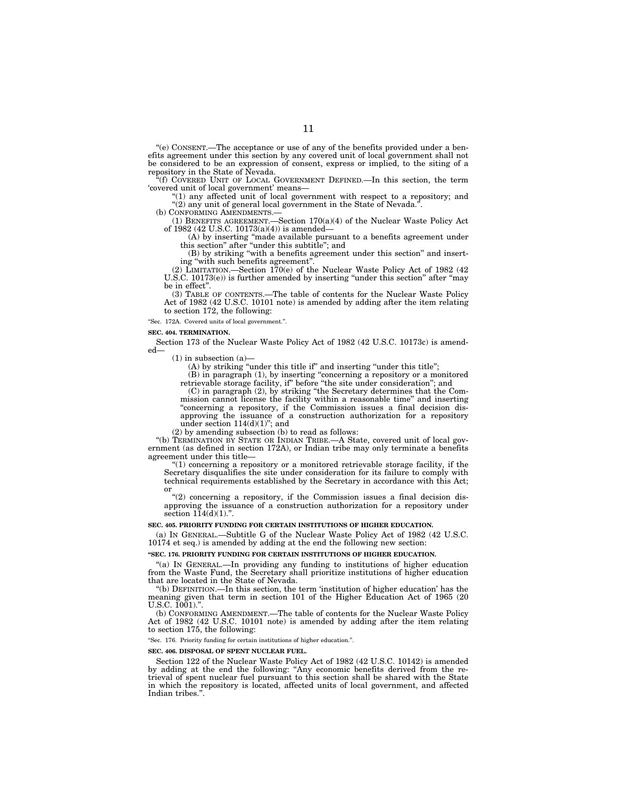''(e) CONSENT.—The acceptance or use of any of the benefits provided under a benefits agreement under this section by any covered unit of local government shall not be considered to be an expression of consent, express or implied, to the siting of a repository in the State of Nevada.

''(f) COVERED UNIT OF LOCAL GOVERNMENT DEFINED.—In this section, the term 'covered unit of local government' means—

 $(1)$  any affected unit of local government with respect to a repository; and "(2) any unit of general local government in the State of Nevada." (b) CONFORMING AMENDMENTS.—

(1) BENEFITS AGREEMENT.—Section  $170(a)(4)$  of the Nuclear Waste Policy Act of 1982 (42 U.S.C. 10173(a)(4)) is amended—

(A) by inserting ''made available pursuant to a benefits agreement under this section'' after ''under this subtitle''; and

(B) by striking ''with a benefits agreement under this section'' and inserting ''with such benefits agreement''.

(2) LIMITATION.—Section 170(e) of the Nuclear Waste Policy Act of 1982 (42 U.S.C. 10173(e)) is further amended by inserting "under this section" after "may be in effect''.

(3) TABLE OF CONTENTS.—The table of contents for the Nuclear Waste Policy Act of 1982 (42 U.S.C. 10101 note) is amended by adding after the item relating to section 172, the following:

''Sec. 172A. Covered units of local government.''.

**SEC. 404. TERMINATION.** 

Section 173 of the Nuclear Waste Policy Act of 1982 (42 U.S.C. 10173c) is amended—

 $(1)$  in subsection  $(a)$ 

(A) by striking ''under this title if'' and inserting ''under this title'';

(B) in paragraph (1), by inserting ''concerning a repository or a monitored retrievable storage facility, if'' before ''the site under consideration''; and

 $(C)$  in paragraph  $(2)$ , by striking "the Secretary determines that the Commission cannot license the facility within a reasonable time'' and inserting ''concerning a repository, if the Commission issues a final decision disapproving the issuance of a construction authorization for a repository under section  $114(d)(1)$ "; and

(2) by amending subsection (b) to read as follows:

''(b) TERMINATION BY STATE OR INDIAN TRIBE.—A State, covered unit of local government (as defined in section 172A), or Indian tribe may only terminate a benefits agreement under this title—

 $*(1)$  concerning a repository or a monitored retrievable storage facility, if the Secretary disqualifies the site under consideration for its failure to comply with technical requirements established by the Secretary in accordance with this Act; or

"(2) concerning a repository, if the Commission issues a final decision disapproving the issuance of a construction authorization for a repository under section  $1\text{I}4(d)(1)$ .".

#### **SEC. 405. PRIORITY FUNDING FOR CERTAIN INSTITUTIONS OF HIGHER EDUCATION.**

(a) IN GENERAL.—Subtitle G of the Nuclear Waste Policy Act of 1982 (42 U.S.C. 10174 et seq.) is amended by adding at the end the following new section:

### **''SEC. 176. PRIORITY FUNDING FOR CERTAIN INSTITUTIONS OF HIGHER EDUCATION.**

''(a) IN GENERAL.—In providing any funding to institutions of higher education from the Waste Fund, the Secretary shall prioritize institutions of higher education that are located in the State of Nevada.

''(b) DEFINITION.—In this section, the term 'institution of higher education' has the meaning given that term in section 101 of the Higher Education Act of 1965 (20  $U.S.C. 1001$ ."

(b) CONFORMING AMENDMENT.—The table of contents for the Nuclear Waste Policy Act of 1982 (42 U.S.C. 10101 note) is amended by adding after the item relating to section 175, the following:

''Sec. 176. Priority funding for certain institutions of higher education.''.

#### **SEC. 406. DISPOSAL OF SPENT NUCLEAR FUEL.**

Section 122 of the Nuclear Waste Policy Act of 1982 (42 U.S.C. 10142) is amended<br>by adding at the end the following: "Any economic benefits derived from the re-<br>trieval of spent nuclear fuel pursuant to this section shall in which the repository is located, affected units of local government, and affected Indian tribes.'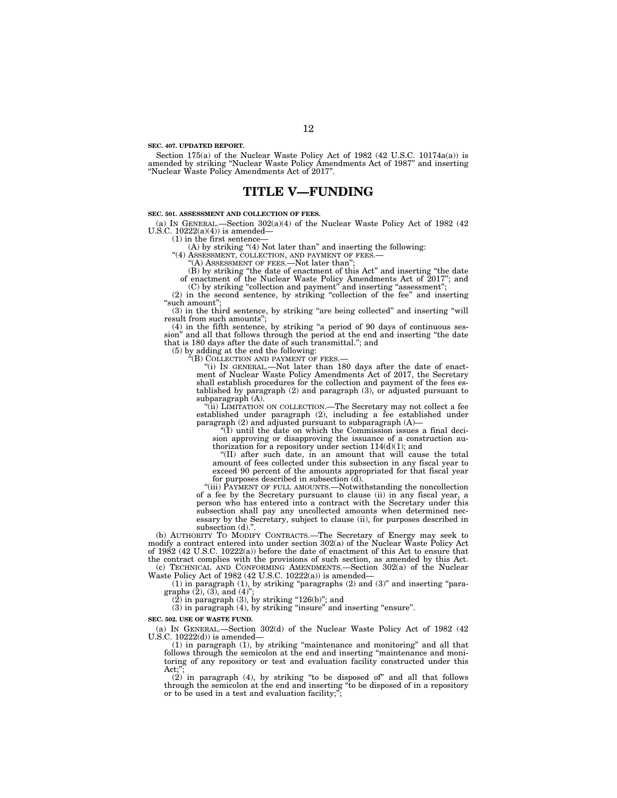**SEC. 407. UPDATED REPORT.** 

Section 175(a) of the Nuclear Waste Policy Act of 1982 (42 U.S.C. 10174a(a)) is amended by striking "Nuclear Waste Policy Amendments Act of 2017".

# **TITLE V—FUNDING**

#### **SEC. 501. ASSESSMENT AND COLLECTION OF FEES.**

(a) IN GENERAL.—Section  $302(a)(4)$  of the Nuclear Waste Policy Act of 1982 (42) U.S.C.  $10222(a)(4)$ ) is amended-

(1) in the first sentence—

 $(A)$  by striking " $(4)$  Not later than" and inserting the following:

''(4) ASSESSMENT, COLLECTION, AND PAYMENT OF FEES.— ''(A) ASSESSMENT OF FEES.—Not later than'';

(B) by striking ''the date of enactment of this Act'' and inserting ''the date of enactment of the Nuclear Waste Policy Amendments Act of 2017"; and (C) by striking "collection and payment" and inserting "assessment";

(2) in the second sentence, by striking ''collection of the fee'' and inserting

''such amount''; (3) in the third sentence, by striking "are being collected" and inserting "will result from such amounts'';

(4) in the fifth sentence, by striking "a period of 90 days of continuous session'' and all that follows through the period at the end and inserting ''the date that is 180 days after the date of such transmittal.''; and

(5) by adding at the end the following:<br>"(B) COLLECTION AND PAYMENT OF FEES.

"(i) IN GENERAL.—Not later than 180 days after the date of enactment of Nuclear Waste Policy Amendments Act of 2017, the Secretary shall establish procedures for the collection and payment of the fees established by paragraph (2) and paragraph (3), or adjusted pursuant to subparagraph (A).

''(ii) LIMITATION ON COLLECTION.—The Secretary may not collect a fee established under paragraph (2), including a fee established under paragraph (2) and adjusted pursuant to subparagraph (A)—

 $\langle \overline{I} \rangle$  until the date on which the Commission issues a final decision approving or disapproving the issuance of a construction authorization for a repository under section  $114(d)(1)$ ; and

"(II) after such date, in an amount that will cause the total amount of fees collected under this subsection in any fiscal year to exceed 90 percent of the amounts appropriated for that fiscal year for purposes described in subsection  $\vec{d}$ ).

''(iii) PAYMENT OF FULL AMOUNTS.—Notwithstanding the noncollection of a fee by the Secretary pursuant to clause (ii) in any fiscal year, a person who has entered into a contract with the Secretary under this subsection shall pay any uncollected amounts when determined necessary by the Secretary, subject to clause (ii), for purposes described in subsection (d).

(b) AUTHORITY TO MODIFY CONTRACTS.—The Secretary of Energy may seek to modify a contract entered into under section 302(a) of the Nuclear Waste Policy Act of 1982 (42 U.S.C. 10222(a)) before the date of enactment of this Act to ensure that the contract complies with the provisions of such section, as amended by this Act. (c) TECHNICAL AND CONFORMING AMENDMENTS.—Section 302(a) of the Nuclear

Waste Policy Act of 1982 (42 U.S.C. 10222(a)) is amended— (1) in paragraph (1), by striking ''paragraphs (2) and (3)'' and inserting ''paragraphs  $(2)$ ,  $(3)$ , and  $(4)$ <sup>\*</sup>

 $(2)$  in paragraph  $(3)$ , by striking "126(b)"; and

 $(3)$  in paragraph  $(4)$ , by striking "insure" and inserting "ensure".

### **SEC. 502. USE OF WASTE FUND.**

(a) IN GENERAL.—Section 302(d) of the Nuclear Waste Policy Act of 1982 (42 U.S.C. 10222(d)) is amended—

(1) in paragraph (1), by striking ''maintenance and monitoring'' and all that follows through the semicolon at the end and inserting ''maintenance and monitoring of any repository or test and evaluation facility constructed under this Act;

(2) in paragraph (4), by striking ''to be disposed of'' and all that follows through the semicolon at the end and inserting ''to be disposed of in a repository or to be used in a test and evaluation facility; $\ddot{y}$ ;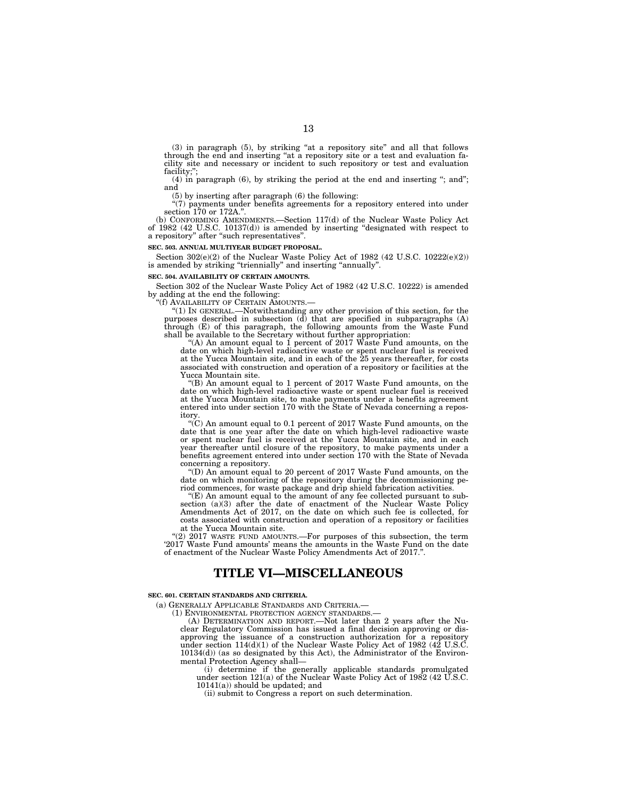(3) in paragraph (5), by striking ''at a repository site'' and all that follows through the end and inserting ''at a repository site or a test and evaluation facility site and necessary or incident to such repository or test and evaluation facility;'';

(4) in paragraph (6), by striking the period at the end and inserting ''; and''; and

(5) by inserting after paragraph (6) the following:

''(7) payments under benefits agreements for a repository entered into under section 170 or 172A.''.

(b) CONFORMING AMENDMENTS.—Section 117(d) of the Nuclear Waste Policy Act of 1982 (42 U.S.C. 10137(d)) is amended by inserting ''designated with respect to a repository'' after ''such representatives''.

## **SEC. 503. ANNUAL MULTIYEAR BUDGET PROPOSAL.**

Section  $302(e)(2)$  of the Nuclear Waste Policy Act of 1982 (42 U.S.C.  $10222(e)(2)$ ) is amended by striking "triennially" and inserting "annually".

### **SEC. 504. AVAILABILITY OF CERTAIN AMOUNTS.**

Section 302 of the Nuclear Waste Policy Act of 1982 (42 U.S.C. 10222) is amended by adding at the end the following:

''(f) AVAILABILITY OF CERTAIN AMOUNTS.—

''(1) IN GENERAL.—Notwithstanding any other provision of this section, for the purposes described in subsection (d) that are specified in subparagraphs (A) through (E) of this paragraph, the following amounts from the Waste Fund shall be available to the Secretary without further appropriation:

"(A) An amount equal to 1 percent of 2017 Waste Fund amounts, on the date on which high-level radioactive waste or spent nuclear fuel is received at the Yucca Mountain site, and in each of the 25 years thereafter, for costs associated with construction and operation of a repository or facilities at the Yucca Mountain site.

'(B) An amount equal to 1 percent of 2017 Waste Fund amounts, on the date on which high-level radioactive waste or spent nuclear fuel is received at the Yucca Mountain site, to make payments under a benefits agreement entered into under section 170 with the State of Nevada concerning a repository.

 $\rm ^{\prime\prime(C)}$  An amount equal to 0.1 percent of 2017 Waste Fund amounts, on the date that is one year after the date on which high-level radioactive waste or spent nuclear fuel is received at the Yucca Mountain site, and in each year thereafter until closure of the repository, to make payments under a benefits agreement entered into under section 170 with the State of Nevada concerning a repository.

''(D) An amount equal to 20 percent of 2017 Waste Fund amounts, on the date on which monitoring of the repository during the decommissioning period commences, for waste package and drip shield fabrication activities.

''(E) An amount equal to the amount of any fee collected pursuant to subsection (a)(3) after the date of enactment of the Nuclear Waste Policy Amendments Act of 2017, on the date on which such fee is collected, for costs associated with construction and operation of a repository or facilities at the Yucca Mountain site.

''(2) 2017 WASTE FUND AMOUNTS.—For purposes of this subsection, the term '2017 Waste Fund amounts' means the amounts in the Waste Fund on the date of enactment of the Nuclear Waste Policy Amendments Act of 2017.''.

# **TITLE VI—MISCELLANEOUS**

#### **SEC. 601. CERTAIN STANDARDS AND CRITERIA.**

(a) GENERALLY APPLICABLE STANDARDS AND CRITERIA.—

(1) ENVIRONMENTAL PROTECTION AGENCY STANDARDS.—

(A) DETERMINATION AND REPORT.—Not later than 2 years after the Nuclear Regulatory Commission has issued a final decision approving or disapproving the issuance of a construction authorization for a repository under section 114(d)(1) of the Nuclear Waste Policy Act of 1982 (42 U.S.C. 10134(d)) (as so designated by this Act), the Administrator of the Environmental Protection Agency shall—

(i) determine if the generally applicable standards promulgated under section 121(a) of the Nuclear Waste Policy Act of 1982 (42 U.S.C. 10141(a)) should be updated; and

(ii) submit to Congress a report on such determination.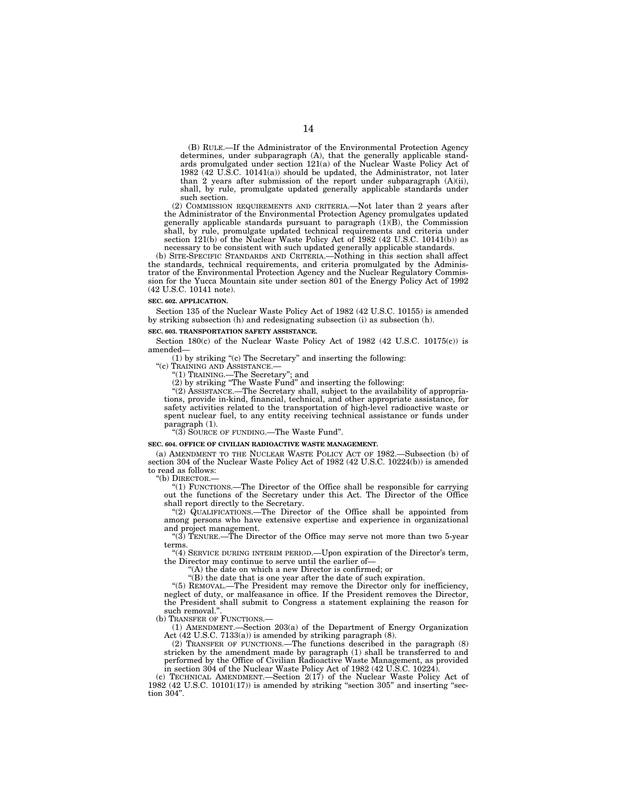(B) RULE.—If the Administrator of the Environmental Protection Agency determines, under subparagraph (A), that the generally applicable standards promulgated under section 121(a) of the Nuclear Waste Policy Act of 1982 (42 U.S.C. 10141(a)) should be updated, the Administrator, not later than 2 years after submission of the report under subparagraph (A)(ii), shall, by rule, promulgate updated generally applicable standards under such section.

(2) COMMISSION REQUIREMENTS AND CRITERIA.—Not later than 2 years after the Administrator of the Environmental Protection Agency promulgates updated generally applicable standards pursuant to paragraph (1)(B), the Commission shall, by rule, promulgate updated technical requirements and criteria under section  $121(b)$  of the Nuclear Waste Policy Act of 1982 (42 U.S.C. 10141(b)) as necessary to be consistent with such updated generally applicable standards.

(b) SITE-SPECIFIC STANDARDS AND CRITERIA.—Nothing in this section shall affect the standards, technical requirements, and criteria promulgated by the Administrator of the Environmental Protection Agency and the Nuclear Regulatory Commission for the Yucca Mountain site under section 801 of the Energy Policy Act of 1992 (42 U.S.C. 10141 note).

#### **SEC. 602. APPLICATION.**

Section 135 of the Nuclear Waste Policy Act of 1982 (42 U.S.C. 10155) is amended by striking subsection (h) and redesignating subsection (i) as subsection (h).

**SEC. 603. TRANSPORTATION SAFETY ASSISTANCE.** 

Section 180(c) of the Nuclear Waste Policy Act of 1982 (42 U.S.C. 10175(c)) is amended—

 $(1)$  by striking " $(c)$  The Secretary" and inserting the following:

"(c) TRAINING AND ASSISTANCE.

''(1) TRAINING.—The Secretary''; and

(2) by striking ''The Waste Fund'' and inserting the following:

 $''(2)$  ASSISTANCE.—The Secretary shall, subject to the availability of appropriations, provide in-kind, financial, technical, and other appropriate assistance, for safety activities related to the transportation of high-level radioactive waste or spent nuclear fuel, to any entity receiving technical assistance or funds under paragraph (1).

''(3) SOURCE OF FUNDING.—The Waste Fund''.

**SEC. 604. OFFICE OF CIVILIAN RADIOACTIVE WASTE MANAGEMENT.** 

(a) AMENDMENT TO THE NUCLEAR WASTE POLICY ACT OF 1982.—Subsection (b) of section 304 of the Nuclear Waste Policy Act of 1982 (42 U.S.C. 10224(b)) is amended to read as follows:

''(b) DIRECTOR.—

''(1) FUNCTIONS.—The Director of the Office shall be responsible for carrying out the functions of the Secretary under this Act. The Director of the Office shall report directly to the Secretary.

''(2) QUALIFICATIONS.—The Director of the Office shall be appointed from among persons who have extensive expertise and experience in organizational and project management.

" $(3)$  TENURE.—The Director of the Office may serve not more than two 5-year terms.

''(4) SERVICE DURING INTERIM PERIOD.—Upon expiration of the Director's term, the Director may continue to serve until the earlier of—

 $(A)$  the date on which a new Director is confirmed; or

 $\mathcal{L}(\mathbf{B})$  the date that is one year after the date of such expiration.

''(5) REMOVAL.—The President may remove the Director only for inefficiency, neglect of duty, or malfeasance in office. If the President removes the Director, the President shall submit to Congress a statement explaining the reason for such removal."

(b) TRANSFER OF FUNCTIONS.—

(1) AMENDMENT.—Section 203(a) of the Department of Energy Organization Act (42 U.S.C. 7133(a)) is amended by striking paragraph (8).

(2) TRANSFER OF FUNCTIONS.—The functions described in the paragraph (8) stricken by the amendment made by paragraph (1) shall be transferred to and performed by the Office of Civilian Radioactive Waste Management, as provided in section 304 of the Nuclear Waste Policy Act of 1982 (42 U.S.C. 10224).

(c) TECHNICAL AMENDMENT.—Section 2(17) of the Nuclear Waste Policy Act of 1982 (42 U.S.C. 10101(17)) is amended by striking "section 305" and inserting "section 304''.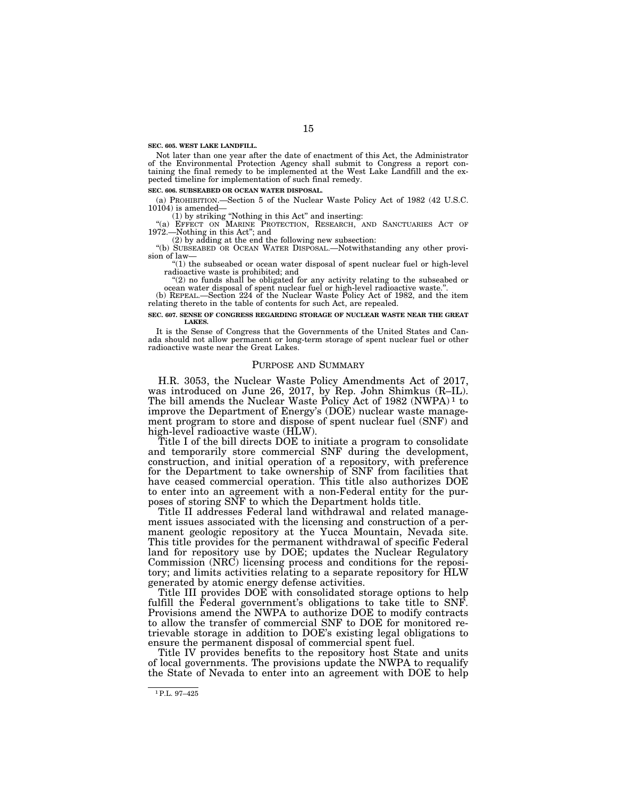**SEC. 605. WEST LAKE LANDFILL.** 

Not later than one year after the date of enactment of this Act, the Administrator of the Environmental Protection Agency shall submit to Congress a report containing the final remedy to be implemented at the West Lake Landfill and the expected timeline for implementation of such final remedy.

### **SEC. 606. SUBSEABED OR OCEAN WATER DISPOSAL.**

(a) PROHIBITION.—Section 5 of the Nuclear Waste Policy Act of 1982 (42 U.S.C.  $10104$ ) is amended-

(1) by striking ''Nothing in this Act'' and inserting: ''(a) EFFECT ON MARINE PROTECTION, RESEARCH, AND SANCTUARIES ACT OF 1972.—Nothing in this Act''; and

(2) by adding at the end the following new subsection:

''(b) SUBSEABED OR OCEAN WATER DISPOSAL.—Notwithstanding any other provision of law—

"(1) the subseabed or ocean water disposal of spent nuclear fuel or high-level radioactive waste is prohibited; and ''(2) no funds shall be obligated for any activity relating to the subseabed or

ocean water disposal of spent nuclear fuel or high-level radioactive waste.''.

(b) REPEAL.—Section 224 of the Nuclear Waste Policy Act of 1982, and the item relating thereto in the table of contents for such Act, are repealed.

#### **SEC. 607. SENSE OF CONGRESS REGARDING STORAGE OF NUCLEAR WASTE NEAR THE GREAT LAKES.**

It is the Sense of Congress that the Governments of the United States and Canada should not allow permanent or long-term storage of spent nuclear fuel or other radioactive waste near the Great Lakes.

# PURPOSE AND SUMMARY

H.R. 3053, the Nuclear Waste Policy Amendments Act of 2017, was introduced on June 26, 2017, by Rep. John Shimkus (R–IL). The bill amends the Nuclear Waste Policy Act of 1982 (NWPA)<sup>1</sup> to improve the Department of Energy's (DOE) nuclear waste management program to store and dispose of spent nuclear fuel (SNF) and high-level radioactive waste (HLW).

Title I of the bill directs DOE to initiate a program to consolidate and temporarily store commercial SNF during the development, construction, and initial operation of a repository, with preference for the Department to take ownership of SNF from facilities that have ceased commercial operation. This title also authorizes DOE to enter into an agreement with a non-Federal entity for the purposes of storing SNF to which the Department holds title.

Title II addresses Federal land withdrawal and related management issues associated with the licensing and construction of a permanent geologic repository at the Yucca Mountain, Nevada site. This title provides for the permanent withdrawal of specific Federal land for repository use by DOE; updates the Nuclear Regulatory Commission (NRC) licensing process and conditions for the repository; and limits activities relating to a separate repository for HLW generated by atomic energy defense activities.

Title III provides DOE with consolidated storage options to help fulfill the Federal government's obligations to take title to SNF. Provisions amend the NWPA to authorize DOE to modify contracts to allow the transfer of commercial SNF to DOE for monitored retrievable storage in addition to DOE's existing legal obligations to ensure the permanent disposal of commercial spent fuel.

Title IV provides benefits to the repository host State and units of local governments. The provisions update the NWPA to requalify the State of Nevada to enter into an agreement with DOE to help

<sup>1</sup>P.L. 97–425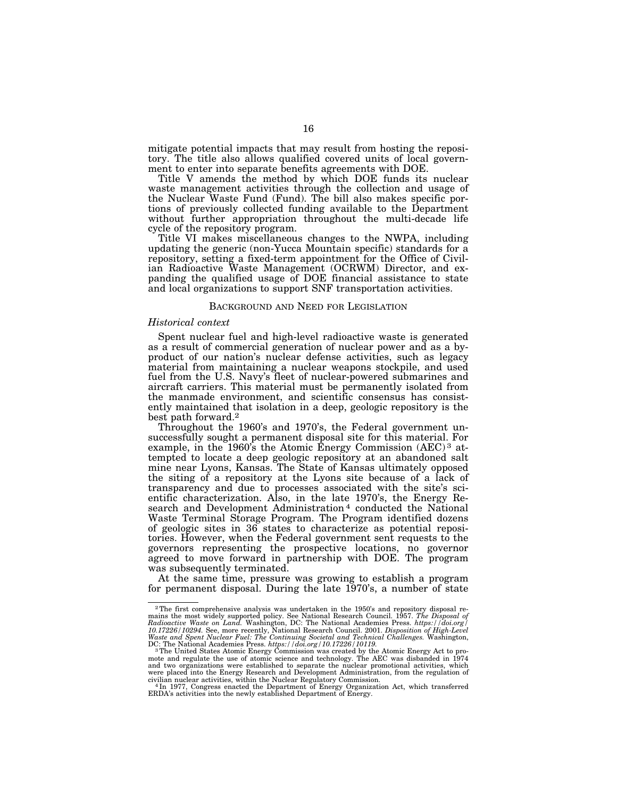mitigate potential impacts that may result from hosting the repository. The title also allows qualified covered units of local government to enter into separate benefits agreements with DOE.

Title V amends the method by which DOE funds its nuclear waste management activities through the collection and usage of the Nuclear Waste Fund (Fund). The bill also makes specific portions of previously collected funding available to the Department without further appropriation throughout the multi-decade life cycle of the repository program.

Title VI makes miscellaneous changes to the NWPA, including updating the generic (non-Yucca Mountain specific) standards for a repository, setting a fixed-term appointment for the Office of Civilian Radioactive Waste Management (OCRWM) Director, and expanding the qualified usage of DOE financial assistance to state and local organizations to support SNF transportation activities.

### BACKGROUND AND NEED FOR LEGISLATION

## *Historical context*

Spent nuclear fuel and high-level radioactive waste is generated as a result of commercial generation of nuclear power and as a byproduct of our nation's nuclear defense activities, such as legacy material from maintaining a nuclear weapons stockpile, and used fuel from the U.S. Navy's fleet of nuclear-powered submarines and aircraft carriers. This material must be permanently isolated from the manmade environment, and scientific consensus has consistently maintained that isolation in a deep, geologic repository is the best path forward.2

Throughout the 1960's and 1970's, the Federal government unsuccessfully sought a permanent disposal site for this material. For example, in the  $1960\hat{s}$  the Atomic Energy Commission (AEC)<sup>3</sup> attempted to locate a deep geologic repository at an abandoned salt mine near Lyons, Kansas. The State of Kansas ultimately opposed the siting of a repository at the Lyons site because of a lack of transparency and due to processes associated with the site's scientific characterization. Also, in the late 1970's, the Energy Research and Development Administration 4 conducted the National Waste Terminal Storage Program. The Program identified dozens of geologic sites in 36 states to characterize as potential repositories. However, when the Federal government sent requests to the governors representing the prospective locations, no governor agreed to move forward in partnership with DOE. The program was subsequently terminated.

At the same time, pressure was growing to establish a program for permanent disposal. During the late 1970's, a number of state

<sup>2</sup>The first comprehensive analysis was undertaken in the 1950's and repository disposal remains the most widely supported policy. See National Research Council. 1957. *The Disposal of* Radioactive Wast on Land. Washington, DC: The National Academies Press. https://doi.org/<br>10.17226/10294. See, more recently, Na

mote and regulate the use of atomic science and technology. The AEC was disbanded in 1974<br>and two organizations were established to separate the nuclear promotional activities, which<br>were placed into the Energy Research an

civilian nuclear activities, within the Nuclear Regulatory Commission.<br>"In 1977, Congress enacted the Department of Energy Organization Act, which transferred<br>ERDA's activities into the newly established Department of Ener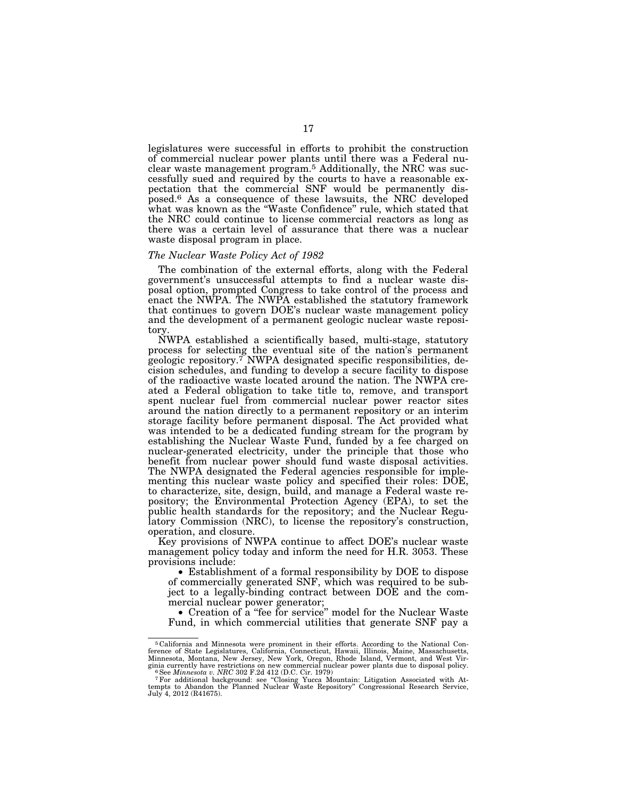legislatures were successful in efforts to prohibit the construction of commercial nuclear power plants until there was a Federal nuclear waste management program.5 Additionally, the NRC was successfully sued and required by the courts to have a reasonable expectation that the commercial SNF would be permanently disposed.6 As a consequence of these lawsuits, the NRC developed what was known as the "Waste Confidence" rule, which stated that the NRC could continue to license commercial reactors as long as there was a certain level of assurance that there was a nuclear waste disposal program in place.

# *The Nuclear Waste Policy Act of 1982*

The combination of the external efforts, along with the Federal government's unsuccessful attempts to find a nuclear waste disposal option, prompted Congress to take control of the process and enact the NWPA. The NWPA established the statutory framework that continues to govern DOE's nuclear waste management policy and the development of a permanent geologic nuclear waste repository.

NWPA established a scientifically based, multi-stage, statutory process for selecting the eventual site of the nation's permanent geologic repository.<sup>7</sup> NWPA designated specific responsibilities, decision schedules, and funding to develop a secure facility to dispose of the radioactive waste located around the nation. The NWPA created a Federal obligation to take title to, remove, and transport spent nuclear fuel from commercial nuclear power reactor sites around the nation directly to a permanent repository or an interim storage facility before permanent disposal. The Act provided what was intended to be a dedicated funding stream for the program by establishing the Nuclear Waste Fund, funded by a fee charged on nuclear-generated electricity, under the principle that those who benefit from nuclear power should fund waste disposal activities. The NWPA designated the Federal agencies responsible for implementing this nuclear waste policy and specified their roles: DOE, to characterize, site, design, build, and manage a Federal waste repository; the Environmental Protection Agency (EPA), to set the public health standards for the repository; and the Nuclear Regulatory Commission (NRC), to license the repository's construction, operation, and closure.

Key provisions of NWPA continue to affect DOE's nuclear waste management policy today and inform the need for H.R. 3053. These provisions include:

• Establishment of a formal responsibility by DOE to dispose of commercially generated SNF, which was required to be subject to a legally-binding contract between DOE and the commercial nuclear power generator;

• Creation of a ''fee for service'' model for the Nuclear Waste Fund, in which commercial utilities that generate SNF pay a

 $^5$  California and Minnesota were prominent in their efforts. According to the National Conference of State Legislatures, California, Connecticut, Hawaii, Illinois, Maine, Massachusetts, Minnesota, Montana, New Jersey, N

tempts to Abandon the Planned Nuclear Waste Repository'' Congressional Research Service, July 4, 2012 (R41675).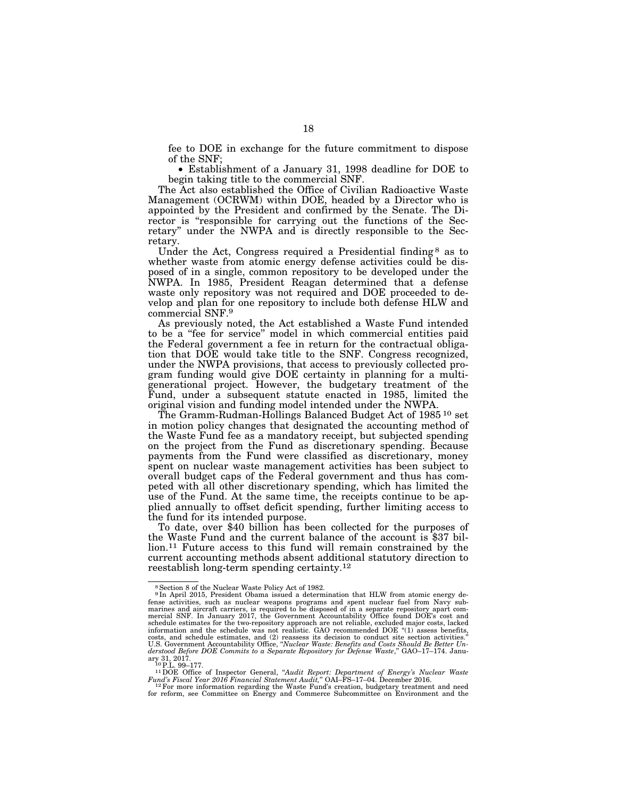fee to DOE in exchange for the future commitment to dispose of the SNF;

• Establishment of a January 31, 1998 deadline for DOE to begin taking title to the commercial SNF.

The Act also established the Office of Civilian Radioactive Waste Management (OCRWM) within DOE, headed by a Director who is appointed by the President and confirmed by the Senate. The Director is "responsible for carrying out the functions of the Secretary'' under the NWPA and is directly responsible to the Secretary.

Under the Act, Congress required a Presidential finding  $\delta$  as to whether waste from atomic energy defense activities could be disposed of in a single, common repository to be developed under the NWPA. In 1985, President Reagan determined that a defense waste only repository was not required and DOE proceeded to develop and plan for one repository to include both defense HLW and commercial SNF.9

As previously noted, the Act established a Waste Fund intended to be a "fee for service" model in which commercial entities paid the Federal government a fee in return for the contractual obligation that DOE would take title to the SNF. Congress recognized, under the NWPA provisions, that access to previously collected program funding would give DOE certainty in planning for a multigenerational project. However, the budgetary treatment of the Fund, under a subsequent statute enacted in 1985, limited the original vision and funding model intended under the NWPA.

The Gramm-Rudman-Hollings Balanced Budget Act of 1985 10 set in motion policy changes that designated the accounting method of the Waste Fund fee as a mandatory receipt, but subjected spending on the project from the Fund as discretionary spending. Because payments from the Fund were classified as discretionary, money spent on nuclear waste management activities has been subject to overall budget caps of the Federal government and thus has competed with all other discretionary spending, which has limited the use of the Fund. At the same time, the receipts continue to be applied annually to offset deficit spending, further limiting access to the fund for its intended purpose.

To date, over \$40 billion has been collected for the purposes of the Waste Fund and the current balance of the account is \$37 billion.11 Future access to this fund will remain constrained by the current accounting methods absent additional statutory direction to reestablish long-term spending certainty.12

<sup>8</sup>Section 8 of the Nuclear Waste Policy Act of 1982.

<sup>9</sup> In April 2015, President Obama issued a determination that HLW from atomic energy defense activities, such as nuclear weapons programs and spent nuclear fuel from Navy sub-<br>marines and aircraft carriers, is required to be disposed of in a separate repository apart com-<br>mercial SNF. In January 2017, the Go schedule estimates for the two-repository approach are not reliable, excluded major costs, lacked information and the schedule was not realistic. GAO recommended DOE ''(1) assess benefits, costs, and schedule estimates, and (2) reassess its decision to conduct site section activities.'' U.S. Government Accountability Office, ''*Nuclear Waste: Benefits and Costs Should Be Better Understood Before DOE Commits to a Separate Repository for Defense Waste*," GAO–17–174. Janu-<br>ary 31, 2017.<br><sup>10</sup> P.L. 99–177.

ary 31, 2017.<br><sup>10</sup> P.L. 99–177.<br><sup>11</sup> DOE Office of Inspector General, *"Audit Report: Department of Energy's Nuclear Waste* 

*Fund's Fiscal Year 2016 Financial Statement Audit," OAI–*FS–17–04. December 2016.<br><sup>12</sup>For more information regarding the Waste Fund's creation, budgetary treatment and need<br><sup>for</sup> reform, see Committee on Energy and Commer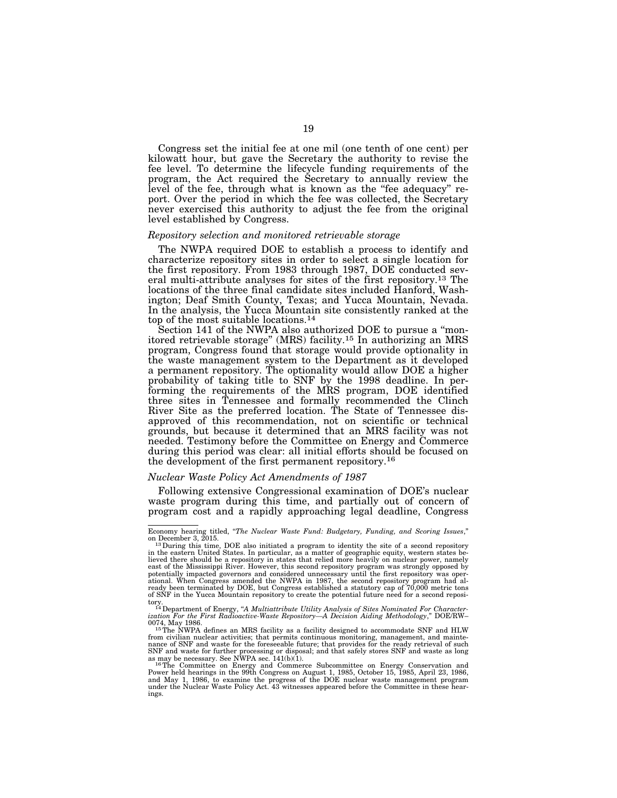Congress set the initial fee at one mil (one tenth of one cent) per kilowatt hour, but gave the Secretary the authority to revise the fee level. To determine the lifecycle funding requirements of the program, the Act required the Secretary to annually review the level of the fee, through what is known as the "fee adequacy" report. Over the period in which the fee was collected, the Secretary never exercised this authority to adjust the fee from the original level established by Congress.

### *Repository selection and monitored retrievable storage*

The NWPA required DOE to establish a process to identify and characterize repository sites in order to select a single location for the first repository. From 1983 through 1987, DOE conducted several multi-attribute analyses for sites of the first repository.13 The locations of the three final candidate sites included Hanford, Washington; Deaf Smith County, Texas; and Yucca Mountain, Nevada. In the analysis, the Yucca Mountain site consistently ranked at the top of the most suitable locations.14

Section 141 of the NWPA also authorized DOE to pursue a "monitored retrievable storage'' (MRS) facility.15 In authorizing an MRS program, Congress found that storage would provide optionality in the waste management system to the Department as it developed a permanent repository. The optionality would allow DOE a higher probability of taking title to SNF by the 1998 deadline. In performing the requirements of the MRS program, DOE identified three sites in Tennessee and formally recommended the Clinch River Site as the preferred location. The State of Tennessee disapproved of this recommendation, not on scientific or technical grounds, but because it determined that an MRS facility was not needed. Testimony before the Committee on Energy and Commerce during this period was clear: all initial efforts should be focused on the development of the first permanent repository.16

# *Nuclear Waste Policy Act Amendments of 1987*

Following extensive Congressional examination of DOE's nuclear waste program during this time, and partially out of concern of program cost and a rapidly approaching legal deadline, Congress

Economy hearing titled, "*The Nuclear Waste Fund: Budgetary, Funding, and Scoring Issues,*" on December 3, 2015.<br><sup>13</sup>During this time, DOE also initiated a program to identity the site of a second repository

in the eastern United States. In particular, as a matter of geographic equity, western states be-<br>lieved there should be a repository in states that relied more heavily on nuclear power, namely<br>east of the Mississippi Rive potentially impacted governors and considered unnecessary until the first repository was oper-<br>ational. When Congress amended the NWPA in 1987, the second repository program had al-<br>ready been terminated by DOE, but Congre of SNF in the Yucca Mountain repository to create the potential future need for a second reposi-

tory.<br><sup>14</sup>Department of Energy, "*A Multiattribute Utility Analysis of Sites Nominated For Character-*<br>A Designey *A Multiattribute A Depision Aiding Methodology*," DOE/RW*ization For the First Radioactive-Waste Repository—A Decision Aiding Methodology*,'' DOE/RW– 0074, May 1986. 15The NWPA defines an MRS facility as a facility designed to accommodate SNF and HLW

from civilian nuclear activities; that permits continuous monitoring, management, and mainte-<br>nance of SNF and waste for the foreseeable future; that provides for the ready retrieval of such<br>SNF and waste for further proce

as may be necessary. See NWPA sec. 141(b)(1).<br><sup>16</sup>The Committee on Energy and Commerce Subcommittee on Energy Conservation and<br>Power held hearings in the 99th Congress on August 1, 1985, October 15, 1985, April 23, 1986, and May 1, 1986, to examine the progress of the DOE nuclear waste management program under the Nuclear Waste Policy Act. 43 witnesses appeared before the Committee in these hearings.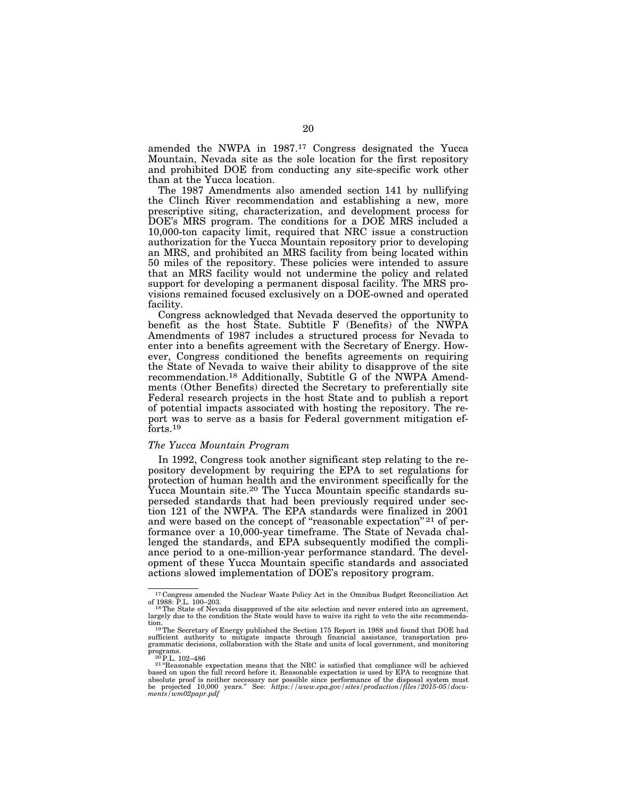amended the NWPA in 1987.17 Congress designated the Yucca Mountain, Nevada site as the sole location for the first repository and prohibited DOE from conducting any site-specific work other than at the Yucca location.

The 1987 Amendments also amended section 141 by nullifying the Clinch River recommendation and establishing a new, more prescriptive siting, characterization, and development process for DOE's MRS program. The conditions for a DOE MRS included a 10,000-ton capacity limit, required that NRC issue a construction authorization for the Yucca Mountain repository prior to developing an MRS, and prohibited an MRS facility from being located within 50 miles of the repository. These policies were intended to assure that an MRS facility would not undermine the policy and related support for developing a permanent disposal facility. The MRS provisions remained focused exclusively on a DOE-owned and operated facility.

Congress acknowledged that Nevada deserved the opportunity to benefit as the host State. Subtitle F (Benefits) of the NWPA Amendments of 1987 includes a structured process for Nevada to enter into a benefits agreement with the Secretary of Energy. However, Congress conditioned the benefits agreements on requiring the State of Nevada to waive their ability to disapprove of the site recommendation.18 Additionally, Subtitle G of the NWPA Amendments (Other Benefits) directed the Secretary to preferentially site Federal research projects in the host State and to publish a report of potential impacts associated with hosting the repository. The report was to serve as a basis for Federal government mitigation efforts<sup>19</sup>

# *The Yucca Mountain Program*

In 1992, Congress took another significant step relating to the repository development by requiring the EPA to set regulations for protection of human health and the environment specifically for the Yucca Mountain site.20 The Yucca Mountain specific standards superseded standards that had been previously required under section 121 of the NWPA. The EPA standards were finalized in 2001 and were based on the concept of "reasonable expectation" <sup>21</sup> of performance over a 10,000-year timeframe. The State of Nevada challenged the standards, and EPA subsequently modified the compliance period to a one-million-year performance standard. The development of these Yucca Mountain specific standards and associated actions slowed implementation of DOE's repository program.

 $\frac{17 \text{ Congress}}{1700 \text{ years}}$  amended the Nuclear Waste Policy Act in the Omnibus Budget Reconciliation Act of 1988: P.L. 100–203.

<sup>&</sup>lt;sup>18</sup>The State of Nevada disapproved of the site selection and never entered into an agreement, largely due to the condition the State would have to waive its right to veto the site recommenda-

tion. 19The Secretary of Energy published the Section 175 Report in 1988 and found that DOE had<br>the secretary of Energy published the Section of the Secretary of Presentation prosufficient authority to mitigate impacts through financial assistance, transportation pro-grammatic decisions, collaboration with the State and units of local government, and monitoring programs.<br><sup>20</sup>P.L. 102–486<br><sup>21</sup> ''Reasonable expectation means that the NRC is satisfied that compliance will be achieved

based on upon the full record before it. Reasonable expectation is used by EPA to recognize that absolute proof is neither necessary nor possible since performance of the disposal system must be projected 10,000 years.'' See: *https://www.epa.gov/sites/production/files/2015-05/docu-ments/wm02papr.pdf*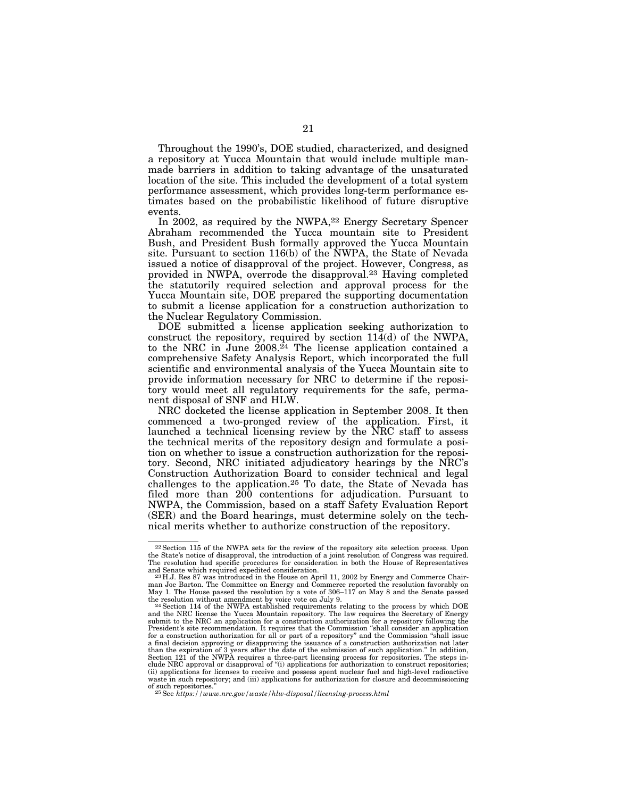Throughout the 1990's, DOE studied, characterized, and designed a repository at Yucca Mountain that would include multiple manmade barriers in addition to taking advantage of the unsaturated location of the site. This included the development of a total system performance assessment, which provides long-term performance estimates based on the probabilistic likelihood of future disruptive events.

In 2002, as required by the NWPA,<sup>22</sup> Energy Secretary Spencer Abraham recommended the Yucca mountain site to President Bush, and President Bush formally approved the Yucca Mountain site. Pursuant to section 116(b) of the NWPA, the State of Nevada issued a notice of disapproval of the project. However, Congress, as provided in NWPA, overrode the disapproval.23 Having completed the statutorily required selection and approval process for the Yucca Mountain site, DOE prepared the supporting documentation to submit a license application for a construction authorization to the Nuclear Regulatory Commission.

DOE submitted a license application seeking authorization to construct the repository, required by section 114(d) of the NWPA, to the NRC in June  $2008.<sup>24</sup>$  The license application contained a comprehensive Safety Analysis Report, which incorporated the full scientific and environmental analysis of the Yucca Mountain site to provide information necessary for NRC to determine if the repository would meet all regulatory requirements for the safe, permanent disposal of SNF and HLW.

NRC docketed the license application in September 2008. It then commenced a two-pronged review of the application. First, it launched a technical licensing review by the NRC staff to assess the technical merits of the repository design and formulate a position on whether to issue a construction authorization for the repository. Second, NRC initiated adjudicatory hearings by the NRC's Construction Authorization Board to consider technical and legal challenges to the application.25 To date, the State of Nevada has filed more than 200 contentions for adjudication. Pursuant to NWPA, the Commission, based on a staff Safety Evaluation Report (SER) and the Board hearings, must determine solely on the technical merits whether to authorize construction of the repository.

<sup>22</sup>Section 115 of the NWPA sets for the review of the repository site selection process. Upon the State's notice of disapproval, the introduction of a joint resolution of Congress was required. The resolution had specific procedures for consideration in both the House of Representatives

and Senate which required expedited consideration.<br><sup>23</sup> H.J. Res 87 was introduced in the House on April 11, 2002 by Energy and Commerce Chairman Joe Barton. The Committee on Energy and Commerce reported the resolution favorably on May 1. The House passed the resolution by a vote of  $306-117$  on May 8 and the Senate passed the resolution without amendment by voice vote on July 9.

 $24$  Section 114 of the NWPA established requirements relating to the process by which DOE and the NRC license the Yucca Mountain repository. The law requires the Secretary of Energy submit to the NRC an application for a construction authorization for a repository following the President's site recommendation. It requires that the Commission "shall consider an application<br>for a construction authorization for all or part of a repository" and the Commission "shall issue a final decision approving or disapproving the issuance of a construction authorization not later than the expiration of 3 years after the date of the submission of such application.'' In addition, Section 121 of the NWPA requires a three-part licensing process for repositories. The steps include NRC approval or disapproval of "(i) applications for authorization to construct repositories; (ii) applications for licenses to receive and possess spent nuclear fuel and high-level radioactive waste in such repository; and (iii) applications for authorization for closure and decommissioning

<sup>&</sup>lt;sup>25</sup> See *https://www.nrc.gov/waste/hlw-disposal/licensing-process.html*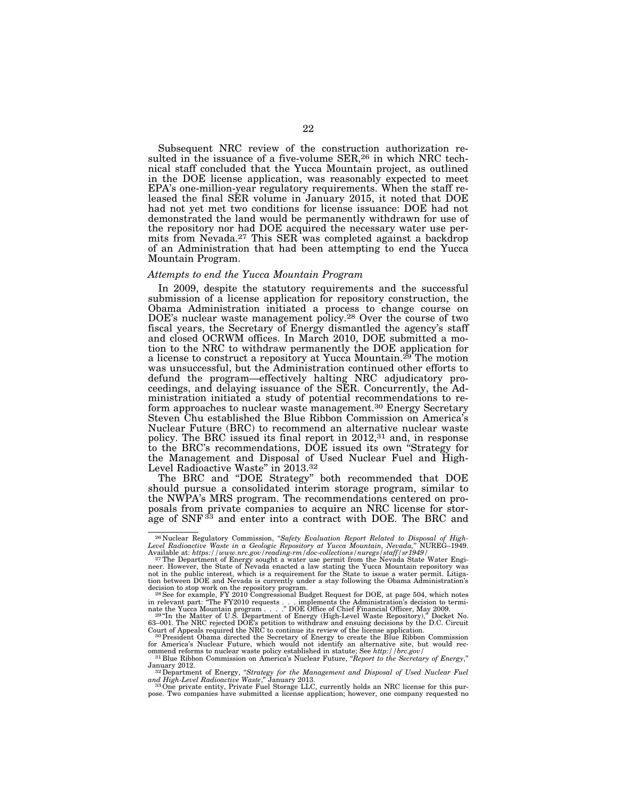Subsequent NRC review of the construction authorization resulted in the issuance of a five-volume SER,26 in which NRC technical staff concluded that the Yucca Mountain project, as outlined in the DOE license application, was reasonably expected to meet EPA's one-million-year regulatory requirements. When the staff released the final SER volume in January 2015, it noted that DOE had not yet met two conditions for license issuance: DOE had not demonstrated the land would be permanently withdrawn for use of the repository nor had DOE acquired the necessary water use permits from Nevada.27 This SER was completed against a backdrop of an Administration that had been attempting to end the Yucca Mountain Program.

### *Attempts to end the Yucca Mountain Program*

In 2009, despite the statutory requirements and the successful submission of a license application for repository construction, the Obama Administration initiated a process to change course on DOE's nuclear waste management policy.<sup>28</sup> Over the course of two fiscal years, the Secretary of Energy dismantled the agency's staff and closed OCRWM offices. In March 2010, DOE submitted a motion to the NRC to withdraw permanently the DOE application for a license to construct a repository at Yucca Mountain.29 The motion was unsuccessful, but the Administration continued other efforts to defund the program—effectively halting NRC adjudicatory proceedings, and delaying issuance of the SER. Concurrently, the Administration initiated a study of potential recommendations to reform approaches to nuclear waste management.<sup>30</sup> Energy Secretary Steven Chu established the Blue Ribbon Commission on America's Nuclear Future (BRC) to recommend an alternative nuclear waste policy. The BRC issued its final report in 2012,<sup>31</sup> and, in response to the BRC's recommendations, DOE issued its own ''Strategy for the Management and Disposal of Used Nuclear Fuel and High-Level Radioactive Waste" in 2013.<sup>32</sup>

The BRC and ''DOE Strategy'' both recommended that DOE should pursue a consolidated interim storage program, similar to the NWPA's MRS program. The recommendations centered on proposals from private companies to acquire an NRC license for storage of SNF<sup>33</sup> and enter into a contract with DOE. The BRC and

<sup>26</sup> Nuclear Regulatory Commission, ''*Safety Evaluation Report Related to Disposal of High-Level Radioactive Waste in a Geologic Repository at Yucca Mountain, Nevada,*'' NUREG–1949.

Available at: https://www.nrc.gov/reading.rm/doc-collections/nuregs/staff/sr1949/<br><sup>227</sup>The Department of Energy sought a water use permit from the Nevada State Water Engi-<br>neer. However, the State of Nevada enacted a law s not in the public interest, which is a requirement for the State to issue a water permit. Litiga-tion between DOE and Nevada is currently under a stay following the Obama Administration's

decision to stop work on the repository program.<br>
<sup>28</sup>See for example, FY 2010 Congressional Budget Request for DOE, at page 504, which notes<br>
in relevant part: "The FY2010 requests ... implements the Administration's dec

for America's Nuclear Future, which would not identify an alternative site, but would recommend reforms to nuclear waste policy established in statute; See h*ttp://brc.gov/*<br><sup>31</sup>Blue Ribbon Commission on America's Nuclear

January 2012.<br><sup>32</sup> Department of Energy, "*Strategy for the Management and Disposal of Used Nuclear Fuel* 

a*nd High-Level Radioactive Waste," J*anuary 2013.<br><sup>330</sup>One private entity, Private Fuel Storage LLC, currently holds an NRC license for this pur-<br><sup>pose.</sup> Two companies have submitted a license application; however, one co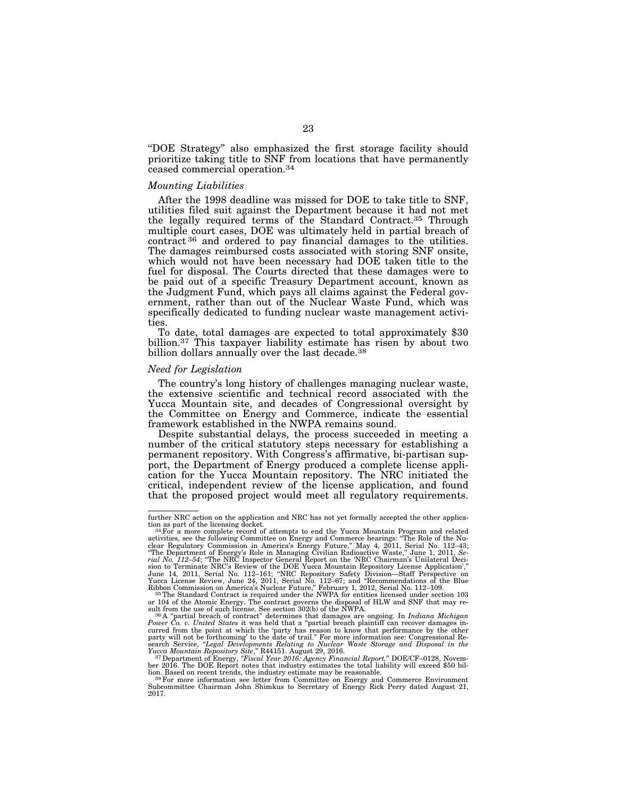''DOE Strategy'' also emphasized the first storage facility should prioritize taking title to SNF from locations that have permanently ceased commercial operation.34

### *Mounting Liabilities*

After the 1998 deadline was missed for DOE to take title to SNF, utilities filed suit against the Department because it had not met the legally required terms of the Standard Contract.35 Through multiple court cases, DOE was ultimately held in partial breach of contract 36 and ordered to pay financial damages to the utilities. The damages reimbursed costs associated with storing SNF onsite, which would not have been necessary had DOE taken title to the fuel for disposal. The Courts directed that these damages were to be paid out of a specific Treasury Department account, known as the Judgment Fund, which pays all claims against the Federal government, rather than out of the Nuclear Waste Fund, which was specifically dedicated to funding nuclear waste management activities.

To date, total damages are expected to total approximately \$30 billion.37 This taxpayer liability estimate has risen by about two billion dollars annually over the last decade.<sup>38</sup>

### *Need for Legislation*

The country's long history of challenges managing nuclear waste, the extensive scientific and technical record associated with the Yucca Mountain site, and decades of Congressional oversight by the Committee on Energy and Commerce, indicate the essential framework established in the NWPA remains sound.

Despite substantial delays, the process succeeded in meeting a number of the critical statutory steps necessary for establishing a permanent repository. With Congress's affirmative, bi-partisan support, the Department of Energy produced a complete license application for the Yucca Mountain repository. The NRC initiated the critical, independent review of the license application, and found that the proposed project would meet all regulatory requirements.

further NRC action on the application and NRC has not yet formally accepted the other applica-

<sup>34</sup> For a more complete record of attempts to end the Yucca Mountain Program and related activities, see the following Committee on Energy and Commerce hearings: "The Role of the Nu-<br>clear Regulatory Commission in America's Energy Future," May 4, 2011, Serial No. 112–43;<br>"The Department of Energy's Role in Man

<sup>&</sup>lt;sup>35</sup>The Standard Contract is required under the NWPA for entities licensed under section 103 or 104 of the Atomic Energy. The contract governs the disposal of HLW and SNF that may re-<br>sult from the use of such license. See

sult from the use of such license. See section 302(b) of the NWPA.<br><sup>36</sup> A "partial breach of contract" determines that damages are ongoing. In *Indiana Michigan*<br>*Power Co. v. United States* it was held that a "partial br

lion. Based on recent trends, the industry estimate may be reasonable.<br><sup>38</sup>For more information see letter from Committee on Energy and Commerce Environment<br>Subcommittee Chairman John Shimkus to Secretary of Energy Rick Pe 2017.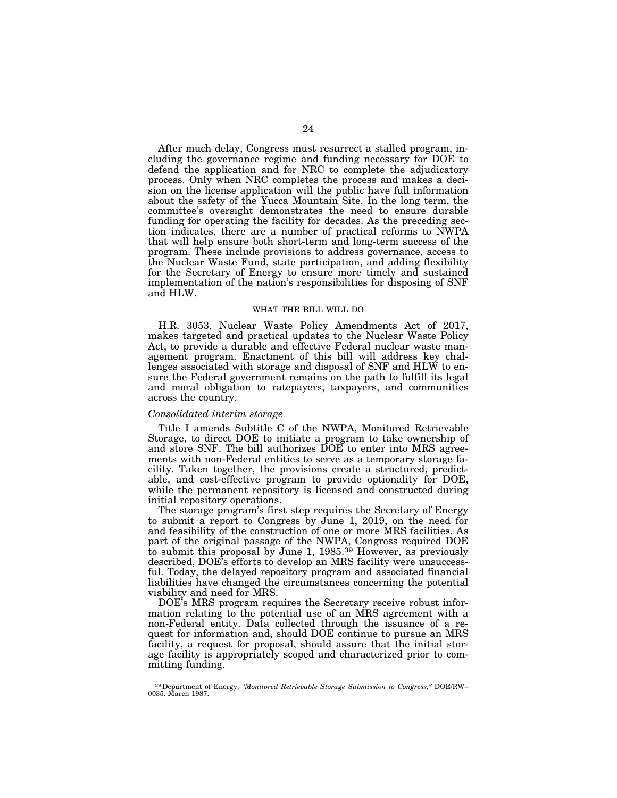After much delay, Congress must resurrect a stalled program, including the governance regime and funding necessary for DOE to defend the application and for NRC to complete the adjudicatory process. Only when NRC completes the process and makes a decision on the license application will the public have full information about the safety of the Yucca Mountain Site. In the long term, the committee's oversight demonstrates the need to ensure durable funding for operating the facility for decades. As the preceding section indicates, there are a number of practical reforms to NWPA that will help ensure both short-term and long-term success of the program. These include provisions to address governance, access to the Nuclear Waste Fund, state participation, and adding flexibility for the Secretary of Energy to ensure more timely and sustained implementation of the nation's responsibilities for disposing of SNF and HLW.

### WHAT THE BILL WILL DO

H.R. 3053, Nuclear Waste Policy Amendments Act of 2017, makes targeted and practical updates to the Nuclear Waste Policy Act, to provide a durable and effective Federal nuclear waste management program. Enactment of this bill will address key challenges associated with storage and disposal of SNF and HLW to ensure the Federal government remains on the path to fulfill its legal and moral obligation to ratepayers, taxpayers, and communities across the country.

# *Consolidated interim storage*

Title I amends Subtitle C of the NWPA, Monitored Retrievable Storage, to direct DOE to initiate a program to take ownership of and store SNF. The bill authorizes DOE to enter into MRS agreements with non-Federal entities to serve as a temporary storage facility. Taken together, the provisions create a structured, predictable, and cost-effective program to provide optionality for DOE, while the permanent repository is licensed and constructed during initial repository operations.

The storage program's first step requires the Secretary of Energy to submit a report to Congress by June 1, 2019, on the need for and feasibility of the construction of one or more MRS facilities. As part of the original passage of the NWPA, Congress required DOE to submit this proposal by June 1, 1985.<sup>39</sup> However, as previously described, DOE's efforts to develop an MRS facility were unsuccessful. Today, the delayed repository program and associated financial liabilities have changed the circumstances concerning the potential viability and need for MRS.

DOE's MRS program requires the Secretary receive robust information relating to the potential use of an MRS agreement with a non-Federal entity. Data collected through the issuance of a request for information and, should DOE continue to pursue an MRS facility, a request for proposal, should assure that the initial storage facility is appropriately scoped and characterized prior to committing funding.

<sup>39</sup>Department of Energy, *''Monitored Retrievable Storage Submission to Congress,''* DOE/RW– 0035. March 1987.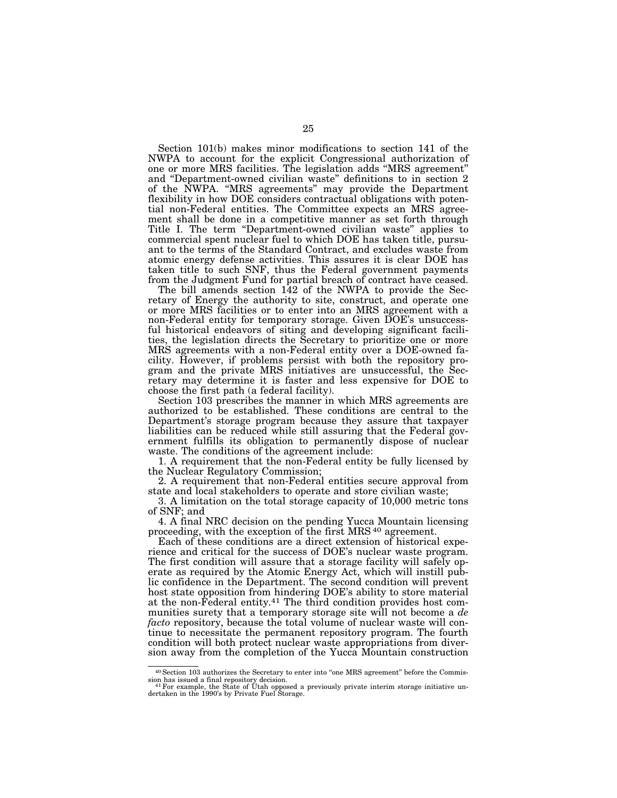Section 101(b) makes minor modifications to section 141 of the NWPA to account for the explicit Congressional authorization of one or more MRS facilities. The legislation adds ''MRS agreement'' and ''Department-owned civilian waste'' definitions to in section 2 of the NWPA. ''MRS agreements'' may provide the Department flexibility in how DOE considers contractual obligations with potential non-Federal entities. The Committee expects an MRS agreement shall be done in a competitive manner as set forth through Title I. The term ''Department-owned civilian waste'' applies to commercial spent nuclear fuel to which DOE has taken title, pursuant to the terms of the Standard Contract, and excludes waste from atomic energy defense activities. This assures it is clear DOE has taken title to such SNF, thus the Federal government payments from the Judgment Fund for partial breach of contract have ceased.

The bill amends section 142 of the NWPA to provide the Secretary of Energy the authority to site, construct, and operate one or more MRS facilities or to enter into an MRS agreement with a non-Federal entity for temporary storage. Given DOE's unsuccessful historical endeavors of siting and developing significant facilities, the legislation directs the Secretary to prioritize one or more MRS agreements with a non-Federal entity over a DOE-owned facility. However, if problems persist with both the repository program and the private MRS initiatives are unsuccessful, the Secretary may determine it is faster and less expensive for DOE to choose the first path (a federal facility).

Section 103 prescribes the manner in which MRS agreements are authorized to be established. These conditions are central to the Department's storage program because they assure that taxpayer liabilities can be reduced while still assuring that the Federal government fulfills its obligation to permanently dispose of nuclear waste. The conditions of the agreement include:

1. A requirement that the non-Federal entity be fully licensed by the Nuclear Regulatory Commission;

2. A requirement that non-Federal entities secure approval from state and local stakeholders to operate and store civilian waste;

3. A limitation on the total storage capacity of 10,000 metric tons of SNF; and

4. A final NRC decision on the pending Yucca Mountain licensing proceeding, with the exception of the first MRS 40 agreement.

Each of these conditions are a direct extension of historical experience and critical for the success of DOE's nuclear waste program. The first condition will assure that a storage facility will safely operate as required by the Atomic Energy Act, which will instill public confidence in the Department. The second condition will prevent host state opposition from hindering DOE's ability to store material at the non-Federal entity.41 The third condition provides host communities surety that a temporary storage site will not become a *de facto* repository, because the total volume of nuclear waste will continue to necessitate the permanent repository program. The fourth condition will both protect nuclear waste appropriations from diversion away from the completion of the Yucca Mountain construction

<sup>&</sup>lt;sup>40</sup> Section 103 authorizes the Secretary to enter into "one MRS agreement" before the Commis-

sion has issued a final repository decision.<br>"Hor example, the State of Utah opposed a previously private interim storage initiative un-<br>dertaken in the 1990's by Private Fuel Storage.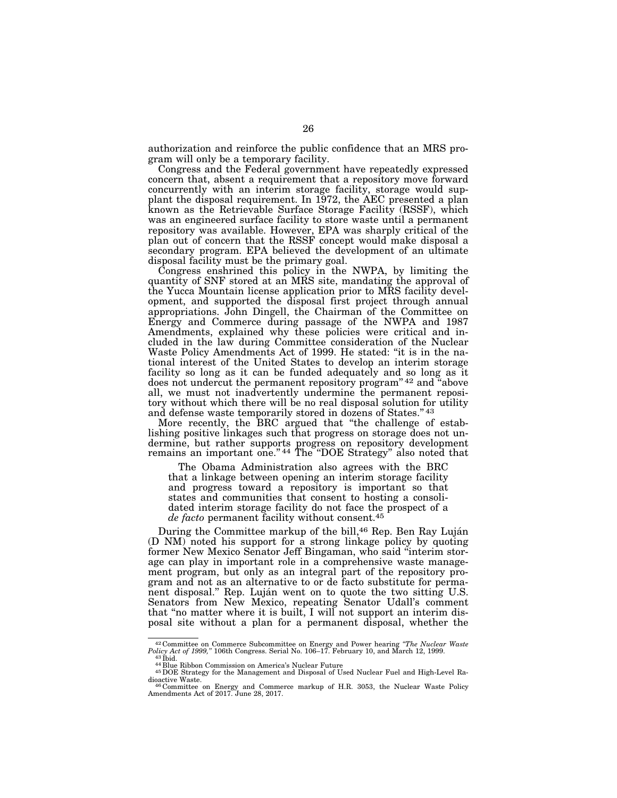authorization and reinforce the public confidence that an MRS program will only be a temporary facility.

Congress and the Federal government have repeatedly expressed concern that, absent a requirement that a repository move forward concurrently with an interim storage facility, storage would supplant the disposal requirement. In 1972, the AEC presented a plan known as the Retrievable Surface Storage Facility (RSSF), which was an engineered surface facility to store waste until a permanent repository was available. However, EPA was sharply critical of the plan out of concern that the RSSF concept would make disposal a secondary program. EPA believed the development of an ultimate disposal facility must be the primary goal.

Congress enshrined this policy in the NWPA, by limiting the quantity of SNF stored at an MRS site, mandating the approval of the Yucca Mountain license application prior to MRS facility development, and supported the disposal first project through annual appropriations. John Dingell, the Chairman of the Committee on Energy and Commerce during passage of the NWPA and 1987 Amendments, explained why these policies were critical and included in the law during Committee consideration of the Nuclear Waste Policy Amendments Act of 1999. He stated: ''it is in the national interest of the United States to develop an interim storage facility so long as it can be funded adequately and so long as it does not undercut the permanent repository program"<sup>42</sup> and "above all, we must not inadvertently undermine the permanent repository without which there will be no real disposal solution for utility and defense waste temporarily stored in dozens of States.'' 43

More recently, the BRC argued that "the challenge of establishing positive linkages such that progress on storage does not undermine, but rather supports progress on repository development remains an important one."<sup>44</sup> The "DOE Strategy" also noted that

The Obama Administration also agrees with the BRC that a linkage between opening an interim storage facility and progress toward a repository is important so that states and communities that consent to hosting a consolidated interim storage facility do not face the prospect of a *de facto* permanent facility without consent.45

During the Committee markup of the bill,<sup>46</sup> Rep. Ben Ray Luján (D NM) noted his support for a strong linkage policy by quoting former New Mexico Senator Jeff Bingaman, who said ''interim storage can play in important role in a comprehensive waste management program, but only as an integral part of the repository program and not as an alternative to or de facto substitute for permanent disposal." Rep. Luján went on to quote the two sitting U.S. Senators from New Mexico, repeating Senator Udall's comment that ''no matter where it is built, I will not support an interim disposal site without a plan for a permanent disposal, whether the

 $^{42}$  Committee on Commerce Subcommittee on Energy and Power hearing "The Nuclear Waste<br>Policy Act of 1999," 106th Congress. Serial No. 106–17. February 10, and March 12, 1999.<br> $^{43}$  Ibid.<br> $^{44}$  Blue.<br> $^{44}$  Dlue Ribbo

dioactive Waste.<br><sup>46</sup>Committee on Energy and Commerce markup of H.R. 3053, the Nuclear Waste Policy<br>Amendments Act of 2017. June 28, 2017.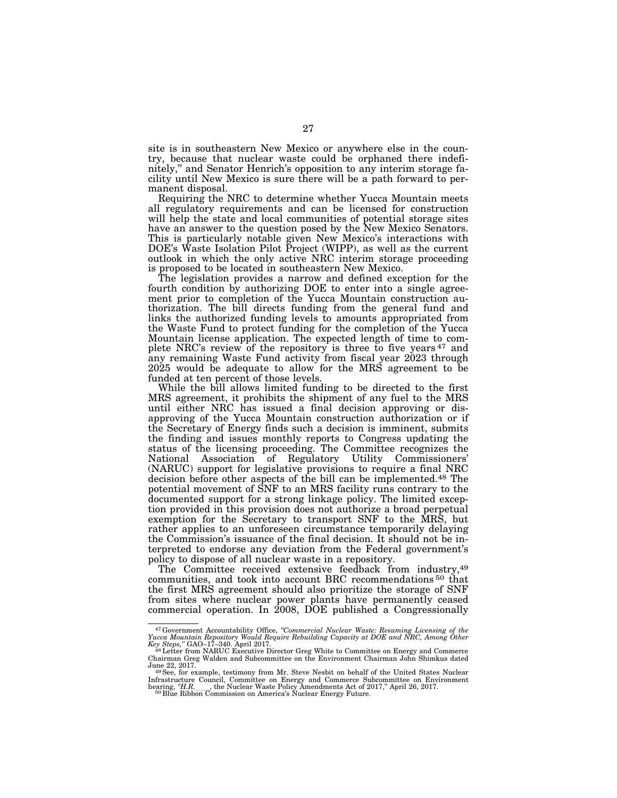site is in southeastern New Mexico or anywhere else in the country, because that nuclear waste could be orphaned there indefinitely,'' and Senator Henrich's opposition to any interim storage facility until New Mexico is sure there will be a path forward to permanent disposal.

Requiring the NRC to determine whether Yucca Mountain meets all regulatory requirements and can be licensed for construction will help the state and local communities of potential storage sites have an answer to the question posed by the New Mexico Senators. This is particularly notable given New Mexico's interactions with DOE's Waste Isolation Pilot Project (WIPP), as well as the current outlook in which the only active NRC interim storage proceeding is proposed to be located in southeastern New Mexico.

The legislation provides a narrow and defined exception for the fourth condition by authorizing DOE to enter into a single agreement prior to completion of the Yucca Mountain construction authorization. The bill directs funding from the general fund and links the authorized funding levels to amounts appropriated from the Waste Fund to protect funding for the completion of the Yucca Mountain license application. The expected length of time to complete NRC's review of the repository is three to five years 47 and any remaining Waste Fund activity from fiscal year 2023 through 2025 would be adequate to allow for the MRS agreement to be funded at ten percent of those levels.

While the bill allows limited funding to be directed to the first MRS agreement, it prohibits the shipment of any fuel to the MRS until either NRC has issued a final decision approving or disapproving of the Yucca Mountain construction authorization or if the Secretary of Energy finds such a decision is imminent, submits the finding and issues monthly reports to Congress updating the status of the licensing proceeding. The Committee recognizes the National Association of Regulatory Utility Commissioners' (NARUC) support for legislative provisions to require a final NRC decision before other aspects of the bill can be implemented.48 The potential movement of SNF to an MRS facility runs contrary to the documented support for a strong linkage policy. The limited exception provided in this provision does not authorize a broad perpetual exemption for the Secretary to transport SNF to the MRS, but rather applies to an unforeseen circumstance temporarily delaying the Commission's issuance of the final decision. It should not be interpreted to endorse any deviation from the Federal government's policy to dispose of all nuclear waste in a repository.

The Committee received extensive feedback from industry,<sup>49</sup> communities, and took into account BRC recommendations 50 that the first MRS agreement should also prioritize the storage of SNF from sites where nuclear power plants have permanently ceased commercial operation. In 2008, DOE published a Congressionally

<sup>47</sup>Government Accountability Office, *''Commercial Nuclear Waste: Resuming Licensing of the*  Yucca Mountain Repository Would Require Rebuilding Capacity at DOE and NRC, Among Other<br>Key Steps," GAO–17–340. April 2017.<br>" <sup>48</sup> Letter from NARUC Executive Director Greg White to Committee on Energy and Commerce

Chairman Greg Walden and Subcommittee on the Environment Chairman John Shimkus dated

<sup>&</sup>lt;sup>49</sup>See, for example, testimony from Mr. Steve Nesbit on behalf of the United States Nuclear Infrastructure Council, Committee on Energy and Commerce Subcommittee on Environment<br>hearing, "H.R.\_\_\_, the Nuclear Waste Policy Amendments Act of 2017," April 26, 2017.<br><sup>50</sup> Blue Ribbon Commission on America's Nuclear Ene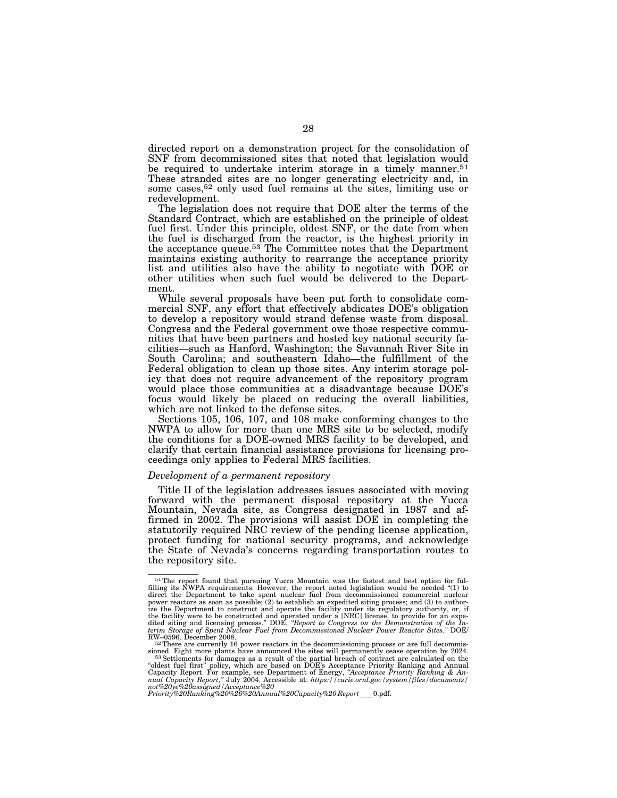directed report on a demonstration project for the consolidation of SNF from decommissioned sites that noted that legislation would be required to undertake interim storage in a timely manner.<sup>51</sup> These stranded sites are no longer generating electricity and, in some cases,<sup>52</sup> only used fuel remains at the sites, limiting use or redevelopment.

The legislation does not require that DOE alter the terms of the Standard Contract, which are established on the principle of oldest fuel first. Under this principle, oldest SNF, or the date from when the fuel is discharged from the reactor, is the highest priority in the acceptance queue.53 The Committee notes that the Department maintains existing authority to rearrange the acceptance priority list and utilities also have the ability to negotiate with DOE or other utilities when such fuel would be delivered to the Department.

While several proposals have been put forth to consolidate commercial SNF, any effort that effectively abdicates DOE's obligation to develop a repository would strand defense waste from disposal. Congress and the Federal government owe those respective communities that have been partners and hosted key national security facilities—such as Hanford, Washington; the Savannah River Site in South Carolina; and southeastern Idaho—the fulfillment of the Federal obligation to clean up those sites. Any interim storage policy that does not require advancement of the repository program would place those communities at a disadvantage because DOE's focus would likely be placed on reducing the overall liabilities, which are not linked to the defense sites.

Sections 105, 106, 107, and 108 make conforming changes to the NWPA to allow for more than one MRS site to be selected, modify the conditions for a DOE-owned MRS facility to be developed, and clarify that certain financial assistance provisions for licensing proceedings only applies to Federal MRS facilities.

# *Development of a permanent repository*

Title II of the legislation addresses issues associated with moving forward with the permanent disposal repository at the Yucca Mountain, Nevada site, as Congress designated in 1987 and affirmed in 2002. The provisions will assist DOE in completing the statutorily required NRC review of the pending license application, protect funding for national security programs, and acknowledge the State of Nevada's concerns regarding transportation routes to the repository site.

 $51$ The report found that pursuing Yucca Mountain was the fastest and best option for ful-filling its NWPA requirements. However, the report noted legislation would be needed "(1) to direct the Department to take spent nuclear fuel from decommissioned commercial nuclear<br>power reactors as soon as possible; (2) to establish an expedited siting process; and (3) to author-<br>ize the Department to construct a the facility were to be constructed and operated under a [NRC] license, to provide for an expe-<br>dited siting and licensing process." DOE, "Report to Congress on the Demonstration of the In-<br>terim Storage of Spent Nuclear F

RW–0596. December 2008.<br>
<sup>52</sup>There are currently 16 power reactors in the decommissioning process or are full decommis-<br>
sioned. Eight more plants have announced the sites will permanently cease operation by 2024.

sioned. Eight more plants have announced the sites will permanently cease operation by 2024.<br>
<sup>53</sup> Settlements for damages as a result of the partial breach of contract are calculated on the<br>
"oldest fuel first" policy, w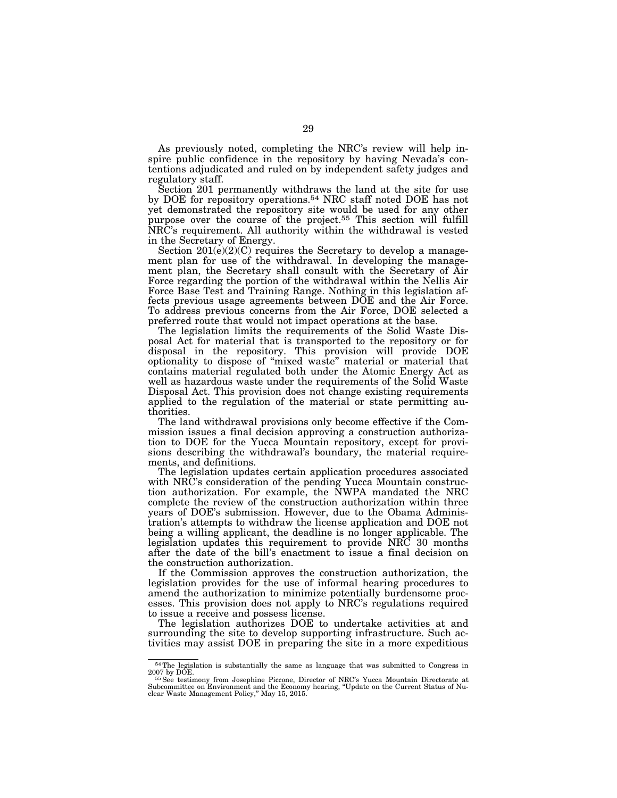As previously noted, completing the NRC's review will help inspire public confidence in the repository by having Nevada's contentions adjudicated and ruled on by independent safety judges and regulatory staff.

Section 201 permanently withdraws the land at the site for use by DOE for repository operations.54 NRC staff noted DOE has not yet demonstrated the repository site would be used for any other purpose over the course of the project.<sup>55</sup> This section will fulfill NRC's requirement. All authority within the withdrawal is vested in the Secretary of Energy.

Section  $201(e)(2)(C)$  requires the Secretary to develop a management plan for use of the withdrawal. In developing the management plan, the Secretary shall consult with the Secretary of Air Force regarding the portion of the withdrawal within the Nellis Air Force Base Test and Training Range. Nothing in this legislation affects previous usage agreements between DOE and the Air Force. To address previous concerns from the Air Force, DOE selected a preferred route that would not impact operations at the base.

The legislation limits the requirements of the Solid Waste Disposal Act for material that is transported to the repository or for disposal in the repository. This provision will provide DOE optionality to dispose of ''mixed waste'' material or material that contains material regulated both under the Atomic Energy Act as well as hazardous waste under the requirements of the Solid Waste Disposal Act. This provision does not change existing requirements applied to the regulation of the material or state permitting authorities.

The land withdrawal provisions only become effective if the Commission issues a final decision approving a construction authorization to DOE for the Yucca Mountain repository, except for provisions describing the withdrawal's boundary, the material requirements, and definitions.

The legislation updates certain application procedures associated with NRC's consideration of the pending Yucca Mountain construction authorization. For example, the NWPA mandated the NRC complete the review of the construction authorization within three years of DOE's submission. However, due to the Obama Administration's attempts to withdraw the license application and DOE not being a willing applicant, the deadline is no longer applicable. The legislation updates this requirement to provide NRC 30 months after the date of the bill's enactment to issue a final decision on the construction authorization.

If the Commission approves the construction authorization, the legislation provides for the use of informal hearing procedures to amend the authorization to minimize potentially burdensome processes. This provision does not apply to NRC's regulations required to issue a receive and possess license.

The legislation authorizes DOE to undertake activities at and surrounding the site to develop supporting infrastructure. Such activities may assist DOE in preparing the site in a more expeditious

 $^{54}$ The legislation is substantially the same as language that was submitted to Congress in 2007 by DOE.<br> $^{55}$ See testimony from Josephine Piccone, Director of NRC's Yucca Mountain Directorate at Subcommittee on Enviro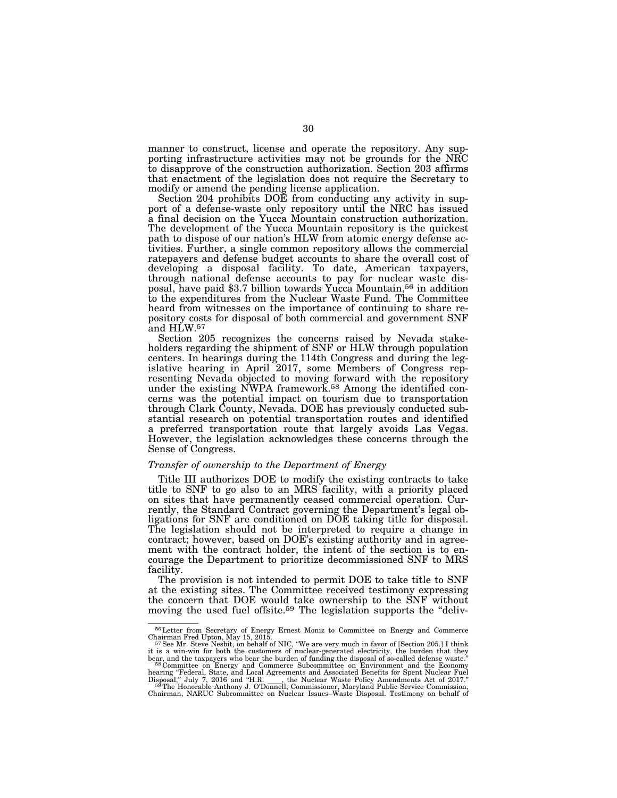manner to construct, license and operate the repository. Any supporting infrastructure activities may not be grounds for the NRC to disapprove of the construction authorization. Section 203 affirms that enactment of the legislation does not require the Secretary to modify or amend the pending license application.

Section 204 prohibits DOE from conducting any activity in support of a defense-waste only repository until the NRC has issued a final decision on the Yucca Mountain construction authorization. The development of the Yucca Mountain repository is the quickest path to dispose of our nation's HLW from atomic energy defense activities. Further, a single common repository allows the commercial ratepayers and defense budget accounts to share the overall cost of developing a disposal facility. To date, American taxpayers, through national defense accounts to pay for nuclear waste disposal, have paid \$3.7 billion towards Yucca Mountain,56 in addition to the expenditures from the Nuclear Waste Fund. The Committee heard from witnesses on the importance of continuing to share repository costs for disposal of both commercial and government SNF and HLW.<sup>57</sup>

Section 205 recognizes the concerns raised by Nevada stakeholders regarding the shipment of SNF or HLW through population centers. In hearings during the 114th Congress and during the legislative hearing in April 2017, some Members of Congress representing Nevada objected to moving forward with the repository under the existing NWPA framework.<sup>58</sup> Among the identified concerns was the potential impact on tourism due to transportation through Clark County, Nevada. DOE has previously conducted substantial research on potential transportation routes and identified a preferred transportation route that largely avoids Las Vegas. However, the legislation acknowledges these concerns through the Sense of Congress.

# *Transfer of ownership to the Department of Energy*

Title III authorizes DOE to modify the existing contracts to take title to SNF to go also to an MRS facility, with a priority placed on sites that have permanently ceased commercial operation. Currently, the Standard Contract governing the Department's legal obligations for SNF are conditioned on DOE taking title for disposal. The legislation should not be interpreted to require a change in contract; however, based on DOE's existing authority and in agreement with the contract holder, the intent of the section is to encourage the Department to prioritize decommissioned SNF to MRS facility.

The provision is not intended to permit DOE to take title to SNF at the existing sites. The Committee received testimony expressing the concern that DOE would take ownership to the SNF without moving the used fuel offsite.<sup>59</sup> The legislation supports the "deliv-

<sup>56</sup>Letter from Secretary of Energy Ernest Moniz to Committee on Energy and Commerce

Chairman Fred Upton, May 15, 2015.<br>「<sup>57</sup>See Mr. Steve Nesbit, on behalf of NIC, "We are very much in favor of [Section 205.] I think<br>it is a win-win for both the customers of nuclear-generated electricity, the burden that bear, and the taxpayers who bear the burden of funding the disposal of so-called defense waste."<br><sup>58</sup>Committee on Energy and Commerce Subcommittee on Environment and the Economy<br>hearing "Federal, State, and Local Agreement

Disposal," July 7, 2016 and "H.R. \_\_\_\_\_, the Nuclear Waste Policy Amendments Act of 2017."<br><sup>59</sup> The Honorable Anthony J. O'Domnell, Commissioner, Maryland Public Service Commission,<br>Chairman, NARUC Subcommittee on Nuclear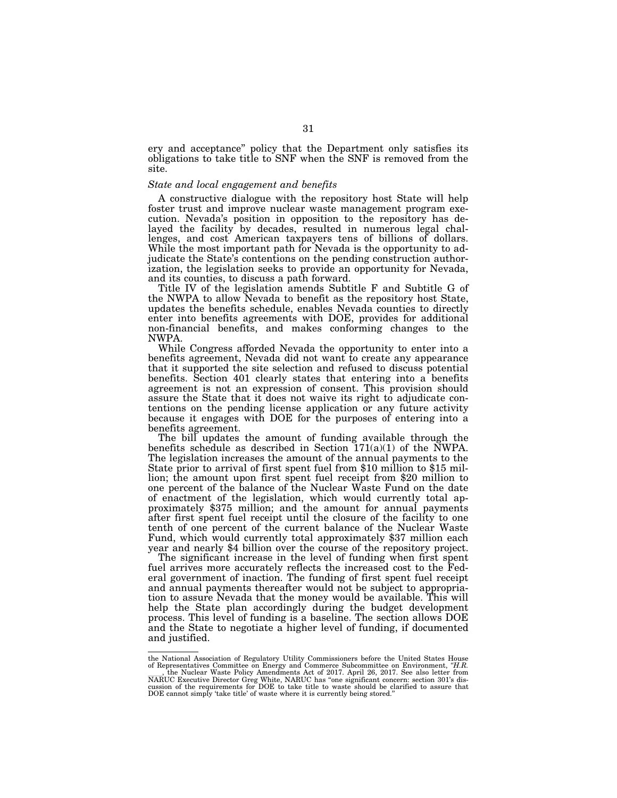ery and acceptance'' policy that the Department only satisfies its obligations to take title to SNF when the SNF is removed from the site.

# *State and local engagement and benefits*

A constructive dialogue with the repository host State will help foster trust and improve nuclear waste management program execution. Nevada's position in opposition to the repository has delayed the facility by decades, resulted in numerous legal challenges, and cost American taxpayers tens of billions of dollars. While the most important path for Nevada is the opportunity to adjudicate the State's contentions on the pending construction authorization, the legislation seeks to provide an opportunity for Nevada, and its counties, to discuss a path forward.

Title IV of the legislation amends Subtitle F and Subtitle G of the NWPA to allow Nevada to benefit as the repository host State, updates the benefits schedule, enables Nevada counties to directly enter into benefits agreements with DOE, provides for additional non-financial benefits, and makes conforming changes to the NWPA.

While Congress afforded Nevada the opportunity to enter into a benefits agreement, Nevada did not want to create any appearance that it supported the site selection and refused to discuss potential benefits. Section 401 clearly states that entering into a benefits agreement is not an expression of consent. This provision should assure the State that it does not waive its right to adjudicate contentions on the pending license application or any future activity because it engages with DOE for the purposes of entering into a benefits agreement.

The bill updates the amount of funding available through the benefits schedule as described in Section  $171(a)(1)$  of the NWPA. The legislation increases the amount of the annual payments to the State prior to arrival of first spent fuel from \$10 million to \$15 million; the amount upon first spent fuel receipt from \$20 million to one percent of the balance of the Nuclear Waste Fund on the date of enactment of the legislation, which would currently total approximately \$375 million; and the amount for annual payments after first spent fuel receipt until the closure of the facility to one tenth of one percent of the current balance of the Nuclear Waste Fund, which would currently total approximately \$37 million each year and nearly \$4 billion over the course of the repository project.

The significant increase in the level of funding when first spent fuel arrives more accurately reflects the increased cost to the Federal government of inaction. The funding of first spent fuel receipt and annual payments thereafter would not be subject to appropriation to assure Nevada that the money would be available. This will help the State plan accordingly during the budget development process. This level of funding is a baseline. The section allows DOE and the State to negotiate a higher level of funding, if documented and justified.

the National Association of Regulatory Utility Commissioners before the United States House<br>of Representatives Committee on Energy and Commerce Subcommittee on Environment, "H.R.<br>\_\_\_, the Nuclear Waste Policy Amendments Ac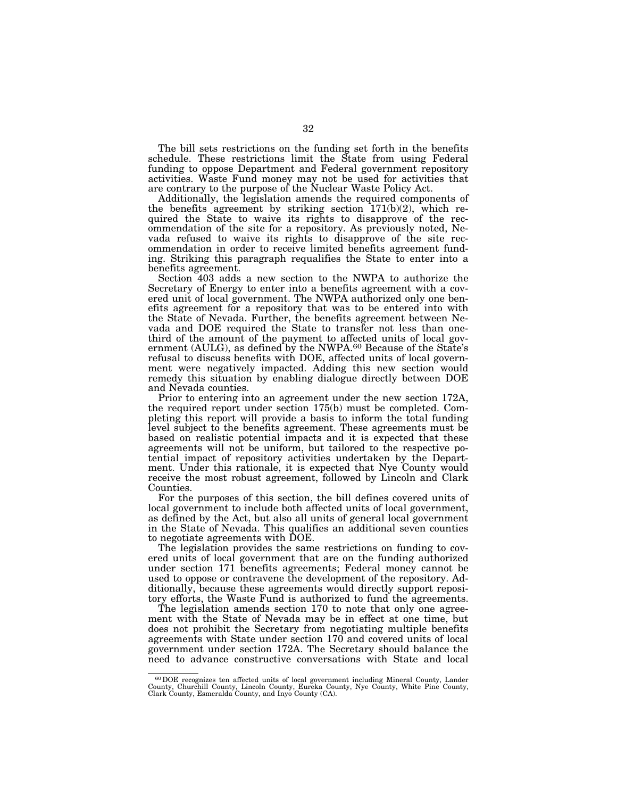The bill sets restrictions on the funding set forth in the benefits schedule. These restrictions limit the State from using Federal funding to oppose Department and Federal government repository activities. Waste Fund money may not be used for activities that are contrary to the purpose of the Nuclear Waste Policy Act.

Additionally, the legislation amends the required components of the benefits agreement by striking section  $171(b)(2)$ , which required the State to waive its rights to disapprove of the recommendation of the site for a repository. As previously noted, Nevada refused to waive its rights to disapprove of the site recommendation in order to receive limited benefits agreement funding. Striking this paragraph requalifies the State to enter into a benefits agreement.

Section 403 adds a new section to the NWPA to authorize the Secretary of Energy to enter into a benefits agreement with a covered unit of local government. The NWPA authorized only one benefits agreement for a repository that was to be entered into with the State of Nevada. Further, the benefits agreement between Nevada and DOE required the State to transfer not less than onethird of the amount of the payment to affected units of local government (AULG), as defined by the NWPA.<sup>60</sup> Because of the State's refusal to discuss benefits with DOE, affected units of local government were negatively impacted. Adding this new section would remedy this situation by enabling dialogue directly between DOE and Nevada counties.

Prior to entering into an agreement under the new section 172A, the required report under section 175(b) must be completed. Completing this report will provide a basis to inform the total funding level subject to the benefits agreement. These agreements must be based on realistic potential impacts and it is expected that these agreements will not be uniform, but tailored to the respective potential impact of repository activities undertaken by the Department. Under this rationale, it is expected that Nye County would receive the most robust agreement, followed by Lincoln and Clark Counties.

For the purposes of this section, the bill defines covered units of local government to include both affected units of local government, as defined by the Act, but also all units of general local government in the State of Nevada. This qualifies an additional seven counties to negotiate agreements with DOE.

The legislation provides the same restrictions on funding to covered units of local government that are on the funding authorized under section 171 benefits agreements; Federal money cannot be used to oppose or contravene the development of the repository. Additionally, because these agreements would directly support repository efforts, the Waste Fund is authorized to fund the agreements.

The legislation amends section 170 to note that only one agreement with the State of Nevada may be in effect at one time, but does not prohibit the Secretary from negotiating multiple benefits agreements with State under section 170 and covered units of local government under section 172A. The Secretary should balance the need to advance constructive conversations with State and local

 ${}^{60}$  DOE recognizes ten affected units of local government including Mineral County, Lander County, Churchill County, Lincoln County, Eureka County, Nye County, White Pine County, Clark County, Esmeralda County, and In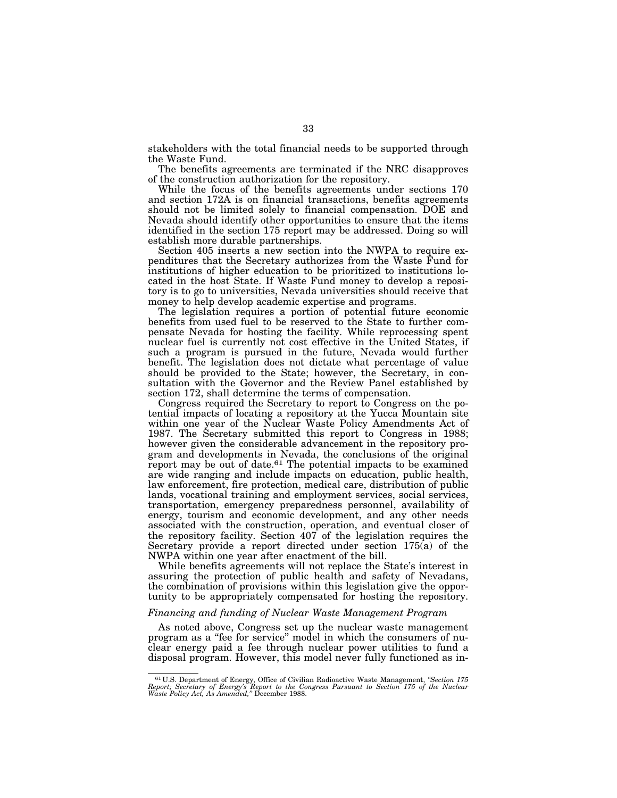stakeholders with the total financial needs to be supported through the Waste Fund.

The benefits agreements are terminated if the NRC disapproves of the construction authorization for the repository.

While the focus of the benefits agreements under sections 170 and section 172A is on financial transactions, benefits agreements should not be limited solely to financial compensation. DOE and Nevada should identify other opportunities to ensure that the items identified in the section 175 report may be addressed. Doing so will establish more durable partnerships.

Section 405 inserts a new section into the NWPA to require expenditures that the Secretary authorizes from the Waste Fund for institutions of higher education to be prioritized to institutions located in the host State. If Waste Fund money to develop a repository is to go to universities, Nevada universities should receive that money to help develop academic expertise and programs.

The legislation requires a portion of potential future economic benefits from used fuel to be reserved to the State to further compensate Nevada for hosting the facility. While reprocessing spent nuclear fuel is currently not cost effective in the United States, if such a program is pursued in the future, Nevada would further benefit. The legislation does not dictate what percentage of value should be provided to the State; however, the Secretary, in consultation with the Governor and the Review Panel established by section 172, shall determine the terms of compensation.

Congress required the Secretary to report to Congress on the potential impacts of locating a repository at the Yucca Mountain site within one year of the Nuclear Waste Policy Amendments Act of 1987. The Secretary submitted this report to Congress in 1988; however given the considerable advancement in the repository program and developments in Nevada, the conclusions of the original report may be out of date. $61$  The potential impacts to be examined are wide ranging and include impacts on education, public health, law enforcement, fire protection, medical care, distribution of public lands, vocational training and employment services, social services, transportation, emergency preparedness personnel, availability of energy, tourism and economic development, and any other needs associated with the construction, operation, and eventual closer of the repository facility. Section 407 of the legislation requires the Secretary provide a report directed under section 175(a) of the NWPA within one year after enactment of the bill.

While benefits agreements will not replace the State's interest in assuring the protection of public health and safety of Nevadans, the combination of provisions within this legislation give the opportunity to be appropriately compensated for hosting the repository.

# *Financing and funding of Nuclear Waste Management Program*

As noted above, Congress set up the nuclear waste management program as a ''fee for service'' model in which the consumers of nuclear energy paid a fee through nuclear power utilities to fund a disposal program. However, this model never fully functioned as in-

 $^{61}$ U.S. Department of Energy, Office of Civilian Radioactive Waste Management, "Section 175 Report; Secretary of Energy's Report to the Congress Pursuant to Section 175 of the Nuclear Waste Policy Act, As Amended," Dec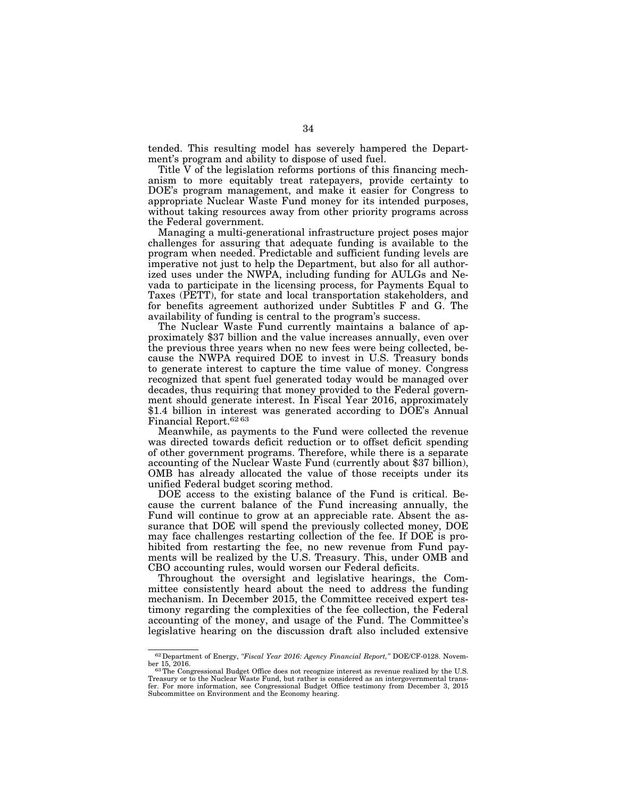tended. This resulting model has severely hampered the Department's program and ability to dispose of used fuel.

Title V of the legislation reforms portions of this financing mechanism to more equitably treat ratepayers, provide certainty to DOE's program management, and make it easier for Congress to appropriate Nuclear Waste Fund money for its intended purposes, without taking resources away from other priority programs across the Federal government.

Managing a multi-generational infrastructure project poses major challenges for assuring that adequate funding is available to the program when needed. Predictable and sufficient funding levels are imperative not just to help the Department, but also for all authorized uses under the NWPA, including funding for AULGs and Nevada to participate in the licensing process, for Payments Equal to Taxes (PETT), for state and local transportation stakeholders, and for benefits agreement authorized under Subtitles F and G. The availability of funding is central to the program's success.

The Nuclear Waste Fund currently maintains a balance of approximately \$37 billion and the value increases annually, even over the previous three years when no new fees were being collected, because the NWPA required DOE to invest in U.S. Treasury bonds to generate interest to capture the time value of money. Congress recognized that spent fuel generated today would be managed over decades, thus requiring that money provided to the Federal government should generate interest. In Fiscal Year 2016, approximately \$1.4 billion in interest was generated according to DOE's Annual Financial Report.62 63

Meanwhile, as payments to the Fund were collected the revenue was directed towards deficit reduction or to offset deficit spending of other government programs. Therefore, while there is a separate accounting of the Nuclear Waste Fund (currently about \$37 billion), OMB has already allocated the value of those receipts under its unified Federal budget scoring method.

DOE access to the existing balance of the Fund is critical. Because the current balance of the Fund increasing annually, the Fund will continue to grow at an appreciable rate. Absent the assurance that DOE will spend the previously collected money, DOE may face challenges restarting collection of the fee. If DOE is prohibited from restarting the fee, no new revenue from Fund payments will be realized by the U.S. Treasury. This, under OMB and CBO accounting rules, would worsen our Federal deficits.

Throughout the oversight and legislative hearings, the Committee consistently heard about the need to address the funding mechanism. In December 2015, the Committee received expert testimony regarding the complexities of the fee collection, the Federal accounting of the money, and usage of the Fund. The Committee's legislative hearing on the discussion draft also included extensive

<sup>62</sup>Department of Energy, *''Fiscal Year 2016: Agency Financial Report,''* DOE/CF-0128. Novem-

ber 15, 2016.<br><sup>63</sup>The Congressional Budget Office does not recognize interest as revenue realized by the U.S.<br>Treasury or to the Nuclear Waste Fund, but rather is considered as an intergovernmental transfer. For more information, see Congressional Budget Office testimony from December 3, 2015 Subcommittee on Environment and the Economy hearing.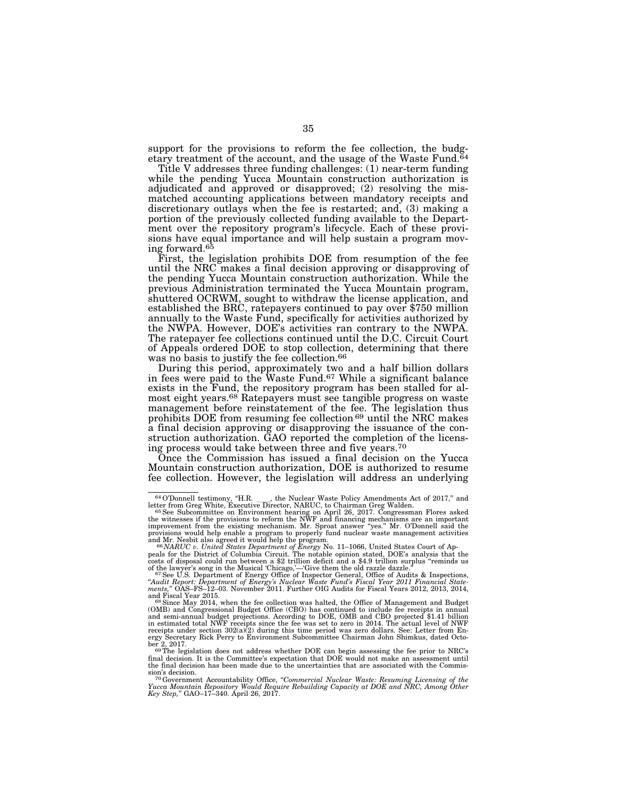support for the provisions to reform the fee collection, the budgetary treatment of the account, and the usage of the Waste Fund.<sup>64</sup>

Title V addresses three funding challenges: (1) near-term funding while the pending Yucca Mountain construction authorization is adjudicated and approved or disapproved; (2) resolving the mismatched accounting applications between mandatory receipts and discretionary outlays when the fee is restarted; and, (3) making a portion of the previously collected funding available to the Department over the repository program's lifecycle. Each of these provisions have equal importance and will help sustain a program moving forward.65

First, the legislation prohibits DOE from resumption of the fee until the NRC makes a final decision approving or disapproving of the pending Yucca Mountain construction authorization. While the previous Administration terminated the Yucca Mountain program, shuttered OCRWM, sought to withdraw the license application, and established the BRC, ratepayers continued to pay over \$750 million annually to the Waste Fund, specifically for activities authorized by the NWPA. However, DOE's activities ran contrary to the NWPA. The ratepayer fee collections continued until the D.C. Circuit Court of Appeals ordered DOE to stop collection, determining that there was no basis to justify the fee collection.<sup>66</sup>

During this period, approximately two and a half billion dollars in fees were paid to the Waste Fund.<sup>67</sup> While a significant balance exists in the Fund, the repository program has been stalled for almost eight years.<sup>68</sup> Ratepayers must see tangible progress on waste management before reinstatement of the fee. The legislation thus prohibits DOE from resuming fee collection 69 until the NRC makes a final decision approving or disapproving the issuance of the construction authorization. GAO reported the completion of the licensing process would take between three and five years.70

Once the Commission has issued a final decision on the Yucca Mountain construction authorization, DOE is authorized to resume fee collection. However, the legislation will address an underlying

<sup>&</sup>lt;sup>64</sup>O'Donnell testimony, "H.R. \_\_\_, the Nuclear Waste Policy Amendments Act of 2017," and letter from Greg White, Executive Director, NARUC, to Chairman Greg Walden.<br><sup>65</sup>See Subcommittee on Environment hearing on April 26 provisions would help enable a program to properly fund nuclear waste management activities<br>and Mr. Nesbit also agreed it would help the program.<br> $^{66}$ *NARUC v. United States Department of Energy* No. 11–1066, United Sta

costs of disposal could run between a \$2 trillion deficit and a \$4.9 trillion surplus ''reminds us

of the lawyer's song in the Musical 'Chicago,'—'Give them the old razzle dazzle."<br>"See U.S. Department of Energy Office of Inspector General, Office of Audits & Inspections,<br>"Audit Report: Department of Energy's Nuclear Wa

and Fiscal Year 2015.<br><sup>68</sup>Since May 2014, when the fee collection was halted, the Office of Management and Budget<br>(OMB) and Congressional Budget Office (CBO) has continued to include fee receipts in annual and semi-annual budget projections. According to DOE, OMB and CBO projected \$1.41 billion<br>in estimated total NWF receipts since the fee was set to zero in 2014. The actual level of NWF<br>receipts under section 302(a)(2) duri ergy Secretary Rick Perry to Environment Subcommittee Chairman John Shimkus, dated Octo-<br>ber 2, 2017.<br><sup>69</sup>The legislation does not address whether DOE can begin assessing the fee prior to NRC's

final decision. It is the Committee's expectation that DOE would not make an assessment until the final decision has been made due to the uncertainties that are associated with the Commis-

sion's decision.<br><sup>770</sup>Government Accountability Office, "Commercial Nuclear Waste: Resuming Licensing of the<br>Yucca Mountain Repository Would Require Rebuilding Capacity at DOE and NRC, Among Other<br>Key Step," GAO–17–340. Ap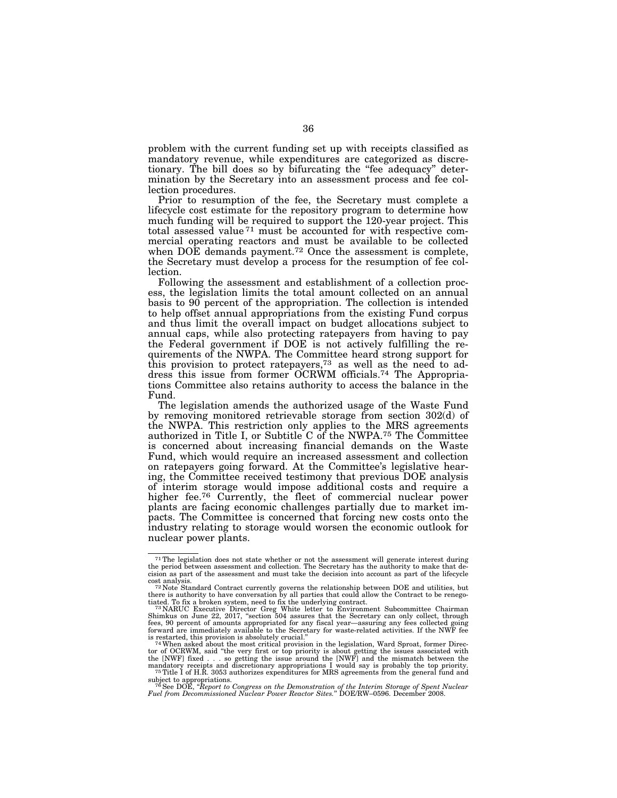problem with the current funding set up with receipts classified as mandatory revenue, while expenditures are categorized as discretionary. The bill does so by bifurcating the ''fee adequacy'' determination by the Secretary into an assessment process and fee collection procedures.

Prior to resumption of the fee, the Secretary must complete a lifecycle cost estimate for the repository program to determine how much funding will be required to support the 120-year project. This total assessed value 71 must be accounted for with respective commercial operating reactors and must be available to be collected when DOE demands payment.<sup>72</sup> Once the assessment is complete, the Secretary must develop a process for the resumption of fee collection.

Following the assessment and establishment of a collection process, the legislation limits the total amount collected on an annual basis to 90 percent of the appropriation. The collection is intended to help offset annual appropriations from the existing Fund corpus and thus limit the overall impact on budget allocations subject to annual caps, while also protecting ratepayers from having to pay the Federal government if DOE is not actively fulfilling the requirements of the NWPA. The Committee heard strong support for this provision to protect ratepayers,73 as well as the need to address this issue from former OCRWM officials.74 The Appropriations Committee also retains authority to access the balance in the Fund.

The legislation amends the authorized usage of the Waste Fund by removing monitored retrievable storage from section 302(d) of the NWPA. This restriction only applies to the MRS agreements authorized in Title I, or Subtitle C of the NWPA.<sup>75</sup> The Committee is concerned about increasing financial demands on the Waste Fund, which would require an increased assessment and collection on ratepayers going forward. At the Committee's legislative hearing, the Committee received testimony that previous DOE analysis of interim storage would impose additional costs and require a higher fee.<sup>76</sup> Currently, the fleet of commercial nuclear power plants are facing economic challenges partially due to market impacts. The Committee is concerned that forcing new costs onto the industry relating to storage would worsen the economic outlook for nuclear power plants.

<sup>&</sup>lt;sup>71</sup>The legislation does not state whether or not the assessment will generate interest during the period between assessment and collection. The Secretary has the authority to make that decision as part of the assessment and must take the decision into account as part of the lifecycle

<sup>&</sup>lt;sup>72</sup> Note Standard Contract currently governs the relationship between DOE and utilities, but

there is authority to have conversation by all parties that could allow the Contract to be renegotiated. To fix the contenent pred to fix the underlying contract.<br>  $\frac{73}{N}NARUC$  Executive Director Greg White letter to Env

is restarted, this provision is absolutely crucial."<br>
<sup>74</sup>When asked about the most critical provision in the legislation, Ward Sproat, former Direc-<br>
<sup>74</sup>When asked about the most critical provision is about getting the

subject to appropriations.<br><sup>76</sup>See DOE, '*Report to Congress on the Demonstration of the Interim Storage of Spent Nuclear<br><i>Fuel from Decommissioned Nuclear Power Reactor Sites.'*' DOE/RW–0596. December 2008.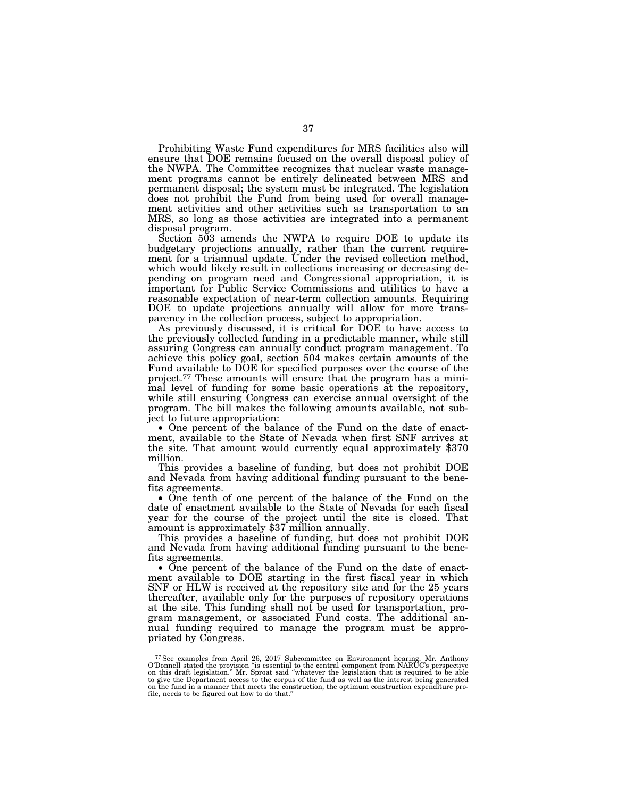Prohibiting Waste Fund expenditures for MRS facilities also will ensure that DOE remains focused on the overall disposal policy of the NWPA. The Committee recognizes that nuclear waste management programs cannot be entirely delineated between MRS and permanent disposal; the system must be integrated. The legislation does not prohibit the Fund from being used for overall management activities and other activities such as transportation to an MRS, so long as those activities are integrated into a permanent disposal program.

Section 503 amends the NWPA to require DOE to update its budgetary projections annually, rather than the current requirement for a triannual update. Under the revised collection method, which would likely result in collections increasing or decreasing depending on program need and Congressional appropriation, it is important for Public Service Commissions and utilities to have a reasonable expectation of near-term collection amounts. Requiring DOE to update projections annually will allow for more transparency in the collection process, subject to appropriation.

As previously discussed, it is critical for DOE to have access to the previously collected funding in a predictable manner, while still assuring Congress can annually conduct program management. To achieve this policy goal, section 504 makes certain amounts of the Fund available to DOE for specified purposes over the course of the project.77 These amounts will ensure that the program has a minimal level of funding for some basic operations at the repository, while still ensuring Congress can exercise annual oversight of the program. The bill makes the following amounts available, not subject to future appropriation:

• One percent of the balance of the Fund on the date of enactment, available to the State of Nevada when first SNF arrives at the site. That amount would currently equal approximately \$370 million.

This provides a baseline of funding, but does not prohibit DOE and Nevada from having additional funding pursuant to the benefits agreements.

• One tenth of one percent of the balance of the Fund on the date of enactment available to the State of Nevada for each fiscal year for the course of the project until the site is closed. That amount is approximately \$37 million annually.

This provides a baseline of funding, but does not prohibit DOE and Nevada from having additional funding pursuant to the benefits agreements.

• One percent of the balance of the Fund on the date of enactment available to DOE starting in the first fiscal year in which SNF or HLW is received at the repository site and for the 25 years thereafter, available only for the purposes of repository operations at the site. This funding shall not be used for transportation, program management, or associated Fund costs. The additional annual funding required to manage the program must be appropriated by Congress.

 $^{77}$  See examples from April 26, 2017 Subcommittee on Environment hearing. Mr. Anthony O'Donnell stated the provision "is essential to the central component from NARUC's perspective on this draft legislation." Mr. Sproa to give the Department access to the corpus of the fund as well as the interest being generated<br>on the fund in a manner that meets the construction, the optimum construction expenditure pro-<br>file, needs to be figured out h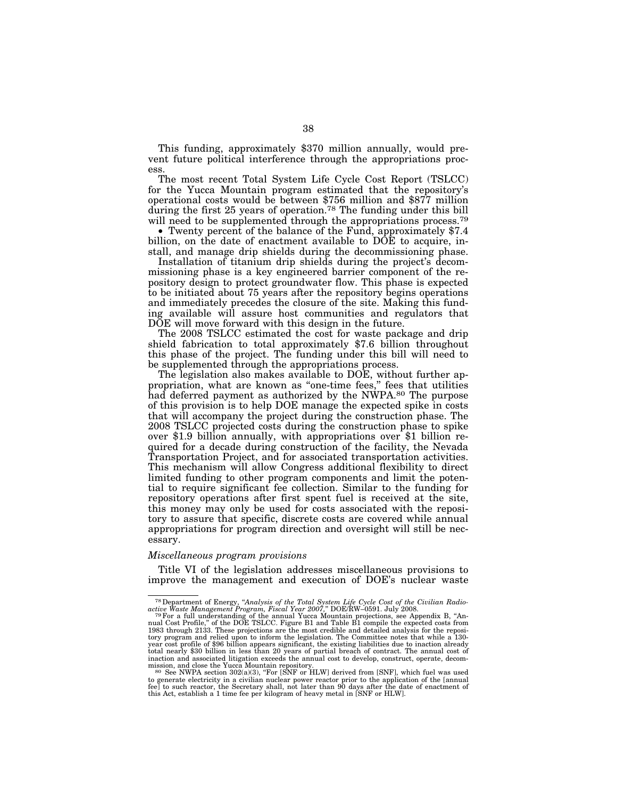This funding, approximately \$370 million annually, would prevent future political interference through the appropriations process.

The most recent Total System Life Cycle Cost Report (TSLCC) for the Yucca Mountain program estimated that the repository's operational costs would be between \$756 million and \$877 million during the first 25 years of operation.78 The funding under this bill will need to be supplemented through the appropriations process.<sup>79</sup>

• Twenty percent of the balance of the Fund, approximately \$7.4 billion, on the date of enactment available to DOE to acquire, install, and manage drip shields during the decommissioning phase.

Installation of titanium drip shields during the project's decommissioning phase is a key engineered barrier component of the repository design to protect groundwater flow. This phase is expected to be initiated about 75 years after the repository begins operations and immediately precedes the closure of the site. Making this funding available will assure host communities and regulators that DOE will move forward with this design in the future.

The 2008 TSLCC estimated the cost for waste package and drip shield fabrication to total approximately \$7.6 billion throughout this phase of the project. The funding under this bill will need to be supplemented through the appropriations process.

The legislation also makes available to DOE, without further appropriation, what are known as ''one-time fees,'' fees that utilities had deferred payment as authorized by the NWPA.<sup>80</sup> The purpose of this provision is to help DOE manage the expected spike in costs that will accompany the project during the construction phase. The 2008 TSLCC projected costs during the construction phase to spike over \$1.9 billion annually, with appropriations over \$1 billion required for a decade during construction of the facility, the Nevada Transportation Project, and for associated transportation activities. This mechanism will allow Congress additional flexibility to direct limited funding to other program components and limit the potential to require significant fee collection. Similar to the funding for repository operations after first spent fuel is received at the site, this money may only be used for costs associated with the repository to assure that specific, discrete costs are covered while annual appropriations for program direction and oversight will still be necessary.

#### *Miscellaneous program provisions*

Title VI of the legislation addresses miscellaneous provisions to improve the management and execution of DOE's nuclear waste

<sup>&</sup>lt;sup>78</sup> Department of Energy, "Analysis of the Total System Life Cycle Cost of the Civilian Radio-<br>active Waste Management Program, Fiscal Year 2007," DOE/RW-0591. July 2008.

active Waste Management Program, Fiscal Year 2007," DOE/RW-0591. July 2008.<br><sup>79</sup>For a full understanding of the annual Yucca Mountain projections, see Appendix B, "Annual Cost Profile," of the DOE TSLCC. Figure B1 and Tabl tory program and relied upon to inform the legislation. The Committee notes that while a 130-<br>year cost profile of \$96 billion appears significant, the existing liabilities due to inaction already<br>total nearly \$30 billion inaction and associated litigation exceeds the annual cost to develop, construct, operate, decommission, and close the Yucca Mountain repository.<br><sup>80</sup> See NWPA section 302(a)(3), "For [SNF or HLW] derived from [SNF], which fuel was used

to generate electricity in a civilian nuclear power reactor prior to the application of the [annual<br>fee] to such reactor, the Secretary shall, not later than 90 days after the date of enactment of<br>this Act, establish a 1 t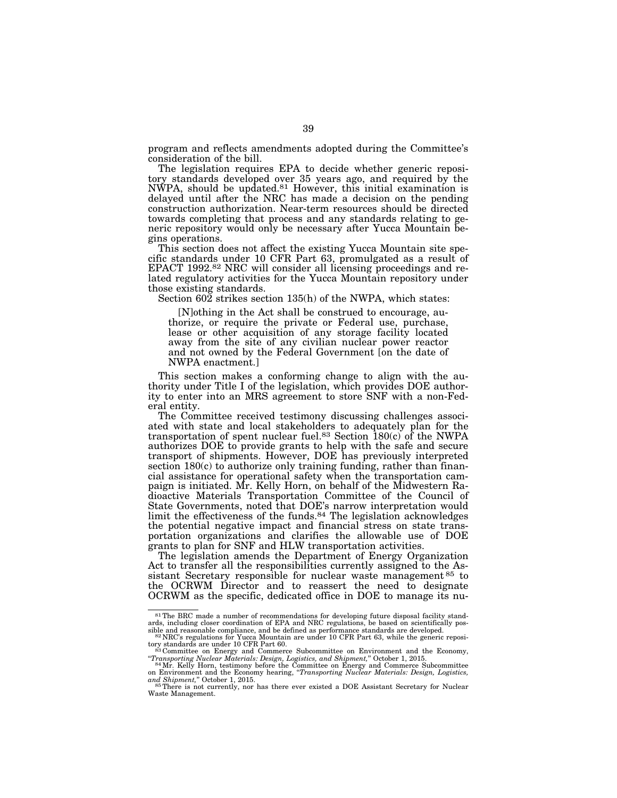program and reflects amendments adopted during the Committee's consideration of the bill.

The legislation requires EPA to decide whether generic repository standards developed over 35 years ago, and required by the NWPA, should be updated.81 However, this initial examination is delayed until after the NRC has made a decision on the pending construction authorization. Near-term resources should be directed towards completing that process and any standards relating to generic repository would only be necessary after Yucca Mountain begins operations.

This section does not affect the existing Yucca Mountain site specific standards under 10 CFR Part 63, promulgated as a result of EPACT 1992.82 NRC will consider all licensing proceedings and related regulatory activities for the Yucca Mountain repository under those existing standards.

Section  $60\overline{2}$  strikes section  $135(h)$  of the NWPA, which states:

[N]othing in the Act shall be construed to encourage, authorize, or require the private or Federal use, purchase, lease or other acquisition of any storage facility located away from the site of any civilian nuclear power reactor and not owned by the Federal Government [on the date of NWPA enactment.]

This section makes a conforming change to align with the authority under Title I of the legislation, which provides DOE authority to enter into an MRS agreement to store SNF with a non-Federal entity.

The Committee received testimony discussing challenges associated with state and local stakeholders to adequately plan for the transportation of spent nuclear fuel.83 Section 180(c) of the NWPA authorizes DOE to provide grants to help with the safe and secure transport of shipments. However, DOE has previously interpreted section 180(c) to authorize only training funding, rather than financial assistance for operational safety when the transportation campaign is initiated. Mr. Kelly Horn, on behalf of the Midwestern Radioactive Materials Transportation Committee of the Council of State Governments, noted that DOE's narrow interpretation would limit the effectiveness of the funds.<sup>84</sup> The legislation acknowledges the potential negative impact and financial stress on state transportation organizations and clarifies the allowable use of DOE grants to plan for SNF and HLW transportation activities.

The legislation amends the Department of Energy Organization Act to transfer all the responsibilities currently assigned to the Assistant Secretary responsible for nuclear waste management 85 to the OCRWM Director and to reassert the need to designate OCRWM as the specific, dedicated office in DOE to manage its nu-

<sup>&</sup>lt;sup>81</sup>The BRC made a number of recommendations for developing future disposal facility stand-<br>ards, including closer coordination of EPA and NRC regulations, be based on scientifically pos-

sible and reasonable compliance, and be defined as performance standards are under 10 CFR Part 63, while the generic repository standards are under 10 CFR Part 60.<br><sup>83</sup> Committee on Energy and Commerce Subcommittee on Envi

tory standards are under 10 CFR Part 60.<br><sup>83</sup> Committee on Energy and Commerce Subcommittee on Environment and the Economy,<br><sup>84</sup> Mr. Kelly Horn, testimony before the Committee on Energy and Commerce Subcommittee<br><sup>84</sup> Mr. K

*and Shipment*,<sup>33</sup> October 1, 2015.<br>
<sup>85</sup>There is not currently, nor has there ever existed a DOE Assistant Secretary for Nuclear

Waste Management.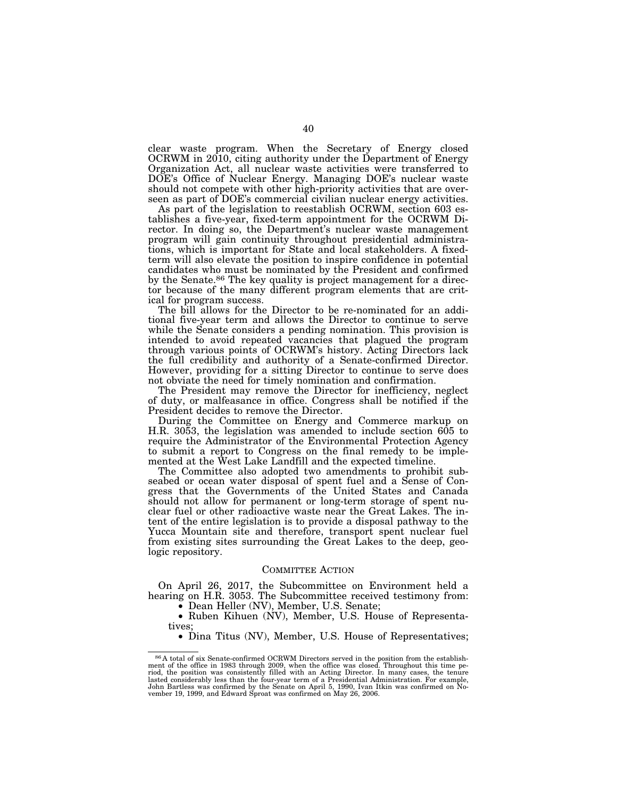clear waste program. When the Secretary of Energy closed OCRWM in 2010, citing authority under the Department of Energy Organization Act, all nuclear waste activities were transferred to DOE's Office of Nuclear Energy. Managing DOE's nuclear waste should not compete with other high-priority activities that are overseen as part of DOE's commercial civilian nuclear energy activities.

As part of the legislation to reestablish OCRWM, section 603 establishes a five-year, fixed-term appointment for the OCRWM Director. In doing so, the Department's nuclear waste management program will gain continuity throughout presidential administrations, which is important for State and local stakeholders. A fixedterm will also elevate the position to inspire confidence in potential candidates who must be nominated by the President and confirmed by the Senate.<sup>86</sup> The key quality is project management for a director because of the many different program elements that are critical for program success.

The bill allows for the Director to be re-nominated for an additional five-year term and allows the Director to continue to serve while the Senate considers a pending nomination. This provision is intended to avoid repeated vacancies that plagued the program through various points of OCRWM's history. Acting Directors lack the full credibility and authority of a Senate-confirmed Director. However, providing for a sitting Director to continue to serve does not obviate the need for timely nomination and confirmation.

The President may remove the Director for inefficiency, neglect of duty, or malfeasance in office. Congress shall be notified if the President decides to remove the Director.

During the Committee on Energy and Commerce markup on H.R. 3053, the legislation was amended to include section 605 to require the Administrator of the Environmental Protection Agency to submit a report to Congress on the final remedy to be implemented at the West Lake Landfill and the expected timeline.

The Committee also adopted two amendments to prohibit subseabed or ocean water disposal of spent fuel and a Sense of Congress that the Governments of the United States and Canada should not allow for permanent or long-term storage of spent nuclear fuel or other radioactive waste near the Great Lakes. The intent of the entire legislation is to provide a disposal pathway to the Yucca Mountain site and therefore, transport spent nuclear fuel from existing sites surrounding the Great Lakes to the deep, geologic repository.

# COMMITTEE ACTION

On April 26, 2017, the Subcommittee on Environment held a hearing on H.R. 3053. The Subcommittee received testimony from:

• Dean Heller (NV), Member, U.S. Senate;

• Ruben Kihuen (NV), Member, U.S. House of Representatives;

• Dina Titus (NV), Member, U.S. House of Representatives;

 $86$  A total of six Senate-confirmed OCRWM Directors served in the position from the establishment of the office in 1983 through 2009, when the office was closed. Throughout this time period, the position was consistently lasted considerably less than the four-year term of a Presidential Administration. For example,<br>John Bartless was confirmed by the Senate on April 5, 1990, Ivan Itkin was confirmed on No-<br>vember 19, 1999, and Edward Sproat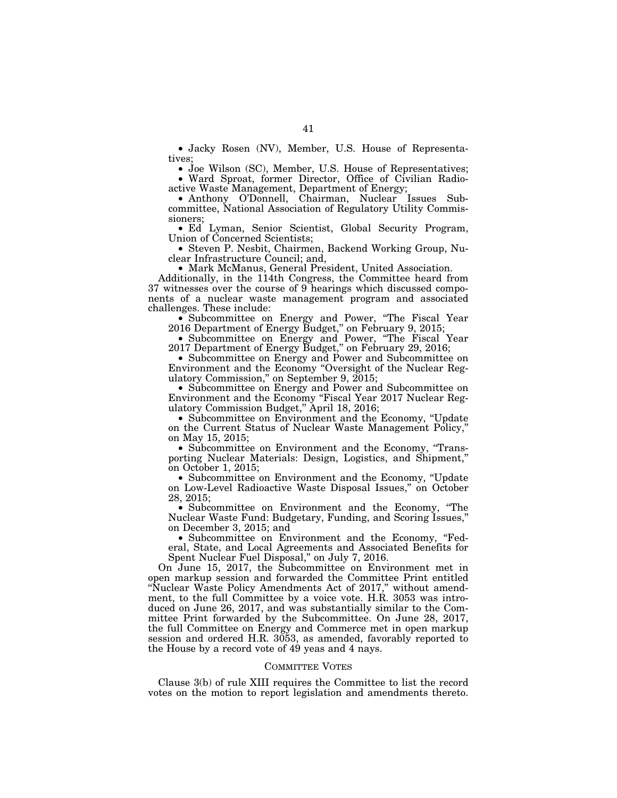• Jacky Rosen (NV), Member, U.S. House of Representatives;<br>• Joe Wilson (SC), Member, U.S. House of Representatives;

• Ward Sproat, former Director, Office of Civilian Radioactive Waste Management, Department of Energy;

• Anthony O'Donnell, Chairman, Nuclear Issues Subcommittee, National Association of Regulatory Utility Commissioners;

• Ed Lyman, Senior Scientist, Global Security Program, Union of Concerned Scientists;

• Steven P. Nesbit, Chairmen, Backend Working Group, Nuclear Infrastructure Council; and,

• Mark McManus, General President, United Association.

Additionally, in the 114th Congress, the Committee heard from 37 witnesses over the course of 9 hearings which discussed components of a nuclear waste management program and associated challenges. These include:

• Subcommittee on Energy and Power, ''The Fiscal Year 2016 Department of Energy Budget,'' on February 9, 2015;

• Subcommittee on Energy and Power, ''The Fiscal Year 2017 Department of Energy Budget," on February 29, 2016;

• Subcommittee on Energy and Power and Subcommittee on Environment and the Economy ''Oversight of the Nuclear Regulatory Commission," on September 9, 2015;

• Subcommittee on Energy and Power and Subcommittee on Environment and the Economy ''Fiscal Year 2017 Nuclear Regulatory Commission Budget,'' April 18, 2016;

• Subcommittee on Environment and the Economy, ''Update on the Current Status of Nuclear Waste Management Policy,'' on May 15, 2015;

• Subcommittee on Environment and the Economy, "Transporting Nuclear Materials: Design, Logistics, and Shipment,'' on October 1, 2015;

• Subcommittee on Environment and the Economy, "Update on Low-Level Radioactive Waste Disposal Issues,'' on October 28, 2015;

• Subcommittee on Environment and the Economy, ''The Nuclear Waste Fund: Budgetary, Funding, and Scoring Issues,'' on December 3, 2015; and

• Subcommittee on Environment and the Economy, ''Federal, State, and Local Agreements and Associated Benefits for Spent Nuclear Fuel Disposal,'' on July 7, 2016.

On June 15, 2017, the Subcommittee on Environment met in open markup session and forwarded the Committee Print entitled ''Nuclear Waste Policy Amendments Act of 2017,'' without amendment, to the full Committee by a voice vote. H.R. 3053 was introduced on June 26, 2017, and was substantially similar to the Committee Print forwarded by the Subcommittee. On June 28, 2017, the full Committee on Energy and Commerce met in open markup session and ordered H.R. 3053, as amended, favorably reported to the House by a record vote of 49 yeas and 4 nays.

## COMMITTEE VOTES

Clause 3(b) of rule XIII requires the Committee to list the record votes on the motion to report legislation and amendments thereto.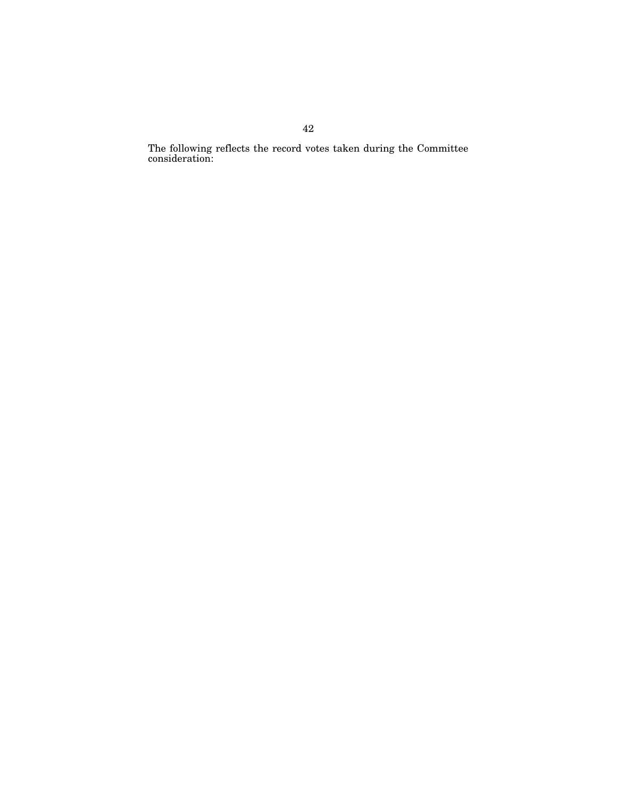The following reflects the record votes taken during the Committee consideration: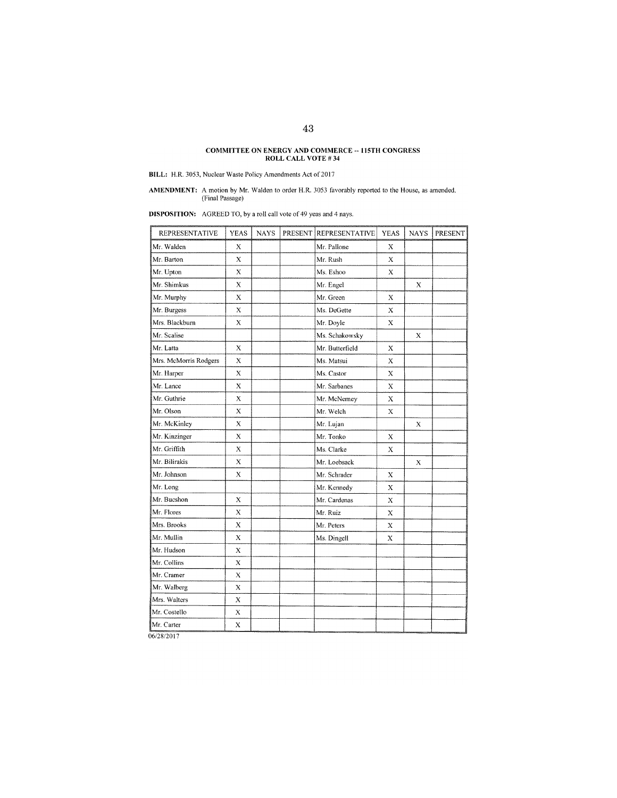# **COMMITTEE ON ENERGY AND COMMERCE-- I 15TH CONGRESS ROLL CALL VOTE# 34**

**BILL:** H.R. 3053, Nuclear Waste Policy Amendments Act of 2017

**AMENDMENT:** A motion by Mr. Walden to order H.R. 3053 favorably reported to the House, as amended. (Final Passage)

**DISPOSITION:** AGREED TO, by a roll call vote of 49 yeas and 4 nays.

| <b>REPRESENTATIVE</b> | <b>YEAS</b>  | <b>NAYS</b> | PRESENT REPRESENTATIVE | <b>YEAS</b> | <b>NAYS</b> | PRESENT |
|-----------------------|--------------|-------------|------------------------|-------------|-------------|---------|
| Mr. Walden            | X            |             | Mr. Pallone            | X           |             |         |
| Mr. Barton            | X            |             | Mr. Rush               | X           |             |         |
| Mr. Upton             | X            |             | Ms. Eshoo              | X           |             |         |
| Mr. Shimkus           | X            |             | Mr. Engel              |             | X           |         |
| Mr. Murphy            | X            |             | Mr. Green              | х           |             |         |
| Mr. Burgess           | X            |             | Ms. DeGette            | X           |             |         |
| Mrs. Blackburn        | $\mathbf{x}$ |             | Mr. Doyle              | X           |             |         |
| Mr. Scalise           |              |             | Ms. Schakowsky         |             | X           |         |
| Mr. Latta             | X            |             | Mr. Butterfield        | X           |             |         |
| Mrs. McMorris Rodgers | X            |             | Ms. Matsui             | X           |             |         |
| Mr. Harper            | X            |             | Ms. Castor             | X           |             |         |
| Mr. Lance             | X            |             | Mr. Sarbanes           | X           |             |         |
| Mr. Guthrie           | X            |             | Mr. McNerney           | X           |             |         |
| Mr. Olson             | X            |             | Mr. Welch              | Х           |             |         |
| Mr. McKinley          | Х            |             | Mr. Lujan              |             | X           |         |
| Mr. Kinzinger         | X            |             | Mr. Tonko              | X           |             |         |
| Mr. Griffith          | X            |             | Ms. Clarke             | X           |             |         |
| Mr. Bilirakis         | Х            |             | Mr. Loebsack           |             | X           |         |
| Mr. Johnson           | $\bf{X}$     |             | Mr. Schrader           | X           |             |         |
| Mr. Long              |              |             | Mr. Kennedy            | X           |             |         |
| Mr. Bucshon           | X            |             | Mr. Cardenas           | X           |             |         |
| Mr. Flores            | X            |             | Mr. Ruiz               | X           |             |         |
| Mrs. Brooks           | X            |             | Mr. Peters             | X           |             |         |
| Mr. Mullin            | Х            |             | Ms. Dingell            | Х           |             |         |
| Mr. Hudson            | X            |             |                        |             |             |         |
| Mr. Collins           | X            |             |                        |             |             |         |
| Mr. Cramer            | X            |             |                        |             |             |         |
| Mr. Walberg           | $\mathbf X$  |             |                        |             |             |         |
| Mrs. Walters          | X            |             |                        |             |             |         |
| Mr. Costello          | $\mathbf x$  |             |                        |             |             |         |
| Mr. Carter            | $\mathbf x$  |             |                        |             |             |         |

06/28/20!7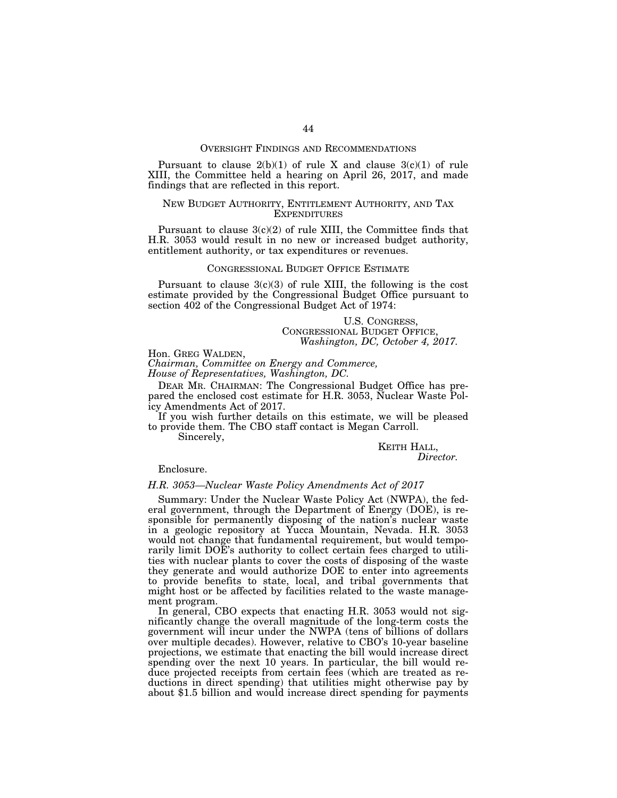#### OVERSIGHT FINDINGS AND RECOMMENDATIONS

Pursuant to clause  $2(b)(1)$  of rule X and clause  $3(c)(1)$  of rule XIII, the Committee held a hearing on April 26, 2017, and made findings that are reflected in this report.

## NEW BUDGET AUTHORITY, ENTITLEMENT AUTHORITY, AND TAX **EXPENDITURES**

Pursuant to clause  $3(c)(2)$  of rule XIII, the Committee finds that H.R. 3053 would result in no new or increased budget authority, entitlement authority, or tax expenditures or revenues.

## CONGRESSIONAL BUDGET OFFICE ESTIMATE

Pursuant to clause  $3(c)(3)$  of rule XIII, the following is the cost estimate provided by the Congressional Budget Office pursuant to section 402 of the Congressional Budget Act of 1974:

> U.S. CONGRESS, CONGRESSIONAL BUDGET OFFICE, *Washington, DC, October 4, 2017.*

Hon. GREG WALDEN,

*Chairman, Committee on Energy and Commerce, House of Representatives, Washington, DC.* 

DEAR MR. CHAIRMAN: The Congressional Budget Office has prepared the enclosed cost estimate for H.R. 3053, Nuclear Waste Policy Amendments Act of 2017.

If you wish further details on this estimate, we will be pleased to provide them. The CBO staff contact is Megan Carroll.

Sincerely,

KEITH HALL, *Director.* 

## Enclosure.

#### *H.R. 3053—Nuclear Waste Policy Amendments Act of 2017*

Summary: Under the Nuclear Waste Policy Act (NWPA), the federal government, through the Department of Energy (DOE), is responsible for permanently disposing of the nation's nuclear waste in a geologic repository at Yucca Mountain, Nevada. H.R. 3053 would not change that fundamental requirement, but would temporarily limit DOE's authority to collect certain fees charged to utilities with nuclear plants to cover the costs of disposing of the waste they generate and would authorize DOE to enter into agreements to provide benefits to state, local, and tribal governments that might host or be affected by facilities related to the waste management program.

In general, CBO expects that enacting H.R. 3053 would not significantly change the overall magnitude of the long-term costs the government will incur under the NWPA (tens of billions of dollars over multiple decades). However, relative to CBO's 10-year baseline projections, we estimate that enacting the bill would increase direct spending over the next 10 years. In particular, the bill would reduce projected receipts from certain fees (which are treated as reductions in direct spending) that utilities might otherwise pay by about \$1.5 billion and would increase direct spending for payments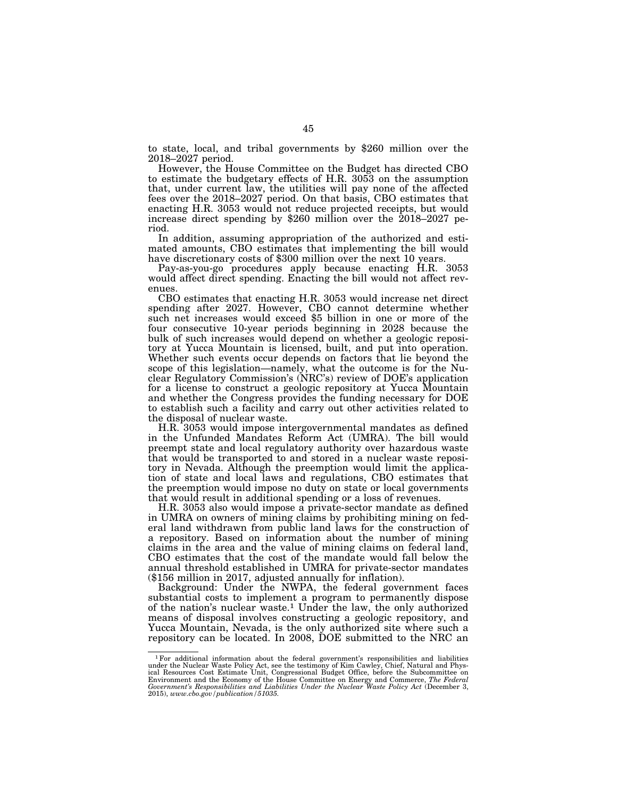to state, local, and tribal governments by \$260 million over the 2018–2027 period.

However, the House Committee on the Budget has directed CBO to estimate the budgetary effects of H.R. 3053 on the assumption that, under current law, the utilities will pay none of the affected fees over the 2018–2027 period. On that basis, CBO estimates that enacting H.R. 3053 would not reduce projected receipts, but would increase direct spending by \$260 million over the 2018–2027 period.

In addition, assuming appropriation of the authorized and estimated amounts, CBO estimates that implementing the bill would have discretionary costs of \$300 million over the next 10 years.

Pay-as-you-go procedures apply because enacting H.R. 3053 would affect direct spending. Enacting the bill would not affect revenues.

CBO estimates that enacting H.R. 3053 would increase net direct spending after 2027. However, CBO cannot determine whether such net increases would exceed \$5 billion in one or more of the four consecutive 10-year periods beginning in 2028 because the bulk of such increases would depend on whether a geologic repository at Yucca Mountain is licensed, built, and put into operation. Whether such events occur depends on factors that lie beyond the scope of this legislation—namely, what the outcome is for the Nuclear Regulatory Commission's (NRC's) review of DOE's application for a license to construct a geologic repository at Yucca Mountain and whether the Congress provides the funding necessary for DOE to establish such a facility and carry out other activities related to the disposal of nuclear waste.

H.R. 3053 would impose intergovernmental mandates as defined in the Unfunded Mandates Reform Act (UMRA). The bill would preempt state and local regulatory authority over hazardous waste that would be transported to and stored in a nuclear waste repository in Nevada. Although the preemption would limit the application of state and local laws and regulations, CBO estimates that the preemption would impose no duty on state or local governments that would result in additional spending or a loss of revenues.

H.R. 3053 also would impose a private-sector mandate as defined in UMRA on owners of mining claims by prohibiting mining on federal land withdrawn from public land laws for the construction of a repository. Based on information about the number of mining claims in the area and the value of mining claims on federal land, CBO estimates that the cost of the mandate would fall below the annual threshold established in UMRA for private-sector mandates (\$156 million in 2017, adjusted annually for inflation).

Background: Under the NWPA, the federal government faces substantial costs to implement a program to permanently dispose of the nation's nuclear waste.1 Under the law, the only authorized means of disposal involves constructing a geologic repository, and Yucca Mountain, Nevada, is the only authorized site where such a repository can be located. In 2008, DOE submitted to the NRC an

 $1$  For additional information about the federal government's responsibilities and liabilities under the Nuclear Waste Policy Act, see the testimony of Kim Cawley, Chief, Natural and Physical Resources Cost Estimate Unit, Environment and the Economy of the House Committee on Energy and Commerce, *The Federal Government's Responsibilities and Liabilities Under the Nuclear Waste Policy Act* (December 3, 2015), *www.cbo.gov/publication/51035.*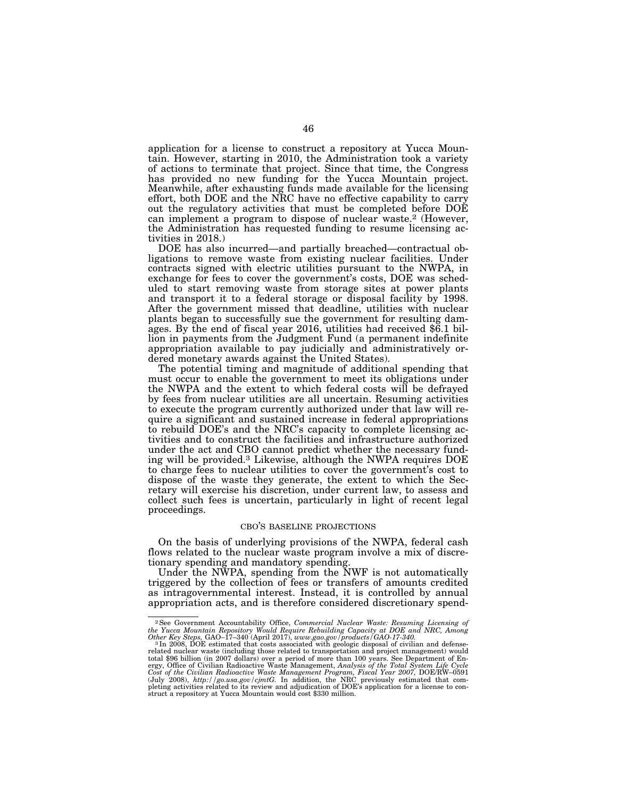application for a license to construct a repository at Yucca Mountain. However, starting in 2010, the Administration took a variety of actions to terminate that project. Since that time, the Congress has provided no new funding for the Yucca Mountain project. Meanwhile, after exhausting funds made available for the licensing effort, both DOE and the NRC have no effective capability to carry out the regulatory activities that must be completed before DOE can implement a program to dispose of nuclear waste.2 (However, the Administration has requested funding to resume licensing activities in 2018.)

DOE has also incurred—and partially breached—contractual obligations to remove waste from existing nuclear facilities. Under contracts signed with electric utilities pursuant to the NWPA, in exchange for fees to cover the government's costs, DOE was scheduled to start removing waste from storage sites at power plants and transport it to a federal storage or disposal facility by 1998. After the government missed that deadline, utilities with nuclear plants began to successfully sue the government for resulting damages. By the end of fiscal year 2016, utilities had received \$6.1 billion in payments from the Judgment Fund (a permanent indefinite appropriation available to pay judicially and administratively ordered monetary awards against the United States).

The potential timing and magnitude of additional spending that must occur to enable the government to meet its obligations under the NWPA and the extent to which federal costs will be defrayed by fees from nuclear utilities are all uncertain. Resuming activities to execute the program currently authorized under that law will require a significant and sustained increase in federal appropriations to rebuild DOE's and the NRC's capacity to complete licensing activities and to construct the facilities and infrastructure authorized under the act and CBO cannot predict whether the necessary funding will be provided.3 Likewise, although the NWPA requires DOE to charge fees to nuclear utilities to cover the government's cost to dispose of the waste they generate, the extent to which the Secretary will exercise his discretion, under current law, to assess and collect such fees is uncertain, particularly in light of recent legal proceedings.

## CBO'S BASELINE PROJECTIONS

On the basis of underlying provisions of the NWPA, federal cash flows related to the nuclear waste program involve a mix of discretionary spending and mandatory spending.

Under the NWPA, spending from the NWF is not automatically triggered by the collection of fees or transfers of amounts credited as intragovernmental interest. Instead, it is controlled by annual appropriation acts, and is therefore considered discretionary spend-

<sup>2</sup>See Government Accountability Office, *Commercial Nuclear Waste: Resuming Licensing of the Yucca Mountain Repository Would Require Rebuilding Capacity at DOE and NRC, Among* 

*Other Key Steps,* GAO–17–340 (April 2017), www.gao.gov/products/GAO-17-340.<br><sup>31</sup>In 2008, DOE estimated that costs associated with geologic disposal of civilian and defense-<br>related nuclear waste (including those related t total \$96 billion (in 2007 dollars) over a period of more than 100 years. See Department of Energy, Office of Civilian Radioactive Waste Management, Analysis of the Coidic Cost of the Civilian Radioactive Waste Management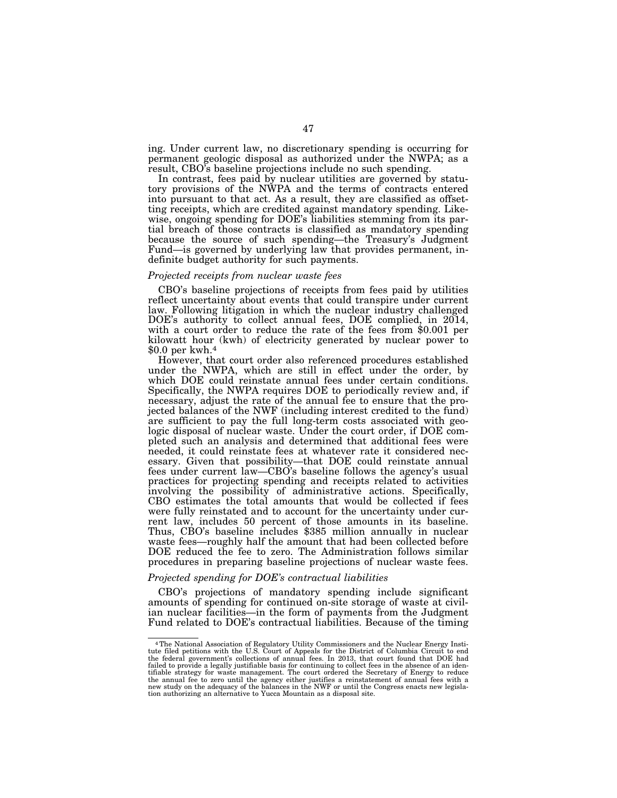ing. Under current law, no discretionary spending is occurring for permanent geologic disposal as authorized under the NWPA; as a result, CBO's baseline projections include no such spending.

In contrast, fees paid by nuclear utilities are governed by statutory provisions of the NWPA and the terms of contracts entered into pursuant to that act. As a result, they are classified as offsetting receipts, which are credited against mandatory spending. Likewise, ongoing spending for DOE's liabilities stemming from its partial breach of those contracts is classified as mandatory spending because the source of such spending—the Treasury's Judgment Fund—is governed by underlying law that provides permanent, indefinite budget authority for such payments.

## *Projected receipts from nuclear waste fees*

CBO's baseline projections of receipts from fees paid by utilities reflect uncertainty about events that could transpire under current law. Following litigation in which the nuclear industry challenged DOE's authority to collect annual fees, DOE complied, in 2014, with a court order to reduce the rate of the fees from \$0.001 per kilowatt hour (kwh) of electricity generated by nuclear power to \$0.0 per kwh.4

However, that court order also referenced procedures established under the NWPA, which are still in effect under the order, by which DOE could reinstate annual fees under certain conditions. Specifically, the NWPA requires DOE to periodically review and, if necessary, adjust the rate of the annual fee to ensure that the projected balances of the NWF (including interest credited to the fund) are sufficient to pay the full long-term costs associated with geologic disposal of nuclear waste. Under the court order, if DOE completed such an analysis and determined that additional fees were needed, it could reinstate fees at whatever rate it considered necessary. Given that possibility—that DOE could reinstate annual fees under current law—CBO's baseline follows the agency's usual practices for projecting spending and receipts related to activities involving the possibility of administrative actions. Specifically, CBO estimates the total amounts that would be collected if fees were fully reinstated and to account for the uncertainty under current law, includes 50 percent of those amounts in its baseline. Thus, CBO's baseline includes \$385 million annually in nuclear waste fees—roughly half the amount that had been collected before DOE reduced the fee to zero. The Administration follows similar procedures in preparing baseline projections of nuclear waste fees.

## *Projected spending for DOE's contractual liabilities*

CBO's projections of mandatory spending include significant amounts of spending for continued on-site storage of waste at civilian nuclear facilities—in the form of payments from the Judgment Fund related to DOE's contractual liabilities. Because of the timing

<sup>4</sup>The National Association of Regulatory Utility Commissioners and the Nuclear Energy Insti-tute filed petitions with the U.S. Court of Appeals for the District of Columbia Circuit to end the federal government's collections of annual fees. In 2013, that court found that DOE had<br>failed to provide a legally justifiable basis for continuing to collect fees in the absence of an iden-<br>tifiable strategy for wast the annual fee to zero until the agency either justifies a reinstatement of annual fees with a new study on the adequacy of the balances in the NWF or until the Congress enacts new legislation authorizing an alternative to Yucca Mountain as a disposal site.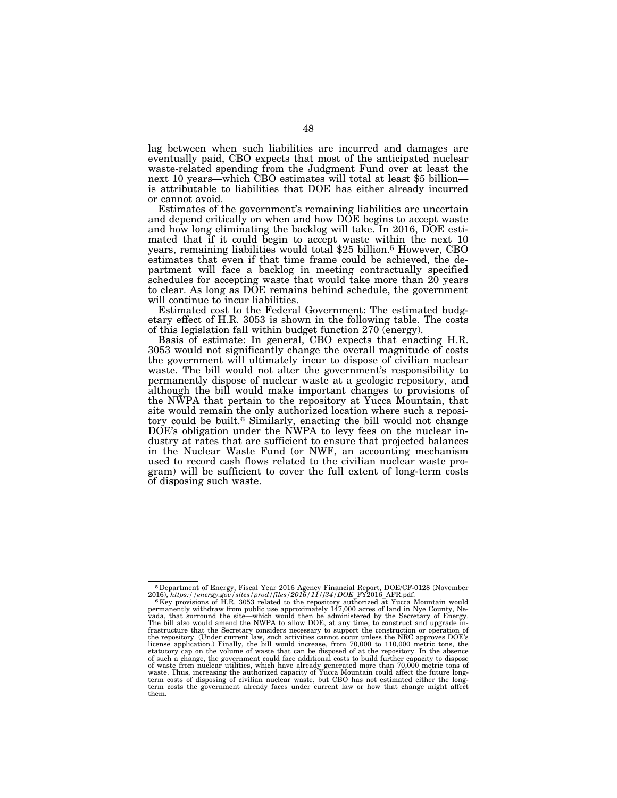lag between when such liabilities are incurred and damages are eventually paid, CBO expects that most of the anticipated nuclear waste-related spending from the Judgment Fund over at least the next 10 years—which CBO estimates will total at least \$5 billion is attributable to liabilities that DOE has either already incurred or cannot avoid.

Estimates of the government's remaining liabilities are uncertain and depend critically on when and how DOE begins to accept waste and how long eliminating the backlog will take. In 2016, DOE estimated that if it could begin to accept waste within the next 10 years, remaining liabilities would total \$25 billion.<sup>5</sup> However, CBO estimates that even if that time frame could be achieved, the department will face a backlog in meeting contractually specified schedules for accepting waste that would take more than 20 years to clear. As long as DOE remains behind schedule, the government will continue to incur liabilities.

Estimated cost to the Federal Government: The estimated budgetary effect of H.R. 3053 is shown in the following table. The costs of this legislation fall within budget function 270 (energy).

Basis of estimate: In general, CBO expects that enacting H.R. 3053 would not significantly change the overall magnitude of costs the government will ultimately incur to dispose of civilian nuclear waste. The bill would not alter the government's responsibility to permanently dispose of nuclear waste at a geologic repository, and although the bill would make important changes to provisions of the NWPA that pertain to the repository at Yucca Mountain, that site would remain the only authorized location where such a repository could be built.<sup>6</sup> Similarly, enacting the bill would not change DOE's obligation under the NWPA to levy fees on the nuclear industry at rates that are sufficient to ensure that projected balances in the Nuclear Waste Fund (or NWF, an accounting mechanism used to record cash flows related to the civilian nuclear waste program) will be sufficient to cover the full extent of long-term costs of disposing such waste.

<sup>5</sup>Department of Energy, Fiscal Year 2016 Agency Financial Report, DOE/CF-0128 (November

<sup>2016),</sup> *https://energy.gov/sites/prod/files/2016/11/f34/DOE* FY2016\_AFR.pdf.<br><sup>6</sup> Key provisions of H.R. 3053 related to the repository authorized at Yucca Mountain would<br>permanently withdraw from public use approximately 1 vada, that surround the site—which would then be administered by the Secretary of Energy.<br>The bill also would amend the NWPA to allow DOE, at any time, to construct and upgrade in-<br>frastructure that the Secretary considers the repository. (Under current law, such activities cannot occur unless the NRC approves DOE's<br>license application.) Finally, the bill would increase, from 70,000 to 110,000 metric tons, the<br>statutory cap on the volume of of such a change, the government could face additional costs to build further capacity to dispose<br>of waste from nuclear utilities, which have already generated more than 70,000 metric tons of<br>waste. Thus, increasing the au term costs of disposing of civilian nuclear waste, but CBO has not estimated either the long-term costs the government already faces under current law or how that change might affect them.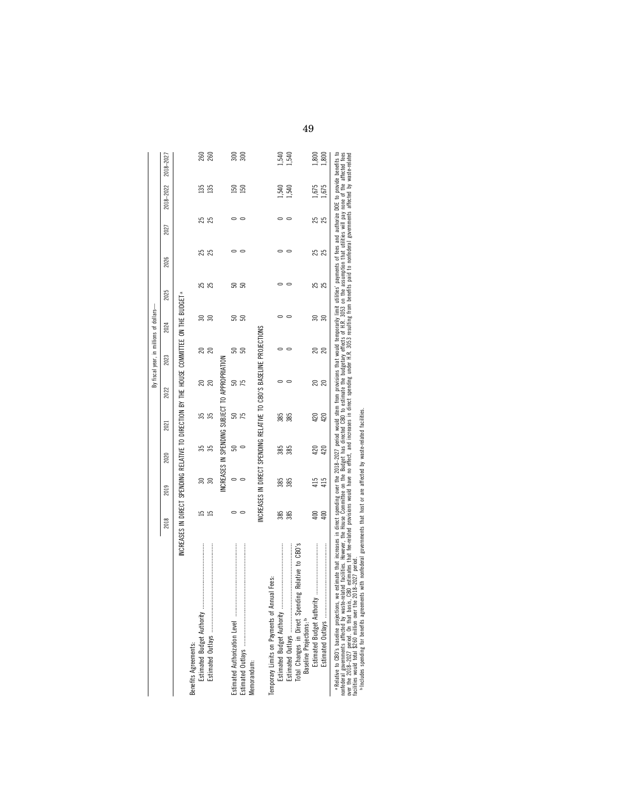|                                                                                                                                                                                                                                |                                                                                           |      |      |                                                                     |              | By fiscal year, in millions of dollars— |                 |          |                    |           |                     |           |
|--------------------------------------------------------------------------------------------------------------------------------------------------------------------------------------------------------------------------------|-------------------------------------------------------------------------------------------|------|------|---------------------------------------------------------------------|--------------|-----------------------------------------|-----------------|----------|--------------------|-----------|---------------------|-----------|
|                                                                                                                                                                                                                                | 2018                                                                                      | 2019 | 2020 | 2021                                                                | 2022         | 2023                                    | 2024            | 2025     | 2026               | 2027      | 2018-2022           | 2018-2027 |
|                                                                                                                                                                                                                                | INCREASES IN DIRECT SPENDING RELATIVE TO DIRECTION BY THE HOUSE COMMITTEE ON THE BUDGET a |      |      |                                                                     |              |                                         |                 |          |                    |           |                     |           |
| Benefits Agreements:                                                                                                                                                                                                           |                                                                                           |      |      |                                                                     |              |                                         |                 |          |                    |           |                     |           |
|                                                                                                                                                                                                                                | 15                                                                                        | ౾    | ౘ    | ౘ                                                                   | ຂ            | ສ                                       | ౢ               |          |                    |           | 135                 | 260       |
|                                                                                                                                                                                                                                | $\overline{15}$                                                                           | నె   | ೫    | 35                                                                  | 20           | 20                                      | $\overline{30}$ | 25<br>25 | 25<br>25           | ස<br>ස    | 135                 | 260       |
|                                                                                                                                                                                                                                |                                                                                           |      |      | INCREASES IN SPENDING SUBJECT TO APPROPRIATION                      |              |                                         |                 |          |                    |           |                     |           |
|                                                                                                                                                                                                                                |                                                                                           |      | ິລ   | 50                                                                  | ິລ           | ິລ                                      | 50              | ິລ       |                    |           | $^{150}$            | 300       |
| Memorandum:                                                                                                                                                                                                                    | $\circ$                                                                                   |      |      | 75                                                                  | 75           | S                                       | 50              | 50       | $\circ$            |           | 150                 | 300       |
|                                                                                                                                                                                                                                |                                                                                           |      |      | INCREASES IN DIRECT SPENDING RELATIVE TO CBO'S BASELINE PROJECTIONS |              |                                         |                 |          |                    |           |                     |           |
| Temporary Limits on Payments of Annual Fees:                                                                                                                                                                                   |                                                                                           |      |      |                                                                     |              |                                         |                 |          |                    |           |                     |           |
|                                                                                                                                                                                                                                | 385                                                                                       | 385  | 385  | 385                                                                 |              |                                         |                 |          |                    |           |                     | 540       |
|                                                                                                                                                                                                                                | 385                                                                                       | 385  | 385  | 385                                                                 |              | ⊂                                       | C               | $\circ$  | $\mathbf{\subset}$ |           | 1,540<br>0<br>1,540 | 540       |
| Total Changes in Direct Spending Relative to CBO's<br>Baseline Projections: b                                                                                                                                                  |                                                                                           |      |      |                                                                     |              |                                         |                 |          |                    |           |                     |           |
|                                                                                                                                                                                                                                |                                                                                           |      |      |                                                                     |              |                                         |                 |          |                    |           |                     |           |
|                                                                                                                                                                                                                                | 400                                                                                       | 415  | 420  | 420                                                                 | $\approx$    | ຂ                                       | $\overline{30}$ | 25       | 25                 | <b>25</b> | 1,675               | 1,800     |
|                                                                                                                                                                                                                                | 400                                                                                       | 415  | 420  | 420                                                                 | $\mathbb{S}$ | 20                                      | $\overline{30}$ | 25       | 25                 |           | 1,675               | 800       |
| a Relative to CBO's baseline projections, we estimate that increases in direct spending over the 2013-2027 period would stem from provisions that would temporarily limit utilities' payments of fees and authorize DOE to pro |                                                                                           |      |      |                                                                     |              |                                         |                 |          |                    |           |                     |           |

nontedeal governous affected by waste, held failies. However, the Huse Committee of the following the structure of the committee of the committee of the structure of the 2012-2027 pend. On that bass, CBO estimates that the nonfederal governments affected by waste-related facilities. However, the House Committee on the Budget has onlogetary effects of H.R. 3053 on the assumption that utilities will pay none of the affected fees over the 2018-2027 period. On that basis, CBO estimates that fee-relates that feed provisions would have no died; and increases in direct spending under H.R. 3053 resulting from benefits paid to nonfederal governments affe

facilities would total \$260 million over the 2018–2027 period.<br><sup>b</sup> Includes spending for benefits agreements with nonfederal governments that host or are affected by waste-related facilities.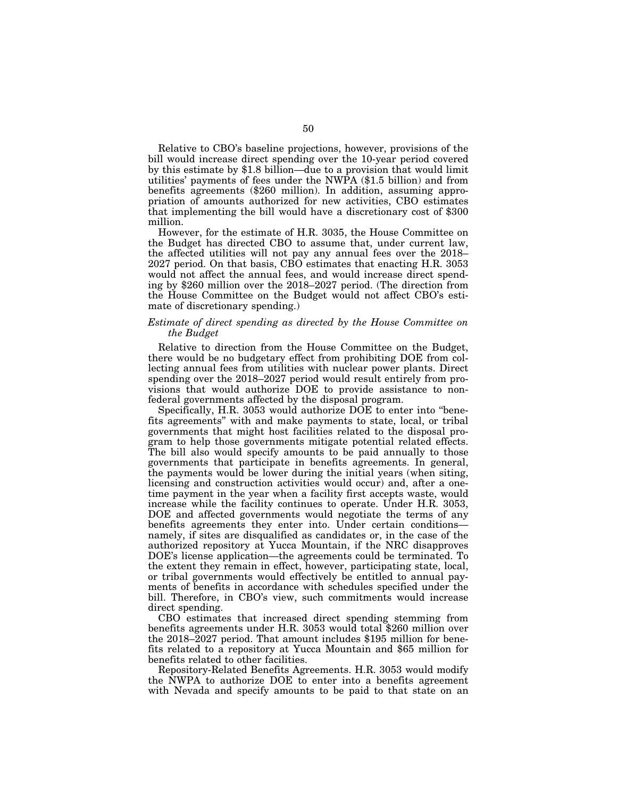Relative to CBO's baseline projections, however, provisions of the bill would increase direct spending over the 10-year period covered by this estimate by \$1.8 billion—due to a provision that would limit utilities' payments of fees under the NWPA (\$1.5 billion) and from benefits agreements (\$260 million). In addition, assuming appropriation of amounts authorized for new activities, CBO estimates that implementing the bill would have a discretionary cost of \$300 million.

However, for the estimate of H.R. 3035, the House Committee on the Budget has directed CBO to assume that, under current law, the affected utilities will not pay any annual fees over the 2018– 2027 period. On that basis, CBO estimates that enacting H.R. 3053 would not affect the annual fees, and would increase direct spending by \$260 million over the 2018–2027 period. (The direction from the House Committee on the Budget would not affect CBO's estimate of discretionary spending.)

# *Estimate of direct spending as directed by the House Committee on the Budget*

Relative to direction from the House Committee on the Budget, there would be no budgetary effect from prohibiting DOE from collecting annual fees from utilities with nuclear power plants. Direct spending over the 2018–2027 period would result entirely from provisions that would authorize DOE to provide assistance to nonfederal governments affected by the disposal program.

Specifically, H.R. 3053 would authorize DOE to enter into "benefits agreements'' with and make payments to state, local, or tribal governments that might host facilities related to the disposal program to help those governments mitigate potential related effects. The bill also would specify amounts to be paid annually to those governments that participate in benefits agreements. In general, the payments would be lower during the initial years (when siting, licensing and construction activities would occur) and, after a onetime payment in the year when a facility first accepts waste, would increase while the facility continues to operate. Under H.R. 3053, DOE and affected governments would negotiate the terms of any benefits agreements they enter into. Under certain conditions namely, if sites are disqualified as candidates or, in the case of the authorized repository at Yucca Mountain, if the NRC disapproves DOE's license application—the agreements could be terminated. To the extent they remain in effect, however, participating state, local, or tribal governments would effectively be entitled to annual payments of benefits in accordance with schedules specified under the bill. Therefore, in CBO's view, such commitments would increase direct spending.

CBO estimates that increased direct spending stemming from benefits agreements under H.R. 3053 would total \$260 million over the 2018–2027 period. That amount includes \$195 million for benefits related to a repository at Yucca Mountain and \$65 million for benefits related to other facilities.

Repository-Related Benefits Agreements. H.R. 3053 would modify the NWPA to authorize DOE to enter into a benefits agreement with Nevada and specify amounts to be paid to that state on an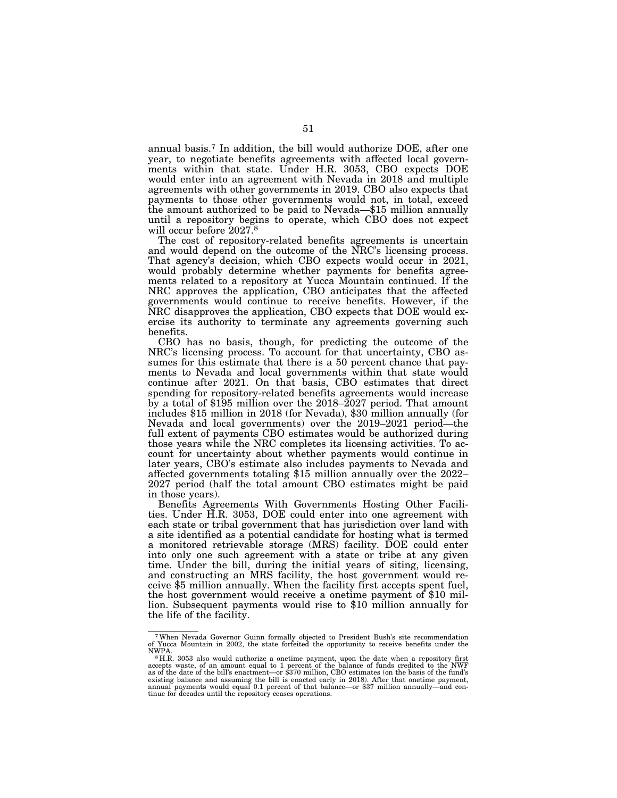annual basis.7 In addition, the bill would authorize DOE, after one year, to negotiate benefits agreements with affected local governments within that state. Under H.R. 3053, CBO expects DOE would enter into an agreement with Nevada in 2018 and multiple agreements with other governments in 2019. CBO also expects that payments to those other governments would not, in total, exceed the amount authorized to be paid to Nevada—\$15 million annually until a repository begins to operate, which CBO does not expect will occur before 2027.<sup>8</sup>

The cost of repository-related benefits agreements is uncertain and would depend on the outcome of the NRC's licensing process. That agency's decision, which CBO expects would occur in 2021, would probably determine whether payments for benefits agreements related to a repository at Yucca Mountain continued. If the NRC approves the application, CBO anticipates that the affected governments would continue to receive benefits. However, if the NRC disapproves the application, CBO expects that DOE would exercise its authority to terminate any agreements governing such benefits.

CBO has no basis, though, for predicting the outcome of the NRC's licensing process. To account for that uncertainty, CBO assumes for this estimate that there is a 50 percent chance that payments to Nevada and local governments within that state would continue after 2021. On that basis, CBO estimates that direct spending for repository-related benefits agreements would increase by a total of \$195 million over the 2018–2027 period. That amount includes \$15 million in 2018 (for Nevada), \$30 million annually (for Nevada and local governments) over the 2019–2021 period—the full extent of payments CBO estimates would be authorized during those years while the NRC completes its licensing activities. To account for uncertainty about whether payments would continue in later years, CBO's estimate also includes payments to Nevada and affected governments totaling \$15 million annually over the 2022– 2027 period (half the total amount CBO estimates might be paid in those years).

Benefits Agreements With Governments Hosting Other Facilities. Under H.R. 3053, DOE could enter into one agreement with each state or tribal government that has jurisdiction over land with a site identified as a potential candidate for hosting what is termed a monitored retrievable storage (MRS) facility. DOE could enter into only one such agreement with a state or tribe at any given time. Under the bill, during the initial years of siting, licensing, and constructing an MRS facility, the host government would receive \$5 million annually. When the facility first accepts spent fuel, the host government would receive a onetime payment of \$10 million. Subsequent payments would rise to \$10 million annually for the life of the facility.

<sup>7</sup>When Nevada Governor Guinn formally objected to President Bush's site recommendation of Yucca Mountain in 2002, the state forfeited the opportunity to receive benefits under the

NWPA.<br><sup>8</sup> H.R. 3053 also would authorize a onetime payment, upon the date when a repository first<br>accepts waste, of an amount equal to 1 percent of the balance of funds credited to the NWF<br>as of the date of the bill's enac existing balance and assuming the bill is enacted early in 2018). After that onetime payment, annual payments would equal 0.1 percent of that balance—or \$37 million annually—and continue for decades until the repository ceases operations.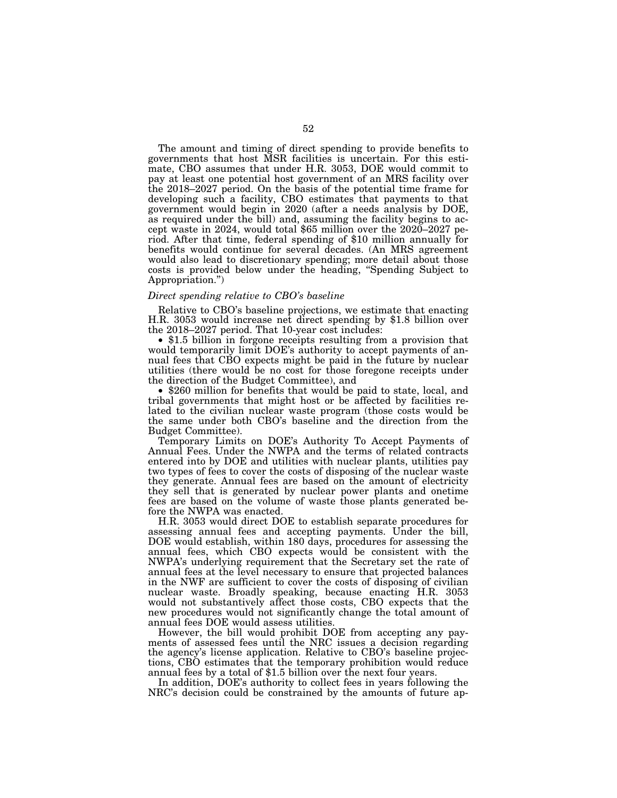The amount and timing of direct spending to provide benefits to governments that host MSR facilities is uncertain. For this estimate, CBO assumes that under H.R. 3053, DOE would commit to pay at least one potential host government of an MRS facility over the 2018–2027 period. On the basis of the potential time frame for developing such a facility, CBO estimates that payments to that government would begin in 2020 (after a needs analysis by DOE, as required under the bill) and, assuming the facility begins to accept waste in 2024, would total \$65 million over the 2020–2027 period. After that time, federal spending of \$10 million annually for benefits would continue for several decades. (An MRS agreement would also lead to discretionary spending; more detail about those costs is provided below under the heading, ''Spending Subject to Appropriation.'')

## *Direct spending relative to CBO's baseline*

Relative to CBO's baseline projections, we estimate that enacting H.R. 3053 would increase net direct spending by \$1.8 billion over the 2018–2027 period. That 10-year cost includes:

• \$1.5 billion in forgone receipts resulting from a provision that would temporarily limit DOE's authority to accept payments of annual fees that CBO expects might be paid in the future by nuclear utilities (there would be no cost for those foregone receipts under the direction of the Budget Committee), and

• \$260 million for benefits that would be paid to state, local, and tribal governments that might host or be affected by facilities related to the civilian nuclear waste program (those costs would be the same under both CBO's baseline and the direction from the Budget Committee).

Temporary Limits on DOE's Authority To Accept Payments of Annual Fees. Under the NWPA and the terms of related contracts entered into by DOE and utilities with nuclear plants, utilities pay two types of fees to cover the costs of disposing of the nuclear waste they generate. Annual fees are based on the amount of electricity they sell that is generated by nuclear power plants and onetime fees are based on the volume of waste those plants generated before the NWPA was enacted.

H.R. 3053 would direct DOE to establish separate procedures for assessing annual fees and accepting payments. Under the bill, DOE would establish, within 180 days, procedures for assessing the annual fees, which CBO expects would be consistent with the NWPA's underlying requirement that the Secretary set the rate of annual fees at the level necessary to ensure that projected balances in the NWF are sufficient to cover the costs of disposing of civilian nuclear waste. Broadly speaking, because enacting H.R. 3053 would not substantively affect those costs, CBO expects that the new procedures would not significantly change the total amount of annual fees DOE would assess utilities.

However, the bill would prohibit DOE from accepting any payments of assessed fees until the NRC issues a decision regarding the agency's license application. Relative to CBO's baseline projections, CBO estimates that the temporary prohibition would reduce annual fees by a total of \$1.5 billion over the next four years.

In addition, DOE's authority to collect fees in years following the NRC's decision could be constrained by the amounts of future ap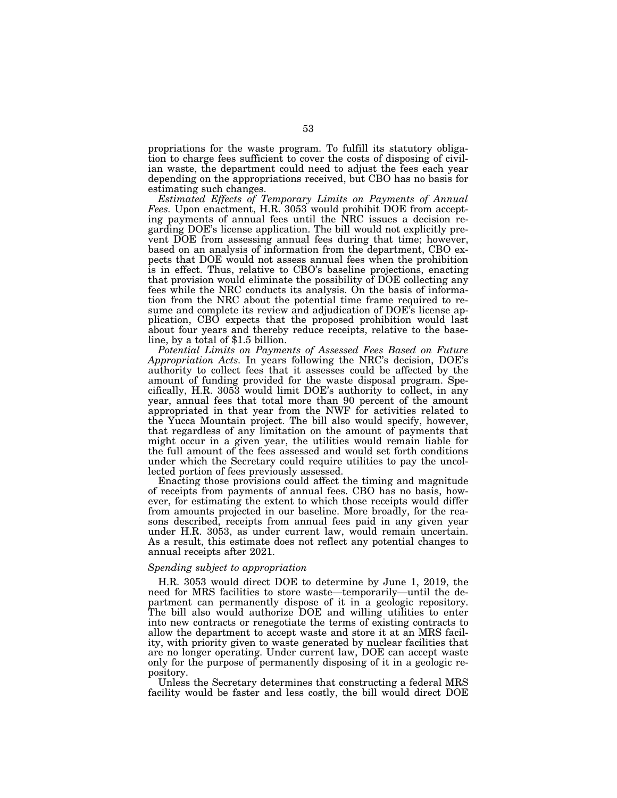propriations for the waste program. To fulfill its statutory obligation to charge fees sufficient to cover the costs of disposing of civilian waste, the department could need to adjust the fees each year depending on the appropriations received, but CBO has no basis for estimating such changes.

*Estimated Effects of Temporary Limits on Payments of Annual Fees.* Upon enactment, H.R. 3053 would prohibit DOE from accepting payments of annual fees until the NRC issues a decision regarding DOE's license application. The bill would not explicitly prevent DOE from assessing annual fees during that time; however, based on an analysis of information from the department, CBO expects that DOE would not assess annual fees when the prohibition is in effect. Thus, relative to CBO's baseline projections, enacting that provision would eliminate the possibility of DOE collecting any fees while the NRC conducts its analysis. On the basis of information from the NRC about the potential time frame required to resume and complete its review and adjudication of DOE's license application, CBO expects that the proposed prohibition would last about four years and thereby reduce receipts, relative to the baseline, by a total of \$1.5 billion.

*Potential Limits on Payments of Assessed Fees Based on Future Appropriation Acts.* In years following the NRC's decision, DOE's authority to collect fees that it assesses could be affected by the amount of funding provided for the waste disposal program. Specifically, H.R. 3053 would limit DOE's authority to collect, in any year, annual fees that total more than 90 percent of the amount appropriated in that year from the NWF for activities related to the Yucca Mountain project. The bill also would specify, however, that regardless of any limitation on the amount of payments that might occur in a given year, the utilities would remain liable for the full amount of the fees assessed and would set forth conditions under which the Secretary could require utilities to pay the uncollected portion of fees previously assessed.

Enacting those provisions could affect the timing and magnitude of receipts from payments of annual fees. CBO has no basis, however, for estimating the extent to which those receipts would differ from amounts projected in our baseline. More broadly, for the reasons described, receipts from annual fees paid in any given year under H.R. 3053, as under current law, would remain uncertain. As a result, this estimate does not reflect any potential changes to annual receipts after 2021.

#### *Spending subject to appropriation*

H.R. 3053 would direct DOE to determine by June 1, 2019, the need for MRS facilities to store waste—temporarily—until the department can permanently dispose of it in a geologic repository. The bill also would authorize DOE and willing utilities to enter into new contracts or renegotiate the terms of existing contracts to allow the department to accept waste and store it at an MRS facility, with priority given to waste generated by nuclear facilities that are no longer operating. Under current law, DOE can accept waste only for the purpose of permanently disposing of it in a geologic repository.

Unless the Secretary determines that constructing a federal MRS facility would be faster and less costly, the bill would direct DOE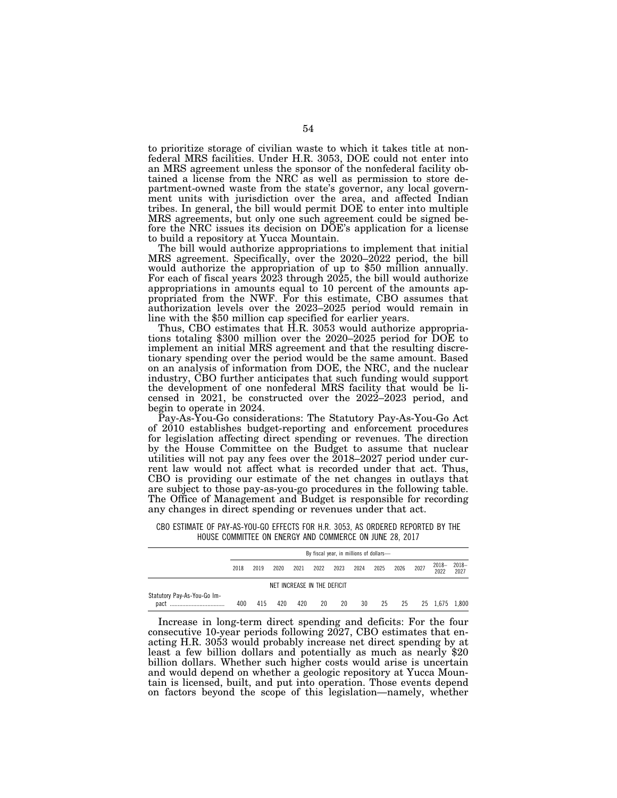to prioritize storage of civilian waste to which it takes title at nonfederal MRS facilities. Under H.R. 3053, DOE could not enter into an MRS agreement unless the sponsor of the nonfederal facility obtained a license from the NRC as well as permission to store department-owned waste from the state's governor, any local government units with jurisdiction over the area, and affected Indian tribes. In general, the bill would permit DOE to enter into multiple MRS agreements, but only one such agreement could be signed before the NRC issues its decision on DOE's application for a license to build a repository at Yucca Mountain.

The bill would authorize appropriations to implement that initial MRS agreement. Specifically, over the 2020–2022 period, the bill would authorize the appropriation of up to \$50 million annually. For each of fiscal years 2023 through 2025, the bill would authorize appropriations in amounts equal to 10 percent of the amounts appropriated from the NWF. For this estimate, CBO assumes that authorization levels over the 2023–2025 period would remain in line with the \$50 million cap specified for earlier years.<br>Thus, CBO estimates that H.R. 3053 would authorize appropria-

tions totaling \$300 million over the 2020–2025 period for DOE to implement an initial MRS agreement and that the resulting discretionary spending over the period would be the same amount. Based on an analysis of information from DOE, the NRC, and the nuclear industry, CBO further anticipates that such funding would support the development of one nonfederal MRS facility that would be licensed in 2021, be constructed over the 2022–2023 period, and begin to operate in 2024.

Pay-As-You-Go considerations: The Statutory Pay-As-You-Go Act of 2010 establishes budget-reporting and enforcement procedures for legislation affecting direct spending or revenues. The direction by the House Committee on the Budget to assume that nuclear utilities will not pay any fees over the  $2018-2027$  period under current law would not affect what is recorded under that act. Thus, CBO is providing our estimate of the net changes in outlays that are subject to those pay-as-you-go procedures in the following table. The Office of Management and Budget is responsible for recording any changes in direct spending or revenues under that act.

|                                     | By fiscal year, in millions of dollars- |      |      |      |                             |      |      |      |      |      |               |                  |
|-------------------------------------|-----------------------------------------|------|------|------|-----------------------------|------|------|------|------|------|---------------|------------------|
|                                     | 2018                                    | 2019 | 2020 | 2021 | 2022                        | 2023 | 2024 | 2025 | 2026 | 2027 | 2018-<br>2022 | $2018 -$<br>2027 |
|                                     |                                         |      |      |      | NET INCREASE IN THE DEFICIT |      |      |      |      |      |               |                  |
| Statutory Pay-As-You-Go Im-<br>pact | 400                                     | 415  | 420  | 420  | 20                          | 20   | 30   | 25   | 25   | 25   | 1,675         | 1.800            |

CBO ESTIMATE OF PAY-AS-YOU-GO EFFECTS FOR H.R. 3053, AS ORDERED REPORTED BY THE HOUSE COMMITTEE ON ENERGY AND COMMERCE ON JUNE 28, 2017

Increase in long-term direct spending and deficits: For the four consecutive 10-year periods following 2027, CBO estimates that enacting H.R. 3053 would probably increase net direct spending by at least a few billion dollars and potentially as much as nearly \$20 billion dollars. Whether such higher costs would arise is uncertain and would depend on whether a geologic repository at Yucca Mountain is licensed, built, and put into operation. Those events depend on factors beyond the scope of this legislation—namely, whether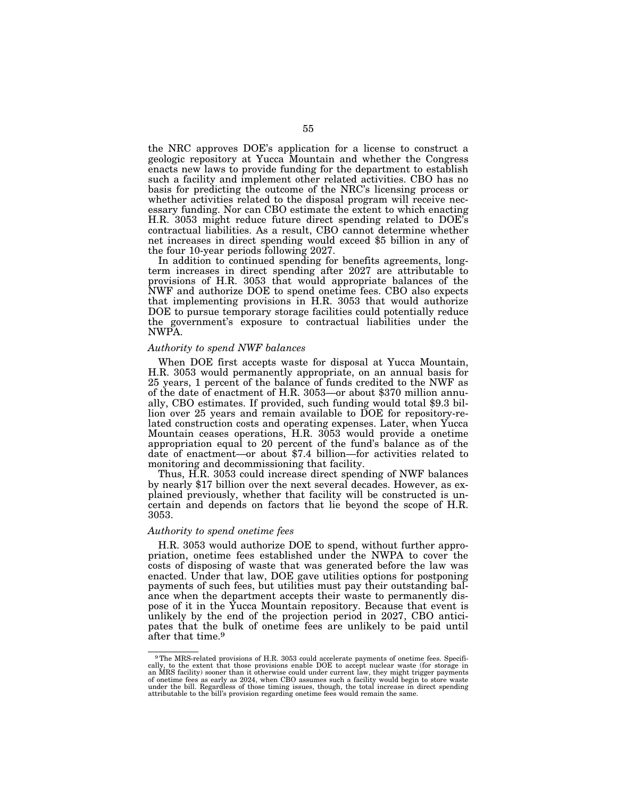the NRC approves DOE's application for a license to construct a geologic repository at Yucca Mountain and whether the Congress enacts new laws to provide funding for the department to establish such a facility and implement other related activities. CBO has no basis for predicting the outcome of the NRC's licensing process or whether activities related to the disposal program will receive necessary funding. Nor can CBO estimate the extent to which enacting H.R. 3053 might reduce future direct spending related to DOE's contractual liabilities. As a result, CBO cannot determine whether net increases in direct spending would exceed \$5 billion in any of the four 10-year periods following 2027.

In addition to continued spending for benefits agreements, longterm increases in direct spending after 2027 are attributable to provisions of H.R. 3053 that would appropriate balances of the NWF and authorize DOE to spend onetime fees. CBO also expects that implementing provisions in H.R. 3053 that would authorize DOE to pursue temporary storage facilities could potentially reduce the government's exposure to contractual liabilities under the NWPA.

#### *Authority to spend NWF balances*

When DOE first accepts waste for disposal at Yucca Mountain, H.R. 3053 would permanently appropriate, on an annual basis for 25 years, 1 percent of the balance of funds credited to the NWF as of the date of enactment of H.R. 3053—or about \$370 million annually, CBO estimates. If provided, such funding would total \$9.3 billion over 25 years and remain available to DOE for repository-related construction costs and operating expenses. Later, when Yucca Mountain ceases operations, H.R. 3053 would provide a onetime appropriation equal to 20 percent of the fund's balance as of the date of enactment—or about \$7.4 billion—for activities related to monitoring and decommissioning that facility.

Thus, H.R. 3053 could increase direct spending of NWF balances by nearly \$17 billion over the next several decades. However, as explained previously, whether that facility will be constructed is uncertain and depends on factors that lie beyond the scope of H.R. 3053.

## *Authority to spend onetime fees*

H.R. 3053 would authorize DOE to spend, without further appropriation, onetime fees established under the NWPA to cover the costs of disposing of waste that was generated before the law was enacted. Under that law, DOE gave utilities options for postponing payments of such fees, but utilities must pay their outstanding balance when the department accepts their waste to permanently dispose of it in the Yucca Mountain repository. Because that event is unlikely by the end of the projection period in 2027, CBO anticipates that the bulk of onetime fees are unlikely to be paid until after that time.<sup>9</sup>

<sup>&</sup>lt;sup>9</sup>The MRS-related provisions of H.R. 3053 could accelerate payments of onetime fees. Specifically, to the extent that those provisions enable DOE to accept nuclear waste (for storage in an MRS facility) sooner than it oth of onetime fees as early as 2024, when CBO assumes such a facility would begin to store waste<br>under the bill. Regardless of those timing issues, though, the total increase in direct spending<br>attributable to the bill's prov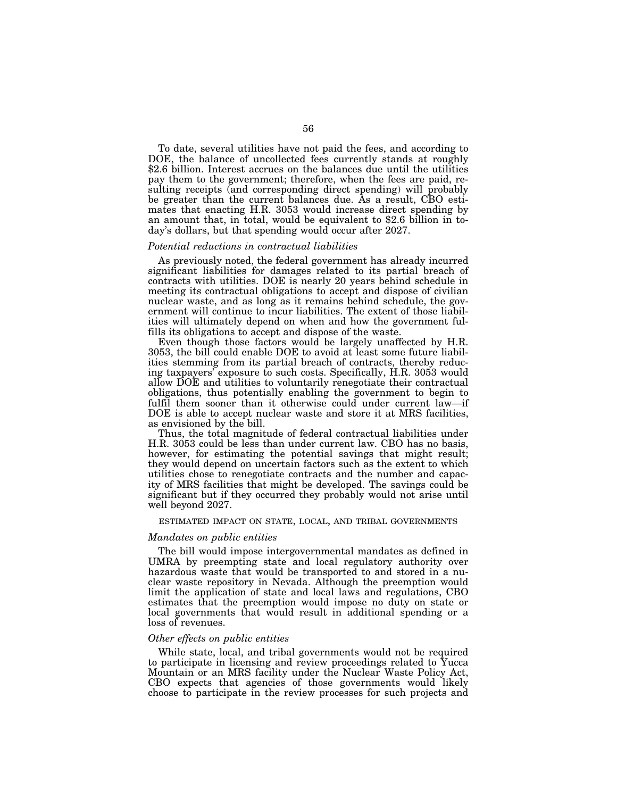To date, several utilities have not paid the fees, and according to DOE, the balance of uncollected fees currently stands at roughly \$2.6 billion. Interest accrues on the balances due until the utilities pay them to the government; therefore, when the fees are paid, resulting receipts (and corresponding direct spending) will probably be greater than the current balances due. As a result, CBO estimates that enacting H.R. 3053 would increase direct spending by an amount that, in total, would be equivalent to \$2.6 billion in today's dollars, but that spending would occur after 2027.

#### *Potential reductions in contractual liabilities*

As previously noted, the federal government has already incurred significant liabilities for damages related to its partial breach of contracts with utilities. DOE is nearly 20 years behind schedule in meeting its contractual obligations to accept and dispose of civilian nuclear waste, and as long as it remains behind schedule, the government will continue to incur liabilities. The extent of those liabilities will ultimately depend on when and how the government fulfills its obligations to accept and dispose of the waste.

Even though those factors would be largely unaffected by H.R. 3053, the bill could enable DOE to avoid at least some future liabilities stemming from its partial breach of contracts, thereby reducing taxpayers' exposure to such costs. Specifically, H.R. 3053 would allow DOE and utilities to voluntarily renegotiate their contractual obligations, thus potentially enabling the government to begin to fulfil them sooner than it otherwise could under current law—if DOE is able to accept nuclear waste and store it at MRS facilities, as envisioned by the bill.

Thus, the total magnitude of federal contractual liabilities under H.R. 3053 could be less than under current law. CBO has no basis, however, for estimating the potential savings that might result; they would depend on uncertain factors such as the extent to which utilities chose to renegotiate contracts and the number and capacity of MRS facilities that might be developed. The savings could be significant but if they occurred they probably would not arise until well beyond 2027.

# ESTIMATED IMPACT ON STATE, LOCAL, AND TRIBAL GOVERNMENTS

## *Mandates on public entities*

The bill would impose intergovernmental mandates as defined in UMRA by preempting state and local regulatory authority over hazardous waste that would be transported to and stored in a nuclear waste repository in Nevada. Although the preemption would limit the application of state and local laws and regulations, CBO estimates that the preemption would impose no duty on state or local governments that would result in additional spending or a loss of revenues.

#### *Other effects on public entities*

While state, local, and tribal governments would not be required to participate in licensing and review proceedings related to Yucca Mountain or an MRS facility under the Nuclear Waste Policy Act, CBO expects that agencies of those governments would likely choose to participate in the review processes for such projects and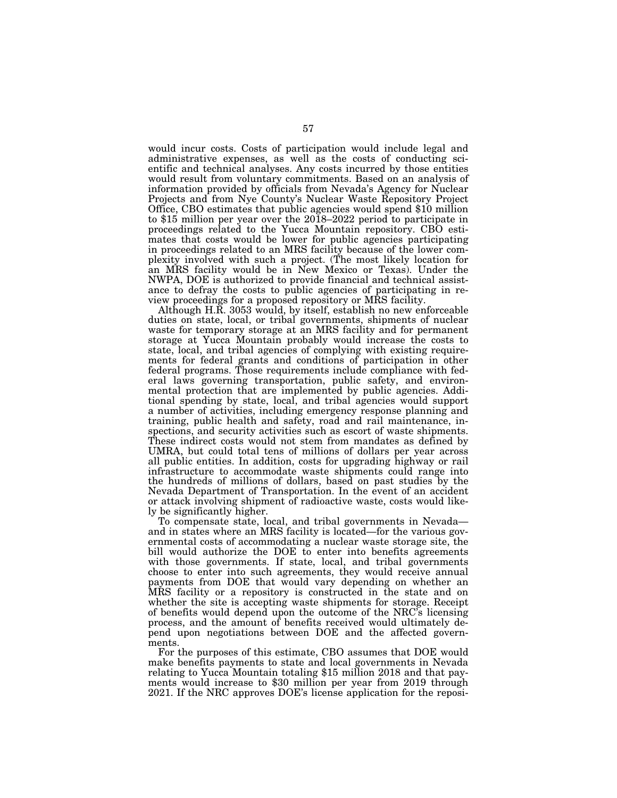would incur costs. Costs of participation would include legal and administrative expenses, as well as the costs of conducting scientific and technical analyses. Any costs incurred by those entities would result from voluntary commitments. Based on an analysis of information provided by officials from Nevada's Agency for Nuclear Projects and from Nye County's Nuclear Waste Repository Project Office, CBO estimates that public agencies would spend \$10 million to \$15 million per year over the 2018–2022 period to participate in proceedings related to the Yucca Mountain repository. CBO estimates that costs would be lower for public agencies participating in proceedings related to an MRS facility because of the lower complexity involved with such a project. (The most likely location for an MRS facility would be in New Mexico or Texas). Under the NWPA, DOE is authorized to provide financial and technical assistance to defray the costs to public agencies of participating in review proceedings for a proposed repository or MRS facility.

Although H.R. 3053 would, by itself, establish no new enforceable duties on state, local, or tribal governments, shipments of nuclear waste for temporary storage at an MRS facility and for permanent storage at Yucca Mountain probably would increase the costs to state, local, and tribal agencies of complying with existing requirements for federal grants and conditions of participation in other federal programs. Those requirements include compliance with federal laws governing transportation, public safety, and environmental protection that are implemented by public agencies. Additional spending by state, local, and tribal agencies would support a number of activities, including emergency response planning and training, public health and safety, road and rail maintenance, inspections, and security activities such as escort of waste shipments. These indirect costs would not stem from mandates as defined by UMRA, but could total tens of millions of dollars per year across all public entities. In addition, costs for upgrading highway or rail infrastructure to accommodate waste shipments could range into the hundreds of millions of dollars, based on past studies by the Nevada Department of Transportation. In the event of an accident or attack involving shipment of radioactive waste, costs would likely be significantly higher.

To compensate state, local, and tribal governments in Nevada and in states where an MRS facility is located—for the various governmental costs of accommodating a nuclear waste storage site, the bill would authorize the DOE to enter into benefits agreements with those governments. If state, local, and tribal governments choose to enter into such agreements, they would receive annual payments from DOE that would vary depending on whether an MRS facility or a repository is constructed in the state and on whether the site is accepting waste shipments for storage. Receipt of benefits would depend upon the outcome of the NRC's licensing process, and the amount of benefits received would ultimately depend upon negotiations between DOE and the affected governments.

For the purposes of this estimate, CBO assumes that DOE would make benefits payments to state and local governments in Nevada relating to Yucca Mountain totaling \$15 million 2018 and that payments would increase to \$30 million per year from 2019 through 2021. If the NRC approves DOE's license application for the reposi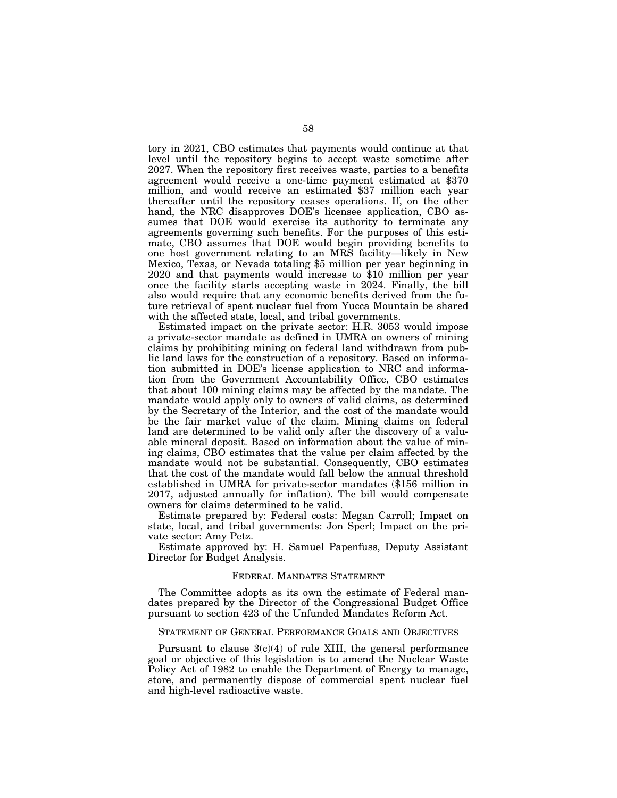tory in 2021, CBO estimates that payments would continue at that level until the repository begins to accept waste sometime after 2027. When the repository first receives waste, parties to a benefits agreement would receive a one-time payment estimated at \$370 million, and would receive an estimated \$37 million each year thereafter until the repository ceases operations. If, on the other hand, the NRC disapproves DOE's licensee application, CBO assumes that DOE would exercise its authority to terminate any agreements governing such benefits. For the purposes of this estimate, CBO assumes that DOE would begin providing benefits to one host government relating to an MRS facility—likely in New Mexico, Texas, or Nevada totaling \$5 million per year beginning in 2020 and that payments would increase to \$10 million per year once the facility starts accepting waste in 2024. Finally, the bill also would require that any economic benefits derived from the future retrieval of spent nuclear fuel from Yucca Mountain be shared with the affected state, local, and tribal governments.

Estimated impact on the private sector: H.R. 3053 would impose a private-sector mandate as defined in UMRA on owners of mining claims by prohibiting mining on federal land withdrawn from public land laws for the construction of a repository. Based on information submitted in DOE's license application to NRC and information from the Government Accountability Office, CBO estimates that about 100 mining claims may be affected by the mandate. The mandate would apply only to owners of valid claims, as determined by the Secretary of the Interior, and the cost of the mandate would be the fair market value of the claim. Mining claims on federal land are determined to be valid only after the discovery of a valuable mineral deposit. Based on information about the value of mining claims, CBO estimates that the value per claim affected by the mandate would not be substantial. Consequently, CBO estimates that the cost of the mandate would fall below the annual threshold established in UMRA for private-sector mandates (\$156 million in 2017, adjusted annually for inflation). The bill would compensate owners for claims determined to be valid.

Estimate prepared by: Federal costs: Megan Carroll; Impact on state, local, and tribal governments: Jon Sperl; Impact on the private sector: Amy Petz.

Estimate approved by: H. Samuel Papenfuss, Deputy Assistant Director for Budget Analysis.

#### FEDERAL MANDATES STATEMENT

The Committee adopts as its own the estimate of Federal mandates prepared by the Director of the Congressional Budget Office pursuant to section 423 of the Unfunded Mandates Reform Act.

## STATEMENT OF GENERAL PERFORMANCE GOALS AND OBJECTIVES

Pursuant to clause  $3(c)(4)$  of rule XIII, the general performance goal or objective of this legislation is to amend the Nuclear Waste Policy Act of 1982 to enable the Department of Energy to manage, store, and permanently dispose of commercial spent nuclear fuel and high-level radioactive waste.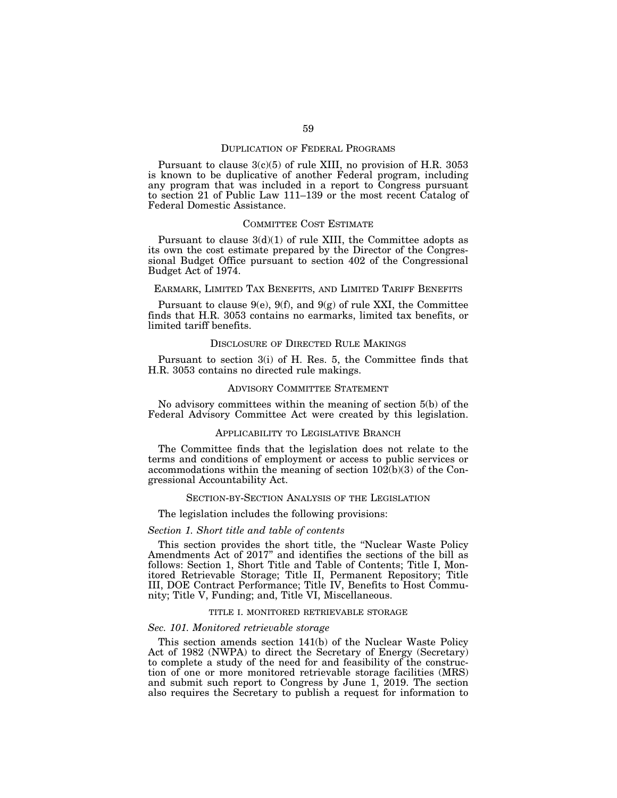#### DUPLICATION OF FEDERAL PROGRAMS

Pursuant to clause 3(c)(5) of rule XIII, no provision of H.R. 3053 is known to be duplicative of another Federal program, including any program that was included in a report to Congress pursuant to section 21 of Public Law 111–139 or the most recent Catalog of Federal Domestic Assistance.

## COMMITTEE COST ESTIMATE

Pursuant to clause  $3(d)(1)$  of rule XIII, the Committee adopts as its own the cost estimate prepared by the Director of the Congressional Budget Office pursuant to section 402 of the Congressional Budget Act of 1974.

#### EARMARK, LIMITED TAX BENEFITS, AND LIMITED TARIFF BENEFITS

Pursuant to clause  $9(e)$ ,  $9(f)$ , and  $9(g)$  of rule XXI, the Committee finds that H.R. 3053 contains no earmarks, limited tax benefits, or limited tariff benefits.

# DISCLOSURE OF DIRECTED RULE MAKINGS

Pursuant to section 3(i) of H. Res. 5, the Committee finds that H.R. 3053 contains no directed rule makings.

#### ADVISORY COMMITTEE STATEMENT

No advisory committees within the meaning of section 5(b) of the Federal Advisory Committee Act were created by this legislation.

#### APPLICABILITY TO LEGISLATIVE BRANCH

The Committee finds that the legislation does not relate to the terms and conditions of employment or access to public services or accommodations within the meaning of section  $10\overline{2}(b)(3)$  of the Congressional Accountability Act.

#### SECTION-BY-SECTION ANALYSIS OF THE LEGISLATION

## The legislation includes the following provisions:

## *Section 1. Short title and table of contents*

This section provides the short title, the ''Nuclear Waste Policy Amendments Act of 2017'' and identifies the sections of the bill as follows: Section 1, Short Title and Table of Contents; Title I, Monitored Retrievable Storage; Title II, Permanent Repository; Title III, DOE Contract Performance; Title IV, Benefits to Host Community; Title V, Funding; and, Title VI, Miscellaneous.

#### TITLE I. MONITORED RETRIEVABLE STORAGE

#### *Sec. 101. Monitored retrievable storage*

This section amends section 141(b) of the Nuclear Waste Policy Act of 1982 (NWPA) to direct the Secretary of Energy (Secretary) to complete a study of the need for and feasibility of the construction of one or more monitored retrievable storage facilities (MRS) and submit such report to Congress by June 1, 2019. The section also requires the Secretary to publish a request for information to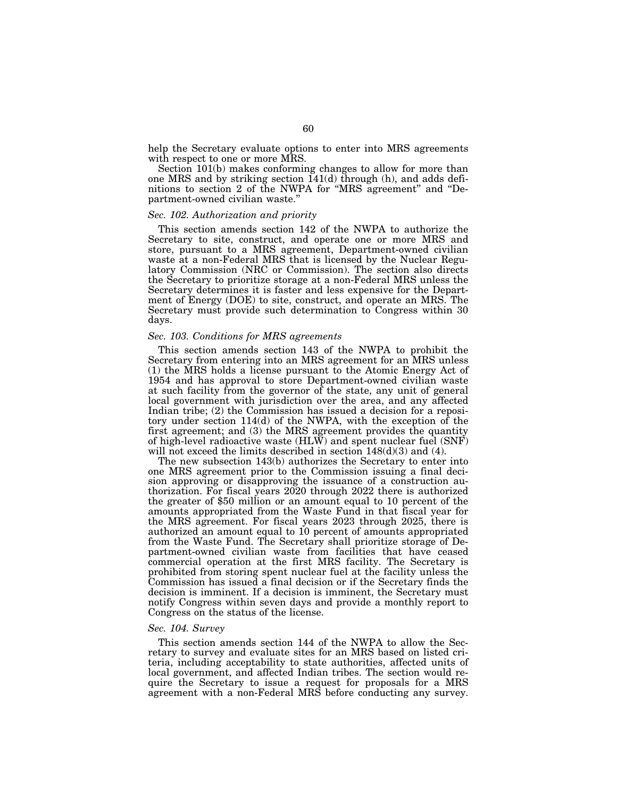help the Secretary evaluate options to enter into MRS agreements with respect to one or more MRS.

Section 101(b) makes conforming changes to allow for more than one MRS and by striking section  $\overline{141(d)}$  through (h), and adds definitions to section 2 of the NWPA for ''MRS agreement'' and ''Department-owned civilian waste.''

## *Sec. 102. Authorization and priority*

This section amends section 142 of the NWPA to authorize the Secretary to site, construct, and operate one or more MRS and store, pursuant to a MRS agreement, Department-owned civilian waste at a non-Federal MRS that is licensed by the Nuclear Regulatory Commission (NRC or Commission). The section also directs the Secretary to prioritize storage at a non-Federal MRS unless the Secretary determines it is faster and less expensive for the Department of Energy (DOE) to site, construct, and operate an MRS. The Secretary must provide such determination to Congress within 30 days.

## *Sec. 103. Conditions for MRS agreements*

This section amends section 143 of the NWPA to prohibit the Secretary from entering into an MRS agreement for an MRS unless (1) the MRS holds a license pursuant to the Atomic Energy Act of 1954 and has approval to store Department-owned civilian waste at such facility from the governor of the state, any unit of general local government with jurisdiction over the area, and any affected Indian tribe; (2) the Commission has issued a decision for a repository under section 114(d) of the NWPA, with the exception of the first agreement; and (3) the MRS agreement provides the quantity of high-level radioactive waste (HLW) and spent nuclear fuel (SNF) will not exceed the limits described in section  $148(d)(3)$  and  $(4)$ .

The new subsection 143(b) authorizes the Secretary to enter into one MRS agreement prior to the Commission issuing a final decision approving or disapproving the issuance of a construction authorization. For fiscal years 2020 through 2022 there is authorized the greater of \$50 million or an amount equal to 10 percent of the amounts appropriated from the Waste Fund in that fiscal year for the MRS agreement. For fiscal years 2023 through 2025, there is authorized an amount equal to 10 percent of amounts appropriated from the Waste Fund. The Secretary shall prioritize storage of Department-owned civilian waste from facilities that have ceased commercial operation at the first MRS facility. The Secretary is prohibited from storing spent nuclear fuel at the facility unless the Commission has issued a final decision or if the Secretary finds the decision is imminent. If a decision is imminent, the Secretary must notify Congress within seven days and provide a monthly report to Congress on the status of the license.

## *Sec. 104. Survey*

This section amends section 144 of the NWPA to allow the Secretary to survey and evaluate sites for an MRS based on listed criteria, including acceptability to state authorities, affected units of local government, and affected Indian tribes. The section would require the Secretary to issue a request for proposals for a MRS agreement with a non-Federal MRS before conducting any survey.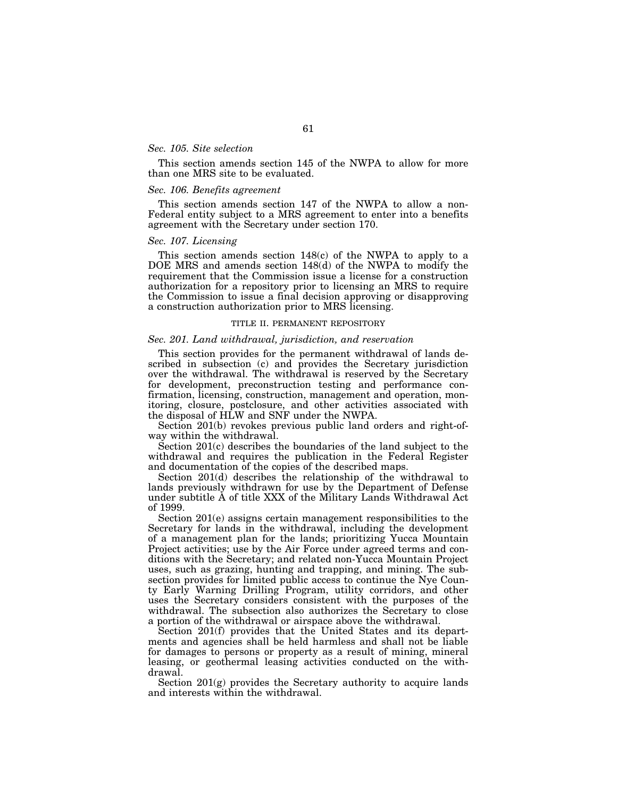# *Sec. 105. Site selection*

This section amends section 145 of the NWPA to allow for more than one MRS site to be evaluated.

#### *Sec. 106. Benefits agreement*

This section amends section 147 of the NWPA to allow a non-Federal entity subject to a MRS agreement to enter into a benefits agreement with the Secretary under section 170.

#### *Sec. 107. Licensing*

This section amends section 148(c) of the NWPA to apply to a DOE MRS and amends section 148(d) of the NWPA to modify the requirement that the Commission issue a license for a construction authorization for a repository prior to licensing an MRS to require the Commission to issue a final decision approving or disapproving a construction authorization prior to MRS licensing.

#### TITLE II. PERMANENT REPOSITORY

#### *Sec. 201. Land withdrawal, jurisdiction, and reservation*

This section provides for the permanent withdrawal of lands described in subsection (c) and provides the Secretary jurisdiction over the withdrawal. The withdrawal is reserved by the Secretary for development, preconstruction testing and performance confirmation, licensing, construction, management and operation, monitoring, closure, postclosure, and other activities associated with the disposal of HLW and SNF under the NWPA.

Section 201(b) revokes previous public land orders and right-ofway within the withdrawal.

Section 201(c) describes the boundaries of the land subject to the withdrawal and requires the publication in the Federal Register and documentation of the copies of the described maps.

Section 201(d) describes the relationship of the withdrawal to lands previously withdrawn for use by the Department of Defense under subtitle A of title XXX of the Military Lands Withdrawal Act of 1999.

Section 201(e) assigns certain management responsibilities to the Secretary for lands in the withdrawal, including the development of a management plan for the lands; prioritizing Yucca Mountain Project activities; use by the Air Force under agreed terms and conditions with the Secretary; and related non-Yucca Mountain Project uses, such as grazing, hunting and trapping, and mining. The subsection provides for limited public access to continue the Nye County Early Warning Drilling Program, utility corridors, and other uses the Secretary considers consistent with the purposes of the withdrawal. The subsection also authorizes the Secretary to close a portion of the withdrawal or airspace above the withdrawal.

Section 201(f) provides that the United States and its departments and agencies shall be held harmless and shall not be liable for damages to persons or property as a result of mining, mineral leasing, or geothermal leasing activities conducted on the withdrawal.

Section 201(g) provides the Secretary authority to acquire lands and interests within the withdrawal.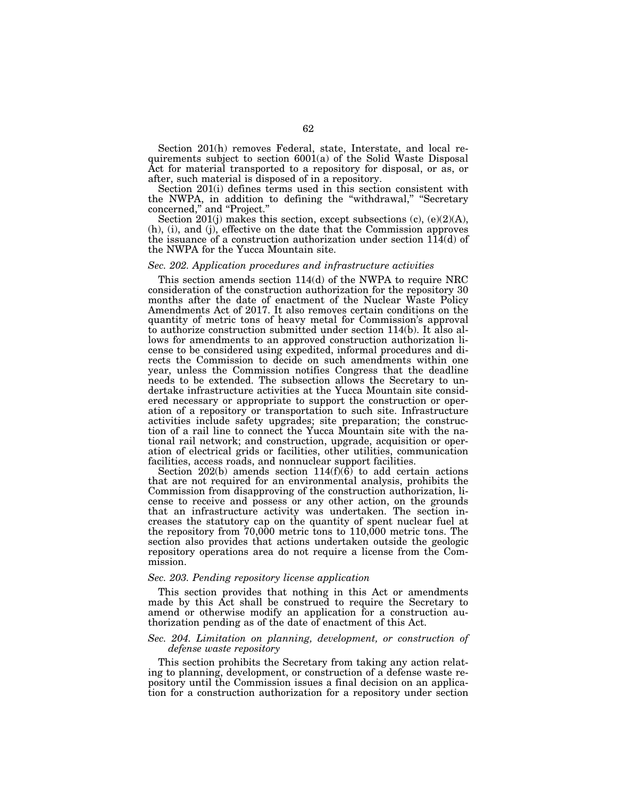Section 201(h) removes Federal, state, Interstate, and local requirements subject to section 6001(a) of the Solid Waste Disposal Act for material transported to a repository for disposal, or as, or after, such material is disposed of in a repository.

Section 201(i) defines terms used in this section consistent with the NWPA, in addition to defining the "withdrawal," "Secretary concerned," and "Project."

Section 201(j) makes this section, except subsections (c), (e)(2)(A), (h), (i), and (j), effective on the date that the Commission approves the issuance of a construction authorization under section  $114(d)$  of the NWPA for the Yucca Mountain site.

## *Sec. 202. Application procedures and infrastructure activities*

This section amends section 114(d) of the NWPA to require NRC consideration of the construction authorization for the repository 30 months after the date of enactment of the Nuclear Waste Policy Amendments Act of 2017. It also removes certain conditions on the quantity of metric tons of heavy metal for Commission's approval to authorize construction submitted under section 114(b). It also allows for amendments to an approved construction authorization license to be considered using expedited, informal procedures and directs the Commission to decide on such amendments within one year, unless the Commission notifies Congress that the deadline needs to be extended. The subsection allows the Secretary to undertake infrastructure activities at the Yucca Mountain site considered necessary or appropriate to support the construction or operation of a repository or transportation to such site. Infrastructure activities include safety upgrades; site preparation; the construction of a rail line to connect the Yucca Mountain site with the national rail network; and construction, upgrade, acquisition or operation of electrical grids or facilities, other utilities, communication facilities, access roads, and nonnuclear support facilities.

Section 202(b) amends section  $114(f)(\overline{6})$  to add certain actions that are not required for an environmental analysis, prohibits the Commission from disapproving of the construction authorization, license to receive and possess or any other action, on the grounds that an infrastructure activity was undertaken. The section increases the statutory cap on the quantity of spent nuclear fuel at the repository from 70,000 metric tons to 110,000 metric tons. The section also provides that actions undertaken outside the geologic repository operations area do not require a license from the Commission.

## *Sec. 203. Pending repository license application*

This section provides that nothing in this Act or amendments made by this Act shall be construed to require the Secretary to amend or otherwise modify an application for a construction authorization pending as of the date of enactment of this Act.

# *Sec. 204. Limitation on planning, development, or construction of defense waste repository*

This section prohibits the Secretary from taking any action relating to planning, development, or construction of a defense waste repository until the Commission issues a final decision on an application for a construction authorization for a repository under section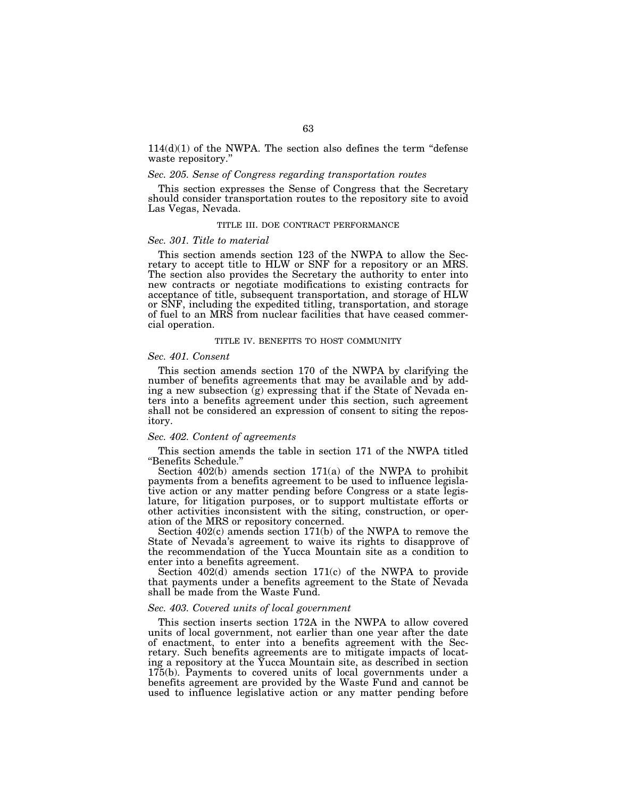$114(d)(1)$  of the NWPA. The section also defines the term "defense waste repository.''

#### *Sec. 205. Sense of Congress regarding transportation routes*

This section expresses the Sense of Congress that the Secretary should consider transportation routes to the repository site to avoid Las Vegas, Nevada.

#### TITLE III. DOE CONTRACT PERFORMANCE

#### *Sec. 301. Title to material*

This section amends section 123 of the NWPA to allow the Secretary to accept title to HLW or SNF for a repository or an MRS. The section also provides the Secretary the authority to enter into new contracts or negotiate modifications to existing contracts for acceptance of title, subsequent transportation, and storage of HLW or SNF, including the expedited titling, transportation, and storage of fuel to an MRS from nuclear facilities that have ceased commercial operation.

#### TITLE IV. BENEFITS TO HOST COMMUNITY

#### *Sec. 401. Consent*

This section amends section 170 of the NWPA by clarifying the number of benefits agreements that may be available and by adding a new subsection (g) expressing that if the State of Nevada enters into a benefits agreement under this section, such agreement shall not be considered an expression of consent to siting the repository.

## *Sec. 402. Content of agreements*

This section amends the table in section 171 of the NWPA titled ''Benefits Schedule.''

Section 402(b) amends section 171(a) of the NWPA to prohibit payments from a benefits agreement to be used to influence legislative action or any matter pending before Congress or a state legislature, for litigation purposes, or to support multistate efforts or other activities inconsistent with the siting, construction, or operation of the MRS or repository concerned.

Section 402(c) amends section 171(b) of the NWPA to remove the State of Nevada's agreement to waive its rights to disapprove of the recommendation of the Yucca Mountain site as a condition to enter into a benefits agreement.

Section 402(d) amends section 171(c) of the NWPA to provide that payments under a benefits agreement to the State of Nevada shall be made from the Waste Fund.

#### *Sec. 403. Covered units of local government*

This section inserts section 172A in the NWPA to allow covered units of local government, not earlier than one year after the date of enactment, to enter into a benefits agreement with the Secretary. Such benefits agreements are to mitigate impacts of locating a repository at the Yucca Mountain site, as described in section 175(b). Payments to covered units of local governments under a benefits agreement are provided by the Waste Fund and cannot be used to influence legislative action or any matter pending before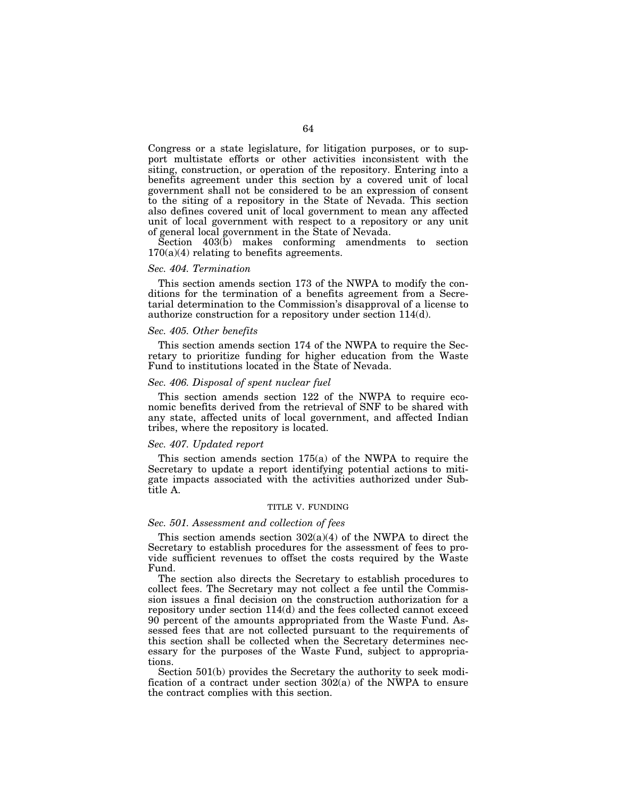Congress or a state legislature, for litigation purposes, or to support multistate efforts or other activities inconsistent with the siting, construction, or operation of the repository. Entering into a benefits agreement under this section by a covered unit of local government shall not be considered to be an expression of consent to the siting of a repository in the State of Nevada. This section also defines covered unit of local government to mean any affected unit of local government with respect to a repository or any unit of general local government in the State of Nevada.

Section 403(b) makes conforming amendments to section 170(a)(4) relating to benefits agreements.

#### *Sec. 404. Termination*

This section amends section 173 of the NWPA to modify the conditions for the termination of a benefits agreement from a Secretarial determination to the Commission's disapproval of a license to authorize construction for a repository under section 114(d).

#### *Sec. 405. Other benefits*

This section amends section 174 of the NWPA to require the Secretary to prioritize funding for higher education from the Waste Fund to institutions located in the State of Nevada.

## *Sec. 406. Disposal of spent nuclear fuel*

This section amends section 122 of the NWPA to require economic benefits derived from the retrieval of SNF to be shared with any state, affected units of local government, and affected Indian tribes, where the repository is located.

## *Sec. 407. Updated report*

This section amends section 175(a) of the NWPA to require the Secretary to update a report identifying potential actions to mitigate impacts associated with the activities authorized under Subtitle A.

## TITLE V. FUNDING

#### *Sec. 501. Assessment and collection of fees*

This section amends section  $302(a)(4)$  of the NWPA to direct the Secretary to establish procedures for the assessment of fees to provide sufficient revenues to offset the costs required by the Waste Fund.

The section also directs the Secretary to establish procedures to collect fees. The Secretary may not collect a fee until the Commission issues a final decision on the construction authorization for a repository under section 114(d) and the fees collected cannot exceed 90 percent of the amounts appropriated from the Waste Fund. Assessed fees that are not collected pursuant to the requirements of this section shall be collected when the Secretary determines necessary for the purposes of the Waste Fund, subject to appropriations.

Section 501(b) provides the Secretary the authority to seek modification of a contract under section 302(a) of the NWPA to ensure the contract complies with this section.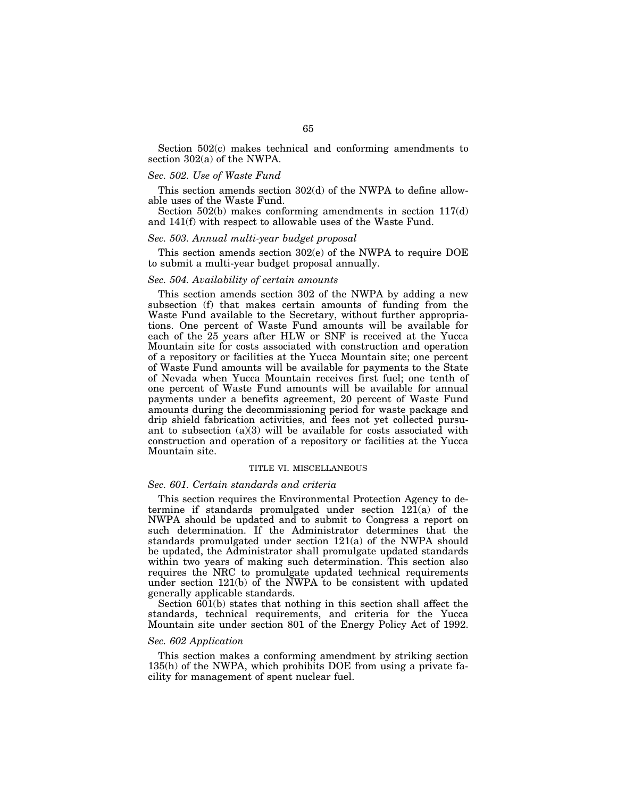Section 502(c) makes technical and conforming amendments to section 302(a) of the NWPA.

## *Sec. 502. Use of Waste Fund*

This section amends section 302(d) of the NWPA to define allowable uses of the Waste Fund.

Section 502(b) makes conforming amendments in section 117(d) and 141(f) with respect to allowable uses of the Waste Fund.

## *Sec. 503. Annual multi-year budget proposal*

This section amends section 302(e) of the NWPA to require DOE to submit a multi-year budget proposal annually.

# *Sec. 504. Availability of certain amounts*

This section amends section 302 of the NWPA by adding a new subsection (f) that makes certain amounts of funding from the Waste Fund available to the Secretary, without further appropriations. One percent of Waste Fund amounts will be available for each of the 25 years after HLW or SNF is received at the Yucca Mountain site for costs associated with construction and operation of a repository or facilities at the Yucca Mountain site; one percent of Waste Fund amounts will be available for payments to the State of Nevada when Yucca Mountain receives first fuel; one tenth of one percent of Waste Fund amounts will be available for annual payments under a benefits agreement, 20 percent of Waste Fund amounts during the decommissioning period for waste package and drip shield fabrication activities, and fees not yet collected pursuant to subsection (a)(3) will be available for costs associated with construction and operation of a repository or facilities at the Yucca Mountain site.

# TITLE VI. MISCELLANEOUS

## *Sec. 601. Certain standards and criteria*

This section requires the Environmental Protection Agency to determine if standards promulgated under section 121(a) of the NWPA should be updated and to submit to Congress a report on such determination. If the Administrator determines that the standards promulgated under section 121(a) of the NWPA should be updated, the Administrator shall promulgate updated standards within two years of making such determination. This section also requires the NRC to promulgate updated technical requirements under section 121(b) of the NWPA to be consistent with updated generally applicable standards.

Section 601(b) states that nothing in this section shall affect the standards, technical requirements, and criteria for the Yucca Mountain site under section 801 of the Energy Policy Act of 1992.

# *Sec. 602 Application*

This section makes a conforming amendment by striking section 135(h) of the NWPA, which prohibits DOE from using a private facility for management of spent nuclear fuel.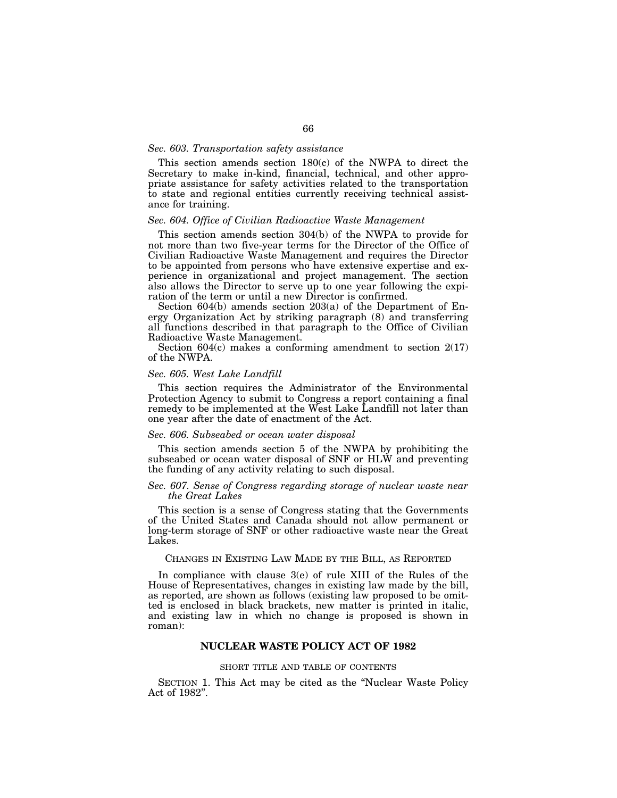#### *Sec. 603. Transportation safety assistance*

This section amends section 180(c) of the NWPA to direct the Secretary to make in-kind, financial, technical, and other appropriate assistance for safety activities related to the transportation to state and regional entities currently receiving technical assistance for training.

## *Sec. 604. Office of Civilian Radioactive Waste Management*

This section amends section 304(b) of the NWPA to provide for not more than two five-year terms for the Director of the Office of Civilian Radioactive Waste Management and requires the Director to be appointed from persons who have extensive expertise and experience in organizational and project management. The section also allows the Director to serve up to one year following the expiration of the term or until a new Director is confirmed.

Section 604(b) amends section 203(a) of the Department of Energy Organization Act by striking paragraph (8) and transferring all functions described in that paragraph to the Office of Civilian Radioactive Waste Management.

Section  $604(c)$  makes a conforming amendment to section  $2(17)$ of the NWPA.

#### *Sec. 605. West Lake Landfill*

This section requires the Administrator of the Environmental Protection Agency to submit to Congress a report containing a final remedy to be implemented at the West Lake Landfill not later than one year after the date of enactment of the Act.

#### *Sec. 606. Subseabed or ocean water disposal*

This section amends section 5 of the NWPA by prohibiting the subseabed or ocean water disposal of SNF or HLW and preventing the funding of any activity relating to such disposal.

## *Sec. 607. Sense of Congress regarding storage of nuclear waste near the Great Lakes*

This section is a sense of Congress stating that the Governments of the United States and Canada should not allow permanent or long-term storage of SNF or other radioactive waste near the Great Lakes.

## CHANGES IN EXISTING LAW MADE BY THE BILL, AS REPORTED

In compliance with clause 3(e) of rule XIII of the Rules of the House of Representatives, changes in existing law made by the bill, as reported, are shown as follows (existing law proposed to be omitted is enclosed in black brackets, new matter is printed in italic, and existing law in which no change is proposed is shown in roman):

## **NUCLEAR WASTE POLICY ACT OF 1982**

## SHORT TITLE AND TABLE OF CONTENTS

SECTION 1. This Act may be cited as the ''Nuclear Waste Policy Act of 1982''.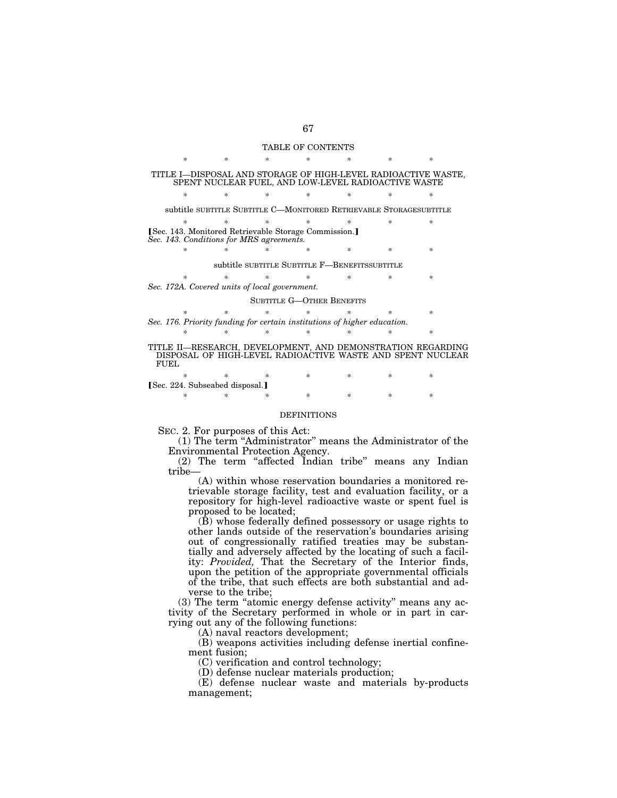# TABLE OF CONTENTS \* \* \* \* \* \* \*

#### TITLE I—DISPOSAL AND STORAGE OF HIGH-LEVEL RADIOACTIVE WASTE, SPENT NUCLEAR FUEL, AND LOW-LEVEL RADIOACTIVE WASTE

\* \* \* \* \* \* \* subtitle SUBTITLE SUBTITLE C—MONITORED RETRIEVABLE STORAGESUBTITLE

\* \* \* \* \* \* \* øSec. 143. Monitored Retrievable Storage Commission.¿ *Sec. 143. Conditions for MRS agreements.* 

> \* \* \* \* \* \* \* subtitle SUBTITLE SUBTITLE F—BENEFITSSUBTITLE

> > $\begin{array}{cccccccccccccc} * & * & * & * & * & * & * & * \end{array}$

*Sec. 172A. Covered units of local government.* 

SUBTITLE G—OTHER BENEFITS

\* \* \* \* \* \* \* *Sec. 176. Priority funding for certain institutions of higher education.* 

TITLE II—RESEARCH, DEVELOPMENT, AND DEMONSTRATION REGARDING DISPOSAL OF HIGH-LEVEL RADIOACTIVE WASTE AND SPENT NUCLEAR FUEL

\* \* \* \* \* \* \* \*

\* \* \* \* \* \* \* [Sec. 224. Subseabed disposal.] \* \* \* \* \* \* \*

#### DEFINITIONS

SEC. 2. For purposes of this Act:

(1) The term ''Administrator'' means the Administrator of the Environmental Protection Agency.

(2) The term ''affected Indian tribe'' means any Indian tribe—

(A) within whose reservation boundaries a monitored retrievable storage facility, test and evaluation facility, or a repository for high-level radioactive waste or spent fuel is proposed to be located;

(B) whose federally defined possessory or usage rights to other lands outside of the reservation's boundaries arising out of congressionally ratified treaties may be substantially and adversely affected by the locating of such a facility: *Provided,* That the Secretary of the Interior finds, upon the petition of the appropriate governmental officials of the tribe, that such effects are both substantial and adverse to the tribe;

(3) The term ''atomic energy defense activity'' means any activity of the Secretary performed in whole or in part in carrying out any of the following functions:

(A) naval reactors development;

(B) weapons activities including defense inertial confinement fusion;

(C) verification and control technology;

(D) defense nuclear materials production;

(E) defense nuclear waste and materials by-products management;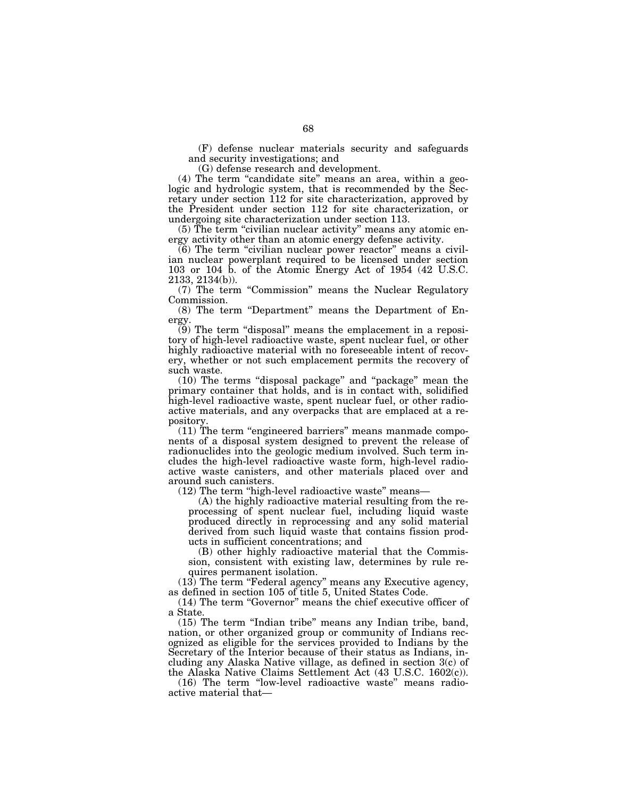(F) defense nuclear materials security and safeguards and security investigations; and

(G) defense research and development.

(4) The term "candidate site" means an area, within a geologic and hydrologic system, that is recommended by the Secretary under section 112 for site characterization, approved by the President under section 112 for site characterization, or undergoing site characterization under section 113.

(5) The term ''civilian nuclear activity'' means any atomic energy activity other than an atomic energy defense activity.

(6) The term ''civilian nuclear power reactor'' means a civilian nuclear powerplant required to be licensed under section 103 or 104 b. of the Atomic Energy Act of 1954 (42 U.S.C. 2133, 2134(b)).

(7) The term ''Commission'' means the Nuclear Regulatory Commission.

(8) The term "Department" means the Department of Energy.

 $(9)$  The term "disposal" means the emplacement in a repository of high-level radioactive waste, spent nuclear fuel, or other highly radioactive material with no foreseeable intent of recovery, whether or not such emplacement permits the recovery of such waste.

(10) The terms ''disposal package'' and ''package'' mean the primary container that holds, and is in contact with, solidified high-level radioactive waste, spent nuclear fuel, or other radioactive materials, and any overpacks that are emplaced at a repository.

(11) The term ''engineered barriers'' means manmade components of a disposal system designed to prevent the release of radionuclides into the geologic medium involved. Such term includes the high-level radioactive waste form, high-level radioactive waste canisters, and other materials placed over and around such canisters.

(12) The term ''high-level radioactive waste'' means—

(A) the highly radioactive material resulting from the reprocessing of spent nuclear fuel, including liquid waste produced directly in reprocessing and any solid material derived from such liquid waste that contains fission products in sufficient concentrations; and

(B) other highly radioactive material that the Commission, consistent with existing law, determines by rule requires permanent isolation.

 $(13)$  The term "Federal agency" means any Executive agency, as defined in section 105 of title 5, United States Code.

(14) The term ''Governor'' means the chief executive officer of a State.

(15) The term ''Indian tribe'' means any Indian tribe, band, nation, or other organized group or community of Indians recognized as eligible for the services provided to Indians by the Secretary of the Interior because of their status as Indians, including any Alaska Native village, as defined in section 3(c) of the Alaska Native Claims Settlement Act (43 U.S.C. 1602(c)).

(16) The term ''low-level radioactive waste'' means radioactive material that—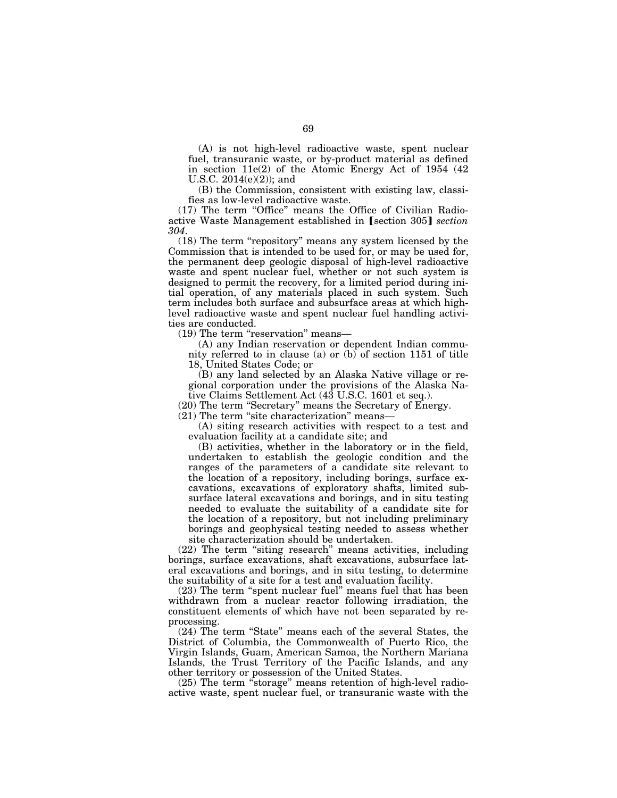(A) is not high-level radioactive waste, spent nuclear fuel, transuranic waste, or by-product material as defined in section 11e(2) of the Atomic Energy Act of 1954 (42 U.S.C. 2014(e)(2)); and

(B) the Commission, consistent with existing law, classifies as low-level radioactive waste.

(17) The term ''Office'' means the Office of Civilian Radioactive Waste Management established in [section 305] section *304*.

(18) The term ''repository'' means any system licensed by the Commission that is intended to be used for, or may be used for, the permanent deep geologic disposal of high-level radioactive waste and spent nuclear fuel, whether or not such system is designed to permit the recovery, for a limited period during initial operation, of any materials placed in such system. Such term includes both surface and subsurface areas at which highlevel radioactive waste and spent nuclear fuel handling activities are conducted.

(19) The term "reservation" means—

(A) any Indian reservation or dependent Indian community referred to in clause (a) or (b) of section 1151 of title 18, United States Code; or

(B) any land selected by an Alaska Native village or regional corporation under the provisions of the Alaska Native Claims Settlement Act (43 U.S.C. 1601 et seq.).

(20) The term ''Secretary'' means the Secretary of Energy.

(21) The term ''site characterization'' means—

(A) siting research activities with respect to a test and evaluation facility at a candidate site; and

(B) activities, whether in the laboratory or in the field, undertaken to establish the geologic condition and the ranges of the parameters of a candidate site relevant to the location of a repository, including borings, surface excavations, excavations of exploratory shafts, limited subsurface lateral excavations and borings, and in situ testing needed to evaluate the suitability of a candidate site for the location of a repository, but not including preliminary borings and geophysical testing needed to assess whether site characterization should be undertaken.

(22) The term ''siting research'' means activities, including borings, surface excavations, shaft excavations, subsurface lateral excavations and borings, and in situ testing, to determine the suitability of a site for a test and evaluation facility.

(23) The term ''spent nuclear fuel'' means fuel that has been withdrawn from a nuclear reactor following irradiation, the constituent elements of which have not been separated by reprocessing.

(24) The term ''State'' means each of the several States, the District of Columbia, the Commonwealth of Puerto Rico, the Virgin Islands, Guam, American Samoa, the Northern Mariana Islands, the Trust Territory of the Pacific Islands, and any other territory or possession of the United States.

(25) The term ''storage'' means retention of high-level radioactive waste, spent nuclear fuel, or transuranic waste with the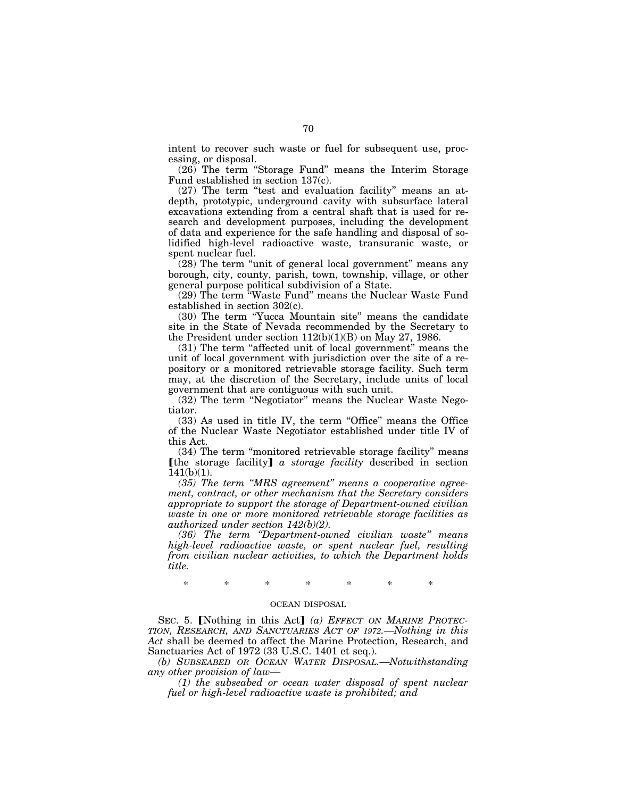intent to recover such waste or fuel for subsequent use, processing, or disposal.

(26) The term ''Storage Fund'' means the Interim Storage Fund established in section 137(c).

(27) The term ''test and evaluation facility'' means an atdepth, prototypic, underground cavity with subsurface lateral excavations extending from a central shaft that is used for research and development purposes, including the development of data and experience for the safe handling and disposal of solidified high-level radioactive waste, transuranic waste, or spent nuclear fuel.

(28) The term "unit of general local government" means any borough, city, county, parish, town, township, village, or other general purpose political subdivision of a State.

(29) The term ''Waste Fund'' means the Nuclear Waste Fund established in section 302(c).

(30) The term ''Yucca Mountain site'' means the candidate site in the State of Nevada recommended by the Secretary to the President under section  $112(b)(1)(B)$  on May 27, 1986.

(31) The term "affected unit of local government" means the unit of local government with jurisdiction over the site of a repository or a monitored retrievable storage facility. Such term may, at the discretion of the Secretary, include units of local government that are contiguous with such unit.

(32) The term ''Negotiator'' means the Nuclear Waste Negotiator.

(33) As used in title IV, the term ''Office'' means the Office of the Nuclear Waste Negotiator established under title IV of this Act.

(34) The term ''monitored retrievable storage facility'' means **The storage facility** *a storage facility* described in section  $141(b)(1)$ .

*(35) The term ''MRS agreement'' means a cooperative agreement, contract, or other mechanism that the Secretary considers appropriate to support the storage of Department-owned civilian waste in one or more monitored retrievable storage facilities as authorized under section 142(b)(2).* 

*(36) The term ''Department-owned civilian waste'' means high-level radioactive waste, or spent nuclear fuel, resulting from civilian nuclear activities, to which the Department holds title.* 

\* \* \* \* \* \* \*

# OCEAN DISPOSAL

SEC. 5. [Nothing in this Act] (a) *EFFECT ON MARINE PROTEC*-*TION, RESEARCH, AND SANCTUARIES ACT OF 1972.—Nothing in this Act* shall be deemed to affect the Marine Protection, Research, and Sanctuaries Act of 1972 (33 U.S.C. 1401 et seq.).

*(b) SUBSEABED OR OCEAN WATER DISPOSAL.—Notwithstanding any other provision of law—* 

*(1) the subseabed or ocean water disposal of spent nuclear fuel or high-level radioactive waste is prohibited; and*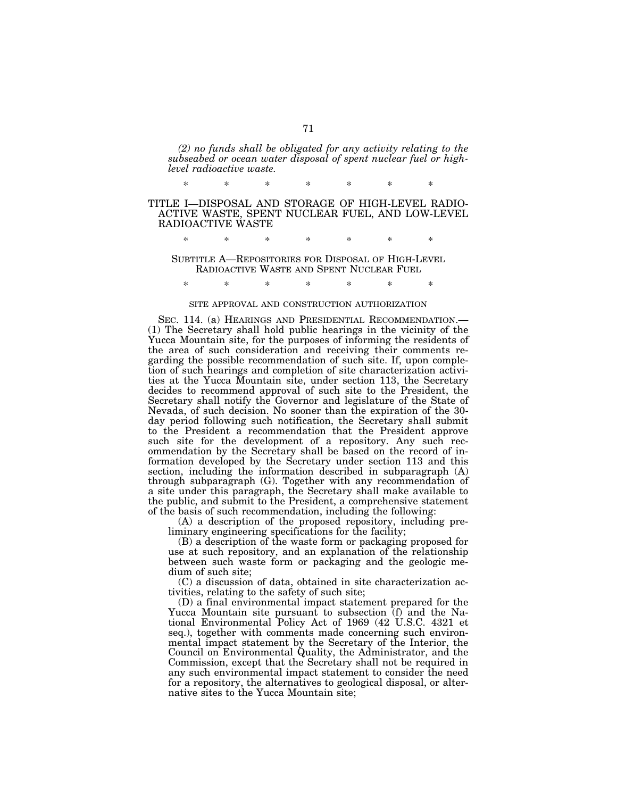*(2) no funds shall be obligated for any activity relating to the subseabed or ocean water disposal of spent nuclear fuel or highlevel radioactive waste.* 

\* \* \* \* \* \* \*

# TITLE I—DISPOSAL AND STORAGE OF HIGH-LEVEL RADIO-ACTIVE WASTE, SPENT NUCLEAR FUEL, AND LOW-LEVEL RADIOACTIVE WASTE

\* \* \* \* \* \* \*

SUBTITLE A—REPOSITORIES FOR DISPOSAL OF HIGH-LEVEL RADIOACTIVE WASTE AND SPENT NUCLEAR FUEL

## \* \* \* \* \* \* \*

## SITE APPROVAL AND CONSTRUCTION AUTHORIZATION

SEC. 114. (a) HEARINGS AND PRESIDENTIAL RECOMMENDATION.— (1) The Secretary shall hold public hearings in the vicinity of the Yucca Mountain site, for the purposes of informing the residents of the area of such consideration and receiving their comments regarding the possible recommendation of such site. If, upon completion of such hearings and completion of site characterization activities at the Yucca Mountain site, under section 113, the Secretary decides to recommend approval of such site to the President, the Secretary shall notify the Governor and legislature of the State of Nevada, of such decision. No sooner than the expiration of the 30 day period following such notification, the Secretary shall submit to the President a recommendation that the President approve such site for the development of a repository. Any such recommendation by the Secretary shall be based on the record of information developed by the Secretary under section 113 and this section, including the information described in subparagraph (A) through subparagraph (G). Together with any recommendation of a site under this paragraph, the Secretary shall make available to the public, and submit to the President, a comprehensive statement of the basis of such recommendation, including the following:

(A) a description of the proposed repository, including preliminary engineering specifications for the facility;

(B) a description of the waste form or packaging proposed for use at such repository, and an explanation of the relationship between such waste form or packaging and the geologic medium of such site;

(C) a discussion of data, obtained in site characterization activities, relating to the safety of such site;

(D) a final environmental impact statement prepared for the Yucca Mountain site pursuant to subsection (f) and the National Environmental Policy Act of 1969 (42 U.S.C. 4321 et seq.), together with comments made concerning such environmental impact statement by the Secretary of the Interior, the Council on Environmental Quality, the Administrator, and the Commission, except that the Secretary shall not be required in any such environmental impact statement to consider the need for a repository, the alternatives to geological disposal, or alternative sites to the Yucca Mountain site;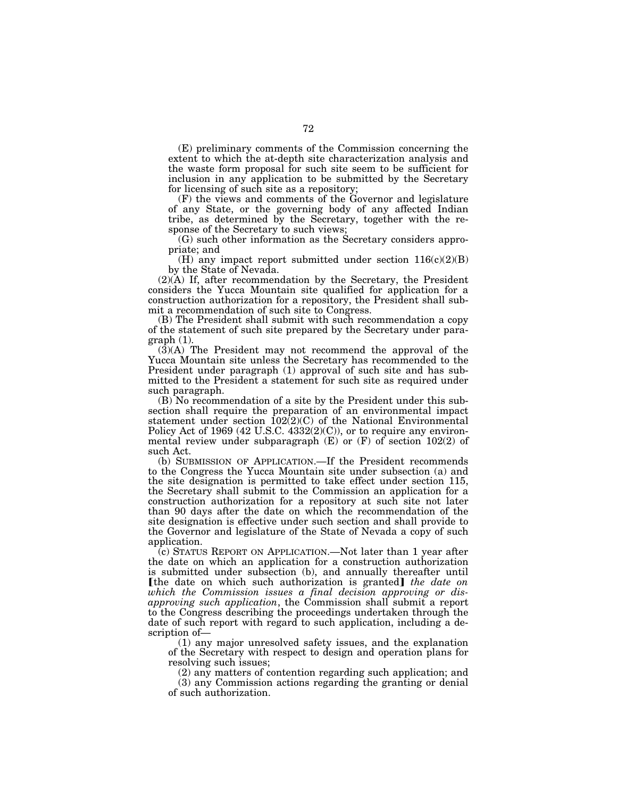(E) preliminary comments of the Commission concerning the extent to which the at-depth site characterization analysis and the waste form proposal for such site seem to be sufficient for inclusion in any application to be submitted by the Secretary for licensing of such site as a repository;

(F) the views and comments of the Governor and legislature of any State, or the governing body of any affected Indian tribe, as determined by the Secretary, together with the response of the Secretary to such views;

(G) such other information as the Secretary considers appropriate; and

(H) any impact report submitted under section  $116(c)(2)(B)$ by the State of Nevada.

(2)(A) If, after recommendation by the Secretary, the President considers the Yucca Mountain site qualified for application for a construction authorization for a repository, the President shall submit a recommendation of such site to Congress.

(B) The President shall submit with such recommendation a copy of the statement of such site prepared by the Secretary under paragraph (1).

 $(\overline{3})(A)$  The President may not recommend the approval of the Yucca Mountain site unless the Secretary has recommended to the President under paragraph (1) approval of such site and has submitted to the President a statement for such site as required under such paragraph.

(B) No recommendation of a site by the President under this subsection shall require the preparation of an environmental impact statement under section  $102(2)(C)$  of the National Environmental Policy Act of 1969 (42 U.S.C.  $4332(2)(C)$ ), or to require any environmental review under subparagraph  $(E)$  or  $(F)$  of section 102(2) of such Act.

(b) SUBMISSION OF APPLICATION.—If the President recommends to the Congress the Yucca Mountain site under subsection (a) and the site designation is permitted to take effect under section 115, the Secretary shall submit to the Commission an application for a construction authorization for a repository at such site not later than 90 days after the date on which the recommendation of the site designation is effective under such section and shall provide to the Governor and legislature of the State of Nevada a copy of such application.

(c) STATUS REPORT ON APPLICATION.—Not later than 1 year after the date on which an application for a construction authorization is submitted under subsection (b), and annually thereafter until **[the date on which such authorization is granted]** the date on *which the Commission issues a final decision approving or disapproving such application*, the Commission shall submit a report to the Congress describing the proceedings undertaken through the date of such report with regard to such application, including a description of—

(1) any major unresolved safety issues, and the explanation of the Secretary with respect to design and operation plans for resolving such issues;

(2) any matters of contention regarding such application; and (3) any Commission actions regarding the granting or denial of such authorization.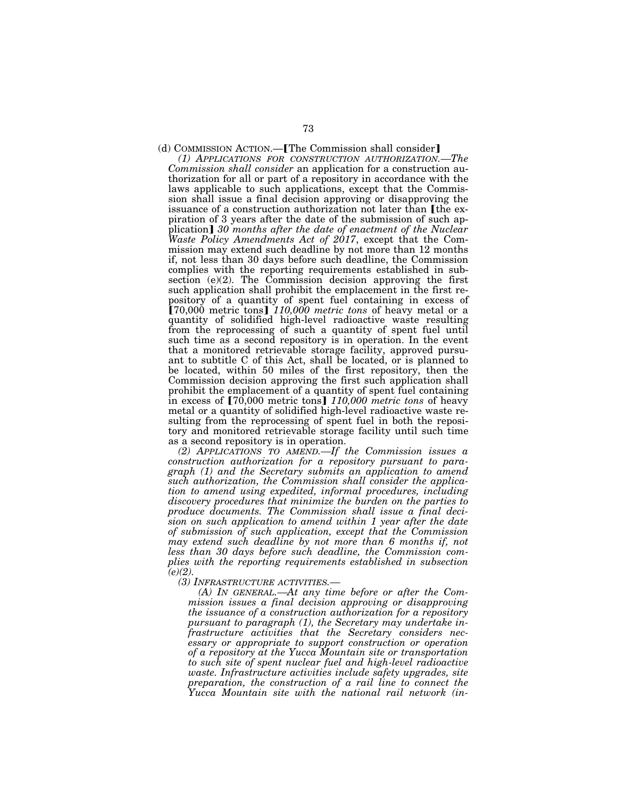(d) COMMISSION ACTION.— $[$ The Commission shall consider $]$ 

*(1) APPLICATIONS FOR CONSTRUCTION AUTHORIZATION.—The Commission shall consider* an application for a construction authorization for all or part of a repository in accordance with the laws applicable to such applications, except that the Commission shall issue a final decision approving or disapproving the issuance of a construction authorization not later than [the expiration of 3 years after the date of the submission of such application] 30 months after the date of enactment of the Nuclear *Waste Policy Amendments Act of 2017*, except that the Commission may extend such deadline by not more than 12 months if, not less than 30 days before such deadline, the Commission complies with the reporting requirements established in subsection  $(e)(2)$ . The Commission decision approving the first such application shall prohibit the emplacement in the first repository of a quantity of spent fuel containing in excess of ø70,000 metric tons¿ *110,000 metric tons* of heavy metal or a quantity of solidified high-level radioactive waste resulting from the reprocessing of such a quantity of spent fuel until such time as a second repository is in operation. In the event that a monitored retrievable storage facility, approved pursuant to subtitle C of this Act, shall be located, or is planned to be located, within 50 miles of the first repository, then the Commission decision approving the first such application shall prohibit the emplacement of a quantity of spent fuel containing in excess of [70,000 metric tons] 110,000 metric tons of heavy metal or a quantity of solidified high-level radioactive waste resulting from the reprocessing of spent fuel in both the repository and monitored retrievable storage facility until such time as a second repository is in operation.

*(2) APPLICATIONS TO AMEND.—If the Commission issues a construction authorization for a repository pursuant to paragraph (1) and the Secretary submits an application to amend such authorization, the Commission shall consider the application to amend using expedited, informal procedures, including discovery procedures that minimize the burden on the parties to produce documents. The Commission shall issue a final decision on such application to amend within 1 year after the date of submission of such application, except that the Commission may extend such deadline by not more than 6 months if, not less than 30 days before such deadline, the Commission complies with the reporting requirements established in subsection (e)(2).* 

*(3) INFRASTRUCTURE ACTIVITIES.—* 

*(A) IN GENERAL.—At any time before or after the Commission issues a final decision approving or disapproving the issuance of a construction authorization for a repository pursuant to paragraph (1), the Secretary may undertake infrastructure activities that the Secretary considers necessary or appropriate to support construction or operation of a repository at the Yucca Mountain site or transportation to such site of spent nuclear fuel and high-level radioactive waste. Infrastructure activities include safety upgrades, site preparation, the construction of a rail line to connect the Yucca Mountain site with the national rail network (in-*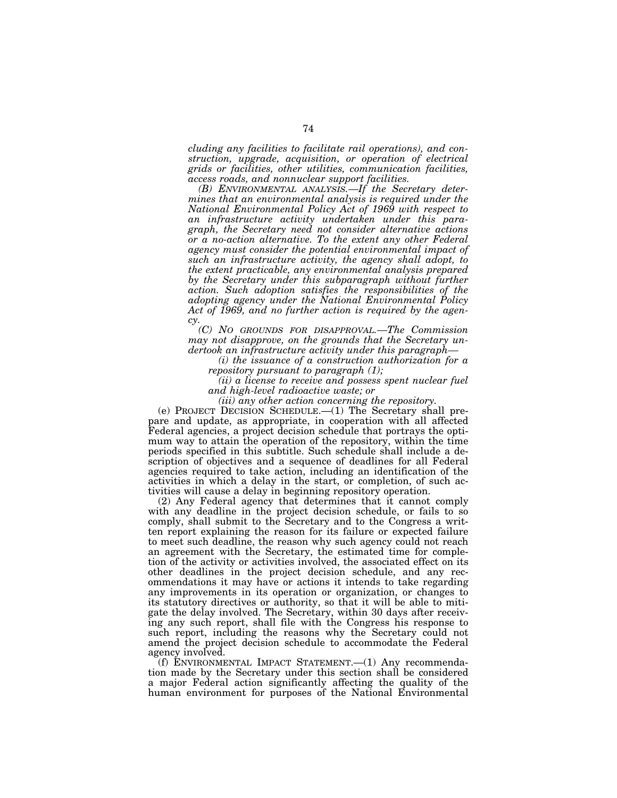*cluding any facilities to facilitate rail operations), and construction, upgrade, acquisition, or operation of electrical grids or facilities, other utilities, communication facilities, access roads, and nonnuclear support facilities.* 

*(B) ENVIRONMENTAL ANALYSIS.—If the Secretary determines that an environmental analysis is required under the National Environmental Policy Act of 1969 with respect to an infrastructure activity undertaken under this paragraph, the Secretary need not consider alternative actions or a no-action alternative. To the extent any other Federal agency must consider the potential environmental impact of such an infrastructure activity, the agency shall adopt, to the extent practicable, any environmental analysis prepared by the Secretary under this subparagraph without further action. Such adoption satisfies the responsibilities of the adopting agency under the National Environmental Policy Act of 1969, and no further action is required by the agency.* 

*(C) NO GROUNDS FOR DISAPPROVAL.—The Commission may not disapprove, on the grounds that the Secretary undertook an infrastructure activity under this paragraph—* 

*(i) the issuance of a construction authorization for a repository pursuant to paragraph (1);* 

*(ii) a license to receive and possess spent nuclear fuel and high-level radioactive waste; or* 

*(iii) any other action concerning the repository.* 

(e) PROJECT DECISION SCHEDULE.—(1) The Secretary shall prepare and update, as appropriate, in cooperation with all affected Federal agencies, a project decision schedule that portrays the optimum way to attain the operation of the repository, within the time periods specified in this subtitle. Such schedule shall include a description of objectives and a sequence of deadlines for all Federal agencies required to take action, including an identification of the activities in which a delay in the start, or completion, of such activities will cause a delay in beginning repository operation.

(2) Any Federal agency that determines that it cannot comply with any deadline in the project decision schedule, or fails to so comply, shall submit to the Secretary and to the Congress a written report explaining the reason for its failure or expected failure to meet such deadline, the reason why such agency could not reach an agreement with the Secretary, the estimated time for completion of the activity or activities involved, the associated effect on its other deadlines in the project decision schedule, and any recommendations it may have or actions it intends to take regarding any improvements in its operation or organization, or changes to its statutory directives or authority, so that it will be able to mitigate the delay involved. The Secretary, within 30 days after receiving any such report, shall file with the Congress his response to such report, including the reasons why the Secretary could not amend the project decision schedule to accommodate the Federal agency involved.

(f) ENVIRONMENTAL IMPACT STATEMENT.—(1) Any recommendation made by the Secretary under this section shall be considered a major Federal action significantly affecting the quality of the human environment for purposes of the National Environmental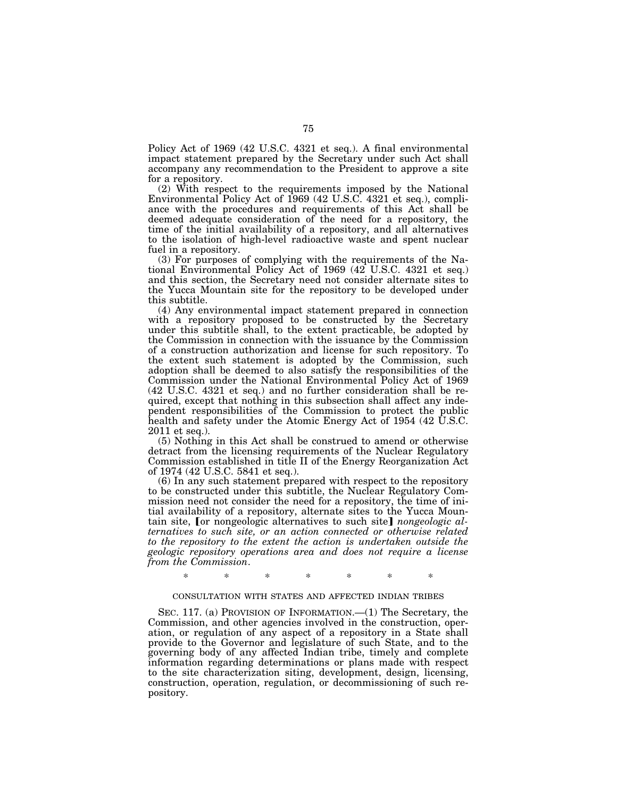Policy Act of 1969 (42 U.S.C. 4321 et seq.). A final environmental impact statement prepared by the Secretary under such Act shall accompany any recommendation to the President to approve a site for a repository.

(2) With respect to the requirements imposed by the National Environmental Policy Act of 1969 (42 U.S.C. 4321 et seq.), compliance with the procedures and requirements of this Act shall be deemed adequate consideration of the need for a repository, the time of the initial availability of a repository, and all alternatives to the isolation of high-level radioactive waste and spent nuclear fuel in a repository.

(3) For purposes of complying with the requirements of the National Environmental Policy Act of 1969 (42 U.S.C. 4321 et seq.) and this section, the Secretary need not consider alternate sites to the Yucca Mountain site for the repository to be developed under this subtitle.

(4) Any environmental impact statement prepared in connection with a repository proposed to be constructed by the Secretary under this subtitle shall, to the extent practicable, be adopted by the Commission in connection with the issuance by the Commission of a construction authorization and license for such repository. To the extent such statement is adopted by the Commission, such adoption shall be deemed to also satisfy the responsibilities of the Commission under the National Environmental Policy Act of 1969 (42 U.S.C. 4321 et seq.) and no further consideration shall be required, except that nothing in this subsection shall affect any independent responsibilities of the Commission to protect the public health and safety under the Atomic Energy Act of 1954 (42 U.S.C. 2011 et seq.).

(5) Nothing in this Act shall be construed to amend or otherwise detract from the licensing requirements of the Nuclear Regulatory Commission established in title II of the Energy Reorganization Act of 1974 (42 U.S.C. 5841 et seq.).

(6) In any such statement prepared with respect to the repository to be constructed under this subtitle, the Nuclear Regulatory Commission need not consider the need for a repository, the time of initial availability of a repository, alternate sites to the Yucca Mountain site, [or nongeologic alternatives to such site] *nongeologic alternatives to such site, or an action connected or otherwise related to the repository to the extent the action is undertaken outside the geologic repository operations area and does not require a license from the Commission*.

\* \* \* \* \* \* \*

# CONSULTATION WITH STATES AND AFFECTED INDIAN TRIBES

SEC. 117. (a) PROVISION OF INFORMATION.—(1) The Secretary, the Commission, and other agencies involved in the construction, operation, or regulation of any aspect of a repository in a State shall provide to the Governor and legislature of such State, and to the governing body of any affected Indian tribe, timely and complete information regarding determinations or plans made with respect to the site characterization siting, development, design, licensing, construction, operation, regulation, or decommissioning of such repository.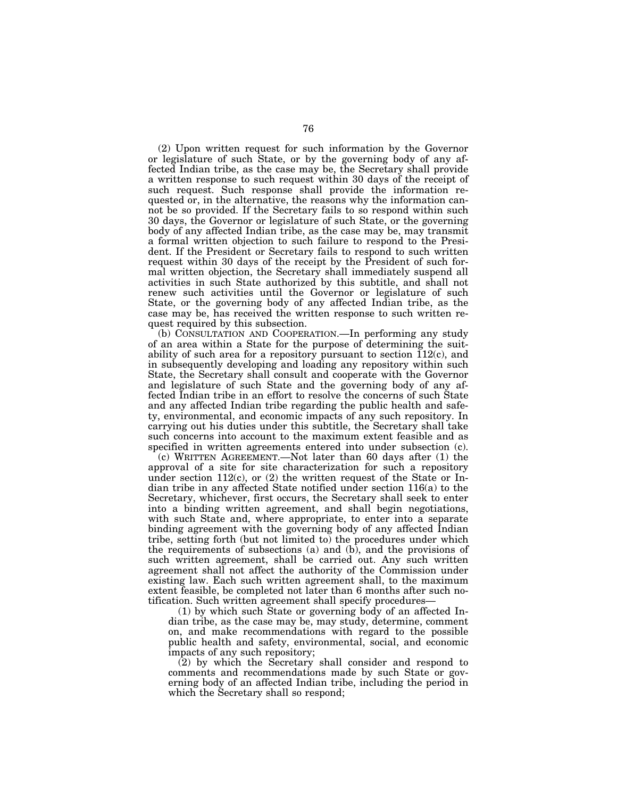(2) Upon written request for such information by the Governor or legislature of such State, or by the governing body of any affected Indian tribe, as the case may be, the Secretary shall provide a written response to such request within 30 days of the receipt of such request. Such response shall provide the information requested or, in the alternative, the reasons why the information cannot be so provided. If the Secretary fails to so respond within such 30 days, the Governor or legislature of such State, or the governing body of any affected Indian tribe, as the case may be, may transmit a formal written objection to such failure to respond to the President. If the President or Secretary fails to respond to such written request within 30 days of the receipt by the President of such formal written objection, the Secretary shall immediately suspend all activities in such State authorized by this subtitle, and shall not renew such activities until the Governor or legislature of such State, or the governing body of any affected Indian tribe, as the case may be, has received the written response to such written request required by this subsection.

(b) CONSULTATION AND COOPERATION.—In performing any study of an area within a State for the purpose of determining the suitability of such area for a repository pursuant to section  $112(c)$ , and in subsequently developing and loading any repository within such State, the Secretary shall consult and cooperate with the Governor and legislature of such State and the governing body of any affected Indian tribe in an effort to resolve the concerns of such State and any affected Indian tribe regarding the public health and safety, environmental, and economic impacts of any such repository. In carrying out his duties under this subtitle, the Secretary shall take such concerns into account to the maximum extent feasible and as specified in written agreements entered into under subsection (c).

(c) WRITTEN AGREEMENT.—Not later than 60 days after (1) the approval of a site for site characterization for such a repository under section  $112(c)$ , or  $(2)$  the written request of the State or Indian tribe in any affected State notified under section 116(a) to the Secretary, whichever, first occurs, the Secretary shall seek to enter into a binding written agreement, and shall begin negotiations, with such State and, where appropriate, to enter into a separate binding agreement with the governing body of any affected Indian tribe, setting forth (but not limited to) the procedures under which the requirements of subsections (a) and (b), and the provisions of such written agreement, shall be carried out. Any such written agreement shall not affect the authority of the Commission under existing law. Each such written agreement shall, to the maximum extent feasible, be completed not later than 6 months after such notification. Such written agreement shall specify procedures—

(1) by which such State or governing body of an affected Indian tribe, as the case may be, may study, determine, comment on, and make recommendations with regard to the possible public health and safety, environmental, social, and economic impacts of any such repository;

(2) by which the Secretary shall consider and respond to comments and recommendations made by such State or governing body of an affected Indian tribe, including the period in which the Secretary shall so respond;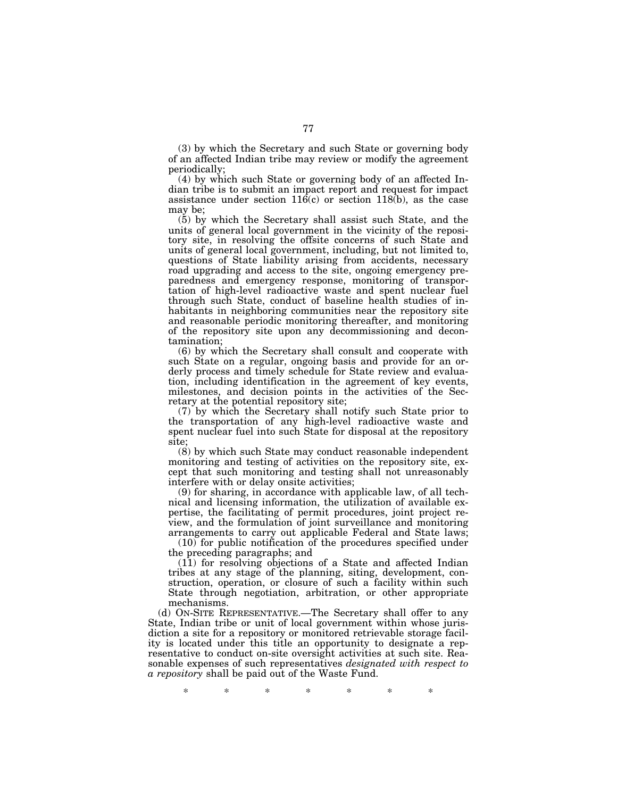(3) by which the Secretary and such State or governing body of an affected Indian tribe may review or modify the agreement periodically;

(4) by which such State or governing body of an affected Indian tribe is to submit an impact report and request for impact assistance under section  $116(c)$  or section  $118(b)$ , as the case may be;

(5) by which the Secretary shall assist such State, and the units of general local government in the vicinity of the repository site, in resolving the offsite concerns of such State and units of general local government, including, but not limited to, questions of State liability arising from accidents, necessary road upgrading and access to the site, ongoing emergency preparedness and emergency response, monitoring of transportation of high-level radioactive waste and spent nuclear fuel through such State, conduct of baseline health studies of inhabitants in neighboring communities near the repository site and reasonable periodic monitoring thereafter, and monitoring of the repository site upon any decommissioning and decontamination;

(6) by which the Secretary shall consult and cooperate with such State on a regular, ongoing basis and provide for an orderly process and timely schedule for State review and evaluation, including identification in the agreement of key events, milestones, and decision points in the activities of the Secretary at the potential repository site;

(7) by which the Secretary shall notify such State prior to the transportation of any high-level radioactive waste and spent nuclear fuel into such State for disposal at the repository site;

(8) by which such State may conduct reasonable independent monitoring and testing of activities on the repository site, except that such monitoring and testing shall not unreasonably interfere with or delay onsite activities;

(9) for sharing, in accordance with applicable law, of all technical and licensing information, the utilization of available expertise, the facilitating of permit procedures, joint project review, and the formulation of joint surveillance and monitoring arrangements to carry out applicable Federal and State laws;

(10) for public notification of the procedures specified under the preceding paragraphs; and

(11) for resolving objections of a State and affected Indian tribes at any stage of the planning, siting, development, construction, operation, or closure of such a facility within such State through negotiation, arbitration, or other appropriate mechanisms.

(d) ON-SITE REPRESENTATIVE.—The Secretary shall offer to any State, Indian tribe or unit of local government within whose jurisdiction a site for a repository or monitored retrievable storage facility is located under this title an opportunity to designate a representative to conduct on-site oversight activities at such site. Reasonable expenses of such representatives *designated with respect to a repository* shall be paid out of the Waste Fund.

\* \* \* \* \* \* \*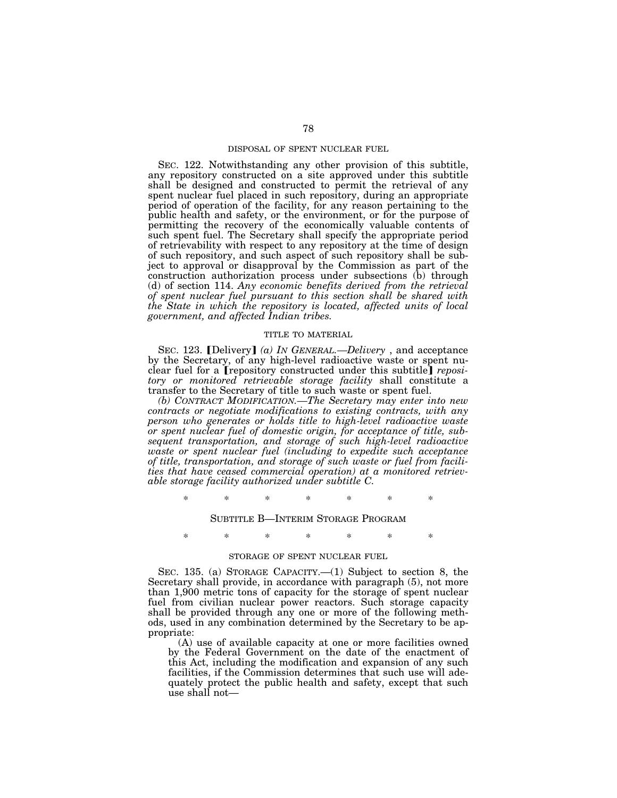### DISPOSAL OF SPENT NUCLEAR FUEL

SEC. 122. Notwithstanding any other provision of this subtitle, any repository constructed on a site approved under this subtitle shall be designed and constructed to permit the retrieval of any spent nuclear fuel placed in such repository, during an appropriate period of operation of the facility, for any reason pertaining to the public health and safety, or the environment, or for the purpose of permitting the recovery of the economically valuable contents of such spent fuel. The Secretary shall specify the appropriate period of retrievability with respect to any repository at the time of design of such repository, and such aspect of such repository shall be subject to approval or disapproval by the Commission as part of the construction authorization process under subsections (b) through (d) of section 114. *Any economic benefits derived from the retrieval of spent nuclear fuel pursuant to this section shall be shared with the State in which the repository is located, affected units of local government, and affected Indian tribes.* 

#### TITLE TO MATERIAL

SEC. 123. [Delivery] (a) IN *GENERAL.—Delivery*, and acceptance by the Secretary, of any high-level radioactive waste or spent nuclear fuel for a **[**repository constructed under this subtitle] *repository or monitored retrievable storage facility* shall constitute a transfer to the Secretary of title to such waste or spent fuel.

*(b) CONTRACT MODIFICATION.—The Secretary may enter into new contracts or negotiate modifications to existing contracts, with any person who generates or holds title to high-level radioactive waste or spent nuclear fuel of domestic origin, for acceptance of title, subsequent transportation, and storage of such high-level radioactive waste or spent nuclear fuel (including to expedite such acceptance of title, transportation, and storage of such waste or fuel from facilities that have ceased commercial operation) at a monitored retrievable storage facility authorized under subtitle C.* 

\* \* \* \* \* \* \*

### SUBTITLE B—INTERIM STORAGE PROGRAM

\* \* \* \* \* \* \*

### STORAGE OF SPENT NUCLEAR FUEL

SEC. 135. (a) STORAGE CAPACITY.—(1) Subject to section 8, the Secretary shall provide, in accordance with paragraph (5), not more than 1,900 metric tons of capacity for the storage of spent nuclear fuel from civilian nuclear power reactors. Such storage capacity shall be provided through any one or more of the following methods, used in any combination determined by the Secretary to be appropriate:

(A) use of available capacity at one or more facilities owned by the Federal Government on the date of the enactment of this Act, including the modification and expansion of any such facilities, if the Commission determines that such use will adequately protect the public health and safety, except that such use shall not—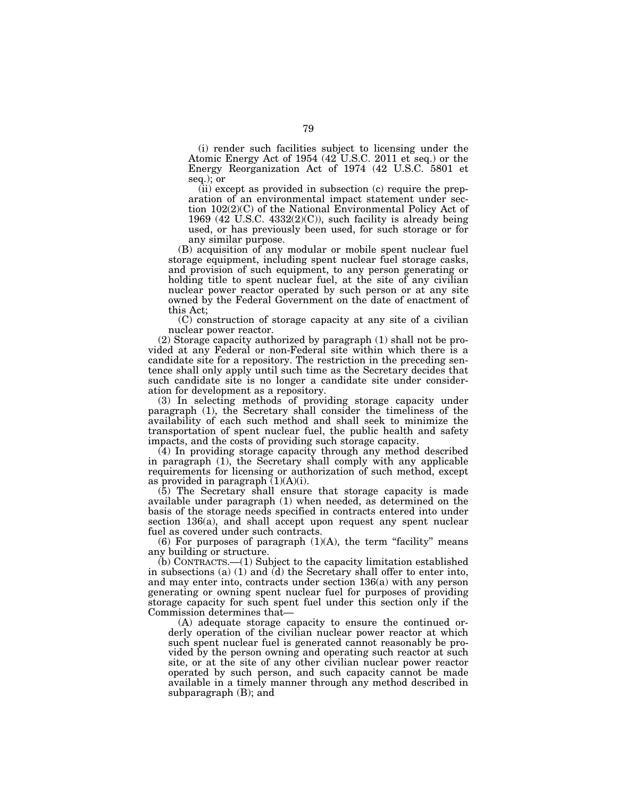(i) render such facilities subject to licensing under the Atomic Energy Act of 1954 (42 U.S.C. 2011 et seq.) or the Energy Reorganization Act of 1974 (42 U.S.C. 5801 et seq.); or

(ii) except as provided in subsection (c) require the preparation of an environmental impact statement under section 102(2)(C) of the National Environmental Policy Act of 1969 (42 U.S.C. 4332 $(2)(C)$ ), such facility is already being used, or has previously been used, for such storage or for any similar purpose.

(B) acquisition of any modular or mobile spent nuclear fuel storage equipment, including spent nuclear fuel storage casks, and provision of such equipment, to any person generating or holding title to spent nuclear fuel, at the site of any civilian nuclear power reactor operated by such person or at any site owned by the Federal Government on the date of enactment of this Act;

(C) construction of storage capacity at any site of a civilian nuclear power reactor.

(2) Storage capacity authorized by paragraph (1) shall not be provided at any Federal or non-Federal site within which there is a candidate site for a repository. The restriction in the preceding sentence shall only apply until such time as the Secretary decides that such candidate site is no longer a candidate site under consideration for development as a repository.

(3) In selecting methods of providing storage capacity under paragraph (1), the Secretary shall consider the timeliness of the availability of each such method and shall seek to minimize the transportation of spent nuclear fuel, the public health and safety impacts, and the costs of providing such storage capacity.

(4) In providing storage capacity through any method described in paragraph (1), the Secretary shall comply with any applicable requirements for licensing or authorization of such method, except as provided in paragraph  $(1)(A)(i)$ .

(5) The Secretary shall ensure that storage capacity is made available under paragraph (1) when needed, as determined on the basis of the storage needs specified in contracts entered into under section 136(a), and shall accept upon request any spent nuclear fuel as covered under such contracts.

(6) For purposes of paragraph  $(1)(A)$ , the term "facility" means any building or structure.

(b) CONTRACTS.—(1) Subject to the capacity limitation established in subsections (a) (1) and (d) the Secretary shall offer to enter into, and may enter into, contracts under section 136(a) with any person generating or owning spent nuclear fuel for purposes of providing storage capacity for such spent fuel under this section only if the Commission determines that—

(A) adequate storage capacity to ensure the continued orderly operation of the civilian nuclear power reactor at which such spent nuclear fuel is generated cannot reasonably be provided by the person owning and operating such reactor at such site, or at the site of any other civilian nuclear power reactor operated by such person, and such capacity cannot be made available in a timely manner through any method described in subparagraph (B); and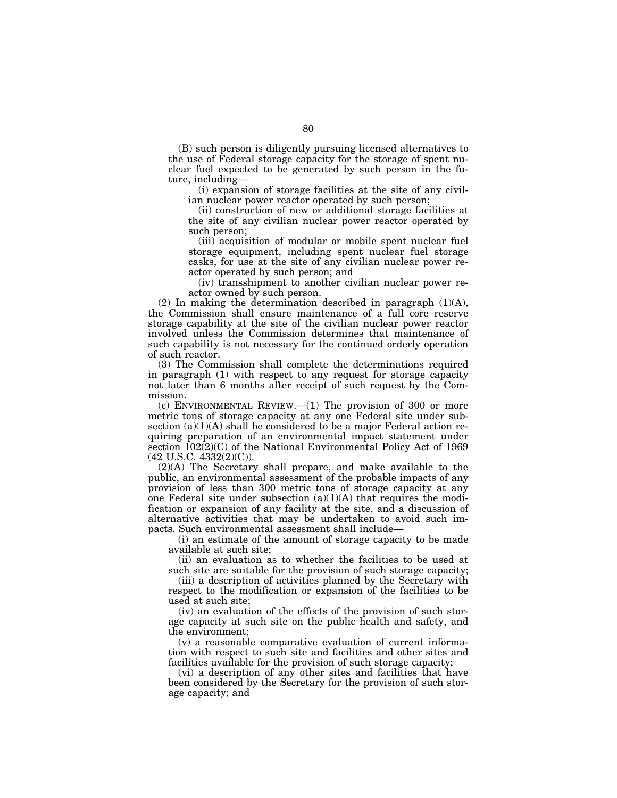(B) such person is diligently pursuing licensed alternatives to the use of Federal storage capacity for the storage of spent nuclear fuel expected to be generated by such person in the future, including—

(i) expansion of storage facilities at the site of any civilian nuclear power reactor operated by such person;

(ii) construction of new or additional storage facilities at the site of any civilian nuclear power reactor operated by such person;

(iii) acquisition of modular or mobile spent nuclear fuel storage equipment, including spent nuclear fuel storage casks, for use at the site of any civilian nuclear power reactor operated by such person; and

(iv) transshipment to another civilian nuclear power reactor owned by such person.

(2) In making the determination described in paragraph  $(1)(A)$ , the Commission shall ensure maintenance of a full core reserve storage capability at the site of the civilian nuclear power reactor involved unless the Commission determines that maintenance of such capability is not necessary for the continued orderly operation of such reactor.

(3) The Commission shall complete the determinations required in paragraph (1) with respect to any request for storage capacity not later than 6 months after receipt of such request by the Commission.

(c) ENVIRONMENTAL REVIEW.—(1) The provision of 300 or more metric tons of storage capacity at any one Federal site under subsection  $(a)(1)(A)$  shall be considered to be a major Federal action requiring preparation of an environmental impact statement under section 102(2)(C) of the National Environmental Policy Act of 1969 (42 U.S.C. 4332(2)(C)).

(2)(A) The Secretary shall prepare, and make available to the public, an environmental assessment of the probable impacts of any provision of less than 300 metric tons of storage capacity at any one Federal site under subsection  $(a)(1)(A)$  that requires the modification or expansion of any facility at the site, and a discussion of alternative activities that may be undertaken to avoid such impacts. Such environmental assessment shall include—

(i) an estimate of the amount of storage capacity to be made available at such site;

(ii) an evaluation as to whether the facilities to be used at such site are suitable for the provision of such storage capacity;

(iii) a description of activities planned by the Secretary with respect to the modification or expansion of the facilities to be used at such site;

(iv) an evaluation of the effects of the provision of such storage capacity at such site on the public health and safety, and the environment;

(v) a reasonable comparative evaluation of current information with respect to such site and facilities and other sites and facilities available for the provision of such storage capacity;

(vi) a description of any other sites and facilities that have been considered by the Secretary for the provision of such storage capacity; and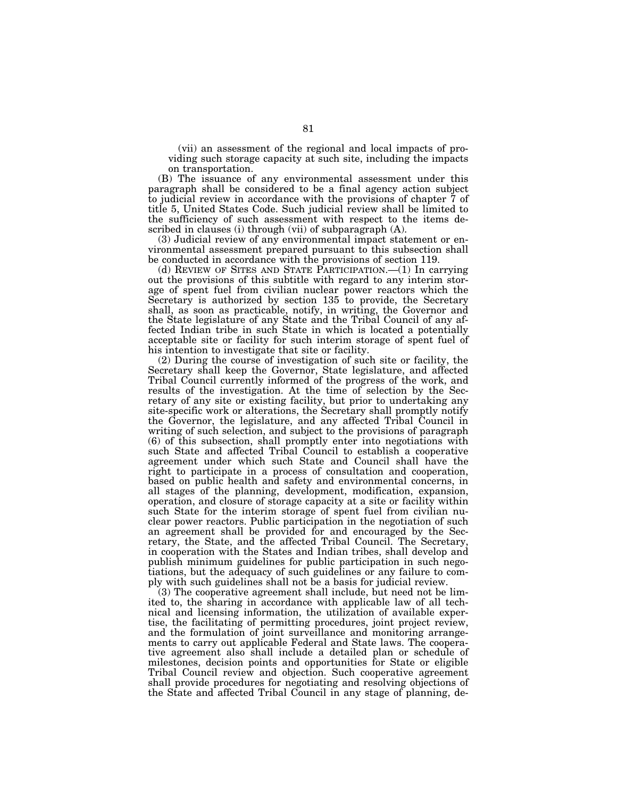(vii) an assessment of the regional and local impacts of providing such storage capacity at such site, including the impacts on transportation.

(B) The issuance of any environmental assessment under this paragraph shall be considered to be a final agency action subject to judicial review in accordance with the provisions of chapter 7 of title 5, United States Code. Such judicial review shall be limited to the sufficiency of such assessment with respect to the items described in clauses (i) through (vii) of subparagraph (A).

(3) Judicial review of any environmental impact statement or environmental assessment prepared pursuant to this subsection shall be conducted in accordance with the provisions of section 119.

(d) REVIEW OF SITES AND STATE PARTICIPATION.—(1) In carrying out the provisions of this subtitle with regard to any interim storage of spent fuel from civilian nuclear power reactors which the Secretary is authorized by section 135 to provide, the Secretary shall, as soon as practicable, notify, in writing, the Governor and the State legislature of any State and the Tribal Council of any affected Indian tribe in such State in which is located a potentially acceptable site or facility for such interim storage of spent fuel of his intention to investigate that site or facility.

(2) During the course of investigation of such site or facility, the Secretary shall keep the Governor, State legislature, and affected Tribal Council currently informed of the progress of the work, and results of the investigation. At the time of selection by the Secretary of any site or existing facility, but prior to undertaking any site-specific work or alterations, the Secretary shall promptly notify the Governor, the legislature, and any affected Tribal Council in writing of such selection, and subject to the provisions of paragraph (6) of this subsection, shall promptly enter into negotiations with such State and affected Tribal Council to establish a cooperative agreement under which such State and Council shall have the right to participate in a process of consultation and cooperation, based on public health and safety and environmental concerns, in all stages of the planning, development, modification, expansion, operation, and closure of storage capacity at a site or facility within such State for the interim storage of spent fuel from civilian nuclear power reactors. Public participation in the negotiation of such an agreement shall be provided for and encouraged by the Secretary, the State, and the affected Tribal Council. The Secretary, in cooperation with the States and Indian tribes, shall develop and publish minimum guidelines for public participation in such negotiations, but the adequacy of such guidelines or any failure to comply with such guidelines shall not be a basis for judicial review.

(3) The cooperative agreement shall include, but need not be limited to, the sharing in accordance with applicable law of all technical and licensing information, the utilization of available expertise, the facilitating of permitting procedures, joint project review, and the formulation of joint surveillance and monitoring arrangements to carry out applicable Federal and State laws. The cooperative agreement also shall include a detailed plan or schedule of milestones, decision points and opportunities for State or eligible Tribal Council review and objection. Such cooperative agreement shall provide procedures for negotiating and resolving objections of the State and affected Tribal Council in any stage of planning, de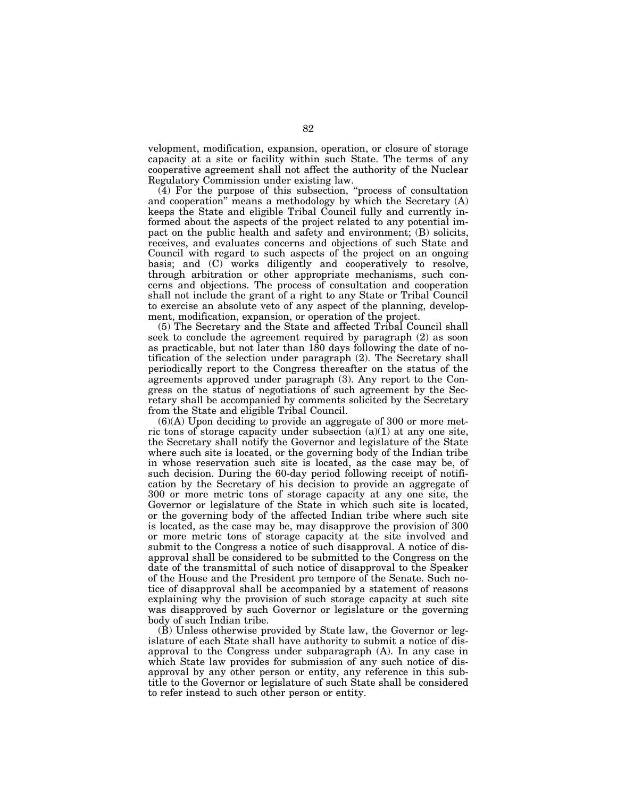velopment, modification, expansion, operation, or closure of storage capacity at a site or facility within such State. The terms of any cooperative agreement shall not affect the authority of the Nuclear Regulatory Commission under existing law.

(4) For the purpose of this subsection, ''process of consultation and cooperation'' means a methodology by which the Secretary (A) keeps the State and eligible Tribal Council fully and currently informed about the aspects of the project related to any potential impact on the public health and safety and environment; (B) solicits, receives, and evaluates concerns and objections of such State and Council with regard to such aspects of the project on an ongoing basis; and (C) works diligently and cooperatively to resolve, through arbitration or other appropriate mechanisms, such concerns and objections. The process of consultation and cooperation shall not include the grant of a right to any State or Tribal Council to exercise an absolute veto of any aspect of the planning, development, modification, expansion, or operation of the project.

(5) The Secretary and the State and affected Tribal Council shall seek to conclude the agreement required by paragraph (2) as soon as practicable, but not later than 180 days following the date of notification of the selection under paragraph (2). The Secretary shall periodically report to the Congress thereafter on the status of the agreements approved under paragraph (3). Any report to the Congress on the status of negotiations of such agreement by the Secretary shall be accompanied by comments solicited by the Secretary from the State and eligible Tribal Council.

(6)(A) Upon deciding to provide an aggregate of 300 or more metric tons of storage capacity under subsection (a)(1) at any one site, the Secretary shall notify the Governor and legislature of the State where such site is located, or the governing body of the Indian tribe in whose reservation such site is located, as the case may be, of such decision. During the 60-day period following receipt of notification by the Secretary of his decision to provide an aggregate of 300 or more metric tons of storage capacity at any one site, the Governor or legislature of the State in which such site is located, or the governing body of the affected Indian tribe where such site is located, as the case may be, may disapprove the provision of 300 or more metric tons of storage capacity at the site involved and submit to the Congress a notice of such disapproval. A notice of disapproval shall be considered to be submitted to the Congress on the date of the transmittal of such notice of disapproval to the Speaker of the House and the President pro tempore of the Senate. Such notice of disapproval shall be accompanied by a statement of reasons explaining why the provision of such storage capacity at such site was disapproved by such Governor or legislature or the governing body of such Indian tribe.

(B) Unless otherwise provided by State law, the Governor or legislature of each State shall have authority to submit a notice of disapproval to the Congress under subparagraph (A). In any case in which State law provides for submission of any such notice of disapproval by any other person or entity, any reference in this subtitle to the Governor or legislature of such State shall be considered to refer instead to such other person or entity.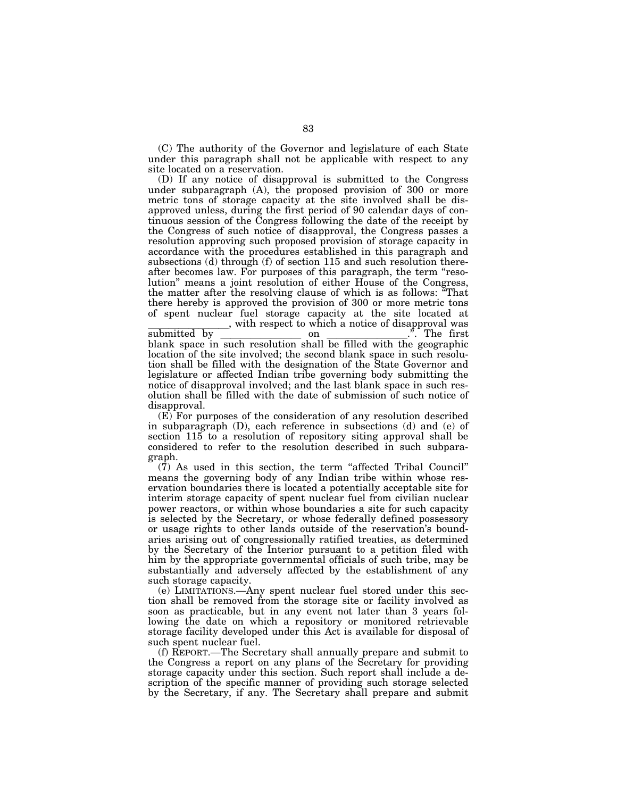(C) The authority of the Governor and legislature of each State under this paragraph shall not be applicable with respect to any site located on a reservation.

(D) If any notice of disapproval is submitted to the Congress under subparagraph (A), the proposed provision of 300 or more metric tons of storage capacity at the site involved shall be disapproved unless, during the first period of 90 calendar days of continuous session of the Congress following the date of the receipt by the Congress of such notice of disapproval, the Congress passes a resolution approving such proposed provision of storage capacity in accordance with the procedures established in this paragraph and subsections (d) through (f) of section 115 and such resolution thereafter becomes law. For purposes of this paragraph, the term "resolution'' means a joint resolution of either House of the Congress, the matter after the resolving clause of which is as follows: ''That there hereby is approved the provision of 300 or more metric tons of spent nuclear fuel storage capacity at the site located at  $\frac{1}{\text{submitted}}$  by with respect to which a notice of disapproval was submitted by submitted by llllllll on llllllll.''. The first blank space in such resolution shall be filled with the geographic location of the site involved; the second blank space in such resolu-

tion shall be filled with the designation of the State Governor and legislature or affected Indian tribe governing body submitting the notice of disapproval involved; and the last blank space in such resolution shall be filled with the date of submission of such notice of disapproval.

(E) For purposes of the consideration of any resolution described in subparagraph (D), each reference in subsections (d) and (e) of section 115 to a resolution of repository siting approval shall be considered to refer to the resolution described in such subparagraph.

(7) As used in this section, the term ''affected Tribal Council'' means the governing body of any Indian tribe within whose reservation boundaries there is located a potentially acceptable site for interim storage capacity of spent nuclear fuel from civilian nuclear power reactors, or within whose boundaries a site for such capacity is selected by the Secretary, or whose federally defined possessory or usage rights to other lands outside of the reservation's boundaries arising out of congressionally ratified treaties, as determined by the Secretary of the Interior pursuant to a petition filed with him by the appropriate governmental officials of such tribe, may be substantially and adversely affected by the establishment of any such storage capacity.

(e) LIMITATIONS.—Any spent nuclear fuel stored under this section shall be removed from the storage site or facility involved as soon as practicable, but in any event not later than 3 years following the date on which a repository or monitored retrievable storage facility developed under this Act is available for disposal of such spent nuclear fuel.

(f) REPORT.—The Secretary shall annually prepare and submit to the Congress a report on any plans of the Secretary for providing storage capacity under this section. Such report shall include a description of the specific manner of providing such storage selected by the Secretary, if any. The Secretary shall prepare and submit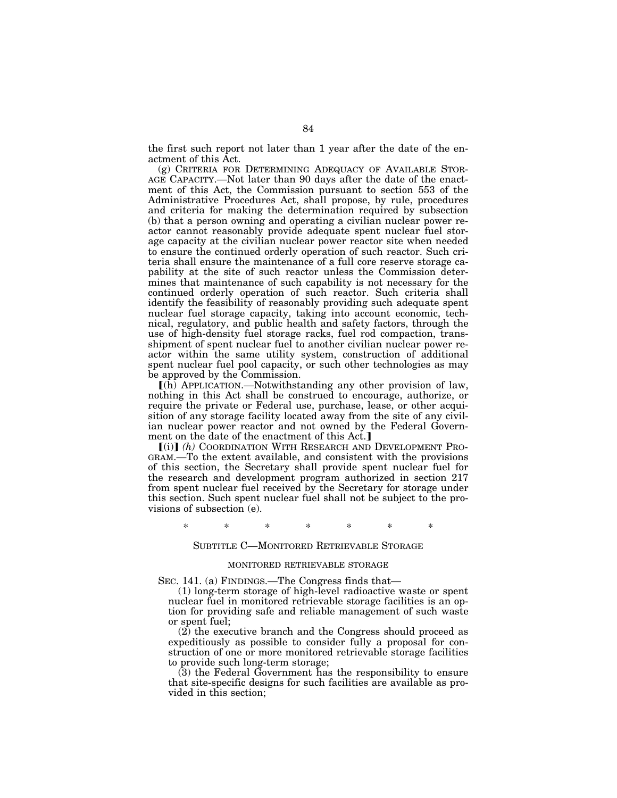the first such report not later than 1 year after the date of the enactment of this Act.

(g) CRITERIA FOR DETERMINING ADEQUACY OF AVAILABLE STOR-AGE CAPACITY.—Not later than 90 days after the date of the enactment of this Act, the Commission pursuant to section 553 of the Administrative Procedures Act, shall propose, by rule, procedures and criteria for making the determination required by subsection (b) that a person owning and operating a civilian nuclear power reactor cannot reasonably provide adequate spent nuclear fuel storage capacity at the civilian nuclear power reactor site when needed to ensure the continued orderly operation of such reactor. Such criteria shall ensure the maintenance of a full core reserve storage capability at the site of such reactor unless the Commission determines that maintenance of such capability is not necessary for the continued orderly operation of such reactor. Such criteria shall identify the feasibility of reasonably providing such adequate spent nuclear fuel storage capacity, taking into account economic, technical, regulatory, and public health and safety factors, through the use of high-density fuel storage racks, fuel rod compaction, transshipment of spent nuclear fuel to another civilian nuclear power reactor within the same utility system, construction of additional spent nuclear fuel pool capacity, or such other technologies as may be approved by the Commission.

 $\lceil$ (h) APPLICATION.—Notwithstanding any other provision of law, nothing in this Act shall be construed to encourage, authorize, or require the private or Federal use, purchase, lease, or other acquisition of any storage facility located away from the site of any civilian nuclear power reactor and not owned by the Federal Government on the date of the enactment of this Act.]

[(i)] (h) COORDINATION WITH RESEARCH AND DEVELOPMENT PRO-GRAM.—To the extent available, and consistent with the provisions of this section, the Secretary shall provide spent nuclear fuel for the research and development program authorized in section 217 from spent nuclear fuel received by the Secretary for storage under this section. Such spent nuclear fuel shall not be subject to the provisions of subsection (e).

\* \* \* \* \* \* \*

# SUBTITLE C—MONITORED RETRIEVABLE STORAGE

### MONITORED RETRIEVABLE STORAGE

# SEC. 141. (a) FINDINGS.—The Congress finds that—

(1) long-term storage of high-level radioactive waste or spent nuclear fuel in monitored retrievable storage facilities is an option for providing safe and reliable management of such waste or spent fuel;

(2) the executive branch and the Congress should proceed as expeditiously as possible to consider fully a proposal for construction of one or more monitored retrievable storage facilities to provide such long-term storage;

(3) the Federal Government has the responsibility to ensure that site-specific designs for such facilities are available as provided in this section;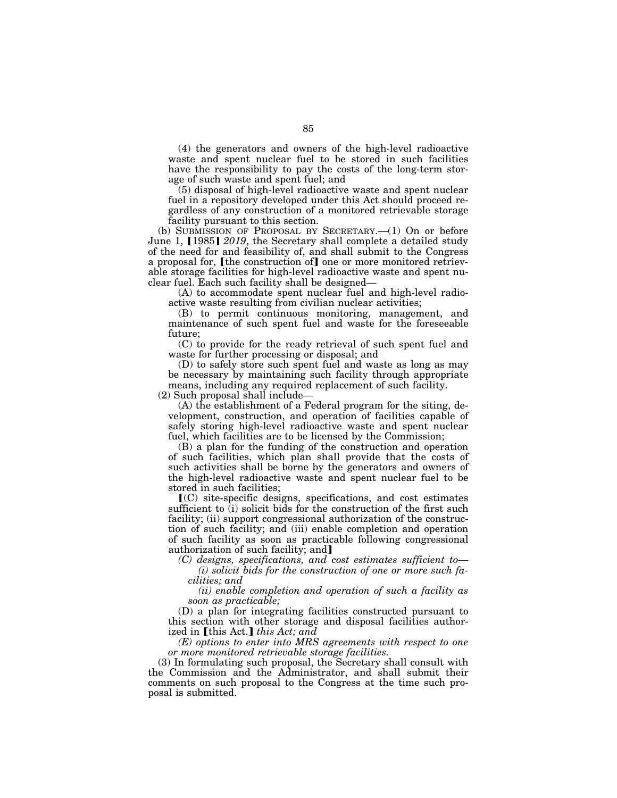(4) the generators and owners of the high-level radioactive waste and spent nuclear fuel to be stored in such facilities have the responsibility to pay the costs of the long-term storage of such waste and spent fuel; and

(5) disposal of high-level radioactive waste and spent nuclear fuel in a repository developed under this Act should proceed regardless of any construction of a monitored retrievable storage facility pursuant to this section.

(b) SUBMISSION OF PROPOSAL BY SECRETARY.—(1) On or before June 1, [1985] 2019, the Secretary shall complete a detailed study of the need for and feasibility of, and shall submit to the Congress a proposal for, [the construction of] one or more monitored retrievable storage facilities for high-level radioactive waste and spent nuclear fuel. Each such facility shall be designed—

(A) to accommodate spent nuclear fuel and high-level radioactive waste resulting from civilian nuclear activities;

(B) to permit continuous monitoring, management, and maintenance of such spent fuel and waste for the foreseeable future;

(C) to provide for the ready retrieval of such spent fuel and waste for further processing or disposal; and

(D) to safely store such spent fuel and waste as long as may be necessary by maintaining such facility through appropriate means, including any required replacement of such facility.

(2) Such proposal shall include—

(A) the establishment of a Federal program for the siting, development, construction, and operation of facilities capable of safely storing high-level radioactive waste and spent nuclear fuel, which facilities are to be licensed by the Commission;

(B) a plan for the funding of the construction and operation of such facilities, which plan shall provide that the costs of such activities shall be borne by the generators and owners of the high-level radioactive waste and spent nuclear fuel to be stored in such facilities;

 $\mathbf{I}(C)$  site-specific designs, specifications, and cost estimates sufficient to  $(i)$  solicit bids for the construction of the first such facility; (ii) support congressional authorization of the construction of such facility; and (iii) enable completion and operation of such facility as soon as practicable following congressional authorization of such facility; and

*(C) designs, specifications, and cost estimates sufficient to— (i) solicit bids for the construction of one or more such facilities; and* 

*(ii) enable completion and operation of such a facility as soon as practicable;* 

(D) a plan for integrating facilities constructed pursuant to this section with other storage and disposal facilities authorized in [this Act.] *this Act; and* 

*(E) options to enter into MRS agreements with respect to one or more monitored retrievable storage facilities.* 

(3) In formulating such proposal, the Secretary shall consult with the Commission and the Administrator, and shall submit their comments on such proposal to the Congress at the time such proposal is submitted.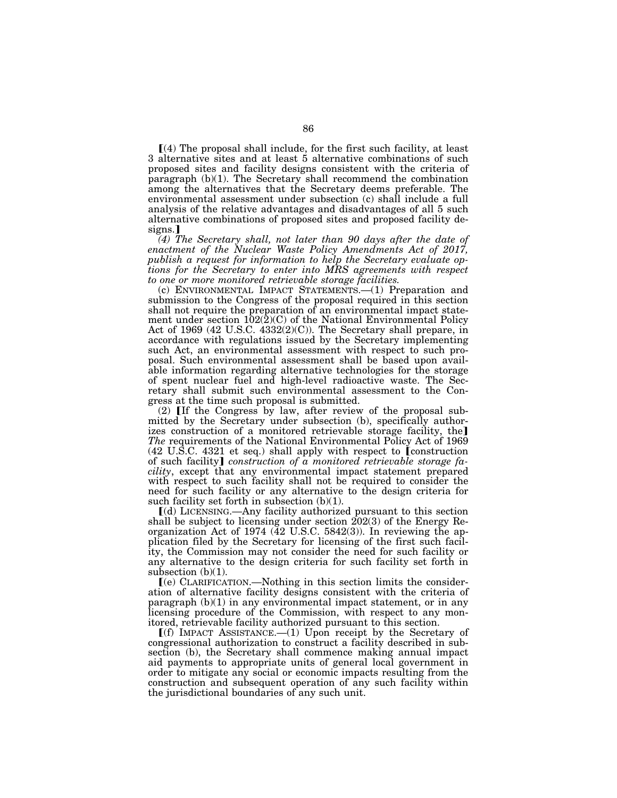$(a)$  The proposal shall include, for the first such facility, at least 3 alternative sites and at least 5 alternative combinations of such proposed sites and facility designs consistent with the criteria of paragraph (b)(1). The Secretary shall recommend the combination among the alternatives that the Secretary deems preferable. The environmental assessment under subsection (c) shall include a full analysis of the relative advantages and disadvantages of all 5 such alternative combinations of proposed sites and proposed facility designs.]

*(4) The Secretary shall, not later than 90 days after the date of enactment of the Nuclear Waste Policy Amendments Act of 2017, publish a request for information to help the Secretary evaluate options for the Secretary to enter into MRS agreements with respect to one or more monitored retrievable storage facilities.* 

(c) ENVIRONMENTAL IMPACT STATEMENTS.—(1) Preparation and submission to the Congress of the proposal required in this section shall not require the preparation of an environmental impact statement under section  $102(2)(C)$  of the National Environmental Policy Act of 1969 (42 U.S.C. 4332(2)(C)). The Secretary shall prepare, in accordance with regulations issued by the Secretary implementing such Act, an environmental assessment with respect to such proposal. Such environmental assessment shall be based upon available information regarding alternative technologies for the storage of spent nuclear fuel and high-level radioactive waste. The Secretary shall submit such environmental assessment to the Congress at the time such proposal is submitted.

 $(2)$  [If the Congress by law, after review of the proposal submitted by the Secretary under subsection (b), specifically authorizes construction of a monitored retrievable storage facility, the *The* requirements of the National Environmental Policy Act of 1969  $(42 \text{ U.S.C. } 4321 \text{ et seq.})$  shall apply with respect to [construction] of such facility] *construction of a monitored retrievable storage facility*, except that any environmental impact statement prepared with respect to such facility shall not be required to consider the need for such facility or any alternative to the design criteria for such facility set forth in subsection  $(b)(1)$ .

ø(d) LICENSING.—Any facility authorized pursuant to this section shall be subject to licensing under section 202(3) of the Energy Reorganization Act of 1974 (42 U.S.C. 5842(3)). In reviewing the application filed by the Secretary for licensing of the first such facility, the Commission may not consider the need for such facility or any alternative to the design criteria for such facility set forth in subsection  $(b)(1)$ .

ø(e) CLARIFICATION.—Nothing in this section limits the consideration of alternative facility designs consistent with the criteria of paragraph (b)(1) in any environmental impact statement, or in any licensing procedure of the Commission, with respect to any monitored, retrievable facility authorized pursuant to this section.

 $[(f)$  IMPACT ASSISTANCE. $-(1)$  Upon receipt by the Secretary of congressional authorization to construct a facility described in subsection (b), the Secretary shall commence making annual impact aid payments to appropriate units of general local government in order to mitigate any social or economic impacts resulting from the construction and subsequent operation of any such facility within the jurisdictional boundaries of any such unit.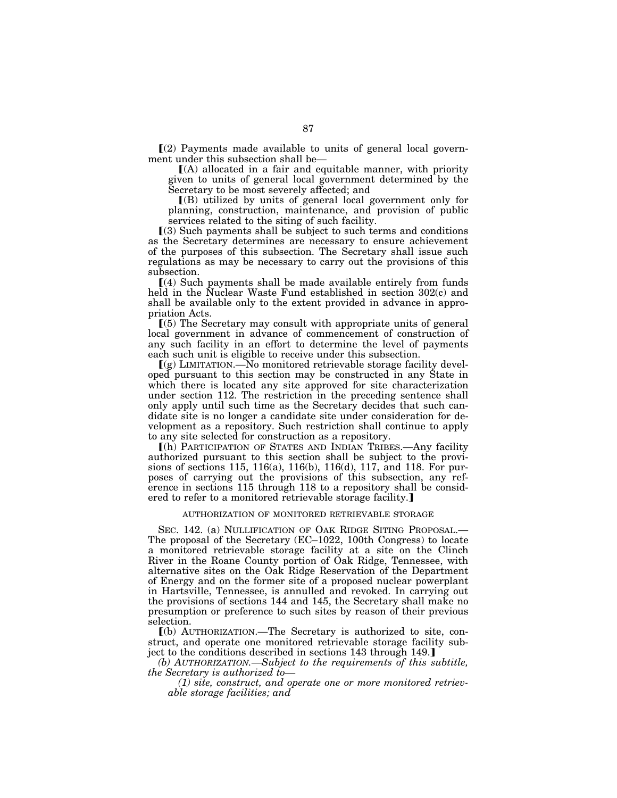$\Gamma(2)$  Payments made available to units of general local government under this subsection shall be—

 $(A)$  allocated in a fair and equitable manner, with priority given to units of general local government determined by the Secretary to be most severely affected; and

 $($ B) utilized by units of general local government only for planning, construction, maintenance, and provision of public services related to the siting of such facility.

 $(3)$  Such payments shall be subject to such terms and conditions as the Secretary determines are necessary to ensure achievement of the purposes of this subsection. The Secretary shall issue such regulations as may be necessary to carry out the provisions of this subsection.

 $(a)$  Such payments shall be made available entirely from funds held in the Nuclear Waste Fund established in section 302(c) and shall be available only to the extent provided in advance in appropriation Acts.

ø(5) The Secretary may consult with appropriate units of general local government in advance of commencement of construction of any such facility in an effort to determine the level of payments each such unit is eligible to receive under this subsection.

 $(q)$  LIMITATION.—No monitored retrievable storage facility developed pursuant to this section may be constructed in any State in which there is located any site approved for site characterization under section 112. The restriction in the preceding sentence shall only apply until such time as the Secretary decides that such candidate site is no longer a candidate site under consideration for development as a repository. Such restriction shall continue to apply to any site selected for construction as a repository.

ø(h) PARTICIPATION OF STATES AND INDIAN TRIBES.—Any facility authorized pursuant to this section shall be subject to the provisions of sections 115, 116(a), 116(b), 116(d), 117, and 118. For purposes of carrying out the provisions of this subsection, any reference in sections 115 through 118 to a repository shall be considered to refer to a monitored retrievable storage facility.]

### AUTHORIZATION OF MONITORED RETRIEVABLE STORAGE

SEC. 142. (a) NULLIFICATION OF OAK RIDGE SITING PROPOSAL. The proposal of the Secretary (EC–1022, 100th Congress) to locate a monitored retrievable storage facility at a site on the Clinch River in the Roane County portion of Oak Ridge, Tennessee, with alternative sites on the Oak Ridge Reservation of the Department of Energy and on the former site of a proposed nuclear powerplant in Hartsville, Tennessee, is annulled and revoked. In carrying out the provisions of sections 144 and 145, the Secretary shall make no presumption or preference to such sites by reason of their previous selection.

ø(b) AUTHORIZATION.—The Secretary is authorized to site, construct, and operate one monitored retrievable storage facility subject to the conditions described in sections 143 through 149.

*(b) AUTHORIZATION.—Subject to the requirements of this subtitle, the Secretary is authorized to—* 

*(1) site, construct, and operate one or more monitored retrievable storage facilities; and*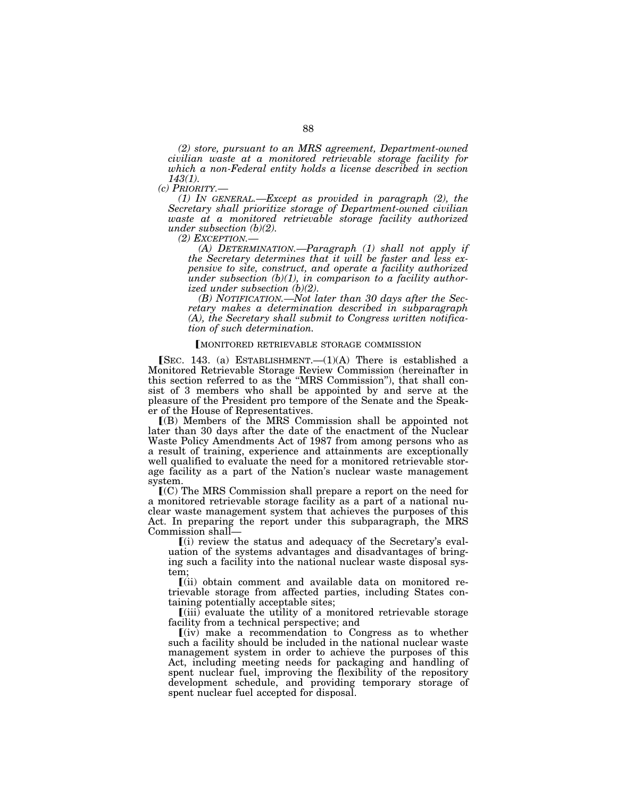*(2) store, pursuant to an MRS agreement, Department-owned civilian waste at a monitored retrievable storage facility for which a non-Federal entity holds a license described in section 143(1).* 

 $(1)$  IN GENERAL.—Except as provided in paragraph  $(2)$ , the *Secretary shall prioritize storage of Department-owned civilian waste at a monitored retrievable storage facility authorized under subsection (b)(2).* 

*(2) EXCEPTION.— (A) DETERMINATION.—Paragraph (1) shall not apply if the Secretary determines that it will be faster and less expensive to site, construct, and operate a facility authorized under subsection (b)(1), in comparison to a facility authorized under subsection (b)(2).* 

*(B) NOTIFICATION.—Not later than 30 days after the Secretary makes a determination described in subparagraph (A), the Secretary shall submit to Congress written notification of such determination.* 

### MONITORED RETRIEVABLE STORAGE COMMISSION

[SEC. 143. (a) ESTABLISHMENT. $-(1)(A)$  There is established a Monitored Retrievable Storage Review Commission (hereinafter in this section referred to as the ''MRS Commission''), that shall consist of 3 members who shall be appointed by and serve at the pleasure of the President pro tempore of the Senate and the Speaker of the House of Representatives.

ø(B) Members of the MRS Commission shall be appointed not later than 30 days after the date of the enactment of the Nuclear Waste Policy Amendments Act of 1987 from among persons who as a result of training, experience and attainments are exceptionally well qualified to evaluate the need for a monitored retrievable storage facility as a part of the Nation's nuclear waste management system.

 $\mathbb{I}(C)$  The MRS Commission shall prepare a report on the need for a monitored retrievable storage facility as a part of a national nuclear waste management system that achieves the purposes of this Act. In preparing the report under this subparagraph, the MRS Commission shall—

ø(i) review the status and adequacy of the Secretary's evaluation of the systems advantages and disadvantages of bringing such a facility into the national nuclear waste disposal system;

 $(iii)$  obtain comment and available data on monitored retrievable storage from affected parties, including States containing potentially acceptable sites;

ø(iii) evaluate the utility of a monitored retrievable storage facility from a technical perspective; and

 $\left[$ (iv) make a recommendation to Congress as to whether such a facility should be included in the national nuclear waste management system in order to achieve the purposes of this Act, including meeting needs for packaging and handling of spent nuclear fuel, improving the flexibility of the repository development schedule, and providing temporary storage of spent nuclear fuel accepted for disposal.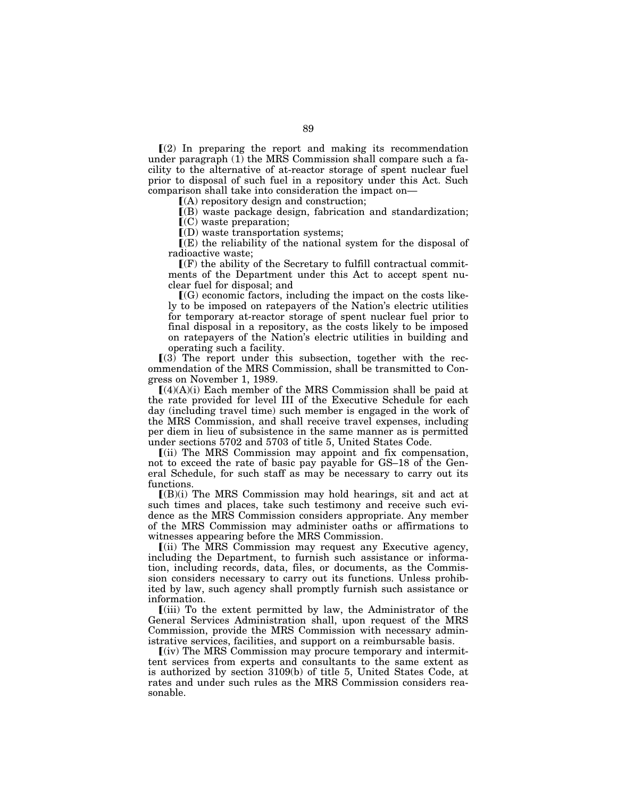$\Gamma(2)$  In preparing the report and making its recommendation under paragraph  $(1)$  the MRS Commission shall compare such a facility to the alternative of at-reactor storage of spent nuclear fuel prior to disposal of such fuel in a repository under this Act. Such comparison shall take into consideration the impact on—

 $(A)$  repository design and construction;

 $(R)$  waste package design, fabrication and standardization;  $(C)$  waste preparation;

 $(D)$  waste transportation systems;

 $I(E)$  the reliability of the national system for the disposal of radioactive waste;

 $\mathbf{F}(\mathbf{F})$  the ability of the Secretary to fulfill contractual commitments of the Department under this Act to accept spent nuclear fuel for disposal; and

 $\Gamma(G)$  economic factors, including the impact on the costs likely to be imposed on ratepayers of the Nation's electric utilities for temporary at-reactor storage of spent nuclear fuel prior to final disposal in a repository, as the costs likely to be imposed on ratepayers of the Nation's electric utilities in building and operating such a facility.

 $(3)$  The report under this subsection, together with the recommendation of the MRS Commission, shall be transmitted to Congress on November 1, 1989.

 $[(4)(A)(i)$  Each member of the MRS Commission shall be paid at the rate provided for level III of the Executive Schedule for each day (including travel time) such member is engaged in the work of the MRS Commission, and shall receive travel expenses, including per diem in lieu of subsistence in the same manner as is permitted under sections 5702 and 5703 of title 5, United States Code.

ø(ii) The MRS Commission may appoint and fix compensation, not to exceed the rate of basic pay payable for GS–18 of the General Schedule, for such staff as may be necessary to carry out its functions.

 $\Gamma(B)(i)$  The MRS Commission may hold hearings, sit and act at such times and places, take such testimony and receive such evidence as the MRS Commission considers appropriate. Any member of the MRS Commission may administer oaths or affirmations to witnesses appearing before the MRS Commission.

ø(ii) The MRS Commission may request any Executive agency, including the Department, to furnish such assistance or information, including records, data, files, or documents, as the Commission considers necessary to carry out its functions. Unless prohibited by law, such agency shall promptly furnish such assistance or information.

ø(iii) To the extent permitted by law, the Administrator of the General Services Administration shall, upon request of the MRS Commission, provide the MRS Commission with necessary administrative services, facilities, and support on a reimbursable basis.

 $\left[$ (iv) The MRS Commission may procure temporary and intermittent services from experts and consultants to the same extent as is authorized by section 3109(b) of title 5, United States Code, at rates and under such rules as the MRS Commission considers reasonable.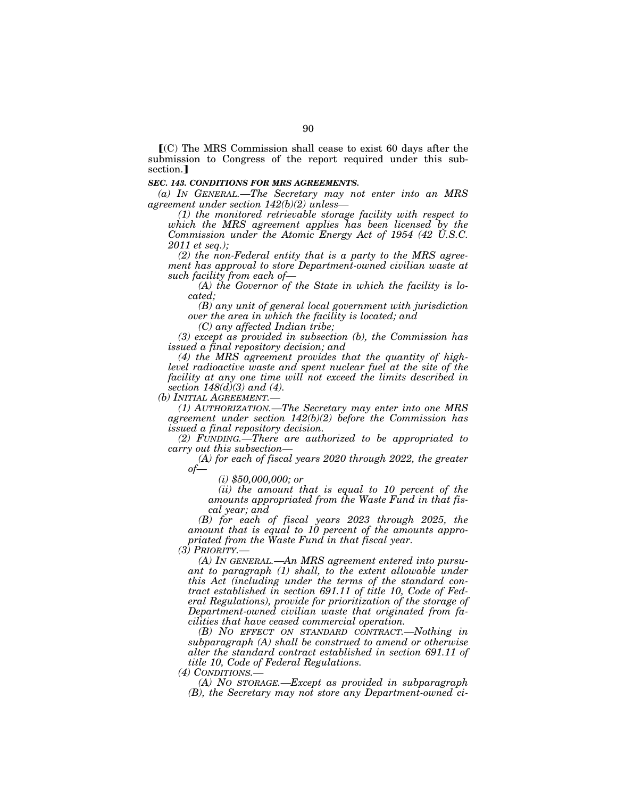$\mathbf{I}(\mathbf{C})$  The MRS Commission shall cease to exist 60 days after the submission to Congress of the report required under this subsection.]

### *SEC. 143. CONDITIONS FOR MRS AGREEMENTS.*

*(a) IN GENERAL.—The Secretary may not enter into an MRS agreement under section 142(b)(2) unless—* 

*(1) the monitored retrievable storage facility with respect to which the MRS agreement applies has been licensed by the Commission under the Atomic Energy Act of 1954 (42 U.S.C. 2011 et seq.);* 

*(2) the non-Federal entity that is a party to the MRS agreement has approval to store Department-owned civilian waste at such facility from each of—* 

*(A) the Governor of the State in which the facility is located;* 

*(B) any unit of general local government with jurisdiction over the area in which the facility is located; and* 

*(C) any affected Indian tribe;* 

*(3) except as provided in subsection (b), the Commission has issued a final repository decision; and* 

*(4) the MRS agreement provides that the quantity of highlevel radioactive waste and spent nuclear fuel at the site of the* facility at any one time will not exceed the limits described in *section 148(d)(3) and (4).* 

*(b) INITIAL AGREEMENT.—* 

*(1) AUTHORIZATION.—The Secretary may enter into one MRS agreement under section 142(b)(2) before the Commission has issued a final repository decision.* 

*(2) FUNDING.—There are authorized to be appropriated to carry out this subsection—* 

*(A) for each of fiscal years 2020 through 2022, the greater of—* 

*(i) \$50,000,000; or* 

*(ii) the amount that is equal to 10 percent of the amounts appropriated from the Waste Fund in that fiscal year; and* 

*(B) for each of fiscal years 2023 through 2025, the amount that is equal to 10 percent of the amounts appropriated from the Waste Fund in that fiscal year.* 

*(3) PRIORITY.—* 

*(A) IN GENERAL.—An MRS agreement entered into pursu*ant to paragraph (1) shall, to the extent allowable under *this Act (including under the terms of the standard contract established in section 691.11 of title 10, Code of Federal Regulations), provide for prioritization of the storage of Department-owned civilian waste that originated from facilities that have ceased commercial operation.* 

*(B) NO EFFECT ON STANDARD CONTRACT.—Nothing in subparagraph (A) shall be construed to amend or otherwise alter the standard contract established in section 691.11 of title 10, Code of Federal Regulations.* 

*(4) CONDITIONS.—* 

*(A) NO STORAGE.—Except as provided in subparagraph (B), the Secretary may not store any Department-owned ci-*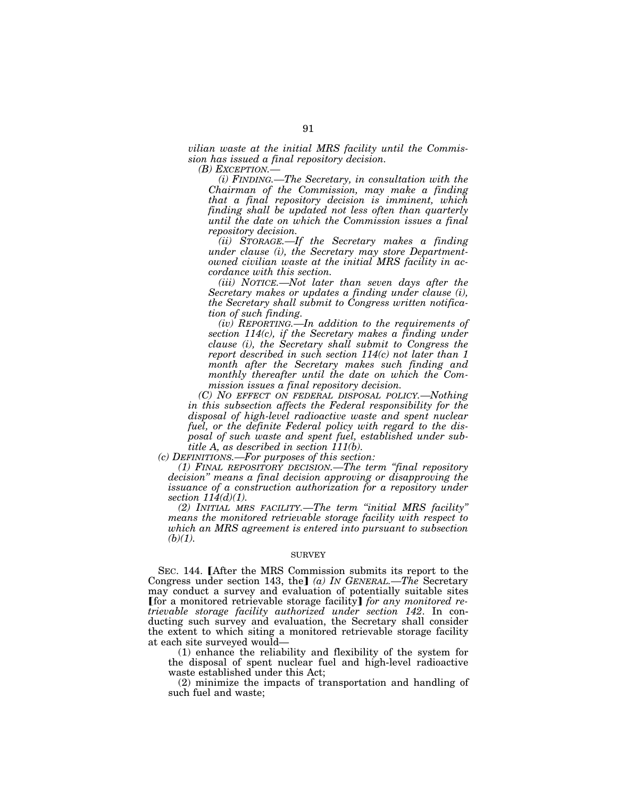*vilian waste at the initial MRS facility until the Commission has issued a final repository decision.* 

*(B) EXCEPTION.—* 

*(i) FINDING.—The Secretary, in consultation with the Chairman of the Commission, may make a finding that a final repository decision is imminent, which finding shall be updated not less often than quarterly until the date on which the Commission issues a final repository decision.* 

*(ii) STORAGE.—If the Secretary makes a finding under clause (i), the Secretary may store Departmentowned civilian waste at the initial MRS facility in accordance with this section.* 

*(iii) NOTICE.—Not later than seven days after the Secretary makes or updates a finding under clause (i), the Secretary shall submit to Congress written notification of such finding.* 

*(iv) REPORTING.—In addition to the requirements of section 114(c), if the Secretary makes a finding under clause (i), the Secretary shall submit to Congress the report described in such section 114(c) not later than 1 month after the Secretary makes such finding and monthly thereafter until the date on which the Commission issues a final repository decision.* 

*(C) NO EFFECT ON FEDERAL DISPOSAL POLICY.—Nothing in this subsection affects the Federal responsibility for the disposal of high-level radioactive waste and spent nuclear fuel, or the definite Federal policy with regard to the disposal of such waste and spent fuel, established under subtitle A, as described in section 111(b).* 

*(c) DEFINITIONS.—For purposes of this section:* 

*(1) FINAL REPOSITORY DECISION.—The term ''final repository decision'' means a final decision approving or disapproving the issuance of a construction authorization for a repository under section 114(d)(1).* 

*(2) INITIAL MRS FACILITY.—The term ''initial MRS facility'' means the monitored retrievable storage facility with respect to which an MRS agreement is entered into pursuant to subsection*   $(b)(1)$ .

### **SURVEY**

SEC. 144. [After the MRS Commission submits its report to the Congress under section 143, the] (a) IN GENERAL.—The Secretary may conduct a survey and evaluation of potentially suitable sites [for a monitored retrievable storage facility] for any monitored re*trievable storage facility authorized under section 142*. In conducting such survey and evaluation, the Secretary shall consider the extent to which siting a monitored retrievable storage facility at each site surveyed would—

(1) enhance the reliability and flexibility of the system for the disposal of spent nuclear fuel and high-level radioactive waste established under this Act;

(2) minimize the impacts of transportation and handling of such fuel and waste;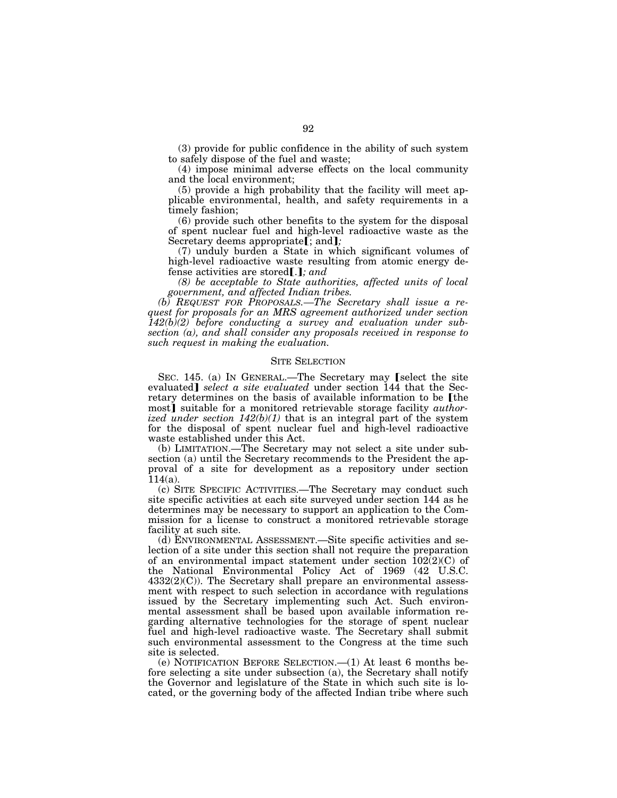(3) provide for public confidence in the ability of such system to safely dispose of the fuel and waste;

(4) impose minimal adverse effects on the local community and the local environment;

(5) provide a high probability that the facility will meet applicable environmental, health, and safety requirements in a timely fashion;

(6) provide such other benefits to the system for the disposal of spent nuclear fuel and high-level radioactive waste as the Secretary deems appropriate<sub>[; and</sub><sub>*]*;</sub>

(7) unduly burden a State in which significant volumes of high-level radioactive waste resulting from atomic energy defense activities are stored[.]; and

*(8) be acceptable to State authorities, affected units of local government, and affected Indian tribes.* 

*(b) REQUEST FOR PROPOSALS.—The Secretary shall issue a request for proposals for an MRS agreement authorized under section 142(b)(2) before conducting a survey and evaluation under subsection (a), and shall consider any proposals received in response to such request in making the evaluation.* 

### SITE SELECTION

SEC. 145. (a) IN GENERAL.—The Secretary may eselect the site evaluated] *select a site evaluated* under section 144 that the Secretary determines on the basis of available information to be [the most<sup>*j*</sup> suitable for a monitored retrievable storage facility *authorized under section 142(b)(1)* that is an integral part of the system for the disposal of spent nuclear fuel and high-level radioactive waste established under this Act.

(b) LIMITATION.—The Secretary may not select a site under subsection (a) until the Secretary recommends to the President the approval of a site for development as a repository under section 114(a).

(c) SITE SPECIFIC ACTIVITIES.—The Secretary may conduct such site specific activities at each site surveyed under section 144 as he determines may be necessary to support an application to the Commission for a license to construct a monitored retrievable storage facility at such site.

(d) ENVIRONMENTAL ASSESSMENT.—Site specific activities and selection of a site under this section shall not require the preparation of an environmental impact statement under section  $102(2)(C)$  of the National Environmental Policy Act of 1969 (42 U.S.C.  $4332(2)(C)$ ). The Secretary shall prepare an environmental assessment with respect to such selection in accordance with regulations issued by the Secretary implementing such Act. Such environmental assessment shall be based upon available information regarding alternative technologies for the storage of spent nuclear fuel and high-level radioactive waste. The Secretary shall submit such environmental assessment to the Congress at the time such site is selected.

(e) NOTIFICATION BEFORE SELECTION.—(1) At least 6 months before selecting a site under subsection (a), the Secretary shall notify the Governor and legislature of the State in which such site is located, or the governing body of the affected Indian tribe where such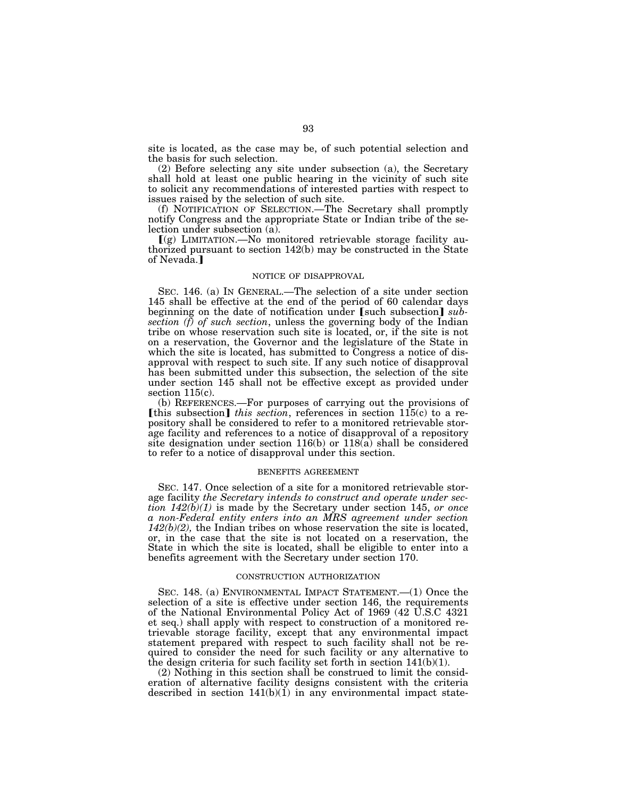site is located, as the case may be, of such potential selection and the basis for such selection.

(2) Before selecting any site under subsection (a), the Secretary shall hold at least one public hearing in the vicinity of such site to solicit any recommendations of interested parties with respect to issues raised by the selection of such site.

(f) NOTIFICATION OF SELECTION.—The Secretary shall promptly notify Congress and the appropriate State or Indian tribe of the selection under subsection (a).

 $\Gamma(g)$  LIMITATION.—No monitored retrievable storage facility authorized pursuant to section 142(b) may be constructed in the State of Nevada.]

### NOTICE OF DISAPPROVAL

SEC. 146. (a) IN GENERAL.—The selection of a site under section 145 shall be effective at the end of the period of 60 calendar days beginning on the date of notification under [such subsection]  $\sinh$ *section (f) of such section*, unless the governing body of the Indian tribe on whose reservation such site is located, or, if the site is not on a reservation, the Governor and the legislature of the State in which the site is located, has submitted to Congress a notice of disapproval with respect to such site. If any such notice of disapproval has been submitted under this subsection, the selection of the site under section 145 shall not be effective except as provided under section 115(c).

(b) REFERENCES.—For purposes of carrying out the provisions of **[this subsection]** *this section*, references in section  $115(c)$  to a repository shall be considered to refer to a monitored retrievable storage facility and references to a notice of disapproval of a repository site designation under section 116(b) or 118(a) shall be considered to refer to a notice of disapproval under this section.

### BENEFITS AGREEMENT

SEC. 147. Once selection of a site for a monitored retrievable storage facility *the Secretary intends to construct and operate under section 142(b)(1)* is made by the Secretary under section 145, *or once a non-Federal entity enters into an MRS agreement under section 142(b)(2),* the Indian tribes on whose reservation the site is located, or, in the case that the site is not located on a reservation, the State in which the site is located, shall be eligible to enter into a benefits agreement with the Secretary under section 170.

#### CONSTRUCTION AUTHORIZATION

SEC. 148. (a) ENVIRONMENTAL IMPACT STATEMENT.—(1) Once the selection of a site is effective under section 146, the requirements of the National Environmental Policy Act of 1969 (42 U.S.C 4321 et seq.) shall apply with respect to construction of a monitored retrievable storage facility, except that any environmental impact statement prepared with respect to such facility shall not be required to consider the need for such facility or any alternative to the design criteria for such facility set forth in section  $141(b)(1)$ .

(2) Nothing in this section shall be construed to limit the consideration of alternative facility designs consistent with the criteria described in section  $141(b)(1)$  in any environmental impact state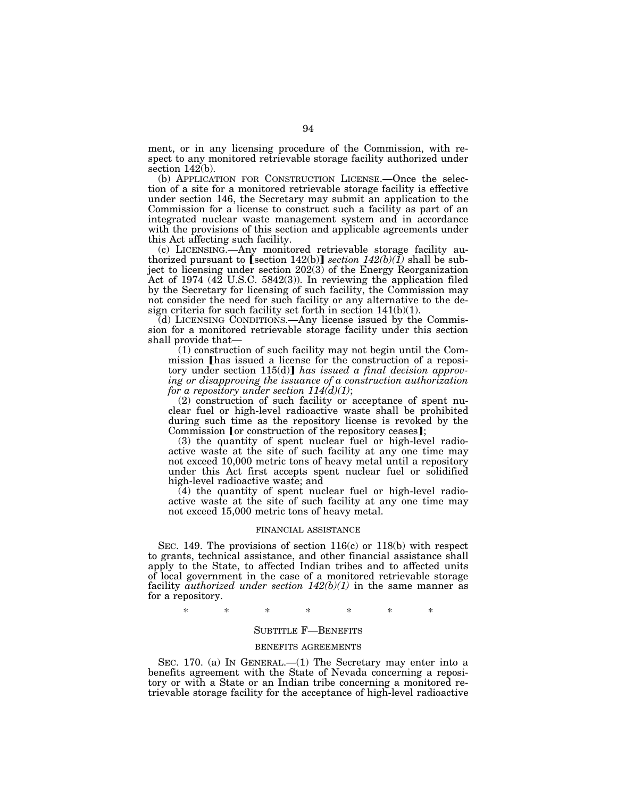ment, or in any licensing procedure of the Commission, with respect to any monitored retrievable storage facility authorized under section 142(b).

(b) APPLICATION FOR CONSTRUCTION LICENSE.—Once the selection of a site for a monitored retrievable storage facility is effective under section 146, the Secretary may submit an application to the Commission for a license to construct such a facility as part of an integrated nuclear waste management system and in accordance with the provisions of this section and applicable agreements under this Act affecting such facility.

(c) LICENSING.—Any monitored retrievable storage facility authorized pursuant to [section 142(b)] *section 142(b)(1)* shall be subject to licensing under section 202(3) of the Energy Reorganization Act of 1974 (42 U.S.C. 5842(3)). In reviewing the application filed by the Secretary for licensing of such facility, the Commission may not consider the need for such facility or any alternative to the design criteria for such facility set forth in section 141(b)(1).

(d) LICENSING CONDITIONS.—Any license issued by the Commission for a monitored retrievable storage facility under this section shall provide that—

(1) construction of such facility may not begin until the Commission [has issued a license for the construction of a repository under section 115(d)] has issued a final decision approv*ing or disapproving the issuance of a construction authorization for a repository under section 114(d)(1)*;

(2) construction of such facility or acceptance of spent nuclear fuel or high-level radioactive waste shall be prohibited during such time as the repository license is revoked by the Commission [or construction of the repository ceases];

(3) the quantity of spent nuclear fuel or high-level radioactive waste at the site of such facility at any one time may not exceed 10,000 metric tons of heavy metal until a repository under this Act first accepts spent nuclear fuel or solidified high-level radioactive waste; and

(4) the quantity of spent nuclear fuel or high-level radioactive waste at the site of such facility at any one time may not exceed 15,000 metric tons of heavy metal.

### FINANCIAL ASSISTANCE

SEC. 149. The provisions of section 116(c) or 118(b) with respect to grants, technical assistance, and other financial assistance shall apply to the State, to affected Indian tribes and to affected units of local government in the case of a monitored retrievable storage facility *authorized under section 142(b)(1)* in the same manner as for a repository.

\* \* \* \* \* \* \*

# SUBTITLE F—BENEFITS

### BENEFITS AGREEMENTS

SEC. 170. (a) IN GENERAL.—(1) The Secretary may enter into a benefits agreement with the State of Nevada concerning a repository or with a State or an Indian tribe concerning a monitored retrievable storage facility for the acceptance of high-level radioactive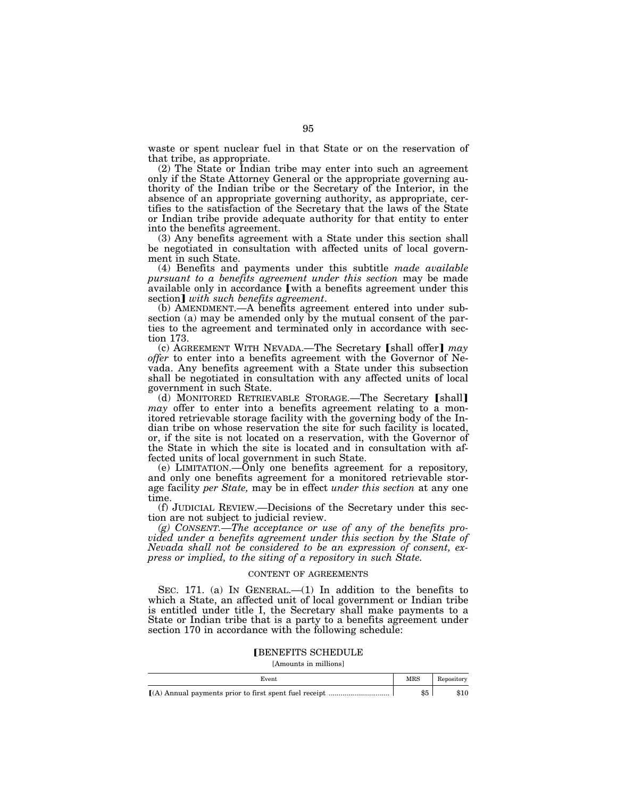waste or spent nuclear fuel in that State or on the reservation of that tribe, as appropriate.

(2) The State or Indian tribe may enter into such an agreement only if the State Attorney General or the appropriate governing authority of the Indian tribe or the Secretary of the Interior, in the absence of an appropriate governing authority, as appropriate, certifies to the satisfaction of the Secretary that the laws of the State or Indian tribe provide adequate authority for that entity to enter into the benefits agreement.

(3) Any benefits agreement with a State under this section shall be negotiated in consultation with affected units of local government in such State.

(4) Benefits and payments under this subtitle *made available pursuant to a benefits agreement under this section* may be made available only in accordance [with a benefits agreement under this section] with such benefits agreement.

(b) AMENDMENT.—A benefits agreement entered into under subsection (a) may be amended only by the mutual consent of the parties to the agreement and terminated only in accordance with section 173.

(c) AGREEMENT WITH NEVADA.—The Secretary *[shall offer] may offer* to enter into a benefits agreement with the Governor of Nevada. Any benefits agreement with a State under this subsection shall be negotiated in consultation with any affected units of local government in such State.

(d) MONITORED RETRIEVABLE STORAGE.—The Secretary [shall] *may* offer to enter into a benefits agreement relating to a monitored retrievable storage facility with the governing body of the Indian tribe on whose reservation the site for such facility is located, or, if the site is not located on a reservation, with the Governor of the State in which the site is located and in consultation with affected units of local government in such State.

(e) LIMITATION.—Only one benefits agreement for a repository*,* and only one benefits agreement for a monitored retrievable storage facility *per State,* may be in effect *under this section* at any one time.

(f) JUDICIAL REVIEW.—Decisions of the Secretary under this section are not subject to judicial review.

*(g) CONSENT.—The acceptance or use of any of the benefits provided under a benefits agreement under this section by the State of Nevada shall not be considered to be an expression of consent, express or implied, to the siting of a repository in such State.* 

### CONTENT OF AGREEMENTS

SEC. 171. (a) IN GENERAL.—(1) In addition to the benefits to which a State, an affected unit of local government or Indian tribe is entitled under title I, the Secretary shall make payments to a State or Indian tribe that is a party to a benefits agreement under section 170 in accordance with the following schedule:

# **IBENEFITS SCHEDULE**

[Amounts in millions]

| Event | <b>MRS</b> | Repository |
|-------|------------|------------|
|       | \$5        |            |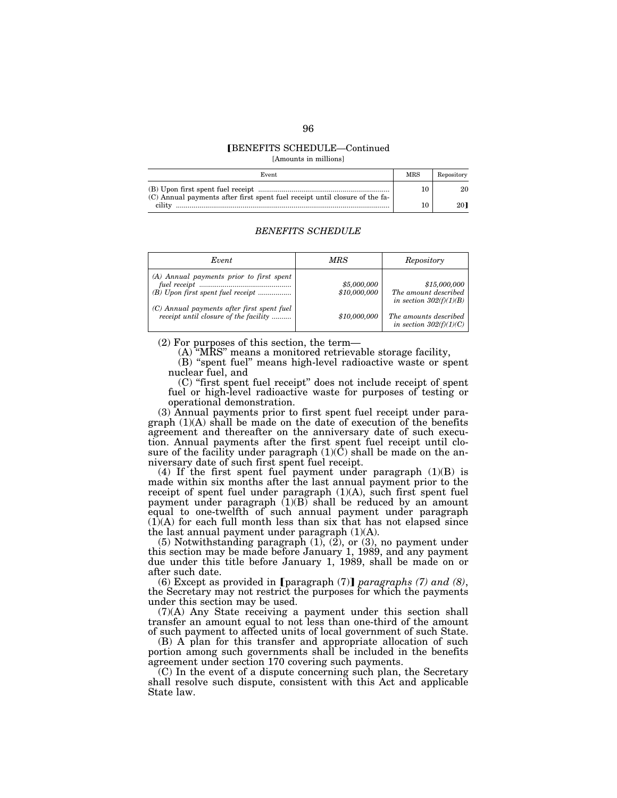# **[BENEFITS SCHEDULE-Continued**

[Amounts in millions]

| Event                                                                                 | <b>MRS</b> | Repository |
|---------------------------------------------------------------------------------------|------------|------------|
| (C) Annual payments after first spent fuel receipt until closure of the fa-<br>cility | 10         | 20         |
|                                                                                       | 10         | 201        |

# *BENEFITS SCHEDULE*

| Event                                                                                                                                                                | MRS                                         | Repository                                                                                                              |
|----------------------------------------------------------------------------------------------------------------------------------------------------------------------|---------------------------------------------|-------------------------------------------------------------------------------------------------------------------------|
| (A) Annual payments prior to first spent<br>(B) Upon first spent fuel receipt<br>(C) Annual payments after first spent fuel<br>receipt until closure of the facility | \$5,000,000<br>\$10,000,000<br>\$10,000,000 | \$15,000,000<br>The amount described<br>in section $302(f)(1)(B)$<br>The amounts described<br>in section $302(f)(1)(C)$ |

(2) For purposes of this section, the term—

(A) ''MRS'' means a monitored retrievable storage facility,

(B) "spent fuel" means high-level radioactive waste or spent nuclear fuel, and

(C) ''first spent fuel receipt'' does not include receipt of spent fuel or high-level radioactive waste for purposes of testing or operational demonstration.

(3) Annual payments prior to first spent fuel receipt under paragraph  $(1)(A)$  shall be made on the date of execution of the benefits agreement and thereafter on the anniversary date of such execution. Annual payments after the first spent fuel receipt until closure of the facility under paragraph  $(1)(\hat{C})$  shall be made on the anniversary date of such first spent fuel receipt.

(4) If the first spent fuel payment under paragraph  $(1)(B)$  is made within six months after the last annual payment prior to the receipt of spent fuel under paragraph (1)(A), such first spent fuel payment under paragraph  $(1)(B)$  shall be reduced by an amount equal to one-twelfth of such annual payment under paragraph  $(1)(A)$  for each full month less than six that has not elapsed since the last annual payment under paragraph (1)(A).

 $(5)$  Notwithstanding paragraph  $(1)$ ,  $(2)$ , or  $(3)$ , no payment under this section may be made before January 1, 1989, and any payment due under this title before January 1, 1989, shall be made on or after such date.<br>(6) Except as provided in [paragraph  $(7)$ ] paragraphs  $(7)$  and  $(8)$ ,

the Secretary may not restrict the purposes for which the payments under this section may be used.

(7)(A) Any State receiving a payment under this section shall transfer an amount equal to not less than one-third of the amount of such payment to affected units of local government of such State.

(B) A plan for this transfer and appropriate allocation of such portion among such governments shall be included in the benefits agreement under section 170 covering such payments.

(C) In the event of a dispute concerning such plan, the Secretary shall resolve such dispute, consistent with this Act and applicable State law.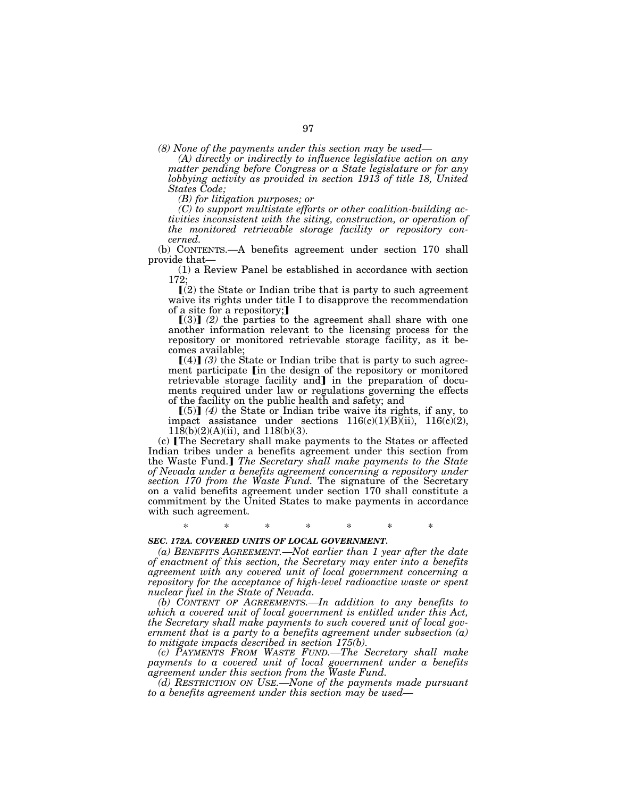*(8) None of the payments under this section may be used—* 

*(A) directly or indirectly to influence legislative action on any matter pending before Congress or a State legislature or for any lobbying activity as provided in section 1913 of title 18, United States Code;* 

*(B) for litigation purposes; or* 

*(C) to support multistate efforts or other coalition-building activities inconsistent with the siting, construction, or operation of the monitored retrievable storage facility or repository concerned.* 

(b) CONTENTS.—A benefits agreement under section 170 shall provide that—

(1) a Review Panel be established in accordance with section 172;

 $\Gamma(2)$  the State or Indian tribe that is party to such agreement waive its rights under title I to disapprove the recommendation of a site for a repository;

 $(3)$  (2) the parties to the agreement shall share with one another information relevant to the licensing process for the repository or monitored retrievable storage facility, as it becomes available;

 $(4)$  (3) the State or Indian tribe that is party to such agreement participate [in the design of the repository or monitored retrievable storage facility and in the preparation of documents required under law or regulations governing the effects of the facility on the public health and safety; and

 $(5)$  (4) the State or Indian tribe waive its rights, if any, to impact assistance under sections  $116(c)(1)(B)(ii)$ ,  $116(c)(2)$ ,  $11\bar{8}$ (b)(2)(A)(ii), and  $118$ (b)(3).

 $(c)$  The Secretary shall make payments to the States or affected Indian tribes under a benefits agreement under this section from the Waste Fund.] The Secretary shall make payments to the State *of Nevada under a benefits agreement concerning a repository under section 170 from the Waste Fund.* The signature of the Secretary on a valid benefits agreement under section 170 shall constitute a commitment by the United States to make payments in accordance with such agreement.

# *SEC. 172A. COVERED UNITS OF LOCAL GOVERNMENT.*

*(a) BENEFITS AGREEMENT.—Not earlier than 1 year after the date of enactment of this section, the Secretary may enter into a benefits agreement with any covered unit of local government concerning a repository for the acceptance of high-level radioactive waste or spent nuclear fuel in the State of Nevada.* 

\* \* \* \* \* \* \*

*(b) CONTENT OF AGREEMENTS.—In addition to any benefits to which a covered unit of local government is entitled under this Act, the Secretary shall make payments to such covered unit of local government that is a party to a benefits agreement under subsection (a) to mitigate impacts described in section 175(b).* 

*(c) PAYMENTS FROM WASTE FUND.—The Secretary shall make payments to a covered unit of local government under a benefits agreement under this section from the Waste Fund.* 

*(d) RESTRICTION ON USE.—None of the payments made pursuant to a benefits agreement under this section may be used—*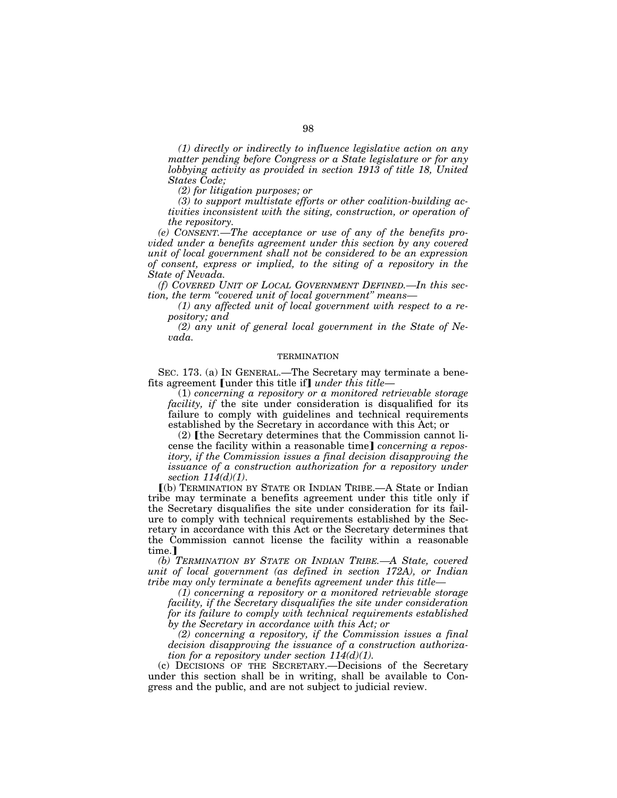*(1) directly or indirectly to influence legislative action on any matter pending before Congress or a State legislature or for any lobbying activity as provided in section 1913 of title 18, United States Code;* 

*(2) for litigation purposes; or* 

*(3) to support multistate efforts or other coalition-building activities inconsistent with the siting, construction, or operation of the repository.* 

*(e) CONSENT.—The acceptance or use of any of the benefits provided under a benefits agreement under this section by any covered unit of local government shall not be considered to be an expression of consent, express or implied, to the siting of a repository in the State of Nevada.* 

*(f) COVERED UNIT OF LOCAL GOVERNMENT DEFINED.—In this section, the term ''covered unit of local government'' means—* 

*(1) any affected unit of local government with respect to a repository; and* 

*(2) any unit of general local government in the State of Nevada.* 

### **TERMINATION**

SEC. 173. (a) IN GENERAL.—The Secretary may terminate a benefits agreement [under this title if] *under this title*—

(1) *concerning a repository or a monitored retrievable storage facility, if* the site under consideration is disqualified for its failure to comply with guidelines and technical requirements established by the Secretary in accordance with this Act; or

 $(2)$  [the Secretary determines that the Commission cannot license the facility within a reasonable time] *concerning a repository, if the Commission issues a final decision disapproving the issuance of a construction authorization for a repository under section 114(d)(1)*.

ø(b) TERMINATION BY STATE OR INDIAN TRIBE.—A State or Indian tribe may terminate a benefits agreement under this title only if the Secretary disqualifies the site under consideration for its failure to comply with technical requirements established by the Secretary in accordance with this Act or the Secretary determines that the Commission cannot license the facility within a reasonable time.

*(b) TERMINATION BY STATE OR INDIAN TRIBE.—A State, covered unit of local government (as defined in section 172A), or Indian tribe may only terminate a benefits agreement under this title—* 

*(1) concerning a repository or a monitored retrievable storage facility, if the Secretary disqualifies the site under consideration for its failure to comply with technical requirements established by the Secretary in accordance with this Act; or* 

*(2) concerning a repository, if the Commission issues a final decision disapproving the issuance of a construction authorization for a repository under section 114(d)(1).* 

(c) DECISIONS OF THE SECRETARY.—Decisions of the Secretary under this section shall be in writing, shall be available to Congress and the public, and are not subject to judicial review.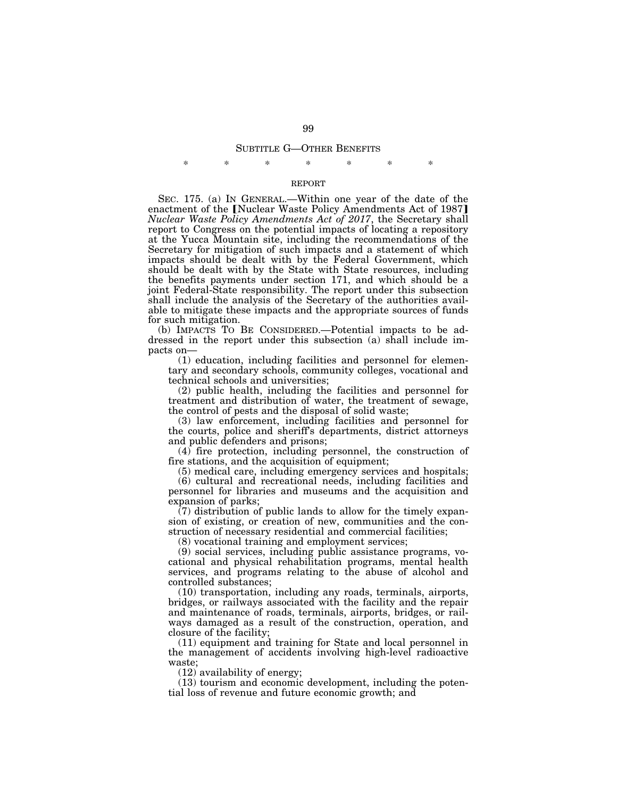# SUBTITLE G—OTHER BENEFITS

\* \* \* \* \* \* \*

### REPORT

SEC. 175. (a) IN GENERAL.—Within one year of the date of the enactment of the [Nuclear Waste Policy Amendments Act of 1987] *Nuclear Waste Policy Amendments Act of 2017*, the Secretary shall report to Congress on the potential impacts of locating a repository at the Yucca Mountain site, including the recommendations of the Secretary for mitigation of such impacts and a statement of which impacts should be dealt with by the Federal Government, which should be dealt with by the State with State resources, including the benefits payments under section 171, and which should be a joint Federal-State responsibility. The report under this subsection shall include the analysis of the Secretary of the authorities available to mitigate these impacts and the appropriate sources of funds for such mitigation.

(b) IMPACTS TO BE CONSIDERED.—Potential impacts to be addressed in the report under this subsection (a) shall include impacts on—

(1) education, including facilities and personnel for elementary and secondary schools, community colleges, vocational and technical schools and universities;

(2) public health, including the facilities and personnel for treatment and distribution of water, the treatment of sewage, the control of pests and the disposal of solid waste;

(3) law enforcement, including facilities and personnel for the courts, police and sheriff's departments, district attorneys and public defenders and prisons;

(4) fire protection, including personnel, the construction of fire stations, and the acquisition of equipment;

(5) medical care, including emergency services and hospitals;

(6) cultural and recreational needs, including facilities and personnel for libraries and museums and the acquisition and expansion of parks;

 $(7)$  distribution of public lands to allow for the timely expansion of existing, or creation of new, communities and the construction of necessary residential and commercial facilities;

(8) vocational training and employment services;

(9) social services, including public assistance programs, vocational and physical rehabilitation programs, mental health services, and programs relating to the abuse of alcohol and controlled substances;

(10) transportation, including any roads, terminals, airports, bridges, or railways associated with the facility and the repair and maintenance of roads, terminals, airports, bridges, or railways damaged as a result of the construction, operation, and closure of the facility;

(11) equipment and training for State and local personnel in the management of accidents involving high-level radioactive waste;

(12) availability of energy;

(13) tourism and economic development, including the potential loss of revenue and future economic growth; and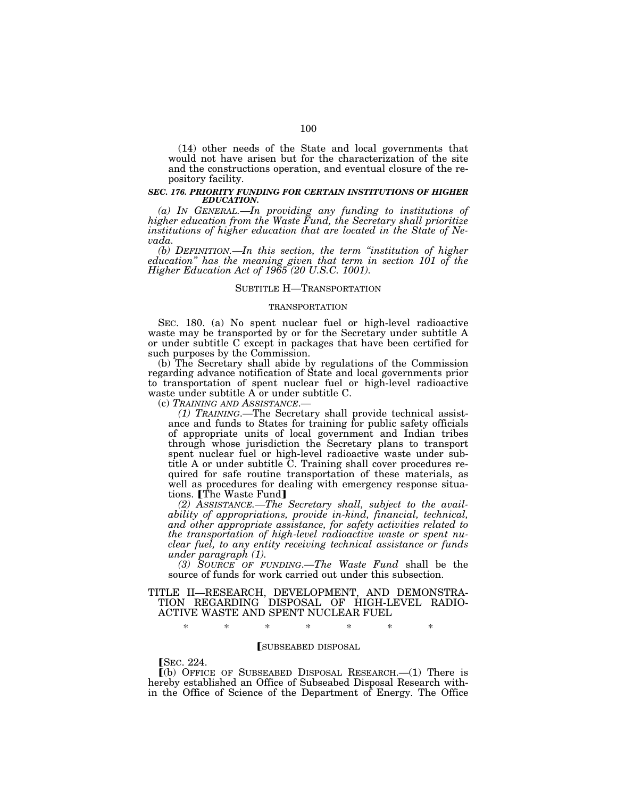(14) other needs of the State and local governments that would not have arisen but for the characterization of the site and the constructions operation, and eventual closure of the repository facility.

## *SEC. 176. PRIORITY FUNDING FOR CERTAIN INSTITUTIONS OF HIGHER EDUCATION.*

*(a) IN GENERAL.—In providing any funding to institutions of higher education from the Waste Fund, the Secretary shall prioritize institutions of higher education that are located in the State of Nevada.* 

*(b) DEFINITION.—In this section, the term ''institution of higher education'' has the meaning given that term in section 101 of the Higher Education Act of 1965 (20 U.S.C. 1001).* 

# SUBTITLE H—TRANSPORTATION

### TRANSPORTATION

SEC. 180. (a) No spent nuclear fuel or high-level radioactive waste may be transported by or for the Secretary under subtitle A or under subtitle C except in packages that have been certified for such purposes by the Commission.

(b) The Secretary shall abide by regulations of the Commission regarding advance notification of State and local governments prior to transportation of spent nuclear fuel or high-level radioactive waste under subtitle A or under subtitle C.

(c) *TRAINING AND ASSISTANCE*.— *(1) TRAINING*.—The Secretary shall provide technical assistance and funds to States for training for public safety officials of appropriate units of local government and Indian tribes through whose jurisdiction the Secretary plans to transport spent nuclear fuel or high-level radioactive waste under subtitle A or under subtitle C. Training shall cover procedures required for safe routine transportation of these materials, as well as procedures for dealing with emergency response situa- $\frac{1}{\pi}$  The Waste Fund

*(2) ASSISTANCE.—The Secretary shall, subject to the availability of appropriations, provide in-kind, financial, technical, and other appropriate assistance, for safety activities related to the transportation of high-level radioactive waste or spent nuclear fuel, to any entity receiving technical assistance or funds under paragraph (1).* 

*(3) SOURCE OF FUNDING*.—*The Waste Fund* shall be the source of funds for work carried out under this subsection.

# TITLE II—RESEARCH, DEVELOPMENT, AND DEMONSTRA-TION REGARDING DISPOSAL OF HIGH-LEVEL RADIO-ACTIVE WASTE AND SPENT NUCLEAR FUEL

\* \* \* \* \* \* \*

# **SUBSEABED DISPOSAL**

**SEC. 224.** 

 $(a)$  OFFICE OF SUBSEABED DISPOSAL RESEARCH.—(1) There is hereby established an Office of Subseabed Disposal Research within the Office of Science of the Department of Energy. The Office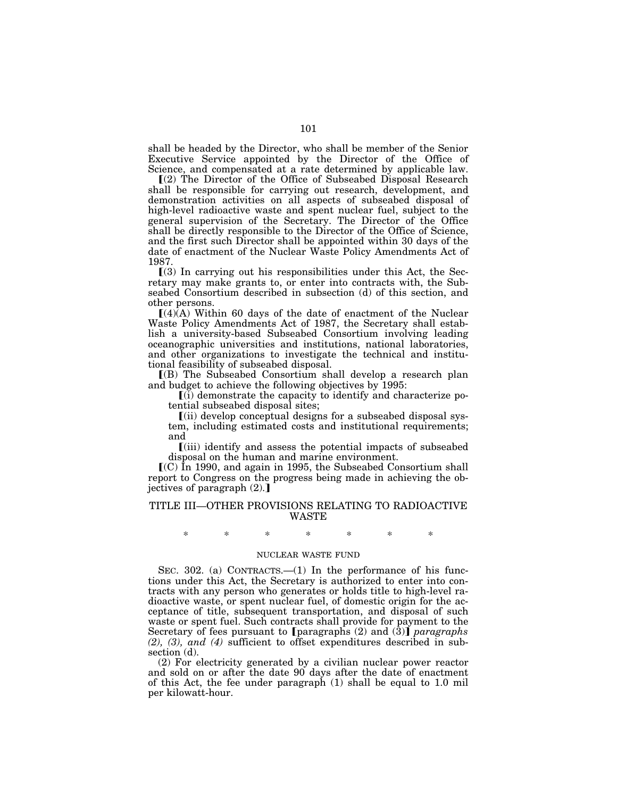shall be headed by the Director, who shall be member of the Senior Executive Service appointed by the Director of the Office of Science, and compensated at a rate determined by applicable law.

ø(2) The Director of the Office of Subseabed Disposal Research shall be responsible for carrying out research, development, and demonstration activities on all aspects of subseabed disposal of high-level radioactive waste and spent nuclear fuel, subject to the general supervision of the Secretary. The Director of the Office shall be directly responsible to the Director of the Office of Science, and the first such Director shall be appointed within 30 days of the date of enactment of the Nuclear Waste Policy Amendments Act of 1987.

 $(3)$  In carrying out his responsibilities under this Act, the Secretary may make grants to, or enter into contracts with, the Subseabed Consortium described in subsection (d) of this section, and other persons.

 $(4)(A)$  Within 60 days of the date of enactment of the Nuclear Waste Policy Amendments Act of 1987, the Secretary shall establish a university-based Subseabed Consortium involving leading oceanographic universities and institutions, national laboratories, and other organizations to investigate the technical and institutional feasibility of subseabed disposal.

ø(B) The Subseabed Consortium shall develop a research plan and budget to achieve the following objectives by 1995:

ø(i) demonstrate the capacity to identify and characterize potential subseabed disposal sites;

ø(ii) develop conceptual designs for a subseabed disposal system, including estimated costs and institutional requirements; and

ø(iii) identify and assess the potential impacts of subseabed disposal on the human and marine environment.

 $\Gamma$ (C) In 1990, and again in 1995, the Subseabed Consortium shall report to Congress on the progress being made in achieving the objectives of paragraph  $(2)$ .]

# TITLE III—OTHER PROVISIONS RELATING TO RADIOACTIVE WASTE

# \* \* \* \* \* \* \*

### NUCLEAR WASTE FUND

SEC. 302. (a) CONTRACTS.—(1) In the performance of his functions under this Act, the Secretary is authorized to enter into contracts with any person who generates or holds title to high-level radioactive waste, or spent nuclear fuel, of domestic origin for the acceptance of title, subsequent transportation, and disposal of such waste or spent fuel. Such contracts shall provide for payment to the Secretary of fees pursuant to [paragraphs (2) and (3)] *paragraphs (2), (3), and (4)* sufficient to offset expenditures described in subsection (d).

(2) For electricity generated by a civilian nuclear power reactor and sold on or after the date 90 days after the date of enactment of this Act, the fee under paragraph (1) shall be equal to 1.0 mil per kilowatt-hour.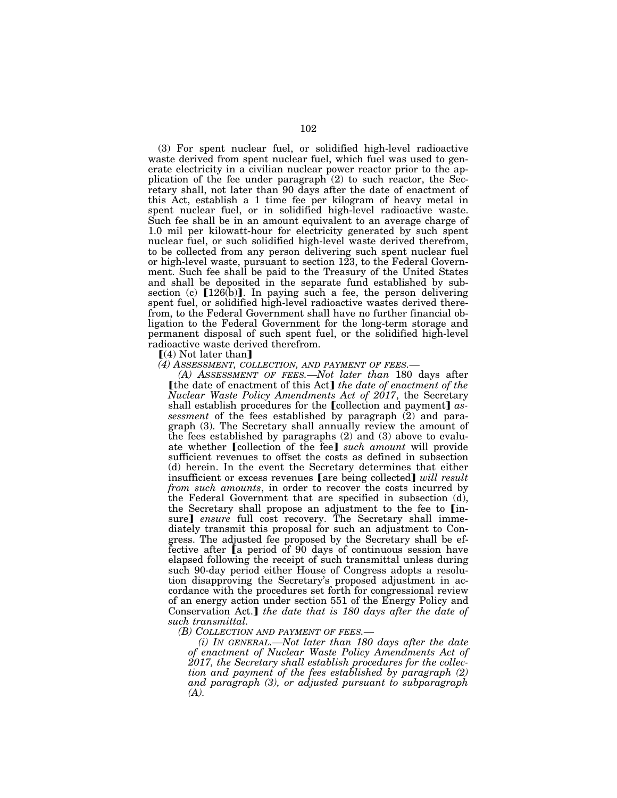(3) For spent nuclear fuel, or solidified high-level radioactive waste derived from spent nuclear fuel, which fuel was used to generate electricity in a civilian nuclear power reactor prior to the application of the fee under paragraph (2) to such reactor, the Secretary shall, not later than 90 days after the date of enactment of this Act, establish a 1 time fee per kilogram of heavy metal in spent nuclear fuel, or in solidified high-level radioactive waste. Such fee shall be in an amount equivalent to an average charge of 1.0 mil per kilowatt-hour for electricity generated by such spent nuclear fuel, or such solidified high-level waste derived therefrom, to be collected from any person delivering such spent nuclear fuel or high-level waste, pursuant to section 123, to the Federal Government. Such fee shall be paid to the Treasury of the United States and shall be deposited in the separate fund established by subsection (c)  $[126(b)]$ . In paying such a fee, the person delivering spent fuel, or solidified high-level radioactive wastes derived therefrom, to the Federal Government shall have no further financial obligation to the Federal Government for the long-term storage and permanent disposal of such spent fuel, or the solidified high-level radioactive waste derived therefrom.

 $(4)$  Not later than

*(4) ASSESSMENT, COLLECTION, AND PAYMENT OF FEES.—* 

*(A) ASSESSMENT OF FEES.—Not later than* 180 days after **The date of enactment of this Act** *l* the date of enactment of the *Nuclear Waste Policy Amendments Act of 2017*, the Secretary shall establish procedures for the [collection and payment] as*sessment* of the fees established by paragraph (2) and paragraph (3). The Secretary shall annually review the amount of the fees established by paragraphs (2) and (3) above to evaluate whether *[collection of the fee] such amount* will provide sufficient revenues to offset the costs as defined in subsection (d) herein. In the event the Secretary determines that either insufficient or excess revenues are being collected *will result from such amounts*, in order to recover the costs incurred by the Federal Government that are specified in subsection (d), the Secretary shall propose an adjustment to the fee to [insure] *ensure* full cost recovery. The Secretary shall immediately transmit this proposal for such an adjustment to Congress. The adjusted fee proposed by the Secretary shall be effective after [a period of 90 days of continuous session have elapsed following the receipt of such transmittal unless during such 90-day period either House of Congress adopts a resolution disapproving the Secretary's proposed adjustment in accordance with the procedures set forth for congressional review of an energy action under section 551 of the Energy Policy and Conservation Act.] *the date that is 180 days after the date of such transmittal.* 

*(B) COLLECTION AND PAYMENT OF FEES.—* 

*(i) IN GENERAL.—Not later than 180 days after the date of enactment of Nuclear Waste Policy Amendments Act of 2017, the Secretary shall establish procedures for the collection and payment of the fees established by paragraph (2) and paragraph (3), or adjusted pursuant to subparagraph (A).*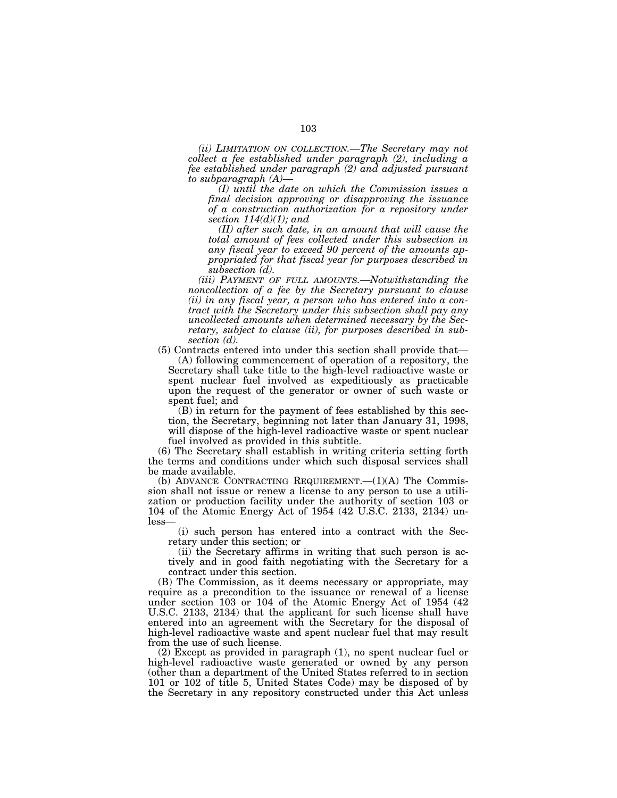*(ii) LIMITATION ON COLLECTION.—The Secretary may not collect a fee established under paragraph (2), including a fee established under paragraph (2) and adjusted pursuant to subparagraph (A)—* 

*(I) until the date on which the Commission issues a final decision approving or disapproving the issuance of a construction authorization for a repository under section 114(d)(1); and* 

*(II) after such date, in an amount that will cause the total amount of fees collected under this subsection in any fiscal year to exceed 90 percent of the amounts appropriated for that fiscal year for purposes described in subsection (d).* 

*(iii) PAYMENT OF FULL AMOUNTS.—Notwithstanding the noncollection of a fee by the Secretary pursuant to clause (ii) in any fiscal year, a person who has entered into a contract with the Secretary under this subsection shall pay any uncollected amounts when determined necessary by the Secretary, subject to clause (ii), for purposes described in subsection (d).* 

(5) Contracts entered into under this section shall provide that— (A) following commencement of operation of a repository, the Secretary shall take title to the high-level radioactive waste or spent nuclear fuel involved as expeditiously as practicable upon the request of the generator or owner of such waste or spent fuel; and

(B) in return for the payment of fees established by this section, the Secretary, beginning not later than January 31, 1998, will dispose of the high-level radioactive waste or spent nuclear fuel involved as provided in this subtitle.

(6) The Secretary shall establish in writing criteria setting forth the terms and conditions under which such disposal services shall be made available.

(b) ADVANCE CONTRACTING REQUIREMENT.—(1)(A) The Commission shall not issue or renew a license to any person to use a utilization or production facility under the authority of section 103 or 104 of the Atomic Energy Act of 1954 (42 U.S.C. 2133, 2134) unless—

(i) such person has entered into a contract with the Secretary under this section; or

(ii) the Secretary affirms in writing that such person is actively and in good faith negotiating with the Secretary for a contract under this section.

(B) The Commission, as it deems necessary or appropriate, may require as a precondition to the issuance or renewal of a license under section 103 or 104 of the Atomic Energy Act of 1954 (42 U.S.C. 2133, 2134) that the applicant for such license shall have entered into an agreement with the Secretary for the disposal of high-level radioactive waste and spent nuclear fuel that may result from the use of such license.

(2) Except as provided in paragraph (1), no spent nuclear fuel or high-level radioactive waste generated or owned by any person (other than a department of the United States referred to in section 101 or 102 of title 5, United States Code) may be disposed of by the Secretary in any repository constructed under this Act unless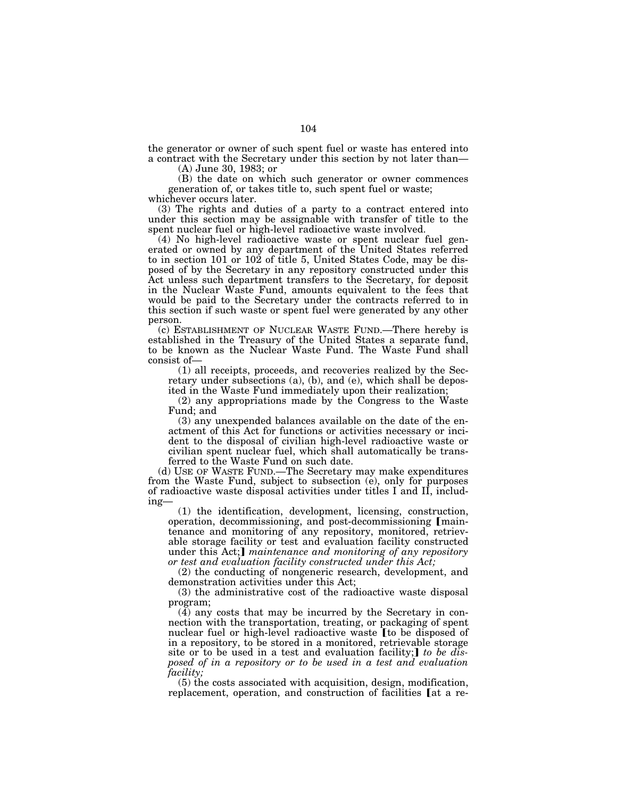the generator or owner of such spent fuel or waste has entered into a contract with the Secretary under this section by not later than—

(A) June 30, 1983; or

(B) the date on which such generator or owner commences generation of, or takes title to, such spent fuel or waste;

whichever occurs later.

(3) The rights and duties of a party to a contract entered into under this section may be assignable with transfer of title to the spent nuclear fuel or high-level radioactive waste involved.

(4) No high-level radioactive waste or spent nuclear fuel generated or owned by any department of the United States referred to in section 101 or 102 of title 5, United States Code, may be disposed of by the Secretary in any repository constructed under this Act unless such department transfers to the Secretary, for deposit in the Nuclear Waste Fund, amounts equivalent to the fees that would be paid to the Secretary under the contracts referred to in this section if such waste or spent fuel were generated by any other person.

(c) ESTABLISHMENT OF NUCLEAR WASTE FUND.—There hereby is established in the Treasury of the United States a separate fund, to be known as the Nuclear Waste Fund. The Waste Fund shall consist of—

(1) all receipts, proceeds, and recoveries realized by the Secretary under subsections (a), (b), and (e), which shall be deposited in the Waste Fund immediately upon their realization;

(2) any appropriations made by the Congress to the Waste Fund; and

(3) any unexpended balances available on the date of the enactment of this Act for functions or activities necessary or incident to the disposal of civilian high-level radioactive waste or civilian spent nuclear fuel, which shall automatically be transferred to the Waste Fund on such date.

(d) USE OF WASTE FUND.—The Secretary may make expenditures from the Waste Fund, subject to subsection (e), only for purposes of radioactive waste disposal activities under titles I and II, including—

(1) the identification, development, licensing, construction, operation, decommissioning, and post-decommissioning [maintenance and monitoring of any repository, monitored, retrievable storage facility or test and evaluation facility constructed under this Act;¿ *maintenance and monitoring of any repository or test and evaluation facility constructed under this Act;* 

(2) the conducting of nongeneric research, development, and demonstration activities under this Act;

(3) the administrative cost of the radioactive waste disposal program;

(4) any costs that may be incurred by the Secretary in connection with the transportation, treating, or packaging of spent nuclear fuel or high-level radioactive waste [to be disposed of in a repository, to be stored in a monitored, retrievable storage site or to be used in a test and evaluation facility; *to be disposed of in a repository or to be used in a test and evaluation facility;* 

(5) the costs associated with acquisition, design, modification, replacement, operation, and construction of facilities [at a re-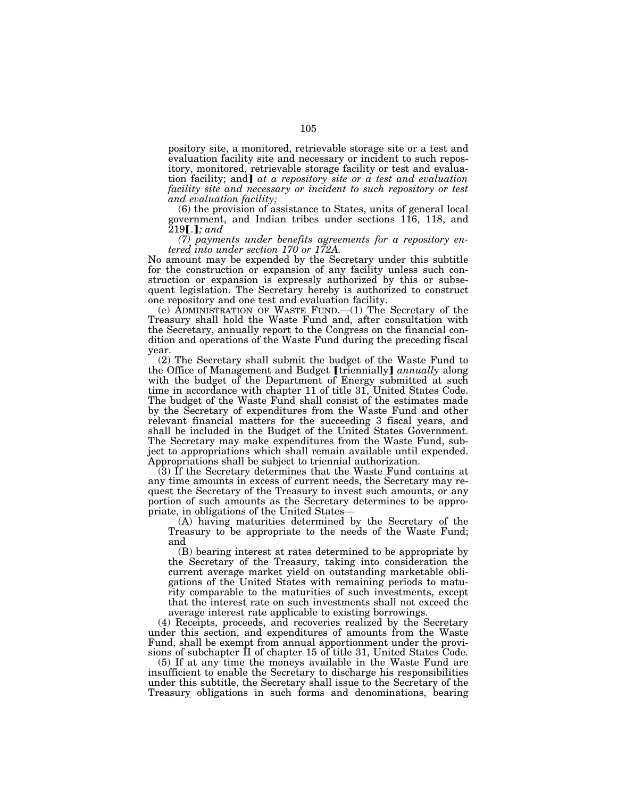pository site, a monitored, retrievable storage site or a test and evaluation facility site and necessary or incident to such repository, monitored, retrievable storage facility or test and evaluation facility; and at a repository site or a test and evaluation *facility site and necessary or incident to such repository or test and evaluation facility;* 

(6) the provision of assistance to States, units of general local government, and Indian tribes under sections 116, 118, and 219[.*]; and* 

*(7) payments under benefits agreements for a repository entered into under section 170 or 172A.* 

No amount may be expended by the Secretary under this subtitle for the construction or expansion of any facility unless such construction or expansion is expressly authorized by this or subsequent legislation. The Secretary hereby is authorized to construct one repository and one test and evaluation facility.

(e) ADMINISTRATION OF WASTE FUND.—(1) The Secretary of the Treasury shall hold the Waste Fund and, after consultation with the Secretary, annually report to the Congress on the financial condition and operations of the Waste Fund during the preceding fiscal year.

(2) The Secretary shall submit the budget of the Waste Fund to the Office of Management and Budget [triennially] *annually* along with the budget of the Department of Energy submitted at such time in accordance with chapter 11 of title 31, United States Code. The budget of the Waste Fund shall consist of the estimates made by the Secretary of expenditures from the Waste Fund and other relevant financial matters for the succeeding 3 fiscal years, and shall be included in the Budget of the United States Government. The Secretary may make expenditures from the Waste Fund, subject to appropriations which shall remain available until expended. Appropriations shall be subject to triennial authorization.

(3) If the Secretary determines that the Waste Fund contains at any time amounts in excess of current needs, the Secretary may request the Secretary of the Treasury to invest such amounts, or any portion of such amounts as the Secretary determines to be appropriate, in obligations of the United States—

(A) having maturities determined by the Secretary of the Treasury to be appropriate to the needs of the Waste Fund; and

(B) bearing interest at rates determined to be appropriate by the Secretary of the Treasury, taking into consideration the current average market yield on outstanding marketable obligations of the United States with remaining periods to maturity comparable to the maturities of such investments, except that the interest rate on such investments shall not exceed the average interest rate applicable to existing borrowings.

(4) Receipts, proceeds, and recoveries realized by the Secretary under this section, and expenditures of amounts from the Waste Fund, shall be exempt from annual apportionment under the provisions of subchapter II of chapter 15 of title 31, United States Code.

(5) If at any time the moneys available in the Waste Fund are insufficient to enable the Secretary to discharge his responsibilities under this subtitle, the Secretary shall issue to the Secretary of the Treasury obligations in such forms and denominations, bearing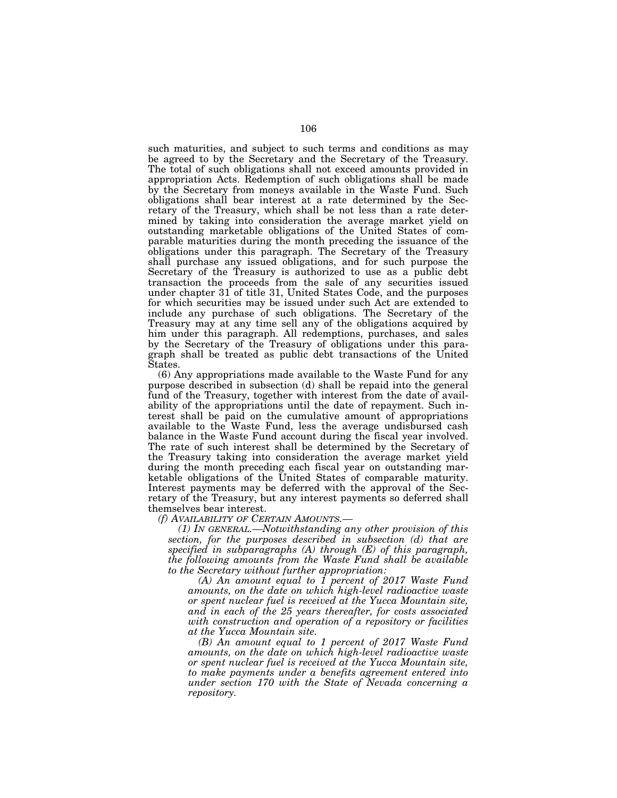such maturities, and subject to such terms and conditions as may be agreed to by the Secretary and the Secretary of the Treasury. The total of such obligations shall not exceed amounts provided in appropriation Acts. Redemption of such obligations shall be made by the Secretary from moneys available in the Waste Fund. Such obligations shall bear interest at a rate determined by the Secretary of the Treasury, which shall be not less than a rate determined by taking into consideration the average market yield on outstanding marketable obligations of the United States of comparable maturities during the month preceding the issuance of the obligations under this paragraph. The Secretary of the Treasury shall purchase any issued obligations, and for such purpose the Secretary of the Treasury is authorized to use as a public debt transaction the proceeds from the sale of any securities issued under chapter 31 of title 31, United States Code, and the purposes for which securities may be issued under such Act are extended to include any purchase of such obligations. The Secretary of the Treasury may at any time sell any of the obligations acquired by him under this paragraph. All redemptions, purchases, and sales by the Secretary of the Treasury of obligations under this paragraph shall be treated as public debt transactions of the United States.

(6) Any appropriations made available to the Waste Fund for any purpose described in subsection (d) shall be repaid into the general fund of the Treasury, together with interest from the date of availability of the appropriations until the date of repayment. Such interest shall be paid on the cumulative amount of appropriations available to the Waste Fund, less the average undisbursed cash balance in the Waste Fund account during the fiscal year involved. The rate of such interest shall be determined by the Secretary of the Treasury taking into consideration the average market yield during the month preceding each fiscal year on outstanding marketable obligations of the United States of comparable maturity. Interest payments may be deferred with the approval of the Secretary of the Treasury, but any interest payments so deferred shall themselves bear interest.

*(f) AVAILABILITY OF CERTAIN AMOUNTS.—* 

*(1) IN GENERAL.—Notwithstanding any other provision of this section, for the purposes described in subsection (d) that are specified in subparagraphs (A) through (E) of this paragraph, the following amounts from the Waste Fund shall be available to the Secretary without further appropriation:* 

*(A) An amount equal to 1 percent of 2017 Waste Fund amounts, on the date on which high-level radioactive waste or spent nuclear fuel is received at the Yucca Mountain site, and in each of the 25 years thereafter, for costs associated with construction and operation of a repository or facilities at the Yucca Mountain site.* 

*(B) An amount equal to 1 percent of 2017 Waste Fund amounts, on the date on which high-level radioactive waste or spent nuclear fuel is received at the Yucca Mountain site, to make payments under a benefits agreement entered into under section 170 with the State of Nevada concerning a repository.*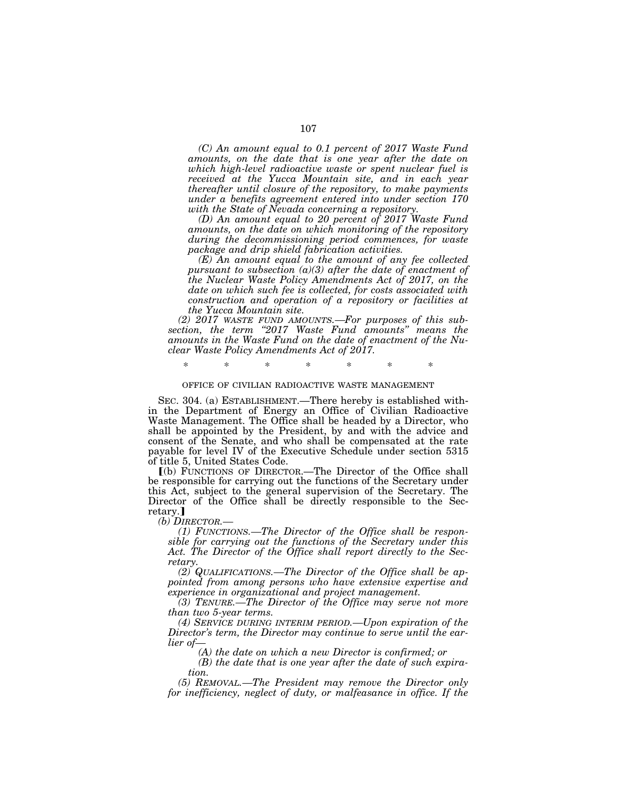*(C) An amount equal to 0.1 percent of 2017 Waste Fund amounts, on the date that is one year after the date on which high-level radioactive waste or spent nuclear fuel is received at the Yucca Mountain site, and in each year thereafter until closure of the repository, to make payments under a benefits agreement entered into under section 170 with the State of Nevada concerning a repository.* 

*(D) An amount equal to 20 percent of 2017 Waste Fund amounts, on the date on which monitoring of the repository during the decommissioning period commences, for waste package and drip shield fabrication activities.* 

*(E) An amount equal to the amount of any fee collected pursuant to subsection (a)(3) after the date of enactment of the Nuclear Waste Policy Amendments Act of 2017, on the date on which such fee is collected, for costs associated with construction and operation of a repository or facilities at the Yucca Mountain site.* 

*(2) 2017 WASTE FUND AMOUNTS.—For purposes of this subsection, the term ''2017 Waste Fund amounts'' means the amounts in the Waste Fund on the date of enactment of the Nuclear Waste Policy Amendments Act of 2017.* 

\* \* \* \* \* \* \*

#### OFFICE OF CIVILIAN RADIOACTIVE WASTE MANAGEMENT

SEC. 304. (a) ESTABLISHMENT.—There hereby is established within the Department of Energy an Office of Civilian Radioactive Waste Management. The Office shall be headed by a Director, who shall be appointed by the President, by and with the advice and consent of the Senate, and who shall be compensated at the rate payable for level IV of the Executive Schedule under section 5315 of title 5, United States Code.

ø(b) FUNCTIONS OF DIRECTOR.—The Director of the Office shall be responsible for carrying out the functions of the Secretary under this Act, subject to the general supervision of the Secretary. The Director of the Office shall be directly responsible to the Sec $begin{array}{c} \text{retary.} \ (b) \text{ } DIRECTOR. \ \end{array}$ 

(1) FUNCTIONS.—The Director of the Office shall be respon*sible for carrying out the functions of the Secretary under this Act. The Director of the Office shall report directly to the Secretary.* 

*(2) QUALIFICATIONS.—The Director of the Office shall be appointed from among persons who have extensive expertise and experience in organizational and project management.* 

*(3) TENURE.—The Director of the Office may serve not more than two 5-year terms.* 

*(4) SERVICE DURING INTERIM PERIOD.—Upon expiration of the Director's term, the Director may continue to serve until the earlier of—* 

*(A) the date on which a new Director is confirmed; or* 

*(B) the date that is one year after the date of such expiration.* 

*(5) REMOVAL.—The President may remove the Director only for inefficiency, neglect of duty, or malfeasance in office. If the*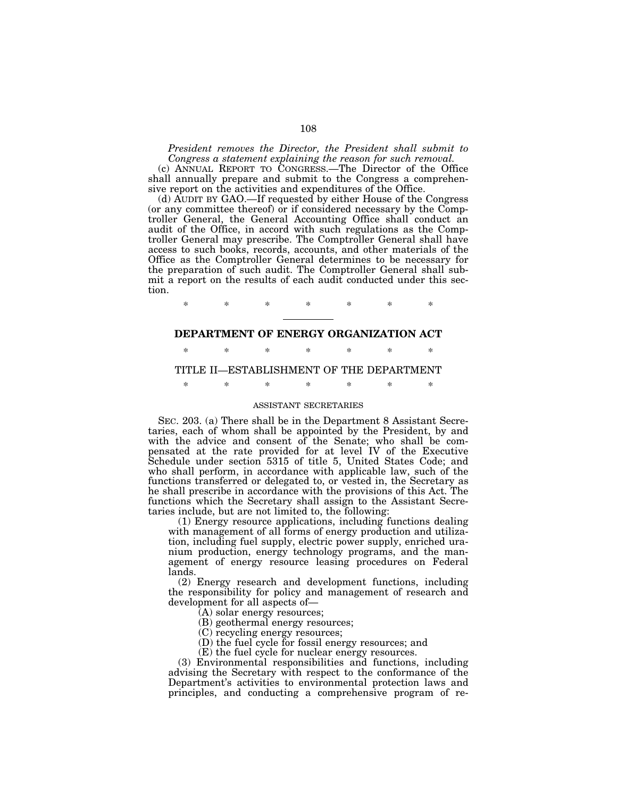# *President removes the Director, the President shall submit to Congress a statement explaining the reason for such removal.*

(c) ANNUAL REPORT TO CONGRESS.—The Director of the Office shall annually prepare and submit to the Congress a comprehensive report on the activities and expenditures of the Office.

(d) AUDIT BY GAO.—If requested by either House of the Congress (or any committee thereof) or if considered necessary by the Comptroller General, the General Accounting Office shall conduct an audit of the Office, in accord with such regulations as the Comptroller General may prescribe. The Comptroller General shall have access to such books, records, accounts, and other materials of the Office as the Comptroller General determines to be necessary for the preparation of such audit. The Comptroller General shall submit a report on the results of each audit conducted under this section.

**DEPARTMENT OF ENERGY ORGANIZATION ACT** 

\* \* \* \* \* \* \*

\* \* \* \* \* \* \*

# TITLE II—ESTABLISHMENT OF THE DEPARTMENT

\* \* \* \* \* \* \*

# ASSISTANT SECRETARIES

SEC. 203. (a) There shall be in the Department 8 Assistant Secretaries, each of whom shall be appointed by the President, by and with the advice and consent of the Senate; who shall be compensated at the rate provided for at level IV of the Executive Schedule under section 5315 of title 5, United States Code; and who shall perform, in accordance with applicable law, such of the functions transferred or delegated to, or vested in, the Secretary as he shall prescribe in accordance with the provisions of this Act. The functions which the Secretary shall assign to the Assistant Secretaries include, but are not limited to, the following:

(1) Energy resource applications, including functions dealing with management of all forms of energy production and utilization, including fuel supply, electric power supply, enriched uranium production, energy technology programs, and the management of energy resource leasing procedures on Federal lands.

(2) Energy research and development functions, including the responsibility for policy and management of research and development for all aspects of—

(A) solar energy resources;

(B) geothermal energy resources;

(C) recycling energy resources;

(D) the fuel cycle for fossil energy resources; and

(E) the fuel cycle for nuclear energy resources.

(3) Environmental responsibilities and functions, including advising the Secretary with respect to the conformance of the Department's activities to environmental protection laws and principles, and conducting a comprehensive program of re-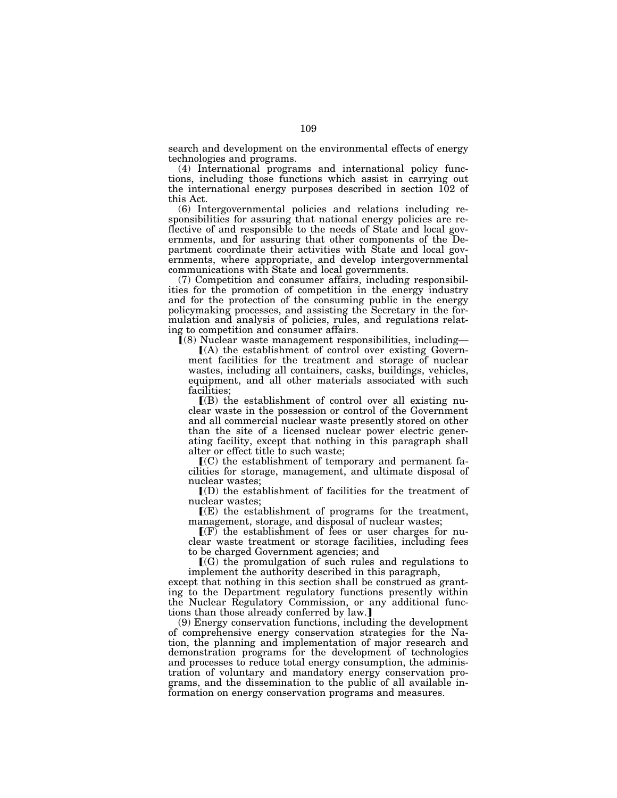search and development on the environmental effects of energy technologies and programs.

(4) International programs and international policy functions, including those functions which assist in carrying out the international energy purposes described in section 102 of this Act.

(6) Intergovernmental policies and relations including responsibilities for assuring that national energy policies are reflective of and responsible to the needs of State and local governments, and for assuring that other components of the Department coordinate their activities with State and local governments, where appropriate, and develop intergovernmental communications with State and local governments.

(7) Competition and consumer affairs, including responsibilities for the promotion of competition in the energy industry and for the protection of the consuming public in the energy policymaking processes, and assisting the Secretary in the formulation and analysis of policies, rules, and regulations relating to competition and consumer affairs.

 $\varepsilon$ (8) Nuclear waste management responsibilities, including-

 $(A)$  the establishment of control over existing Government facilities for the treatment and storage of nuclear wastes, including all containers, casks, buildings, vehicles, equipment, and all other materials associated with such facilities;

 $I(B)$  the establishment of control over all existing nuclear waste in the possession or control of the Government and all commercial nuclear waste presently stored on other than the site of a licensed nuclear power electric generating facility, except that nothing in this paragraph shall alter or effect title to such waste;

 $\mathcal{L}(\mathcal{C})$  the establishment of temporary and permanent facilities for storage, management, and ultimate disposal of nuclear wastes;

 $\mathbf{I}(\mathbf{D})$  the establishment of facilities for the treatment of nuclear wastes;

 $I(E)$  the establishment of programs for the treatment, management, storage, and disposal of nuclear wastes;

 $\Gamma(F)$  the establishment of fees or user charges for nuclear waste treatment or storage facilities, including fees to be charged Government agencies; and

 $[(G)$  the promulgation of such rules and regulations to implement the authority described in this paragraph,

except that nothing in this section shall be construed as granting to the Department regulatory functions presently within the Nuclear Regulatory Commission, or any additional functions than those already conferred by law.]

(9) Energy conservation functions, including the development of comprehensive energy conservation strategies for the Nation, the planning and implementation of major research and demonstration programs for the development of technologies and processes to reduce total energy consumption, the administration of voluntary and mandatory energy conservation programs, and the dissemination to the public of all available information on energy conservation programs and measures.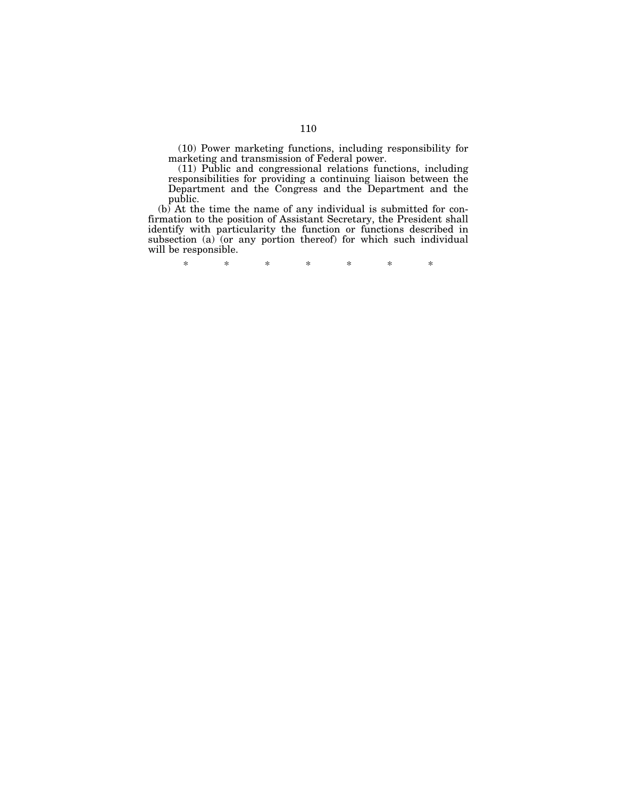(10) Power marketing functions, including responsibility for marketing and transmission of Federal power.

(11) Public and congressional relations functions, including responsibilities for providing a continuing liaison between the Department and the Congress and the Department and the public.

(b) At the time the name of any individual is submitted for confirmation to the position of Assistant Secretary, the President shall identify with particularity the function or functions described in subsection (a) (or any portion thereof) for which such individual will be responsible.

\* \* \* \* \* \* \*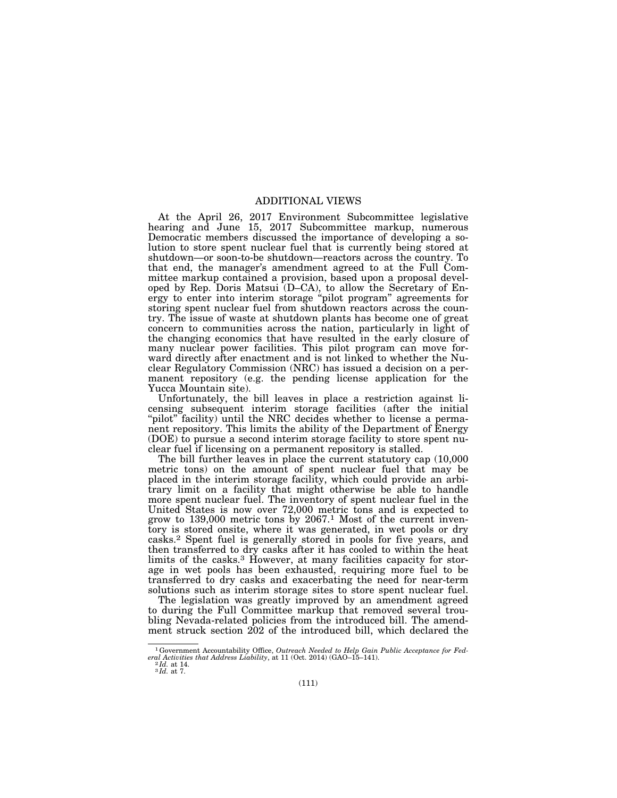## ADDITIONAL VIEWS

At the April 26, 2017 Environment Subcommittee legislative hearing and June 15, 2017 Subcommittee markup, numerous Democratic members discussed the importance of developing a solution to store spent nuclear fuel that is currently being stored at shutdown—or soon-to-be shutdown—reactors across the country. To that end, the manager's amendment agreed to at the Full Committee markup contained a provision, based upon a proposal developed by Rep. Doris Matsui (D–CA), to allow the Secretary of Energy to enter into interim storage ''pilot program'' agreements for storing spent nuclear fuel from shutdown reactors across the country. The issue of waste at shutdown plants has become one of great concern to communities across the nation, particularly in light of the changing economics that have resulted in the early closure of many nuclear power facilities. This pilot program can move forward directly after enactment and is not linked to whether the Nuclear Regulatory Commission (NRC) has issued a decision on a permanent repository (e.g. the pending license application for the Yucca Mountain site).

Unfortunately, the bill leaves in place a restriction against licensing subsequent interim storage facilities (after the initial "pilot" facility) until the NRC decides whether to license a permanent repository. This limits the ability of the Department of Energy (DOE) to pursue a second interim storage facility to store spent nuclear fuel if licensing on a permanent repository is stalled.

The bill further leaves in place the current statutory cap (10,000 metric tons) on the amount of spent nuclear fuel that may be placed in the interim storage facility, which could provide an arbitrary limit on a facility that might otherwise be able to handle more spent nuclear fuel. The inventory of spent nuclear fuel in the United States is now over 72,000 metric tons and is expected to grow to 139,000 metric tons by 2067.1 Most of the current inventory is stored onsite, where it was generated, in wet pools or dry casks.2 Spent fuel is generally stored in pools for five years, and then transferred to dry casks after it has cooled to within the heat limits of the casks.3 However, at many facilities capacity for storage in wet pools has been exhausted, requiring more fuel to be transferred to dry casks and exacerbating the need for near-term solutions such as interim storage sites to store spent nuclear fuel.

The legislation was greatly improved by an amendment agreed to during the Full Committee markup that removed several troubling Nevada-related policies from the introduced bill. The amendment struck section 202 of the introduced bill, which declared the

<sup>&</sup>lt;sup>1</sup> Government Accountability Office, *Outreach Needed to Help Gain Public Acceptance for Fed-*<br>*<sup>2</sup>Id.* at 14. *Address Liability*, at 11 (Oct. 2014) (GAO–15–141). <sup>2</sup>*Id.* at 14. 3 <sup>2</sup> *Id.* at 14.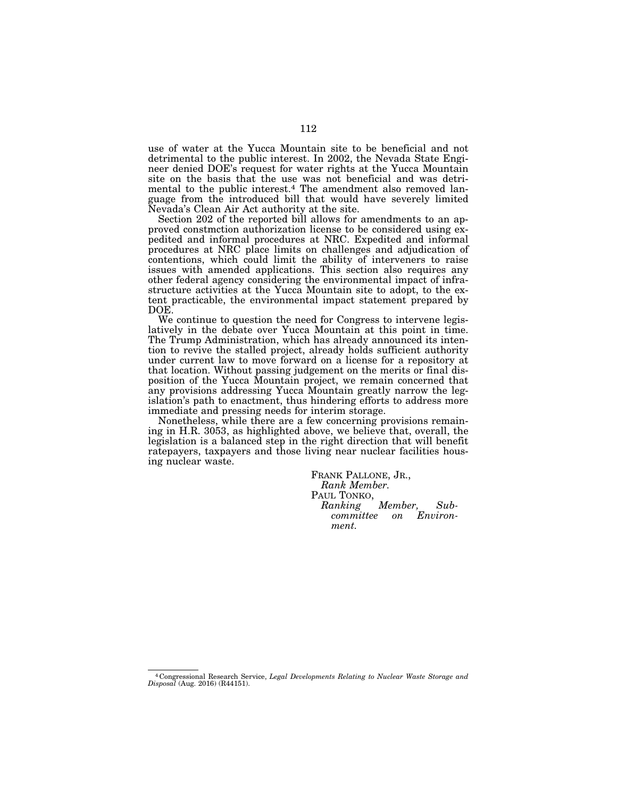use of water at the Yucca Mountain site to be beneficial and not detrimental to the public interest. In 2002, the Nevada State Engineer denied DOE's request for water rights at the Yucca Mountain site on the basis that the use was not beneficial and was detrimental to the public interest.4 The amendment also removed language from the introduced bill that would have severely limited Nevada's Clean Air Act authority at the site.

Section 202 of the reported bill allows for amendments to an approved constmction authorization license to be considered using expedited and informal procedures at NRC. Expedited and informal procedures at NRC place limits on challenges and adjudication of contentions, which could limit the ability of interveners to raise issues with amended applications. This section also requires any other federal agency considering the environmental impact of infrastructure activities at the Yucca Mountain site to adopt, to the extent practicable, the environmental impact statement prepared by DOE.

We continue to question the need for Congress to intervene legislatively in the debate over Yucca Mountain at this point in time. The Trump Administration, which has already announced its intention to revive the stalled project, already holds sufficient authority under current law to move forward on a license for a repository at that location. Without passing judgement on the merits or final disposition of the Yucca Mountain project, we remain concerned that any provisions addressing Yucca Mountain greatly narrow the legislation's path to enactment, thus hindering efforts to address more immediate and pressing needs for interim storage.

Nonetheless, while there are a few concerning provisions remaining in H.R. 3053, as highlighted above, we believe that, overall, the legislation is a balanced step in the right direction that will benefit ratepayers, taxpayers and those living near nuclear facilities housing nuclear waste.

> FRANK PALLONE, JR., *Rank Member.*  PAUL TONKO, *Ranking Member, Sub* $dommittee$  on *ment.*

<sup>4</sup> Congressional Research Service, *Legal Developments Relating to Nuclear Waste Storage and Disposal* (Aug. 2016) (R44151).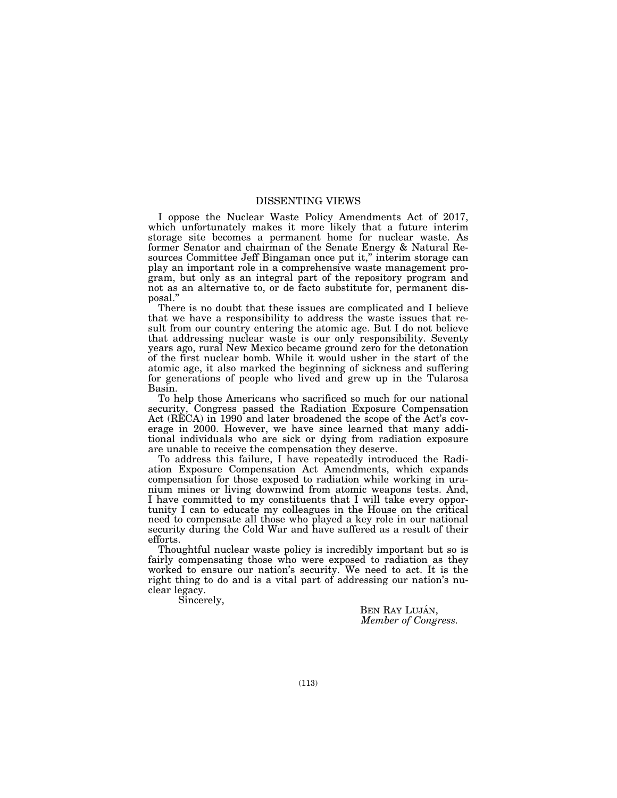#### DISSENTING VIEWS

I oppose the Nuclear Waste Policy Amendments Act of 2017, which unfortunately makes it more likely that a future interim storage site becomes a permanent home for nuclear waste. As former Senator and chairman of the Senate Energy & Natural Resources Committee Jeff Bingaman once put it,'' interim storage can play an important role in a comprehensive waste management program, but only as an integral part of the repository program and not as an alternative to, or de facto substitute for, permanent disposal.''

There is no doubt that these issues are complicated and I believe that we have a responsibility to address the waste issues that result from our country entering the atomic age. But I do not believe that addressing nuclear waste is our only responsibility. Seventy years ago, rural New Mexico became ground zero for the detonation of the first nuclear bomb. While it would usher in the start of the atomic age, it also marked the beginning of sickness and suffering for generations of people who lived and grew up in the Tularosa Basin.

To help those Americans who sacrificed so much for our national security, Congress passed the Radiation Exposure Compensation Act (RECA) in 1990 and later broadened the scope of the Act's coverage in 2000. However, we have since learned that many additional individuals who are sick or dying from radiation exposure are unable to receive the compensation they deserve.

To address this failure, I have repeatedly introduced the Radiation Exposure Compensation Act Amendments, which expands compensation for those exposed to radiation while working in uranium mines or living downwind from atomic weapons tests. And, I have committed to my constituents that I will take every opportunity I can to educate my colleagues in the House on the critical need to compensate all those who played a key role in our national security during the Cold War and have suffered as a result of their efforts.

Thoughtful nuclear waste policy is incredibly important but so is fairly compensating those who were exposed to radiation as they worked to ensure our nation's security. We need to act. It is the right thing to do and is a vital part of addressing our nation's nuclear legacy.

Sincerely,

BEN RAY LUJÁN,<br>*Member of Congress.*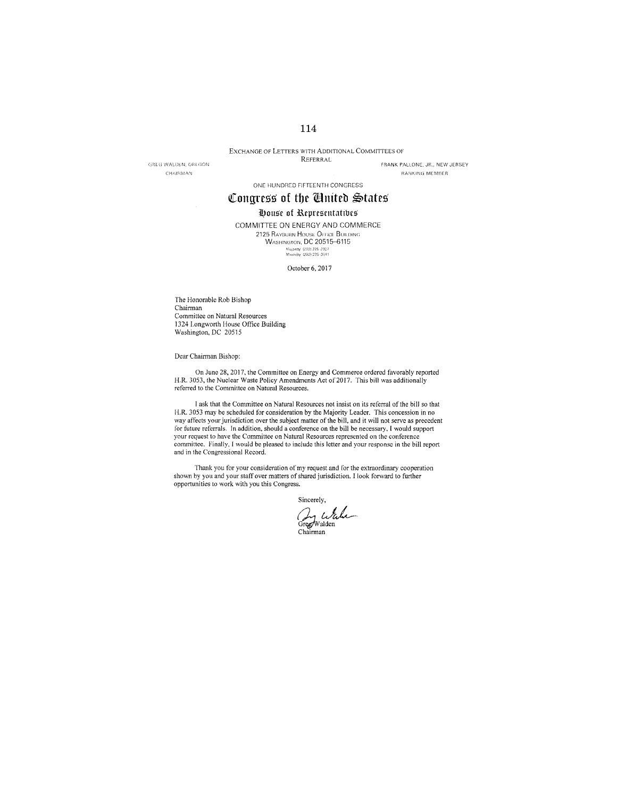## EXCHANGE OF LETTERS WITH ADDITIONAL COMMITTEES OF REG WALDEN, OREGON **ALLIGATION** CHARGE THE REAL CONSTRANT THE RANK PALLONE, JH., NEW JERSEY

CHAIRMAN

RANKING MEMBER

ONE HUNDRED FIFTEENTH CONGRESS

# Congress of the *United* States

#### *Oouse of Representatives*

COMMITTEE ON ENERGY AND COMMERCE 2125 Rayburn House Office Building<br>Washington, DC 20515–6115

October 6, 2017

The Honorable Rob Bishop **Chainnan**  Committee on Natural Resources 1324 Longworth House Office Building Washington, DC 20515

Dear Chairman Bishop:

On June 28, 2017, the Committee on Energy and Commerce ordered favorably reported H.R. 3053, the Nuclear Waste Policy Amendments Act of 2017. This bill was additionally **referred to the Committee on Natural Resources.** 

I ask that the Committee on Natural Resources not insist on its referral of the bill so that H.R. 3053 may be scheduled for consideration by the Majority Leader. This concession in no way affects your jurisdiction over the subject matter of the bill, and it will not serve as precedent for future referrals. ln addition, should a conference on the bill be necessary, I would support your request to have the Committee on Natural Resources represented on the conference committee. Finally, I would be pleased to include this letter and your response in the bill report and in the Congressional Record.

Thank you for your consideration of my request and for the extraordinary cooperation shown by you and your staff over matters of shared jurisdiction. !look forward to further opportunities to work with you this Congress.

Sincerely, an Wale Chairman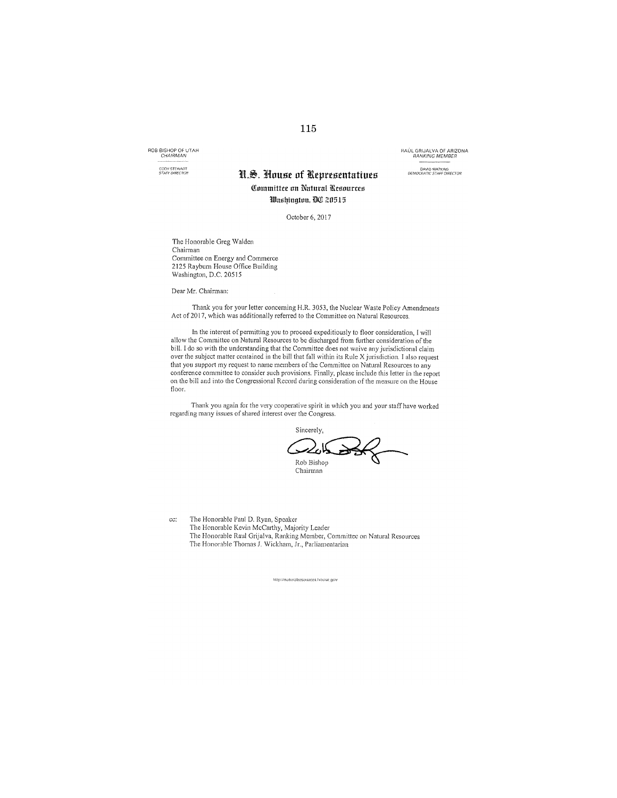ROB BISHOP OF UTAH

CODY STEWART<br>STAFF DIRECTOR

## U.S. House of Representatives Committee on Natural Resources

**RAÚL GRIJALVA OF ARIZONA**<br>RANKING MEMBER

DAVID WATKINS<br>DEMOCRATIC STAFF DIRECTOR

Washington, DC 20515 October 6, 2017

The Honorable Greg Walden Chairman Committee on Energy and Commerce 2125 Rayburn House Office Building Washington, D.C. 20515

Dear Mr. Chairman:

Thank you for your letter concerning H.R. 3053, the Nuclear Waste Policy Amendments Act of 2017, which was additionally referred to the Committee on Natural Resources.

In the interest of permitting you to proceed expeditiously to floor consideration, I will allow the Committee on Natural Resources to be discharged from further consideration of the bill. I do so with the understanding that the Committee does not waive any jurisdictional claim over the subject matter contained in the bill that fall within its Rule X jurisdiction. I also request that you support my request to name members of the Committee on Natural Resources to any conference committee to consider such provisions. Finally, please include this letter in the report on the bill and into the Congressional Record during consideration of the measure on the House floor.

Thank you again for the very cooperative spirit in which you and your staff have worked regarding many issues of shared interest over the Congress.

Sincerely, ~~ Chainnan

cc: The Honorable Paul D. Ryan, Speaker The Honorable Kevin McCarthy, Majority Leader The Honorable Raul Grijalva, Ranking Member, Committee on Natural Resources The Honorable Thomas J. Wickham, Jr., Parliamentarian

http://naturalresources.house.gov

115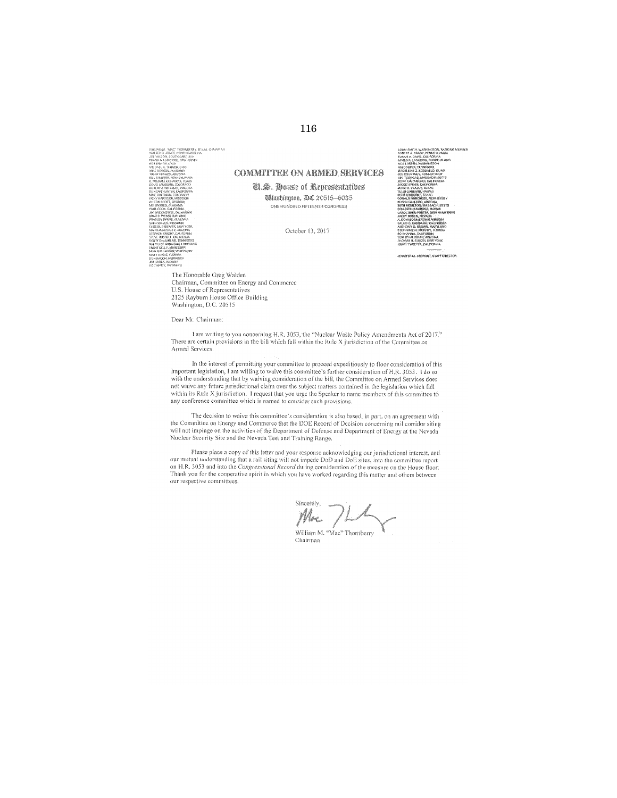## **COMMITTEE ON ARMED SERVICES**

**A.S.** Douse of Revresentatives *Clashington, DE 20515-6035* ONE HUNDRED FIFTEENTH CONGRESS

October 13,



.<br>XRT, STAFF ORECTO

The Honorable Walden Chairman, Committee on Energy nnd Commerce U.S. House of Representatives 2125 Rayburn House Office Building Washington, D.C. 20515

Dear Mr. Chairman:

Armed Services. ; H.R. 3053, the "Nuclear Waste Policy Amendments Act of 2017."<br>which fall within the Rule X jurisdiction of the Committee on

In the interest of permitting your committee to proceed expeditiously to floor consideration of this important legislation, I am willing to waive this committee's further consideration of H.R. 3053. 1 do so with the understanding that by waiving consideration of the bill, the Committee on Armed Services does not waive any future jurisdictional claim over the subject matters contained in the legislation which fall. within its Rule X jurisdiction. 1 request that you urge the Speaker to name members of this committee to any conference committee which is named to consider such provisions.

The decision to waive this committee's consideration is also based, in part, on an agreement with the Committee on Energy and Commerce that the DOE Record of Decision concerning rail corridor siting: will not impinge on the activities of the Department of Defense and Department of Energy at the Nevada Nuclear Security Site and the Nevada Test and Training Range,

Please place a copy of this letter and your response acknowledging our jurisdictional interest, and<br>our mutual understanding that a rail siting will not impede DoD and DoE sites, into the committee report in FLR, 3053 and into the C*ongressional Record* during consideration of the measure on the House floor<br>Thank you for the cooperative spirit in which you have worked regarding this matter and others between our respective committees.

Sincerely, William M. "Mac" Thornberry

Chairman

116